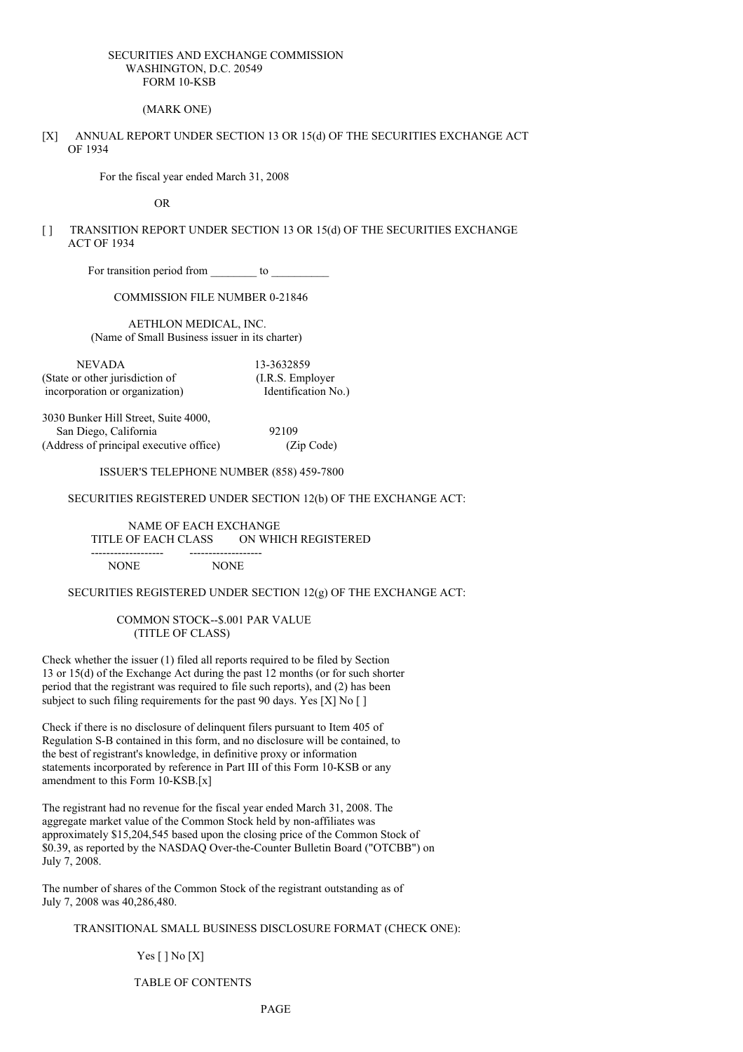### SECURITIES AND EXCHANGE COMMISSION WASHINGTON, D.C. 20549 FORM 10-KSB

(MARK ONE)

[X] ANNUAL REPORT UNDER SECTION 13 OR 15(d) OF THE SECURITIES EXCHANGE ACT OF 1934

For the fiscal year ended March 31, 2008

OR

[ ] TRANSITION REPORT UNDER SECTION 13 OR 15(d) OF THE SECURITIES EXCHANGE ACT OF 1934

For transition period from  $\qquad \qquad$  to

COMMISSION FILE NUMBER 0-21846

AETHLON MEDICAL, INC. (Name of Small Business issuer in its charter)

NEVADA 13-3632859 (State or other jurisdiction of (I.R.S. Employer incorporation or organization) Identification No.)

3030 Bunker Hill Street, Suite 4000, San Diego, California 92109 (Address of principal executive office) (Zip Code)

ISSUER'S TELEPHONE NUMBER (858) 459-7800

## SECURITIES REGISTERED UNDER SECTION 12(b) OF THE EXCHANGE ACT:

NAME OF EACH EXCHANGE TITLE OF EACH CLASS ON WHICH REGISTERED ------------------- -------------------

NONE NONE

## SECURITIES REGISTERED UNDER SECTION 12(g) OF THE EXCHANGE ACT:

### COMMON STOCK--\$.001 PAR VALUE (TITLE OF CLASS)

Check whether the issuer (1) filed all reports required to be filed by Section 13 or 15(d) of the Exchange Act during the past 12 months (or for such shorter period that the registrant was required to file such reports), and (2) has been subject to such filing requirements for the past 90 days. Yes [X] No [ ]

Check if there is no disclosure of delinquent filers pursuant to Item 405 of Regulation S-B contained in this form, and no disclosure will be contained, to the best of registrant's knowledge, in definitive proxy or information statements incorporated by reference in Part III of this Form 10-KSB or any amendment to this Form 10-KSB.[x]

The registrant had no revenue for the fiscal year ended March 31, 2008. The aggregate market value of the Common Stock held by non-affiliates was approximately \$15,204,545 based upon the closing price of the Common Stock of \$0.39, as reported by the NASDAQ Over-the-Counter Bulletin Board ("OTCBB") on July 7, 2008.

The number of shares of the Common Stock of the registrant outstanding as of July 7, 2008 was 40,286,480.

TRANSITIONAL SMALL BUSINESS DISCLOSURE FORMAT (CHECK ONE):

Yes [ ] No [X]

TABLE OF CONTENTS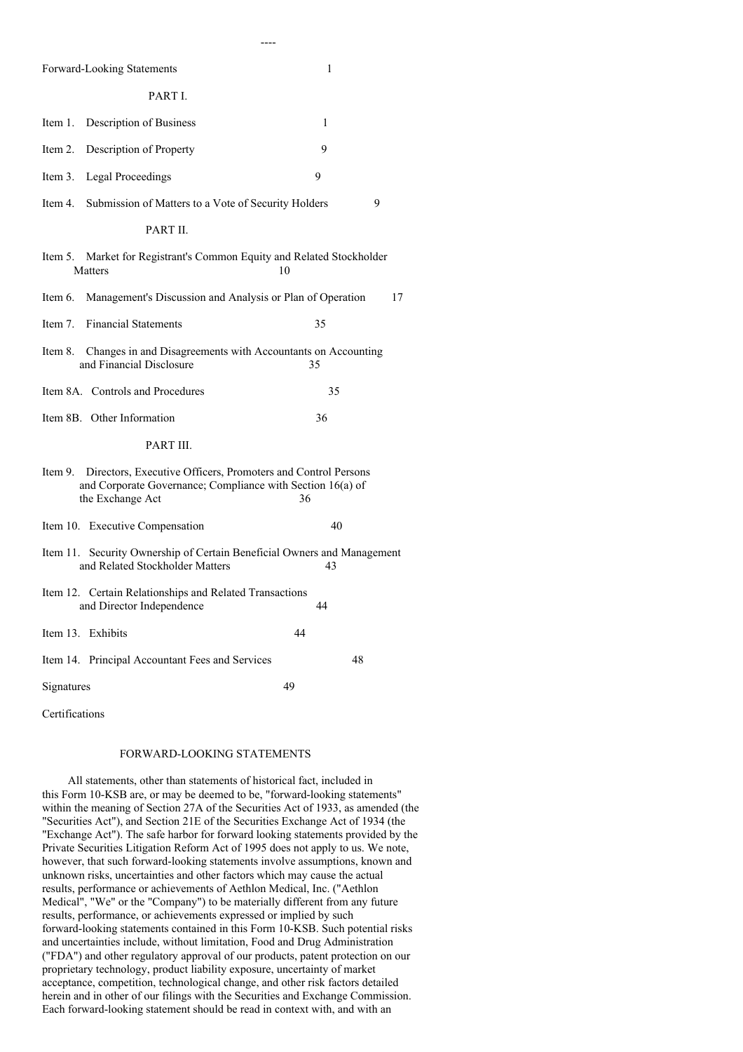| Forward-Looking Statements                                                                                                                                | 1  |
|-----------------------------------------------------------------------------------------------------------------------------------------------------------|----|
| PART <sub>I</sub> .                                                                                                                                       |    |
| Item 1.<br>Description of Business                                                                                                                        | 1  |
| Item 2.<br>Description of Property                                                                                                                        | 9  |
| Item 3.<br><b>Legal Proceedings</b>                                                                                                                       | 9  |
| Item 4.<br>Submission of Matters to a Vote of Security Holders                                                                                            | 9  |
| PART II.                                                                                                                                                  |    |
| Item 5. Market for Registrant's Common Equity and Related Stockholder<br>Matters                                                                          | 10 |
| Item 6.<br>Management's Discussion and Analysis or Plan of Operation                                                                                      | 17 |
| <b>Financial Statements</b><br>Item 7.                                                                                                                    | 35 |
| Item 8.<br>Changes in and Disagreements with Accountants on Accounting<br>and Financial Disclosure                                                        | 35 |
| Item 8A. Controls and Procedures                                                                                                                          | 35 |
| Item 8B. Other Information                                                                                                                                | 36 |
| PART III.                                                                                                                                                 |    |
| Item 9.<br>Directors, Executive Officers, Promoters and Control Persons<br>and Corporate Governance; Compliance with Section 16(a) of<br>the Exchange Act | 36 |
| Item 10. Executive Compensation                                                                                                                           | 40 |
| Item 11. Security Ownership of Certain Beneficial Owners and Management<br>and Related Stockholder Matters                                                | 43 |
| Item 12. Certain Relationships and Related Transactions<br>and Director Independence                                                                      | 44 |
| Item 13. Exhibits                                                                                                                                         | 44 |
| Item 14. Principal Accountant Fees and Services                                                                                                           | 48 |
| Signatures                                                                                                                                                | 49 |
| Certifications                                                                                                                                            |    |

----

## FORWARD-LOOKING STATEMENTS

All statements, other than statements of historical fact, included in this Form 10-KSB are, or may be deemed to be, "forward-looking statements" within the meaning of Section 27A of the Securities Act of 1933, as amended (the "Securities Act"), and Section 21E of the Securities Exchange Act of 1934 (the "Exchange Act"). The safe harbor for forward looking statements provided by the Private Securities Litigation Reform Act of 1995 does not apply to us. We note, however, that such forward-looking statements involve assumptions, known and unknown risks, uncertainties and other factors which may cause the actual results, performance or achievements of Aethlon Medical, Inc. ("Aethlon Medical", "We" or the "Company") to be materially different from any future results, performance, or achievements expressed or implied by such forward-looking statements contained in this Form 10-KSB. Such potential risks and uncertainties include, without limitation, Food and Drug Administration ("FDA") and other regulatory approval of our products, patent protection on our proprietary technology, product liability exposure, uncertainty of market acceptance, competition, technological change, and other risk factors detailed herein and in other of our filings with the Securities and Exchange Commission. Each forward-looking statement should be read in context with, and with an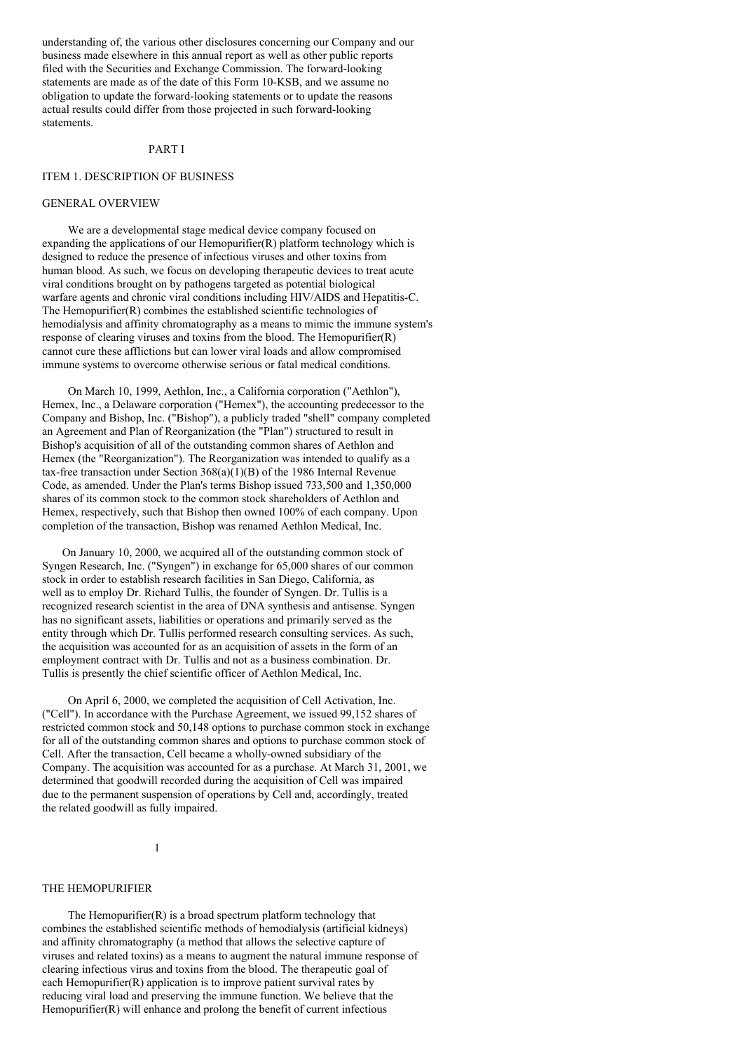understanding of, the various other disclosures concerning our Company and our business made elsewhere in this annual report as well as other public reports filed with the Securities and Exchange Commission. The forward-looking statements are made as of the date of this Form 10-KSB, and we assume no obligation to update the forward-looking statements or to update the reasons actual results could differ from those projected in such forward-looking statements.

#### PART I

#### ITEM 1. DESCRIPTION OF BUSINESS

#### GENERAL OVERVIEW

We are a developmental stage medical device company focused on expanding the applications of our Hemopurifier(R) platform technology which is designed to reduce the presence of infectious viruses and other toxins from human blood. As such, we focus on developing therapeutic devices to treat acute viral conditions brought on by pathogens targeted as potential biological warfare agents and chronic viral conditions including HIV/AIDS and Hepatitis-C. The Hemopurifier(R) combines the established scientific technologies of hemodialysis and affinity chromatography as a means to mimic the immune system's response of clearing viruses and toxins from the blood. The Hemopurifier(R) cannot cure these afflictions but can lower viral loads and allow compromised immune systems to overcome otherwise serious or fatal medical conditions.

On March 10, 1999, Aethlon, Inc., a California corporation ("Aethlon"), Hemex, Inc., a Delaware corporation ("Hemex"), the accounting predecessor to the Company and Bishop, Inc. ("Bishop"), a publicly traded "shell" company completed an Agreement and Plan of Reorganization (the "Plan") structured to result in Bishop's acquisition of all of the outstanding common shares of Aethlon and Hemex (the "Reorganization"). The Reorganization was intended to qualify as a tax-free transaction under Section 368(a)(1)(B) of the 1986 Internal Revenue Code, as amended. Under the Plan's terms Bishop issued 733,500 and 1,350,000 shares of its common stock to the common stock shareholders of Aethlon and Hemex, respectively, such that Bishop then owned 100% of each company. Upon completion of the transaction, Bishop was renamed Aethlon Medical, Inc.

On January 10, 2000, we acquired all of the outstanding common stock of Syngen Research, Inc. ("Syngen") in exchange for 65,000 shares of our common stock in order to establish research facilities in San Diego, California, as well as to employ Dr. Richard Tullis, the founder of Syngen. Dr. Tullis is a recognized research scientist in the area of DNA synthesis and antisense. Syngen has no significant assets, liabilities or operations and primarily served as the entity through which Dr. Tullis performed research consulting services. As such, the acquisition was accounted for as an acquisition of assets in the form of an employment contract with Dr. Tullis and not as a business combination. Dr. Tullis is presently the chief scientific officer of Aethlon Medical, Inc.

On April 6, 2000, we completed the acquisition of Cell Activation, Inc. ("Cell"). In accordance with the Purchase Agreement, we issued 99,152 shares of restricted common stock and 50,148 options to purchase common stock in exchange for all of the outstanding common shares and options to purchase common stock of Cell. After the transaction, Cell became a wholly-owned subsidiary of the Company. The acquisition was accounted for as a purchase. At March 31, 2001, we determined that goodwill recorded during the acquisition of Cell was impaired due to the permanent suspension of operations by Cell and, accordingly, treated the related goodwill as fully impaired.

1

#### THE HEMOPURIFIER

The Hemopurifier $(R)$  is a broad spectrum platform technology that combines the established scientific methods of hemodialysis (artificial kidneys) and affinity chromatography (a method that allows the selective capture of viruses and related toxins) as a means to augment the natural immune response of clearing infectious virus and toxins from the blood. The therapeutic goal of each Hemopurifier(R) application is to improve patient survival rates by reducing viral load and preserving the immune function. We believe that the Hemopurifier(R) will enhance and prolong the benefit of current infectious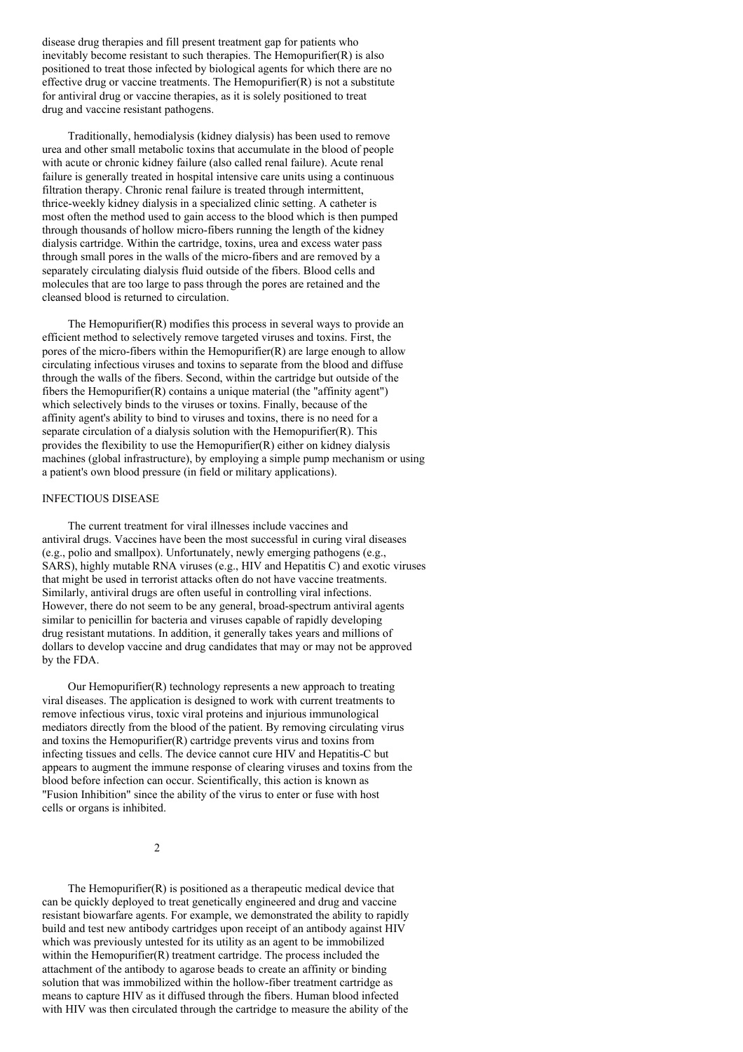disease drug therapies and fill present treatment gap for patients who inevitably become resistant to such therapies. The Hemopurifier(R) is also positioned to treat those infected by biological agents for which there are no effective drug or vaccine treatments. The  $H$ emopurifier $(R)$  is not a substitute for antiviral drug or vaccine therapies, as it is solely positioned to treat drug and vaccine resistant pathogens.

Traditionally, hemodialysis (kidney dialysis) has been used to remove urea and other small metabolic toxins that accumulate in the blood of people with acute or chronic kidney failure (also called renal failure). Acute renal failure is generally treated in hospital intensive care units using a continuous filtration therapy. Chronic renal failure is treated through intermittent, thrice-weekly kidney dialysis in a specialized clinic setting. A catheter is most often the method used to gain access to the blood which is then pumped through thousands of hollow micro-fibers running the length of the kidney dialysis cartridge. Within the cartridge, toxins, urea and excess water pass through small pores in the walls of the micro-fibers and are removed by a separately circulating dialysis fluid outside of the fibers. Blood cells and molecules that are too large to pass through the pores are retained and the cleansed blood is returned to circulation.

The Hemopurifier(R) modifies this process in several ways to provide an efficient method to selectively remove targeted viruses and toxins. First, the pores of the micro-fibers within the Hemopurifier(R) are large enough to allow circulating infectious viruses and toxins to separate from the blood and diffuse through the walls of the fibers. Second, within the cartridge but outside of the fibers the Hemopurifier(R) contains a unique material (the "affinity agent") which selectively binds to the viruses or toxins. Finally, because of the affinity agent's ability to bind to viruses and toxins, there is no need for a separate circulation of a dialysis solution with the Hemopurifier(R). This provides the flexibility to use the Hemopurifier(R) either on kidney dialysis machines (global infrastructure), by employing a simple pump mechanism or using a patient's own blood pressure (in field or military applications).

## INFECTIOUS DISEASE

The current treatment for viral illnesses include vaccines and antiviral drugs. Vaccines have been the most successful in curing viral diseases (e.g., polio and smallpox). Unfortunately, newly emerging pathogens (e.g., SARS), highly mutable RNA viruses (e.g., HIV and Hepatitis C) and exotic viruses that might be used in terrorist attacks often do not have vaccine treatments. Similarly, antiviral drugs are often useful in controlling viral infections. However, there do not seem to be any general, broad-spectrum antiviral agents similar to penicillin for bacteria and viruses capable of rapidly developing drug resistant mutations. In addition, it generally takes years and millions of dollars to develop vaccine and drug candidates that may or may not be approved by the FDA.

Our Hemopurifier(R) technology represents a new approach to treating viral diseases. The application is designed to work with current treatments to remove infectious virus, toxic viral proteins and injurious immunological mediators directly from the blood of the patient. By removing circulating virus and toxins the Hemopurifier(R) cartridge prevents virus and toxins from infecting tissues and cells. The device cannot cure HIV and Hepatitis-C but appears to augment the immune response of clearing viruses and toxins from the blood before infection can occur. Scientifically, this action is known as "Fusion Inhibition" since the ability of the virus to enter or fuse with host cells or organs is inhibited.

 $\overline{2}$ 

The Hemopurifier(R) is positioned as a therapeutic medical device that can be quickly deployed to treat genetically engineered and drug and vaccine resistant biowarfare agents. For example, we demonstrated the ability to rapidly build and test new antibody cartridges upon receipt of an antibody against HIV which was previously untested for its utility as an agent to be immobilized within the Hemopurifier(R) treatment cartridge. The process included the attachment of the antibody to agarose beads to create an affinity or binding solution that was immobilized within the hollow-fiber treatment cartridge as means to capture HIV as it diffused through the fibers. Human blood infected with HIV was then circulated through the cartridge to measure the ability of the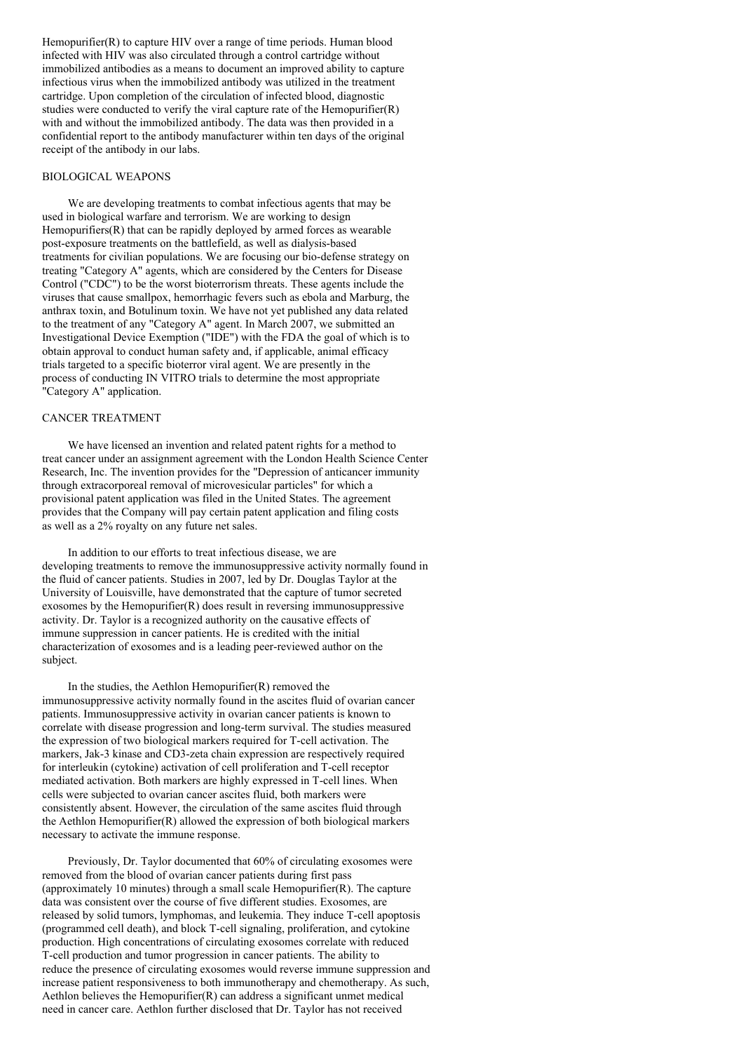Hemopurifier(R) to capture HIV over a range of time periods. Human blood infected with HIV was also circulated through a control cartridge without immobilized antibodies as a means to document an improved ability to capture infectious virus when the immobilized antibody was utilized in the treatment cartridge. Upon completion of the circulation of infected blood, diagnostic studies were conducted to verify the viral capture rate of the Hemopurifier(R) with and without the immobilized antibody. The data was then provided in a confidential report to the antibody manufacturer within ten days of the original receipt of the antibody in our labs.

#### BIOLOGICAL WEAPONS

We are developing treatments to combat infectious agents that may be used in biological warfare and terrorism. We are working to design Hemopurifiers(R) that can be rapidly deployed by armed forces as wearable post-exposure treatments on the battlefield, as well as dialysis-based treatments for civilian populations. We are focusing our bio-defense strategy on treating "Category A" agents, which are considered by the Centers for Disease Control ("CDC") to be the worst bioterrorism threats. These agents include the viruses that cause smallpox, hemorrhagic fevers such as ebola and Marburg, the anthrax toxin, and Botulinum toxin. We have not yet published any data related to the treatment of any "Category A" agent. In March 2007, we submitted an Investigational Device Exemption ("IDE") with the FDA the goal of which is to obtain approval to conduct human safety and, if applicable, animal efficacy trials targeted to a specific bioterror viral agent. We are presently in the process of conducting IN VITRO trials to determine the most appropriate "Category A" application.

# CANCER TREATMENT

We have licensed an invention and related patent rights for a method to treat cancer under an assignment agreement with the London Health Science Center Research, Inc. The invention provides for the "Depression of anticancer immunity through extracorporeal removal of microvesicular particles" for which a provisional patent application was filed in the United States. The agreement provides that the Company will pay certain patent application and filing costs as well as a 2% royalty on any future net sales.

In addition to our efforts to treat infectious disease, we are developing treatments to remove the immunosuppressive activity normally found in the fluid of cancer patients. Studies in 2007, led by Dr. Douglas Taylor at the University of Louisville, have demonstrated that the capture of tumor secreted exosomes by the Hemopurifier(R) does result in reversing immunosuppressive activity. Dr. Taylor is a recognized authority on the causative effects of immune suppression in cancer patients. He is credited with the initial characterization of exosomes and is a leading peer-reviewed author on the subject.

In the studies, the Aethlon Hemopurifier(R) removed the immunosuppressive activity normally found in the ascites fluid of ovarian cancer patients. Immunosuppressive activity in ovarian cancer patients is known to correlate with disease progression and long-term survival. The studies measured the expression of two biological markers required for T-cell activation. The markers, Jak-3 kinase and CD3-zeta chain expression are respectively required for interleukin (cytokine) activation of cell proliferation and T-cell receptor mediated activation. Both markers are highly expressed in T-cell lines. When cells were subjected to ovarian cancer ascites fluid, both markers were consistently absent. However, the circulation of the same ascites fluid through the Aethlon Hemopurifier(R) allowed the expression of both biological markers necessary to activate the immune response.

Previously, Dr. Taylor documented that 60% of circulating exosomes were removed from the blood of ovarian cancer patients during first pass (approximately 10 minutes) through a small scale  $H$ emopurifier $(R)$ . The capture data was consistent over the course of five different studies. Exosomes, are released by solid tumors, lymphomas, and leukemia. They induce T-cell apoptosis (programmed cell death), and block T-cell signaling, proliferation, and cytokine production. High concentrations of circulating exosomes correlate with reduced T-cell production and tumor progression in cancer patients. The ability to reduce the presence of circulating exosomes would reverse immune suppression and increase patient responsiveness to both immunotherapy and chemotherapy. As such, Aethlon believes the Hemopurifier(R) can address a significant unmet medical need in cancer care. Aethlon further disclosed that Dr. Taylor has not received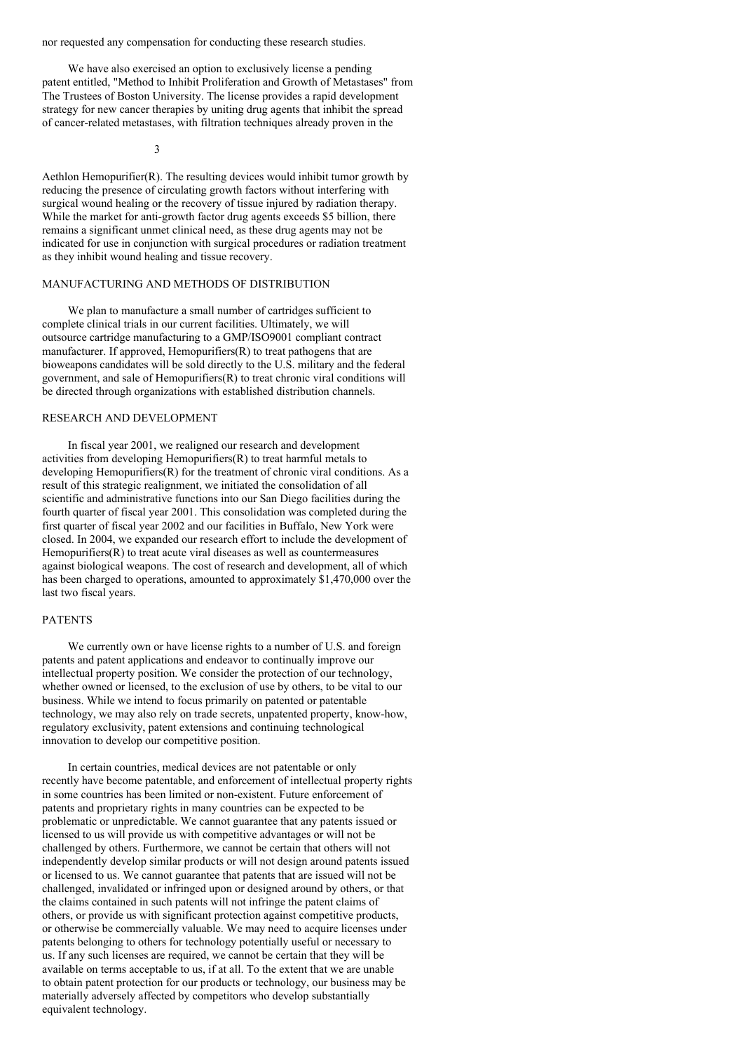nor requested any compensation for conducting these research studies.

We have also exercised an option to exclusively license a pending patent entitled, "Method to Inhibit Proliferation and Growth of Metastases" from The Trustees of Boston University. The license provides a rapid development strategy for new cancer therapies by uniting drug agents that inhibit the spread of cancer-related metastases, with filtration techniques already proven in the

3

Aethlon Hemopurifier(R). The resulting devices would inhibit tumor growth by reducing the presence of circulating growth factors without interfering with surgical wound healing or the recovery of tissue injured by radiation therapy. While the market for anti-growth factor drug agents exceeds \$5 billion, there remains a significant unmet clinical need, as these drug agents may not be indicated for use in conjunction with surgical procedures or radiation treatment as they inhibit wound healing and tissue recovery.

#### MANUFACTURING AND METHODS OF DISTRIBUTION

We plan to manufacture a small number of cartridges sufficient to complete clinical trials in our current facilities. Ultimately, we will outsource cartridge manufacturing to a GMP/ISO9001 compliant contract manufacturer. If approved, Hemopurifiers(R) to treat pathogens that are bioweapons candidates will be sold directly to the U.S. military and the federal government, and sale of Hemopurifiers(R) to treat chronic viral conditions will be directed through organizations with established distribution channels.

# RESEARCH AND DEVELOPMENT

In fiscal year 2001, we realigned our research and development activities from developing Hemopurifiers(R) to treat harmful metals to developing Hemopurifiers(R) for the treatment of chronic viral conditions. As a result of this strategic realignment, we initiated the consolidation of all scientific and administrative functions into our San Diego facilities during the fourth quarter of fiscal year 2001. This consolidation was completed during the first quarter of fiscal year 2002 and our facilities in Buffalo, New York were closed. In 2004, we expanded our research effort to include the development of Hemopurifiers(R) to treat acute viral diseases as well as countermeasures against biological weapons. The cost of research and development, all of which has been charged to operations, amounted to approximately \$1,470,000 over the last two fiscal years.

### PATENTS

We currently own or have license rights to a number of U.S. and foreign patents and patent applications and endeavor to continually improve our intellectual property position. We consider the protection of our technology, whether owned or licensed, to the exclusion of use by others, to be vital to our business. While we intend to focus primarily on patented or patentable technology, we may also rely on trade secrets, unpatented property, know-how, regulatory exclusivity, patent extensions and continuing technological innovation to develop our competitive position.

In certain countries, medical devices are not patentable or only recently have become patentable, and enforcement of intellectual property rights in some countries has been limited or non-existent. Future enforcement of patents and proprietary rights in many countries can be expected to be problematic or unpredictable. We cannot guarantee that any patents issued or licensed to us will provide us with competitive advantages or will not be challenged by others. Furthermore, we cannot be certain that others will not independently develop similar products or will not design around patents issued or licensed to us. We cannot guarantee that patents that are issued will not be challenged, invalidated or infringed upon or designed around by others, or that the claims contained in such patents will not infringe the patent claims of others, or provide us with significant protection against competitive products, or otherwise be commercially valuable. We may need to acquire licenses under patents belonging to others for technology potentially useful or necessary to us. If any such licenses are required, we cannot be certain that they will be available on terms acceptable to us, if at all. To the extent that we are unable to obtain patent protection for our products or technology, our business may be materially adversely affected by competitors who develop substantially equivalent technology.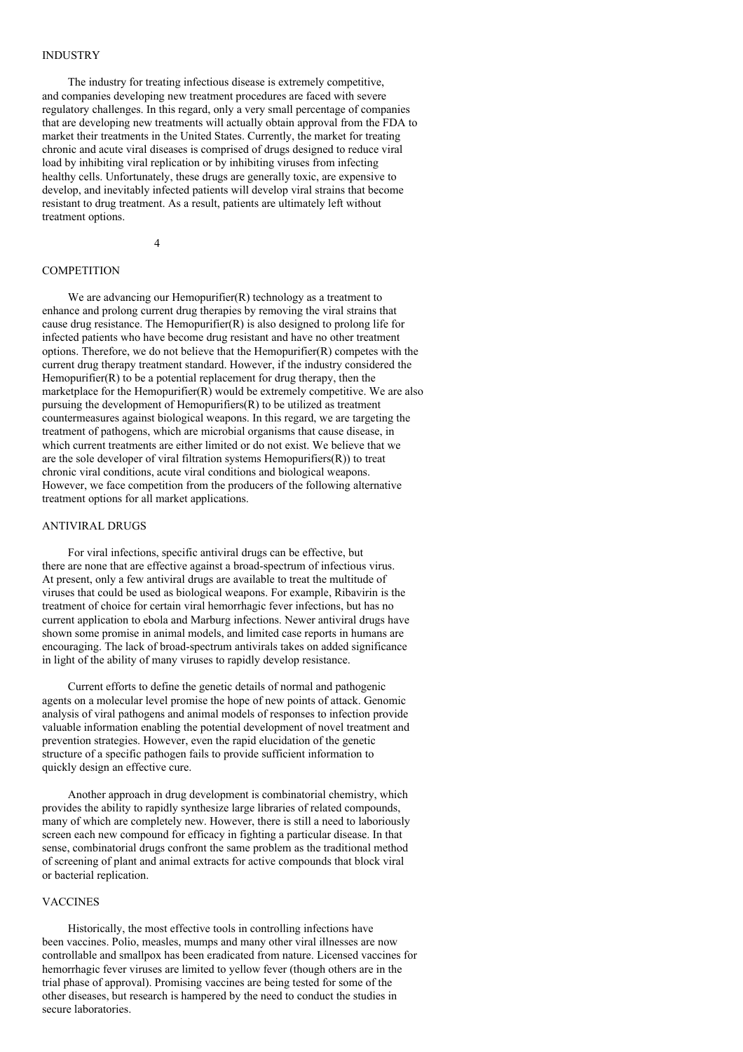#### INDUSTRY

The industry for treating infectious disease is extremely competitive, and companies developing new treatment procedures are faced with severe regulatory challenges. In this regard, only a very small percentage of companies that are developing new treatments will actually obtain approval from the FDA to market their treatments in the United States. Currently, the market for treating chronic and acute viral diseases is comprised of drugs designed to reduce viral load by inhibiting viral replication or by inhibiting viruses from infecting healthy cells. Unfortunately, these drugs are generally toxic, are expensive to develop, and inevitably infected patients will develop viral strains that become resistant to drug treatment. As a result, patients are ultimately left without treatment options.

4

### **COMPETITION**

We are advancing our Hemopurifier(R) technology as a treatment to enhance and prolong current drug therapies by removing the viral strains that cause drug resistance. The Hemopurifier $(R)$  is also designed to prolong life for infected patients who have become drug resistant and have no other treatment options. Therefore, we do not believe that the Hemopurifier(R) competes with the current drug therapy treatment standard. However, if the industry considered the Hemopurifier $(R)$  to be a potential replacement for drug therapy, then the marketplace for the Hemopurifier(R) would be extremely competitive. We are also pursuing the development of Hemopurifiers(R) to be utilized as treatment countermeasures against biological weapons. In this regard, we are targeting the treatment of pathogens, which are microbial organisms that cause disease, in which current treatments are either limited or do not exist. We believe that we are the sole developer of viral filtration systems  $Hempurifiers(R)$ ) to treat chronic viral conditions, acute viral conditions and biological weapons. However, we face competition from the producers of the following alternative treatment options for all market applications.

#### ANTIVIRAL DRUGS

For viral infections, specific antiviral drugs can be effective, but there are none that are effective against a broad-spectrum of infectious virus. At present, only a few antiviral drugs are available to treat the multitude of viruses that could be used as biological weapons. For example, Ribavirin is the treatment of choice for certain viral hemorrhagic fever infections, but has no current application to ebola and Marburg infections. Newer antiviral drugs have shown some promise in animal models, and limited case reports in humans are encouraging. The lack of broad-spectrum antivirals takes on added significance in light of the ability of many viruses to rapidly develop resistance.

Current efforts to define the genetic details of normal and pathogenic agents on a molecular level promise the hope of new points of attack. Genomic analysis of viral pathogens and animal models of responses to infection provide valuable information enabling the potential development of novel treatment and prevention strategies. However, even the rapid elucidation of the genetic structure of a specific pathogen fails to provide sufficient information to quickly design an effective cure.

Another approach in drug development is combinatorial chemistry, which provides the ability to rapidly synthesize large libraries of related compounds, many of which are completely new. However, there is still a need to laboriously screen each new compound for efficacy in fighting a particular disease. In that sense, combinatorial drugs confront the same problem as the traditional method of screening of plant and animal extracts for active compounds that block viral or bacterial replication.

## **VACCINES**

Historically, the most effective tools in controlling infections have been vaccines. Polio, measles, mumps and many other viral illnesses are now controllable and smallpox has been eradicated from nature. Licensed vaccines for hemorrhagic fever viruses are limited to yellow fever (though others are in the trial phase of approval). Promising vaccines are being tested for some of the other diseases, but research is hampered by the need to conduct the studies in secure laboratories.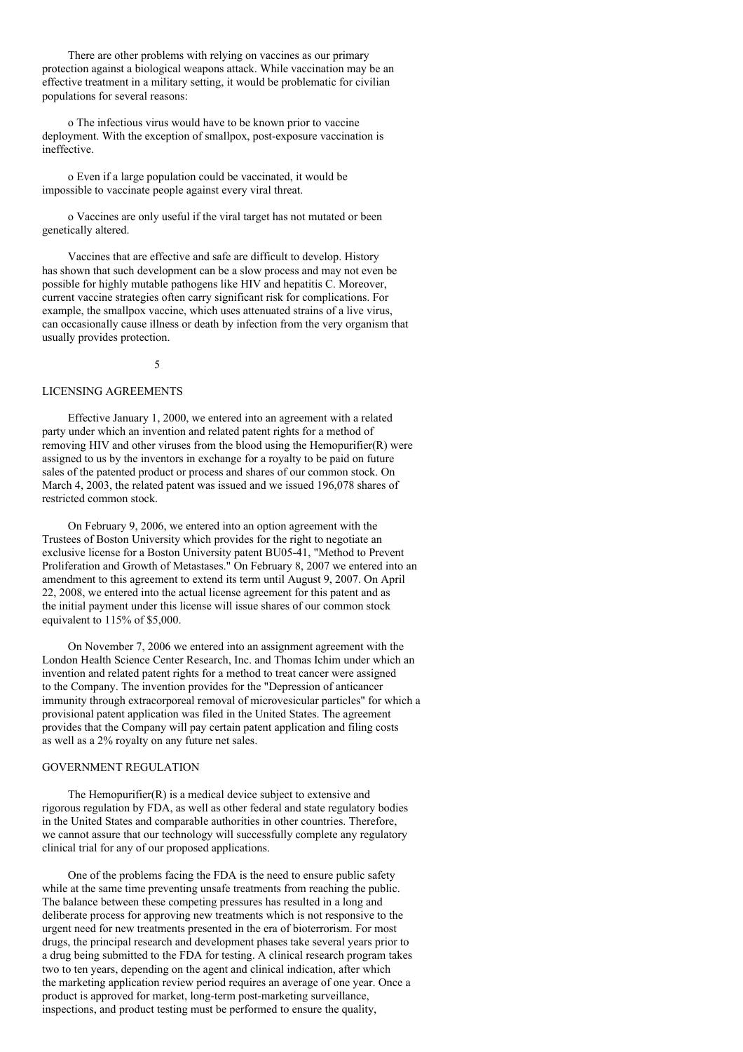There are other problems with relying on vaccines as our primary protection against a biological weapons attack. While vaccination may be an effective treatment in a military setting, it would be problematic for civilian populations for several reasons:

o The infectious virus would have to be known prior to vaccine deployment. With the exception of smallpox, post-exposure vaccination is ineffective.

o Even if a large population could be vaccinated, it would be impossible to vaccinate people against every viral threat.

o Vaccines are only useful if the viral target has not mutated or been genetically altered.

Vaccines that are effective and safe are difficult to develop. History has shown that such development can be a slow process and may not even be possible for highly mutable pathogens like HIV and hepatitis C. Moreover, current vaccine strategies often carry significant risk for complications. For example, the smallpox vaccine, which uses attenuated strains of a live virus, can occasionally cause illness or death by infection from the very organism that usually provides protection.

5

# LICENSING AGREEMENTS

Effective January 1, 2000, we entered into an agreement with a related party under which an invention and related patent rights for a method of removing HIV and other viruses from the blood using the Hemopurifier(R) were assigned to us by the inventors in exchange for a royalty to be paid on future sales of the patented product or process and shares of our common stock. On March 4, 2003, the related patent was issued and we issued 196,078 shares of restricted common stock.

On February 9, 2006, we entered into an option agreement with the Trustees of Boston University which provides for the right to negotiate an exclusive license for a Boston University patent BU05-41, "Method to Prevent Proliferation and Growth of Metastases." On February 8, 2007 we entered into an amendment to this agreement to extend its term until August 9, 2007. On April 22, 2008, we entered into the actual license agreement for this patent and as the initial payment under this license will issue shares of our common stock equivalent to 115% of \$5,000.

On November 7, 2006 we entered into an assignment agreement with the London Health Science Center Research, Inc. and Thomas Ichim under which an invention and related patent rights for a method to treat cancer were assigned to the Company. The invention provides for the "Depression of anticancer immunity through extracorporeal removal of microvesicular particles" for which a provisional patent application was filed in the United States. The agreement provides that the Company will pay certain patent application and filing costs as well as a 2% royalty on any future net sales.

### GOVERNMENT REGULATION

The Hemopurifier(R) is a medical device subject to extensive and rigorous regulation by FDA, as well as other federal and state regulatory bodies in the United States and comparable authorities in other countries. Therefore, we cannot assure that our technology will successfully complete any regulatory clinical trial for any of our proposed applications.

One of the problems facing the FDA is the need to ensure public safety while at the same time preventing unsafe treatments from reaching the public. The balance between these competing pressures has resulted in a long and deliberate process for approving new treatments which is not responsive to the urgent need for new treatments presented in the era of bioterrorism. For most drugs, the principal research and development phases take several years prior to a drug being submitted to the FDA for testing. A clinical research program takes two to ten years, depending on the agent and clinical indication, after which the marketing application review period requires an average of one year. Once a product is approved for market, long-term post-marketing surveillance, inspections, and product testing must be performed to ensure the quality,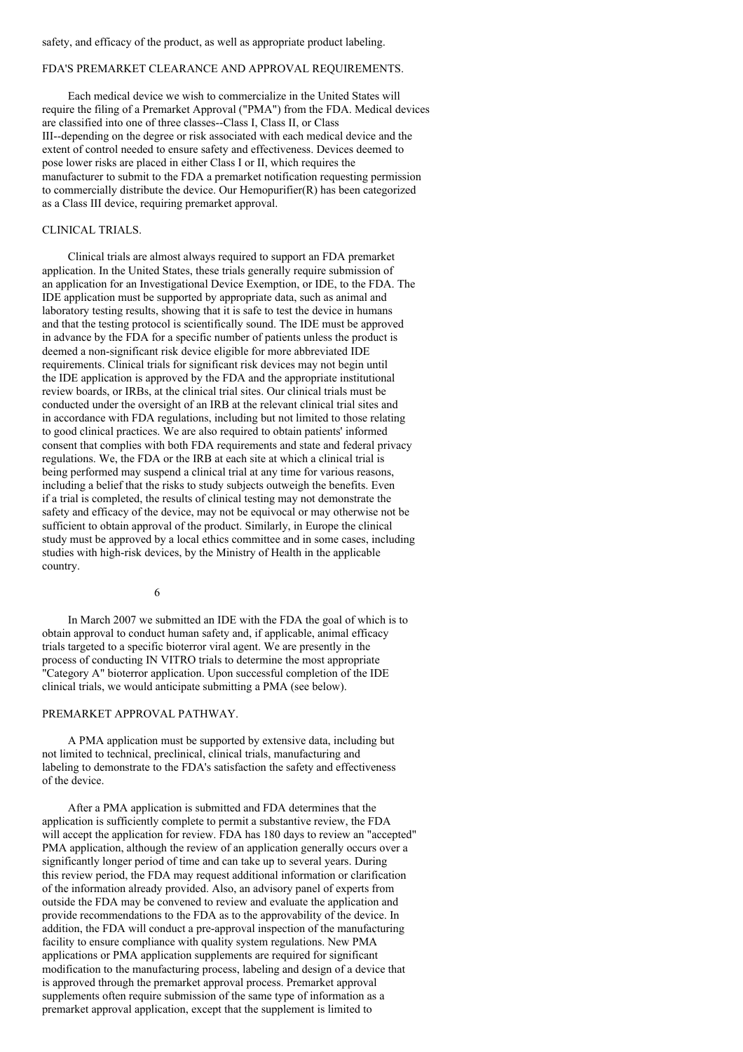### FDA'S PREMARKET CLEARANCE AND APPROVAL REQUIREMENTS.

Each medical device we wish to commercialize in the United States will require the filing of a Premarket Approval ("PMA") from the FDA. Medical devices are classified into one of three classes--Class I, Class II, or Class III--depending on the degree or risk associated with each medical device and the extent of control needed to ensure safety and effectiveness. Devices deemed to pose lower risks are placed in either Class I or II, which requires the manufacturer to submit to the FDA a premarket notification requesting permission to commercially distribute the device. Our Hemopurifier(R) has been categorized as a Class III device, requiring premarket approval.

#### CLINICAL TRIALS.

Clinical trials are almost always required to support an FDA premarket application. In the United States, these trials generally require submission of an application for an Investigational Device Exemption, or IDE, to the FDA. The IDE application must be supported by appropriate data, such as animal and laboratory testing results, showing that it is safe to test the device in humans and that the testing protocol is scientifically sound. The IDE must be approved in advance by the FDA for a specific number of patients unless the product is deemed a non-significant risk device eligible for more abbreviated IDE requirements. Clinical trials for significant risk devices may not begin until the IDE application is approved by the FDA and the appropriate institutional review boards, or IRBs, at the clinical trial sites. Our clinical trials must be conducted under the oversight of an IRB at the relevant clinical trial sites and in accordance with FDA regulations, including but not limited to those relating to good clinical practices. We are also required to obtain patients' informed consent that complies with both FDA requirements and state and federal privacy regulations. We, the FDA or the IRB at each site at which a clinical trial is being performed may suspend a clinical trial at any time for various reasons, including a belief that the risks to study subjects outweigh the benefits. Even if a trial is completed, the results of clinical testing may not demonstrate the safety and efficacy of the device, may not be equivocal or may otherwise not be sufficient to obtain approval of the product. Similarly, in Europe the clinical study must be approved by a local ethics committee and in some cases, including studies with high-risk devices, by the Ministry of Health in the applicable country.

6

In March 2007 we submitted an IDE with the FDA the goal of which is to obtain approval to conduct human safety and, if applicable, animal efficacy trials targeted to a specific bioterror viral agent. We are presently in the process of conducting IN VITRO trials to determine the most appropriate "Category A" bioterror application. Upon successful completion of the IDE clinical trials, we would anticipate submitting a PMA (see below).

### PREMARKET APPROVAL PATHWAY.

A PMA application must be supported by extensive data, including but not limited to technical, preclinical, clinical trials, manufacturing and labeling to demonstrate to the FDA's satisfaction the safety and effectiveness of the device.

After a PMA application is submitted and FDA determines that the application is sufficiently complete to permit a substantive review, the FDA will accept the application for review. FDA has 180 days to review an "accepted" PMA application, although the review of an application generally occurs over a significantly longer period of time and can take up to several years. During this review period, the FDA may request additional information or clarification of the information already provided. Also, an advisory panel of experts from outside the FDA may be convened to review and evaluate the application and provide recommendations to the FDA as to the approvability of the device. In addition, the FDA will conduct a pre-approval inspection of the manufacturing facility to ensure compliance with quality system regulations. New PMA applications or PMA application supplements are required for significant modification to the manufacturing process, labeling and design of a device that is approved through the premarket approval process. Premarket approval supplements often require submission of the same type of information as a premarket approval application, except that the supplement is limited to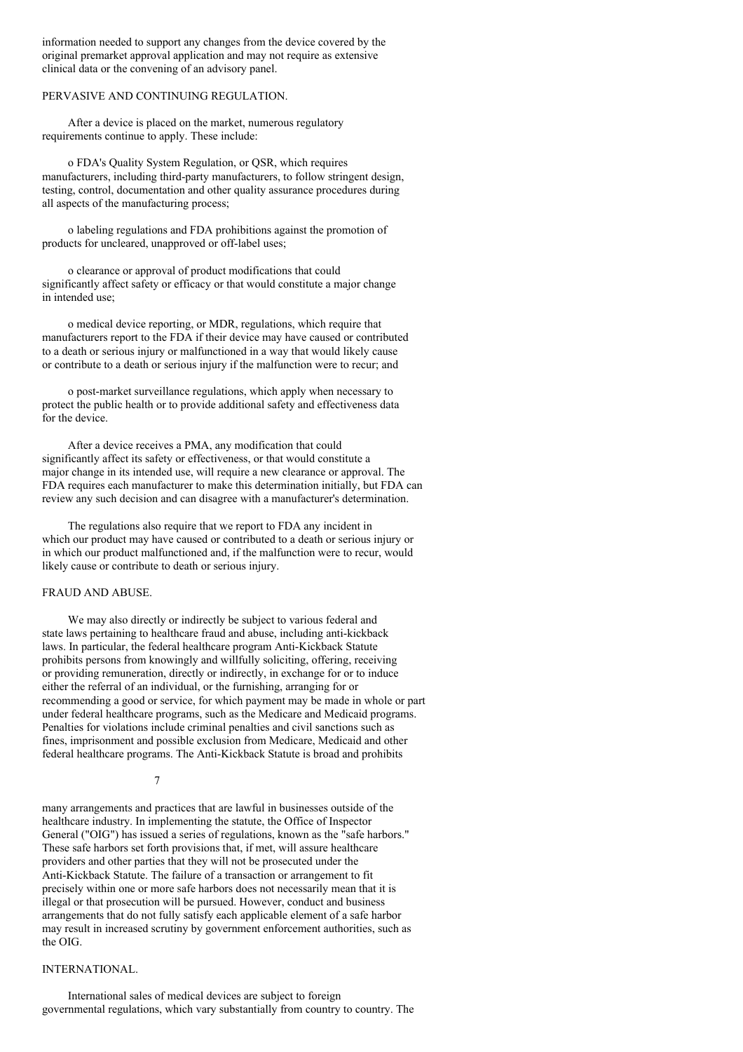information needed to support any changes from the device covered by the original premarket approval application and may not require as extensive clinical data or the convening of an advisory panel.

### PERVASIVE AND CONTINUING REGULATION.

After a device is placed on the market, numerous regulatory requirements continue to apply. These include:

o FDA's Quality System Regulation, or QSR, which requires manufacturers, including third-party manufacturers, to follow stringent design, testing, control, documentation and other quality assurance procedures during all aspects of the manufacturing process;

o labeling regulations and FDA prohibitions against the promotion of products for uncleared, unapproved or off-label uses;

o clearance or approval of product modifications that could significantly affect safety or efficacy or that would constitute a major change in intended use;

o medical device reporting, or MDR, regulations, which require that manufacturers report to the FDA if their device may have caused or contributed to a death or serious injury or malfunctioned in a way that would likely cause or contribute to a death or serious injury if the malfunction were to recur; and

o post-market surveillance regulations, which apply when necessary to protect the public health or to provide additional safety and effectiveness data for the device.

After a device receives a PMA, any modification that could significantly affect its safety or effectiveness, or that would constitute a major change in its intended use, will require a new clearance or approval. The FDA requires each manufacturer to make this determination initially, but FDA can review any such decision and can disagree with a manufacturer's determination.

The regulations also require that we report to FDA any incident in which our product may have caused or contributed to a death or serious injury or in which our product malfunctioned and, if the malfunction were to recur, would likely cause or contribute to death or serious injury.

## FRAUD AND ABUSE.

We may also directly or indirectly be subject to various federal and state laws pertaining to healthcare fraud and abuse, including anti-kickback laws. In particular, the federal healthcare program Anti-Kickback Statute prohibits persons from knowingly and willfully soliciting, offering, receiving or providing remuneration, directly or indirectly, in exchange for or to induce either the referral of an individual, or the furnishing, arranging for or recommending a good or service, for which payment may be made in whole or part under federal healthcare programs, such as the Medicare and Medicaid programs. Penalties for violations include criminal penalties and civil sanctions such as fines, imprisonment and possible exclusion from Medicare, Medicaid and other federal healthcare programs. The Anti-Kickback Statute is broad and prohibits

7

many arrangements and practices that are lawful in businesses outside of the healthcare industry. In implementing the statute, the Office of Inspector General ("OIG") has issued a series of regulations, known as the "safe harbors." These safe harbors set forth provisions that, if met, will assure healthcare providers and other parties that they will not be prosecuted under the Anti-Kickback Statute. The failure of a transaction or arrangement to fit precisely within one or more safe harbors does not necessarily mean that it is illegal or that prosecution will be pursued. However, conduct and business arrangements that do not fully satisfy each applicable element of a safe harbor may result in increased scrutiny by government enforcement authorities, such as the OIG.

# INTERNATIONAL.

International sales of medical devices are subject to foreign governmental regulations, which vary substantially from country to country. The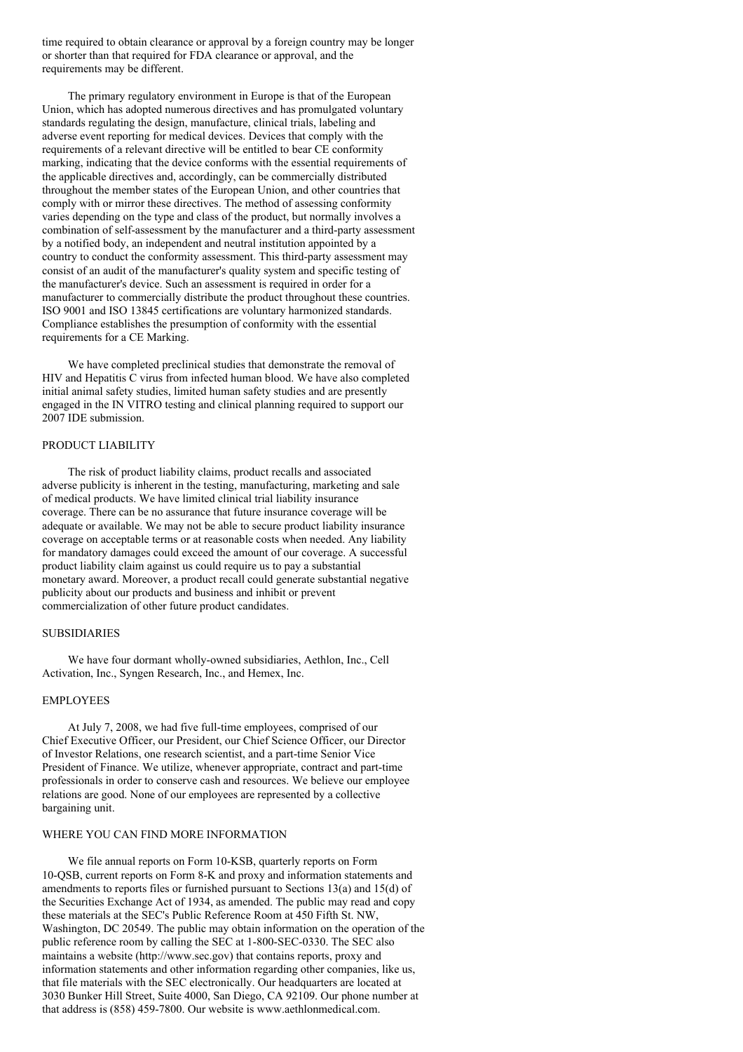time required to obtain clearance or approval by a foreign country may be longer or shorter than that required for FDA clearance or approval, and the requirements may be different.

The primary regulatory environment in Europe is that of the European Union, which has adopted numerous directives and has promulgated voluntary standards regulating the design, manufacture, clinical trials, labeling and adverse event reporting for medical devices. Devices that comply with the requirements of a relevant directive will be entitled to bear CE conformity marking, indicating that the device conforms with the essential requirements of the applicable directives and, accordingly, can be commercially distributed throughout the member states of the European Union, and other countries that comply with or mirror these directives. The method of assessing conformity varies depending on the type and class of the product, but normally involves a combination of self-assessment by the manufacturer and a third-party assessment by a notified body, an independent and neutral institution appointed by a country to conduct the conformity assessment. This third-party assessment may consist of an audit of the manufacturer's quality system and specific testing of the manufacturer's device. Such an assessment is required in order for a manufacturer to commercially distribute the product throughout these countries. ISO 9001 and ISO 13845 certifications are voluntary harmonized standards. Compliance establishes the presumption of conformity with the essential requirements for a CE Marking.

We have completed preclinical studies that demonstrate the removal of HIV and Hepatitis C virus from infected human blood. We have also completed initial animal safety studies, limited human safety studies and are presently engaged in the IN VITRO testing and clinical planning required to support our 2007 IDE submission.

## PRODUCT LIABILITY

The risk of product liability claims, product recalls and associated adverse publicity is inherent in the testing, manufacturing, marketing and sale of medical products. We have limited clinical trial liability insurance coverage. There can be no assurance that future insurance coverage will be adequate or available. We may not be able to secure product liability insurance coverage on acceptable terms or at reasonable costs when needed. Any liability for mandatory damages could exceed the amount of our coverage. A successful product liability claim against us could require us to pay a substantial monetary award. Moreover, a product recall could generate substantial negative publicity about our products and business and inhibit or prevent commercialization of other future product candidates.

#### **SUBSIDIARIES**

We have four dormant wholly-owned subsidiaries, Aethlon, Inc., Cell Activation, Inc., Syngen Research, Inc., and Hemex, Inc.

#### EMPLOYEES

At July 7, 2008, we had five full-time employees, comprised of our Chief Executive Officer, our President, our Chief Science Officer, our Director of Investor Relations, one research scientist, and a part-time Senior Vice President of Finance. We utilize, whenever appropriate, contract and part-time professionals in order to conserve cash and resources. We believe our employee relations are good. None of our employees are represented by a collective bargaining unit.

#### WHERE YOU CAN FIND MORE INFORMATION

We file annual reports on Form 10-KSB, quarterly reports on Form 10-QSB, current reports on Form 8-K and proxy and information statements and amendments to reports files or furnished pursuant to Sections 13(a) and 15(d) of the Securities Exchange Act of 1934, as amended. The public may read and copy these materials at the SEC's Public Reference Room at 450 Fifth St. NW, Washington, DC 20549. The public may obtain information on the operation of the public reference room by calling the SEC at 1-800-SEC-0330. The SEC also maintains a website (http://www.sec.gov) that contains reports, proxy and information statements and other information regarding other companies, like us, that file materials with the SEC electronically. Our headquarters are located at 3030 Bunker Hill Street, Suite 4000, San Diego, CA 92109. Our phone number at that address is (858) 459-7800. Our website is www.aethlonmedical.com.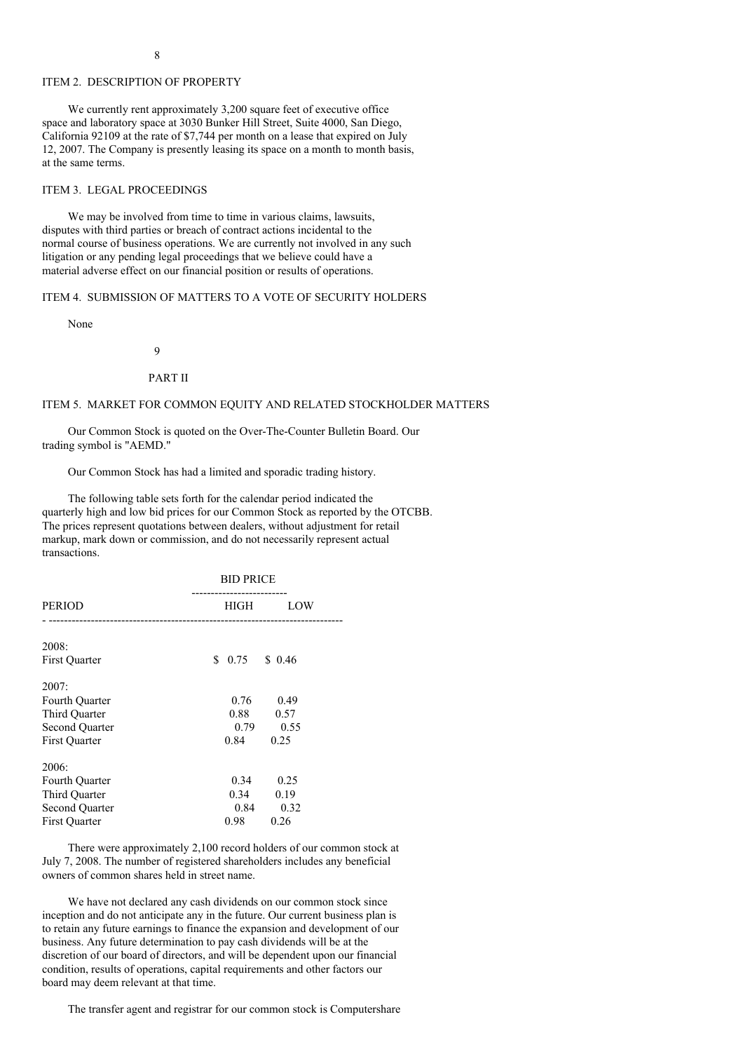## ITEM 2. DESCRIPTION OF PROPERTY

We currently rent approximately 3,200 square feet of executive office space and laboratory space at 3030 Bunker Hill Street, Suite 4000, San Diego, California 92109 at the rate of \$7,744 per month on a lease that expired on July 12, 2007. The Company is presently leasing its space on a month to month basis, at the same terms.

## ITEM 3. LEGAL PROCEEDINGS

We may be involved from time to time in various claims, lawsuits, disputes with third parties or breach of contract actions incidental to the normal course of business operations. We are currently not involved in any such litigation or any pending legal proceedings that we believe could have a material adverse effect on our financial position or results of operations.

## ITEM 4. SUBMISSION OF MATTERS TO A VOTE OF SECURITY HOLDERS

None

9

### PART II

# ITEM 5. MARKET FOR COMMON EQUITY AND RELATED STOCKHOLDER MATTERS

Our Common Stock is quoted on the Over-The-Counter Bulletin Board. Our trading symbol is "AEMD."

Our Common Stock has had a limited and sporadic trading history.

The following table sets forth for the calendar period indicated the quarterly high and low bid prices for our Common Stock as reported by the OTCBB. The prices represent quotations between dealers, without adjustment for retail markup, mark down or commission, and do not necessarily represent actual transactions.

|                       | <b>BID PRICE</b> |        |  |
|-----------------------|------------------|--------|--|
| <b>PERIOD</b>         | HIGH             | LOW    |  |
|                       |                  |        |  |
| 2008:                 |                  |        |  |
| First Quarter         | \$0.75           | \$0.46 |  |
| 2007:                 |                  |        |  |
| Fourth Quarter        | 0.76             | 0.49   |  |
| Third Quarter         | 0.88             | 0.57   |  |
| <b>Second Quarter</b> | 0.79             | 0.55   |  |
| <b>First Quarter</b>  | 0.84             | 0.25   |  |
| 2006:                 |                  |        |  |
| Fourth Quarter        | 0.34             | 0.25   |  |
| Third Quarter         | 0.34             | 0.19   |  |
| <b>Second Quarter</b> | 0.84             | 0.32   |  |
| <b>First Quarter</b>  | 0.98             | 0.26   |  |

There were approximately 2,100 record holders of our common stock at July 7, 2008. The number of registered shareholders includes any beneficial owners of common shares held in street name.

We have not declared any cash dividends on our common stock since inception and do not anticipate any in the future. Our current business plan is to retain any future earnings to finance the expansion and development of our business. Any future determination to pay cash dividends will be at the discretion of our board of directors, and will be dependent upon our financial condition, results of operations, capital requirements and other factors our board may deem relevant at that time.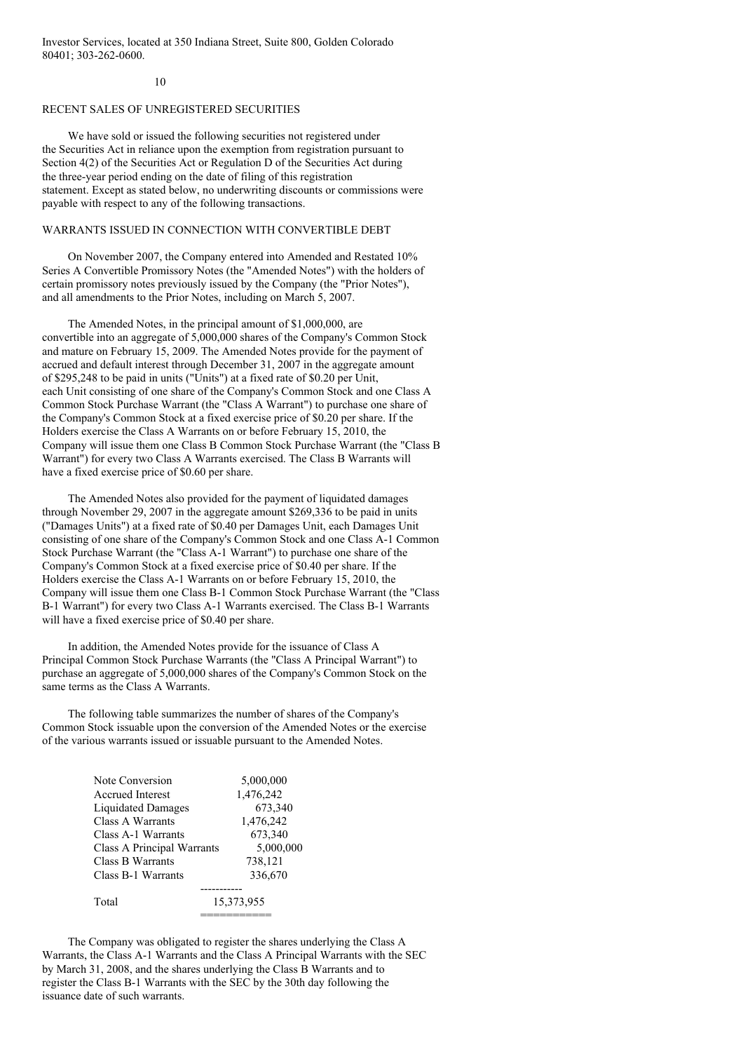Investor Services, located at 350 Indiana Street, Suite 800, Golden Colorado 80401; 303-262-0600.

10

# RECENT SALES OF UNREGISTERED SECURITIES

We have sold or issued the following securities not registered under the Securities Act in reliance upon the exemption from registration pursuant to Section 4(2) of the Securities Act or Regulation D of the Securities Act during the three-year period ending on the date of filing of this registration statement. Except as stated below, no underwriting discounts or commissions were payable with respect to any of the following transactions.

# WARRANTS ISSUED IN CONNECTION WITH CONVERTIBLE DEBT

On November 2007, the Company entered into Amended and Restated 10% Series A Convertible Promissory Notes (the "Amended Notes") with the holders of certain promissory notes previously issued by the Company (the "Prior Notes"), and all amendments to the Prior Notes, including on March 5, 2007.

The Amended Notes, in the principal amount of \$1,000,000, are convertible into an aggregate of 5,000,000 shares of the Company's Common Stock and mature on February 15, 2009. The Amended Notes provide for the payment of accrued and default interest through December 31, 2007 in the aggregate amount of \$295,248 to be paid in units ("Units") at a fixed rate of \$0.20 per Unit, each Unit consisting of one share of the Company's Common Stock and one Class A Common Stock Purchase Warrant (the "Class A Warrant") to purchase one share of the Company's Common Stock at a fixed exercise price of \$0.20 per share. If the Holders exercise the Class A Warrants on or before February 15, 2010, the Company will issue them one Class B Common Stock Purchase Warrant (the "Class B Warrant") for every two Class A Warrants exercised. The Class B Warrants will have a fixed exercise price of \$0.60 per share.

The Amended Notes also provided for the payment of liquidated damages through November 29, 2007 in the aggregate amount \$269,336 to be paid in units ("Damages Units") at a fixed rate of \$0.40 per Damages Unit, each Damages Unit consisting of one share of the Company's Common Stock and one Class A-1 Common Stock Purchase Warrant (the "Class A-1 Warrant") to purchase one share of the Company's Common Stock at a fixed exercise price of \$0.40 per share. If the Holders exercise the Class A-1 Warrants on or before February 15, 2010, the Company will issue them one Class B-1 Common Stock Purchase Warrant (the "Class B-1 Warrant") for every two Class A-1 Warrants exercised. The Class B-1 Warrants will have a fixed exercise price of \$0.40 per share.

In addition, the Amended Notes provide for the issuance of Class A Principal Common Stock Purchase Warrants (the "Class A Principal Warrant") to purchase an aggregate of 5,000,000 shares of the Company's Common Stock on the same terms as the Class A Warrants.

The following table summarizes the number of shares of the Company's Common Stock issuable upon the conversion of the Amended Notes or the exercise of the various warrants issued or issuable pursuant to the Amended Notes.

| Note Conversion            | 5,000,000  |
|----------------------------|------------|
|                            |            |
| <b>Accrued Interest</b>    | 1,476,242  |
| Liquidated Damages         | 673,340    |
| Class A Warrants           | 1,476,242  |
| Class A-1 Warrants         | 673,340    |
| Class A Principal Warrants | 5,000,000  |
| Class B Warrants           | 738,121    |
| Class B-1 Warrants         | 336,670    |
|                            |            |
| Total                      | 15,373,955 |
|                            |            |

The Company was obligated to register the shares underlying the Class A Warrants, the Class A-1 Warrants and the Class A Principal Warrants with the SEC by March 31, 2008, and the shares underlying the Class B Warrants and to register the Class B-1 Warrants with the SEC by the 30th day following the issuance date of such warrants.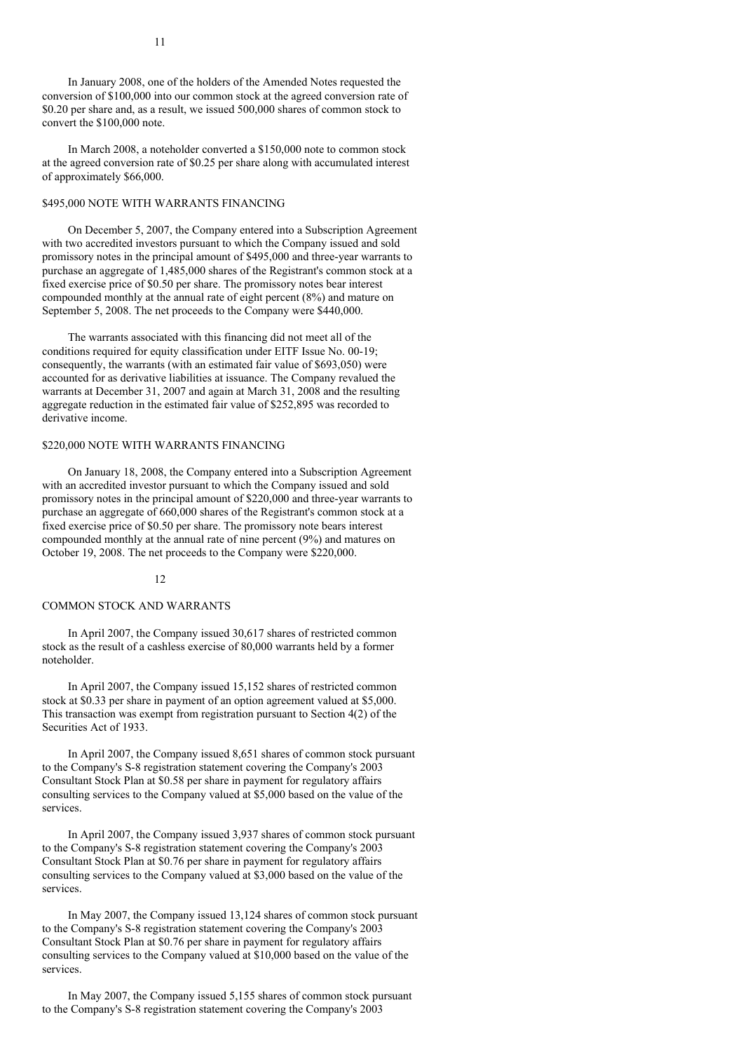In January 2008, one of the holders of the Amended Notes requested the conversion of \$100,000 into our common stock at the agreed conversion rate of \$0.20 per share and, as a result, we issued 500,000 shares of common stock to convert the \$100,000 note.

In March 2008, a noteholder converted a \$150,000 note to common stock at the agreed conversion rate of \$0.25 per share along with accumulated interest of approximately \$66,000.

### \$495,000 NOTE WITH WARRANTS FINANCING

On December 5, 2007, the Company entered into a Subscription Agreement with two accredited investors pursuant to which the Company issued and sold promissory notes in the principal amount of \$495,000 and three-year warrants to purchase an aggregate of 1,485,000 shares of the Registrant's common stock at a fixed exercise price of \$0.50 per share. The promissory notes bear interest compounded monthly at the annual rate of eight percent (8%) and mature on September 5, 2008. The net proceeds to the Company were \$440,000.

The warrants associated with this financing did not meet all of the conditions required for equity classification under EITF Issue No. 00-19; consequently, the warrants (with an estimated fair value of \$693,050) were accounted for as derivative liabilities at issuance. The Company revalued the warrants at December 31, 2007 and again at March 31, 2008 and the resulting aggregate reduction in the estimated fair value of \$252,895 was recorded to derivative income.

### \$220,000 NOTE WITH WARRANTS FINANCING

On January 18, 2008, the Company entered into a Subscription Agreement with an accredited investor pursuant to which the Company issued and sold promissory notes in the principal amount of \$220,000 and three-year warrants to purchase an aggregate of 660,000 shares of the Registrant's common stock at a fixed exercise price of \$0.50 per share. The promissory note bears interest compounded monthly at the annual rate of nine percent (9%) and matures on October 19, 2008. The net proceeds to the Company were \$220,000.

#### 12

### COMMON STOCK AND WARRANTS

In April 2007, the Company issued 30,617 shares of restricted common stock as the result of a cashless exercise of 80,000 warrants held by a former noteholder.

In April 2007, the Company issued 15,152 shares of restricted common stock at \$0.33 per share in payment of an option agreement valued at \$5,000. This transaction was exempt from registration pursuant to Section 4(2) of the Securities Act of 1933.

In April 2007, the Company issued 8,651 shares of common stock pursuant to the Company's S-8 registration statement covering the Company's 2003 Consultant Stock Plan at \$0.58 per share in payment for regulatory affairs consulting services to the Company valued at \$5,000 based on the value of the services.

In April 2007, the Company issued 3,937 shares of common stock pursuant to the Company's S-8 registration statement covering the Company's 2003 Consultant Stock Plan at \$0.76 per share in payment for regulatory affairs consulting services to the Company valued at \$3,000 based on the value of the services.

In May 2007, the Company issued 13,124 shares of common stock pursuant to the Company's S-8 registration statement covering the Company's 2003 Consultant Stock Plan at \$0.76 per share in payment for regulatory affairs consulting services to the Company valued at \$10,000 based on the value of the services.

In May 2007, the Company issued 5,155 shares of common stock pursuant to the Company's S-8 registration statement covering the Company's 2003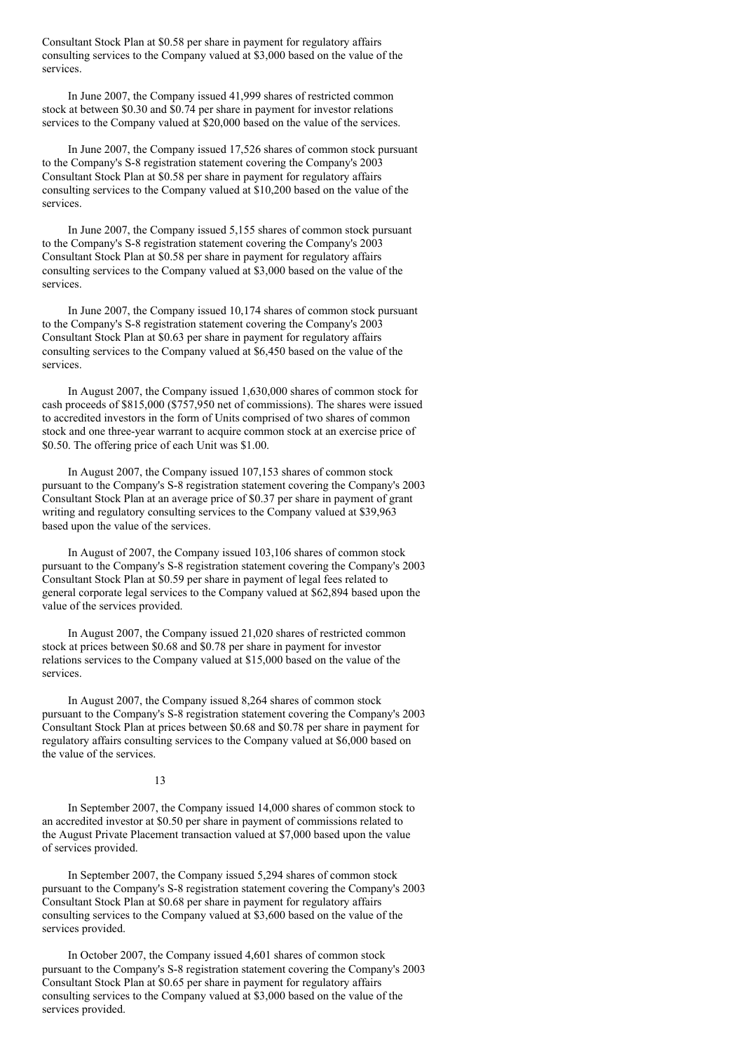Consultant Stock Plan at \$0.58 per share in payment for regulatory affairs consulting services to the Company valued at \$3,000 based on the value of the services.

In June 2007, the Company issued 41,999 shares of restricted common stock at between \$0.30 and \$0.74 per share in payment for investor relations services to the Company valued at \$20,000 based on the value of the services.

In June 2007, the Company issued 17,526 shares of common stock pursuant to the Company's S-8 registration statement covering the Company's 2003 Consultant Stock Plan at \$0.58 per share in payment for regulatory affairs consulting services to the Company valued at \$10,200 based on the value of the services.

In June 2007, the Company issued 5,155 shares of common stock pursuant to the Company's S-8 registration statement covering the Company's 2003 Consultant Stock Plan at \$0.58 per share in payment for regulatory affairs consulting services to the Company valued at \$3,000 based on the value of the services.

In June 2007, the Company issued 10,174 shares of common stock pursuant to the Company's S-8 registration statement covering the Company's 2003 Consultant Stock Plan at \$0.63 per share in payment for regulatory affairs consulting services to the Company valued at \$6,450 based on the value of the services.

In August 2007, the Company issued 1,630,000 shares of common stock for cash proceeds of \$815,000 (\$757,950 net of commissions). The shares were issued to accredited investors in the form of Units comprised of two shares of common stock and one three-year warrant to acquire common stock at an exercise price of \$0.50. The offering price of each Unit was \$1.00.

In August 2007, the Company issued 107,153 shares of common stock pursuant to the Company's S-8 registration statement covering the Company's 2003 Consultant Stock Plan at an average price of \$0.37 per share in payment of grant writing and regulatory consulting services to the Company valued at \$39,963 based upon the value of the services.

In August of 2007, the Company issued 103,106 shares of common stock pursuant to the Company's S-8 registration statement covering the Company's 2003 Consultant Stock Plan at \$0.59 per share in payment of legal fees related to general corporate legal services to the Company valued at \$62,894 based upon the value of the services provided.

In August 2007, the Company issued 21,020 shares of restricted common stock at prices between \$0.68 and \$0.78 per share in payment for investor relations services to the Company valued at \$15,000 based on the value of the services.

In August 2007, the Company issued 8,264 shares of common stock pursuant to the Company's S-8 registration statement covering the Company's 2003 Consultant Stock Plan at prices between \$0.68 and \$0.78 per share in payment for regulatory affairs consulting services to the Company valued at \$6,000 based on the value of the services.

13

In September 2007, the Company issued 14,000 shares of common stock to an accredited investor at \$0.50 per share in payment of commissions related to the August Private Placement transaction valued at \$7,000 based upon the value of services provided.

In September 2007, the Company issued 5,294 shares of common stock pursuant to the Company's S-8 registration statement covering the Company's 2003 Consultant Stock Plan at \$0.68 per share in payment for regulatory affairs consulting services to the Company valued at \$3,600 based on the value of the services provided.

In October 2007, the Company issued 4,601 shares of common stock pursuant to the Company's S-8 registration statement covering the Company's 2003 Consultant Stock Plan at \$0.65 per share in payment for regulatory affairs consulting services to the Company valued at \$3,000 based on the value of the services provided.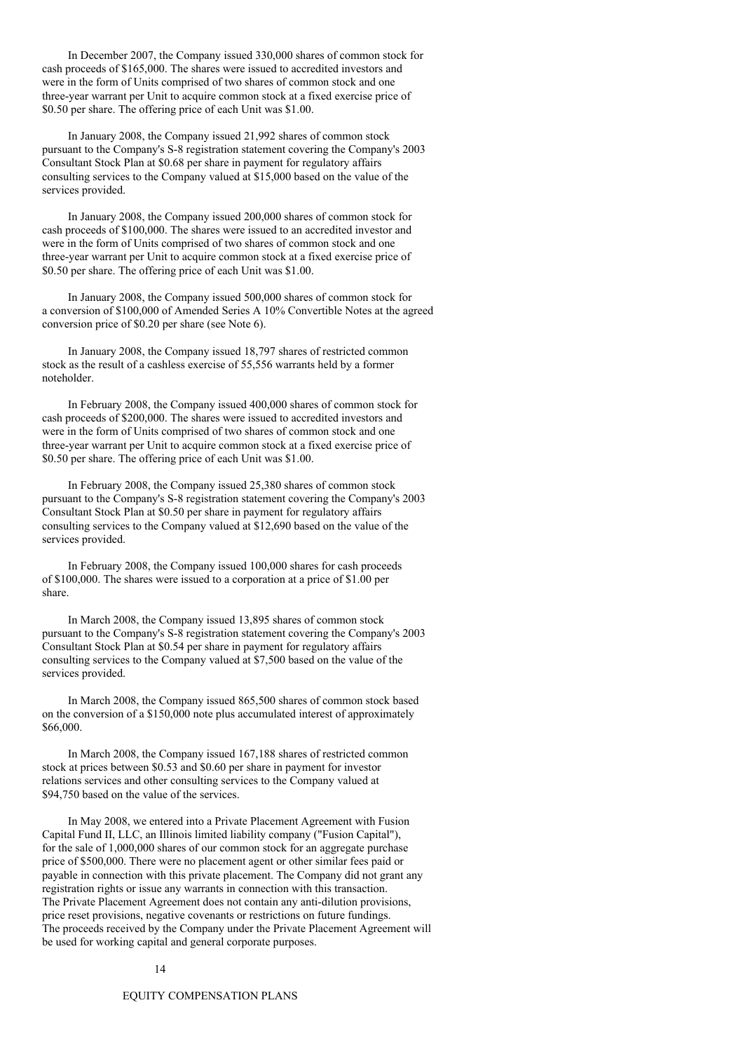In December 2007, the Company issued 330,000 shares of common stock for cash proceeds of \$165,000. The shares were issued to accredited investors and were in the form of Units comprised of two shares of common stock and one three-year warrant per Unit to acquire common stock at a fixed exercise price of \$0.50 per share. The offering price of each Unit was \$1.00.

In January 2008, the Company issued 21,992 shares of common stock pursuant to the Company's S-8 registration statement covering the Company's 2003 Consultant Stock Plan at \$0.68 per share in payment for regulatory affairs consulting services to the Company valued at \$15,000 based on the value of the services provided.

In January 2008, the Company issued 200,000 shares of common stock for cash proceeds of \$100,000. The shares were issued to an accredited investor and were in the form of Units comprised of two shares of common stock and one three-year warrant per Unit to acquire common stock at a fixed exercise price of \$0.50 per share. The offering price of each Unit was \$1.00.

In January 2008, the Company issued 500,000 shares of common stock for a conversion of \$100,000 of Amended Series A 10% Convertible Notes at the agreed conversion price of \$0.20 per share (see Note 6).

In January 2008, the Company issued 18,797 shares of restricted common stock as the result of a cashless exercise of 55,556 warrants held by a former noteholder.

In February 2008, the Company issued 400,000 shares of common stock for cash proceeds of \$200,000. The shares were issued to accredited investors and were in the form of Units comprised of two shares of common stock and one three-year warrant per Unit to acquire common stock at a fixed exercise price of \$0.50 per share. The offering price of each Unit was \$1.00.

In February 2008, the Company issued 25,380 shares of common stock pursuant to the Company's S-8 registration statement covering the Company's 2003 Consultant Stock Plan at \$0.50 per share in payment for regulatory affairs consulting services to the Company valued at \$12,690 based on the value of the services provided.

In February 2008, the Company issued 100,000 shares for cash proceeds of \$100,000. The shares were issued to a corporation at a price of \$1.00 per share.

In March 2008, the Company issued 13,895 shares of common stock pursuant to the Company's S-8 registration statement covering the Company's 2003 Consultant Stock Plan at \$0.54 per share in payment for regulatory affairs consulting services to the Company valued at \$7,500 based on the value of the services provided.

In March 2008, the Company issued 865,500 shares of common stock based on the conversion of a \$150,000 note plus accumulated interest of approximately \$66,000.

In March 2008, the Company issued 167,188 shares of restricted common stock at prices between \$0.53 and \$0.60 per share in payment for investor relations services and other consulting services to the Company valued at \$94,750 based on the value of the services.

In May 2008, we entered into a Private Placement Agreement with Fusion Capital Fund II, LLC, an Illinois limited liability company ("Fusion Capital"), for the sale of 1,000,000 shares of our common stock for an aggregate purchase price of \$500,000. There were no placement agent or other similar fees paid or payable in connection with this private placement. The Company did not grant any registration rights or issue any warrants in connection with this transaction. The Private Placement Agreement does not contain any anti-dilution provisions, price reset provisions, negative covenants or restrictions on future fundings. The proceeds received by the Company under the Private Placement Agreement will be used for working capital and general corporate purposes.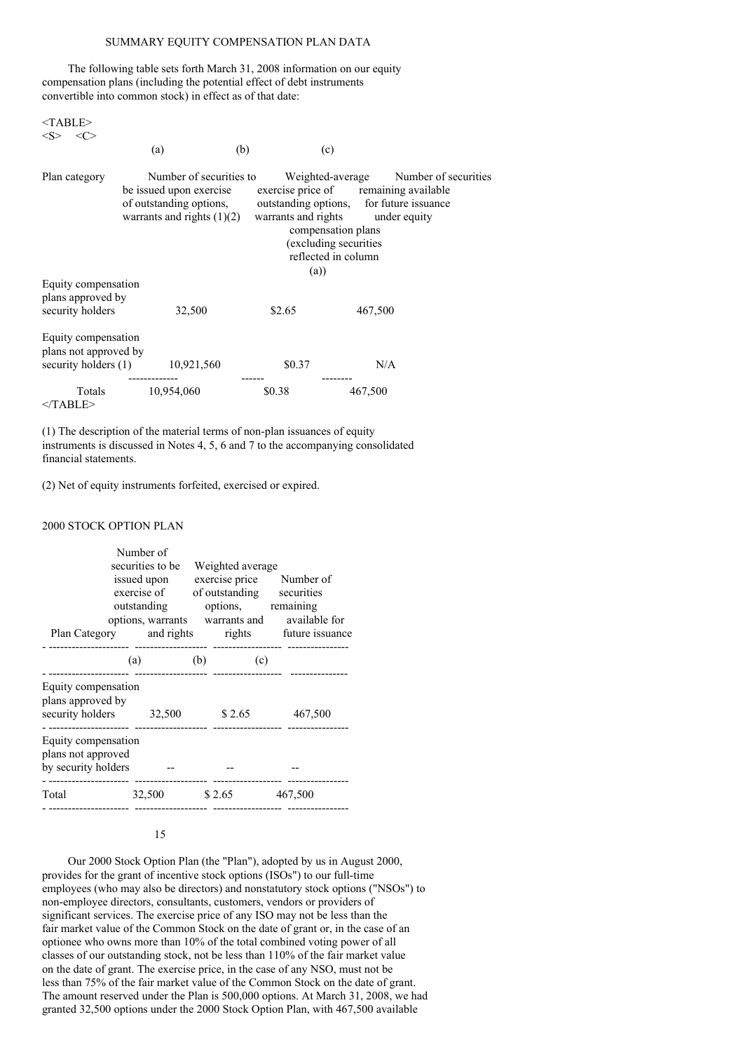### SUMMARY EQUITY COMPENSATION PLAN DATA

The following table sets forth March 31, 2008 information on our equity compensation plans (including the potential effect of debt instruments convertible into common stock) in effect as of that date:

| <table><br/><math>\langle S \rangle</math> <math>\langle C \rangle</math></table> |                                                                                                               |        |                                                                                                                       |                                                                                                   |                      |
|-----------------------------------------------------------------------------------|---------------------------------------------------------------------------------------------------------------|--------|-----------------------------------------------------------------------------------------------------------------------|---------------------------------------------------------------------------------------------------|----------------------|
|                                                                                   | (a)                                                                                                           | (b)    | (c)                                                                                                                   |                                                                                                   |                      |
| Plan category                                                                     | Number of securities to<br>be issued upon exercise<br>of outstanding options,<br>warrants and rights $(1)(2)$ |        | Weighted-average<br>warrants and rights<br>compensation plans<br>(excluding securities)<br>reflected in column<br>(a) | exercise price of remaining available<br>outstanding options, for future issuance<br>under equity | Number of securities |
| Equity compensation<br>plans approved by<br>security holders                      | 32,500                                                                                                        | \$2.65 |                                                                                                                       | 467,500                                                                                           |                      |
| Equity compensation<br>plans not approved by                                      | security holders $(1)$ 10,921,560                                                                             |        | \$0.37                                                                                                                | N/A                                                                                               |                      |
| Totals<br>$<$ TABLE>                                                              | 10,954,060                                                                                                    | \$0.38 |                                                                                                                       | 467,500                                                                                           |                      |

(1) The description of the material terms of non-plan issuances of equity instruments is discussed in Notes 4, 5, 6 and 7 to the accompanying consolidated financial statements.

(2) Net of equity instruments forfeited, exercised or expired.

#### 2000 STOCK OPTION PLAN

| Plan Category and rights rights future issuance                                    | Number of<br>securities to be Weighted average<br>issued upon exercise price Number of<br>exercise of of outstanding securities<br>outstanding options, remaining |     |     | options, warrants warrants and available for |
|------------------------------------------------------------------------------------|-------------------------------------------------------------------------------------------------------------------------------------------------------------------|-----|-----|----------------------------------------------|
|                                                                                    | (a)                                                                                                                                                               | (b) | (c) |                                              |
| Equity compensation<br>plans approved by<br>security holders 32,500 \$2.65 467,500 |                                                                                                                                                                   |     |     |                                              |
| Equity compensation<br>plans not approved<br>by security holders                   |                                                                                                                                                                   |     |     |                                              |
| Total                                                                              | 32,500 \$2.65 467,500                                                                                                                                             |     |     |                                              |

### 15

Our 2000 Stock Option Plan (the "Plan"), adopted by us in August 2000, provides for the grant of incentive stock options (ISOs") to our full-time employees (who may also be directors) and nonstatutory stock options ("NSOs") to non-employee directors, consultants, customers, vendors or providers of significant services. The exercise price of any ISO may not be less than the fair market value of the Common Stock on the date of grant or, in the case of an optionee who owns more than 10% of the total combined voting power of all classes of our outstanding stock, not be less than 110% of the fair market value on the date of grant. The exercise price, in the case of any NSO, must not be less than 75% of the fair market value of the Common Stock on the date of grant. The amount reserved under the Plan is 500,000 options. At March 31, 2008, we had granted 32,500 options under the 2000 Stock Option Plan, with 467,500 available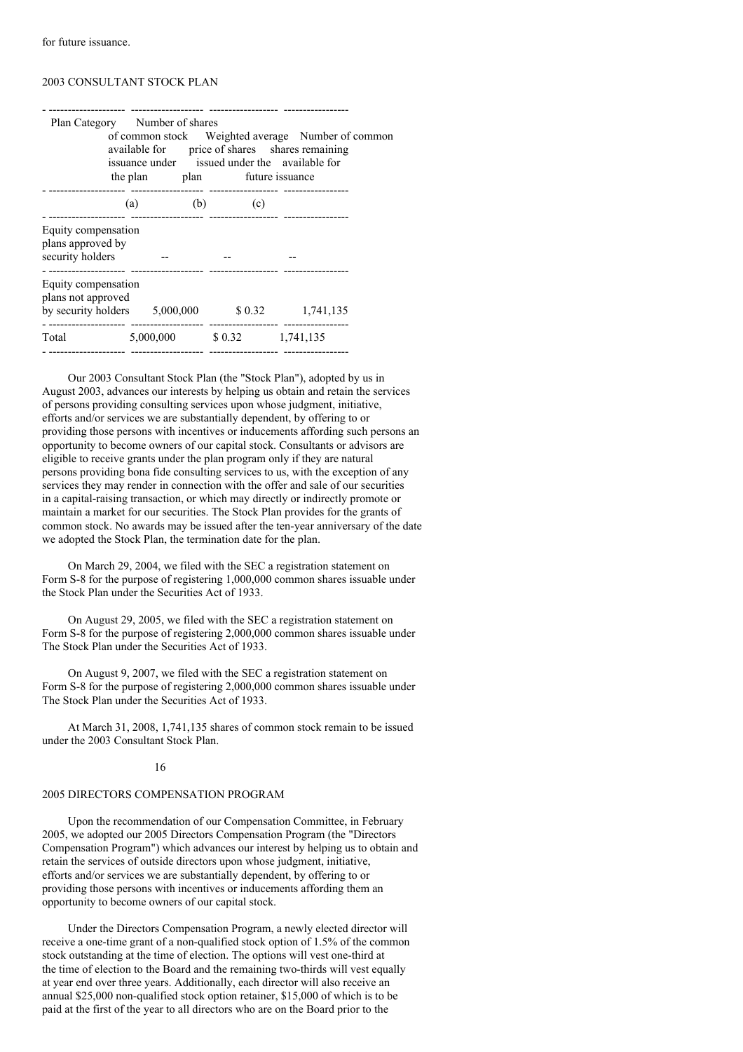## 2003 CONSULTANT STOCK PLAN

| Plan Category Number of shares                                               | the plan  |     | plan future issuance | of common stock Weighted average Number of common<br>available for price of shares shares remaining<br>issuance under issued under the available for |  |
|------------------------------------------------------------------------------|-----------|-----|----------------------|------------------------------------------------------------------------------------------------------------------------------------------------------|--|
|                                                                              | (a)       | (b) | (c)                  |                                                                                                                                                      |  |
| Equity compensation<br>plans approved by<br>security holders                 |           |     |                      |                                                                                                                                                      |  |
| Equity compensation<br>plans not approved<br>by security holders $5,000,000$ |           |     | \$0.32               | 1,741,135                                                                                                                                            |  |
| Total                                                                        | 5,000,000 |     | $$0.32$ 1,741,135    |                                                                                                                                                      |  |

Our 2003 Consultant Stock Plan (the "Stock Plan"), adopted by us in August 2003, advances our interests by helping us obtain and retain the services of persons providing consulting services upon whose judgment, initiative, efforts and/or services we are substantially dependent, by offering to or providing those persons with incentives or inducements affording such persons an opportunity to become owners of our capital stock. Consultants or advisors are eligible to receive grants under the plan program only if they are natural persons providing bona fide consulting services to us, with the exception of any services they may render in connection with the offer and sale of our securities in a capital-raising transaction, or which may directly or indirectly promote or maintain a market for our securities. The Stock Plan provides for the grants of common stock. No awards may be issued after the ten-year anniversary of the date we adopted the Stock Plan, the termination date for the plan.

On March 29, 2004, we filed with the SEC a registration statement on Form S-8 for the purpose of registering 1,000,000 common shares issuable under the Stock Plan under the Securities Act of 1933.

On August 29, 2005, we filed with the SEC a registration statement on Form S-8 for the purpose of registering 2,000,000 common shares issuable under The Stock Plan under the Securities Act of 1933.

On August 9, 2007, we filed with the SEC a registration statement on Form S-8 for the purpose of registering 2,000,000 common shares issuable under The Stock Plan under the Securities Act of 1933.

At March 31, 2008, 1,741,135 shares of common stock remain to be issued under the 2003 Consultant Stock Plan.

#### 16

# 2005 DIRECTORS COMPENSATION PROGRAM

Upon the recommendation of our Compensation Committee, in February 2005, we adopted our 2005 Directors Compensation Program (the "Directors Compensation Program") which advances our interest by helping us to obtain and retain the services of outside directors upon whose judgment, initiative, efforts and/or services we are substantially dependent, by offering to or providing those persons with incentives or inducements affording them an opportunity to become owners of our capital stock.

Under the Directors Compensation Program, a newly elected director will receive a one-time grant of a non-qualified stock option of 1.5% of the common stock outstanding at the time of election. The options will vest one-third at the time of election to the Board and the remaining two-thirds will vest equally at year end over three years. Additionally, each director will also receive an annual \$25,000 non-qualified stock option retainer, \$15,000 of which is to be paid at the first of the year to all directors who are on the Board prior to the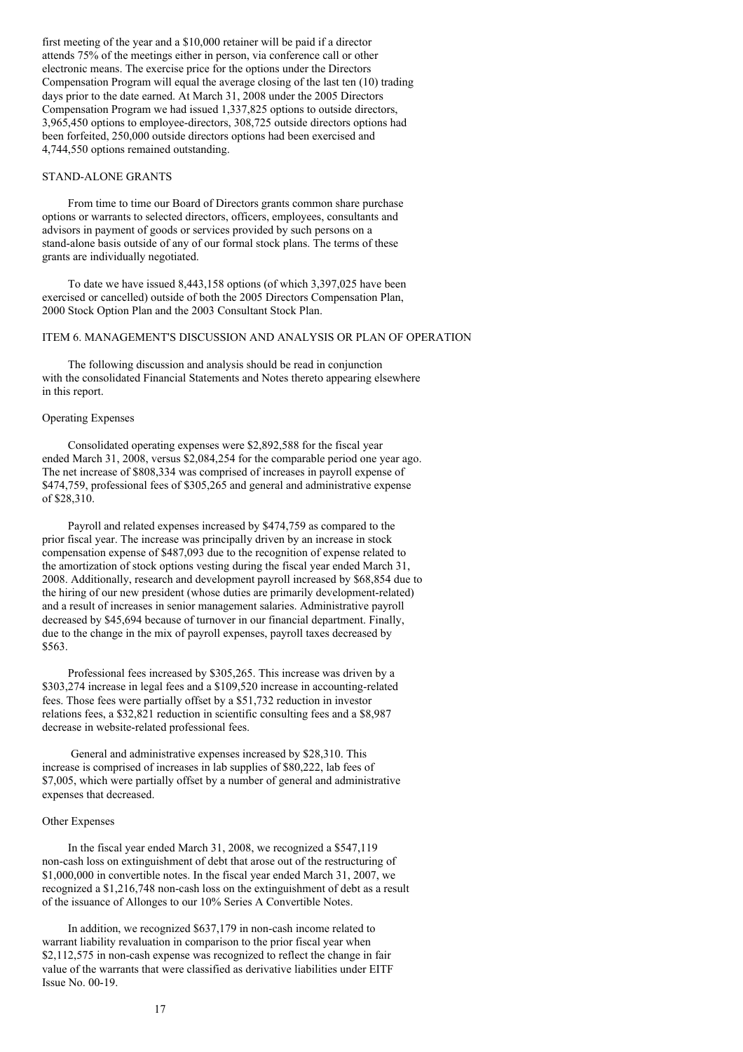first meeting of the year and a \$10,000 retainer will be paid if a director attends 75% of the meetings either in person, via conference call or other electronic means. The exercise price for the options under the Directors Compensation Program will equal the average closing of the last ten (10) trading days prior to the date earned. At March 31, 2008 under the 2005 Directors Compensation Program we had issued 1,337,825 options to outside directors, 3,965,450 options to employee-directors, 308,725 outside directors options had been forfeited, 250,000 outside directors options had been exercised and 4,744,550 options remained outstanding.

#### STAND-ALONE GRANTS

From time to time our Board of Directors grants common share purchase options or warrants to selected directors, officers, employees, consultants and advisors in payment of goods or services provided by such persons on a stand-alone basis outside of any of our formal stock plans. The terms of these grants are individually negotiated.

To date we have issued 8,443,158 options (of which 3,397,025 have been exercised or cancelled) outside of both the 2005 Directors Compensation Plan, 2000 Stock Option Plan and the 2003 Consultant Stock Plan.

# ITEM 6. MANAGEMENT'S DISCUSSION AND ANALYSIS OR PLAN OF OPERATION

The following discussion and analysis should be read in conjunction with the consolidated Financial Statements and Notes thereto appearing elsewhere in this report.

### Operating Expenses

Consolidated operating expenses were \$2,892,588 for the fiscal year ended March 31, 2008, versus \$2,084,254 for the comparable period one year ago. The net increase of \$808,334 was comprised of increases in payroll expense of \$474,759, professional fees of \$305,265 and general and administrative expense of \$28,310.

Payroll and related expenses increased by \$474,759 as compared to the prior fiscal year. The increase was principally driven by an increase in stock compensation expense of \$487,093 due to the recognition of expense related to the amortization of stock options vesting during the fiscal year ended March 31, 2008. Additionally, research and development payroll increased by \$68,854 due to the hiring of our new president (whose duties are primarily development-related) and a result of increases in senior management salaries. Administrative payroll decreased by \$45,694 because of turnover in our financial department. Finally, due to the change in the mix of payroll expenses, payroll taxes decreased by \$563.

Professional fees increased by \$305,265. This increase was driven by a \$303,274 increase in legal fees and a \$109,520 increase in accounting-related fees. Those fees were partially offset by a \$51,732 reduction in investor relations fees, a \$32,821 reduction in scientific consulting fees and a \$8,987 decrease in website-related professional fees.

General and administrative expenses increased by \$28,310. This increase is comprised of increases in lab supplies of \$80,222, lab fees of \$7,005, which were partially offset by a number of general and administrative expenses that decreased.

## Other Expenses

In the fiscal year ended March 31, 2008, we recognized a \$547,119 non-cash loss on extinguishment of debt that arose out of the restructuring of \$1,000,000 in convertible notes. In the fiscal year ended March 31, 2007, we recognized a \$1,216,748 non-cash loss on the extinguishment of debt as a result of the issuance of Allonges to our 10% Series A Convertible Notes.

In addition, we recognized \$637,179 in non-cash income related to warrant liability revaluation in comparison to the prior fiscal year when \$2,112,575 in non-cash expense was recognized to reflect the change in fair value of the warrants that were classified as derivative liabilities under EITF Issue No. 00-19.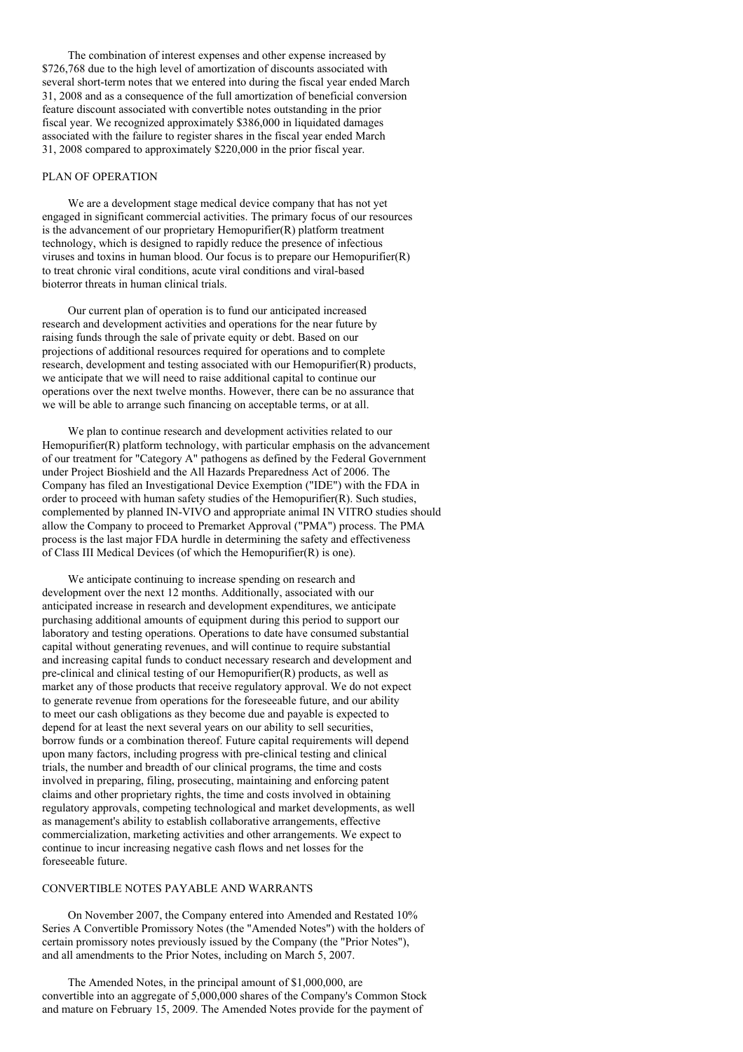The combination of interest expenses and other expense increased by \$726,768 due to the high level of amortization of discounts associated with several short-term notes that we entered into during the fiscal year ended March 31, 2008 and as a consequence of the full amortization of beneficial conversion feature discount associated with convertible notes outstanding in the prior fiscal year. We recognized approximately \$386,000 in liquidated damages associated with the failure to register shares in the fiscal year ended March 31, 2008 compared to approximately \$220,000 in the prior fiscal year.

## PLAN OF OPERATION

We are a development stage medical device company that has not yet engaged in significant commercial activities. The primary focus of our resources is the advancement of our proprietary Hemopurifier(R) platform treatment technology, which is designed to rapidly reduce the presence of infectious viruses and toxins in human blood. Our focus is to prepare our Hemopurifier(R) to treat chronic viral conditions, acute viral conditions and viral-based bioterror threats in human clinical trials.

Our current plan of operation is to fund our anticipated increased research and development activities and operations for the near future by raising funds through the sale of private equity or debt. Based on our projections of additional resources required for operations and to complete research, development and testing associated with our Hemopurifier(R) products, we anticipate that we will need to raise additional capital to continue our operations over the next twelve months. However, there can be no assurance that we will be able to arrange such financing on acceptable terms, or at all.

We plan to continue research and development activities related to our Hemopurifier $(R)$  platform technology, with particular emphasis on the advancement of our treatment for "Category A" pathogens as defined by the Federal Government under Project Bioshield and the All Hazards Preparedness Act of 2006. The Company has filed an Investigational Device Exemption ("IDE") with the FDA in order to proceed with human safety studies of the Hemopurifier(R). Such studies, complemented by planned IN-VIVO and appropriate animal IN VITRO studies should allow the Company to proceed to Premarket Approval ("PMA") process. The PMA process is the last major FDA hurdle in determining the safety and effectiveness of Class III Medical Devices (of which the Hemopurifier(R) is one).

We anticipate continuing to increase spending on research and development over the next 12 months. Additionally, associated with our anticipated increase in research and development expenditures, we anticipate purchasing additional amounts of equipment during this period to support our laboratory and testing operations. Operations to date have consumed substantial capital without generating revenues, and will continue to require substantial and increasing capital funds to conduct necessary research and development and pre-clinical and clinical testing of our Hemopurifier(R) products, as well as market any of those products that receive regulatory approval. We do not expect to generate revenue from operations for the foreseeable future, and our ability to meet our cash obligations as they become due and payable is expected to depend for at least the next several years on our ability to sell securities, borrow funds or a combination thereof. Future capital requirements will depend upon many factors, including progress with pre-clinical testing and clinical trials, the number and breadth of our clinical programs, the time and costs involved in preparing, filing, prosecuting, maintaining and enforcing patent claims and other proprietary rights, the time and costs involved in obtaining regulatory approvals, competing technological and market developments, as well as management's ability to establish collaborative arrangements, effective commercialization, marketing activities and other arrangements. We expect to continue to incur increasing negative cash flows and net losses for the foreseeable future.

# CONVERTIBLE NOTES PAYABLE AND WARRANTS

On November 2007, the Company entered into Amended and Restated 10% Series A Convertible Promissory Notes (the "Amended Notes") with the holders of certain promissory notes previously issued by the Company (the "Prior Notes"), and all amendments to the Prior Notes, including on March 5, 2007.

The Amended Notes, in the principal amount of \$1,000,000, are convertible into an aggregate of 5,000,000 shares of the Company's Common Stock and mature on February 15, 2009. The Amended Notes provide for the payment of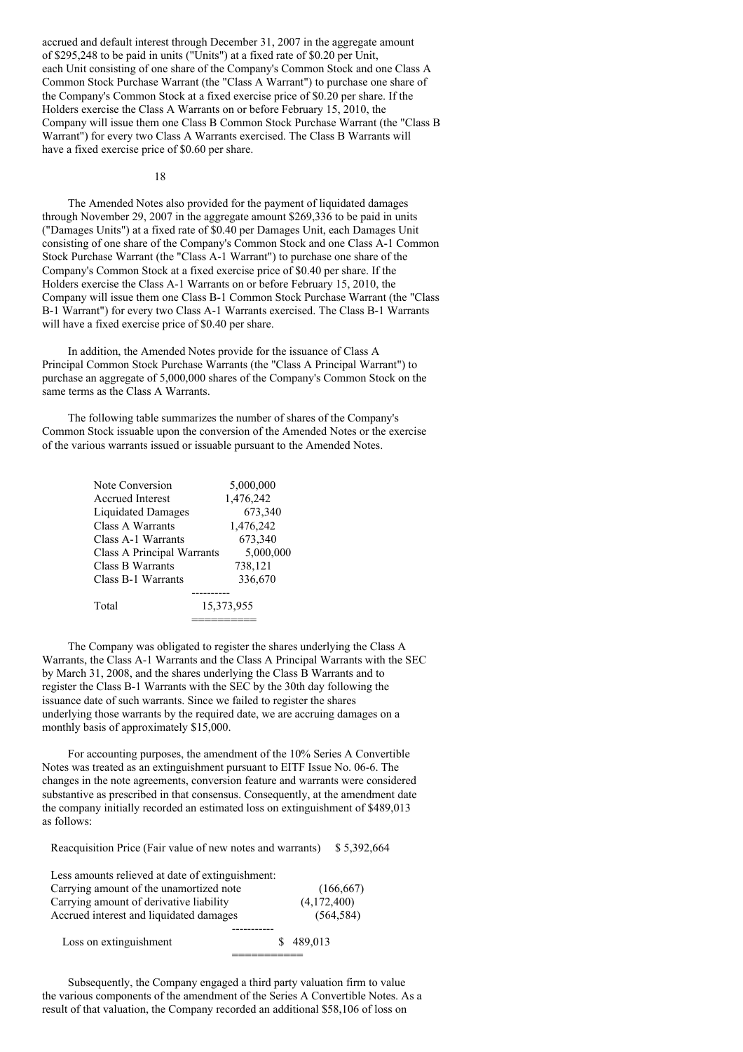accrued and default interest through December 31, 2007 in the aggregate amount of \$295,248 to be paid in units ("Units") at a fixed rate of \$0.20 per Unit, each Unit consisting of one share of the Company's Common Stock and one Class A Common Stock Purchase Warrant (the "Class A Warrant") to purchase one share of the Company's Common Stock at a fixed exercise price of \$0.20 per share. If the Holders exercise the Class A Warrants on or before February 15, 2010, the Company will issue them one Class B Common Stock Purchase Warrant (the "Class B Warrant") for every two Class A Warrants exercised. The Class B Warrants will have a fixed exercise price of \$0.60 per share.

18

The Amended Notes also provided for the payment of liquidated damages through November 29, 2007 in the aggregate amount \$269,336 to be paid in units ("Damages Units") at a fixed rate of \$0.40 per Damages Unit, each Damages Unit consisting of one share of the Company's Common Stock and one Class A-1 Common Stock Purchase Warrant (the "Class A-1 Warrant") to purchase one share of the Company's Common Stock at a fixed exercise price of \$0.40 per share. If the Holders exercise the Class A-1 Warrants on or before February 15, 2010, the Company will issue them one Class B-1 Common Stock Purchase Warrant (the "Class B-1 Warrant") for every two Class A-1 Warrants exercised. The Class B-1 Warrants will have a fixed exercise price of \$0.40 per share.

In addition, the Amended Notes provide for the issuance of Class A Principal Common Stock Purchase Warrants (the "Class A Principal Warrant") to purchase an aggregate of 5,000,000 shares of the Company's Common Stock on the same terms as the Class A Warrants.

The following table summarizes the number of shares of the Company's Common Stock issuable upon the conversion of the Amended Notes or the exercise of the various warrants issued or issuable pursuant to the Amended Notes.

| Note Conversion            | 5,000,000  |
|----------------------------|------------|
| Accrued Interest           | 1,476,242  |
| <b>Liquidated Damages</b>  | 673,340    |
| Class A Warrants           | 1,476,242  |
| Class A-1 Warrants         | 673,340    |
| Class A Principal Warrants | 5,000,000  |
| Class B Warrants           | 738,121    |
| Class B-1 Warrants         | 336,670    |
|                            |            |
| Total                      | 15,373,955 |
|                            |            |

The Company was obligated to register the shares underlying the Class A Warrants, the Class A-1 Warrants and the Class A Principal Warrants with the SEC by March 31, 2008, and the shares underlying the Class B Warrants and to register the Class B-1 Warrants with the SEC by the 30th day following the issuance date of such warrants. Since we failed to register the shares underlying those warrants by the required date, we are accruing damages on a monthly basis of approximately \$15,000.

For accounting purposes, the amendment of the 10% Series A Convertible Notes was treated as an extinguishment pursuant to EITF Issue No. 06-6. The changes in the note agreements, conversion feature and warrants were considered substantive as prescribed in that consensus. Consequently, at the amendment date the company initially recorded an estimated loss on extinguishment of \$489,013 as follows:

Reacquisition Price (Fair value of new notes and warrants) \$ 5,392,664

| Less amounts relieved at date of extinguishment: |             |
|--------------------------------------------------|-------------|
| Carrying amount of the unamortized note          | (166, 667)  |
| Carrying amount of derivative liability          | (4,172,400) |
| Accrued interest and liquidated damages          | (564, 584)  |
|                                                  |             |
| Loss on extinguishment                           | \$489,013   |
|                                                  |             |

Subsequently, the Company engaged a third party valuation firm to value the various components of the amendment of the Series A Convertible Notes. As a result of that valuation, the Company recorded an additional \$58,106 of loss on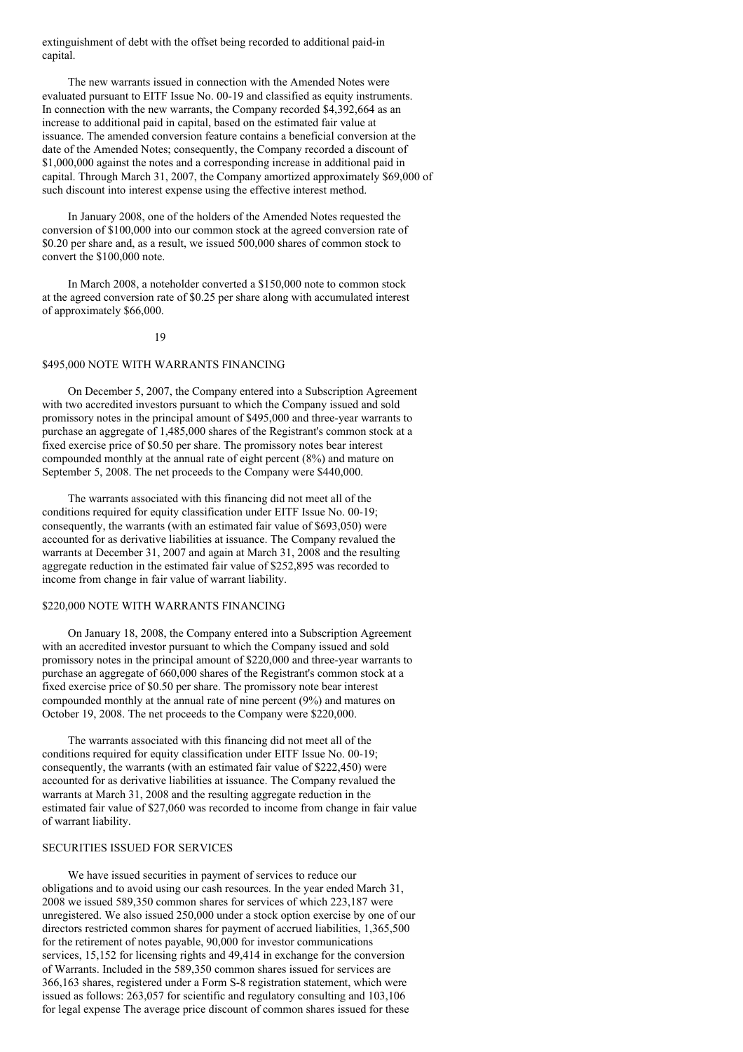extinguishment of debt with the offset being recorded to additional paid-in capital.

The new warrants issued in connection with the Amended Notes were evaluated pursuant to EITF Issue No. 00-19 and classified as equity instruments. In connection with the new warrants, the Company recorded \$4,392,664 as an increase to additional paid in capital, based on the estimated fair value at issuance. The amended conversion feature contains a beneficial conversion at the date of the Amended Notes; consequently, the Company recorded a discount of \$1,000,000 against the notes and a corresponding increase in additional paid in capital. Through March 31, 2007, the Company amortized approximately \$69,000 of such discount into interest expense using the effective interest method.

In January 2008, one of the holders of the Amended Notes requested the conversion of \$100,000 into our common stock at the agreed conversion rate of \$0.20 per share and, as a result, we issued 500,000 shares of common stock to convert the \$100,000 note.

In March 2008, a noteholder converted a \$150,000 note to common stock at the agreed conversion rate of \$0.25 per share along with accumulated interest of approximately \$66,000.

19

#### \$495,000 NOTE WITH WARRANTS FINANCING

On December 5, 2007, the Company entered into a Subscription Agreement with two accredited investors pursuant to which the Company issued and sold promissory notes in the principal amount of \$495,000 and three-year warrants to purchase an aggregate of 1,485,000 shares of the Registrant's common stock at a fixed exercise price of \$0.50 per share. The promissory notes bear interest compounded monthly at the annual rate of eight percent (8%) and mature on September 5, 2008. The net proceeds to the Company were \$440,000.

The warrants associated with this financing did not meet all of the conditions required for equity classification under EITF Issue No. 00-19; consequently, the warrants (with an estimated fair value of \$693,050) were accounted for as derivative liabilities at issuance. The Company revalued the warrants at December 31, 2007 and again at March 31, 2008 and the resulting aggregate reduction in the estimated fair value of \$252,895 was recorded to income from change in fair value of warrant liability.

#### \$220,000 NOTE WITH WARRANTS FINANCING

On January 18, 2008, the Company entered into a Subscription Agreement with an accredited investor pursuant to which the Company issued and sold promissory notes in the principal amount of \$220,000 and three-year warrants to purchase an aggregate of 660,000 shares of the Registrant's common stock at a fixed exercise price of \$0.50 per share. The promissory note bear interest compounded monthly at the annual rate of nine percent (9%) and matures on October 19, 2008. The net proceeds to the Company were \$220,000.

The warrants associated with this financing did not meet all of the conditions required for equity classification under EITF Issue No. 00-19; consequently, the warrants (with an estimated fair value of \$222,450) were accounted for as derivative liabilities at issuance. The Company revalued the warrants at March 31, 2008 and the resulting aggregate reduction in the estimated fair value of \$27,060 was recorded to income from change in fair value of warrant liability.

## SECURITIES ISSUED FOR SERVICES

We have issued securities in payment of services to reduce our obligations and to avoid using our cash resources. In the year ended March 31, 2008 we issued 589,350 common shares for services of which 223,187 were unregistered. We also issued 250,000 under a stock option exercise by one of our directors restricted common shares for payment of accrued liabilities, 1,365,500 for the retirement of notes payable, 90,000 for investor communications services, 15,152 for licensing rights and 49,414 in exchange for the conversion of Warrants. Included in the 589,350 common shares issued for services are 366,163 shares, registered under a Form S-8 registration statement, which were issued as follows: 263,057 for scientific and regulatory consulting and 103,106 for legal expense The average price discount of common shares issued for these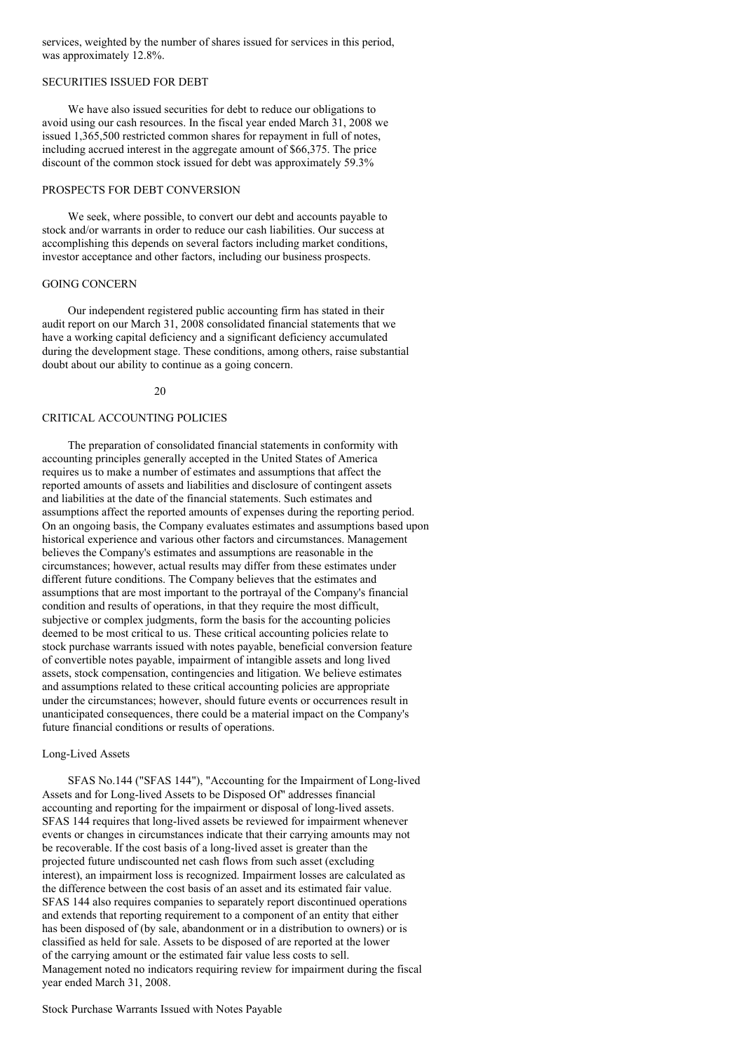services, weighted by the number of shares issued for services in this period, was approximately 12.8%.

# SECURITIES ISSUED FOR DEBT

We have also issued securities for debt to reduce our obligations to avoid using our cash resources. In the fiscal year ended March 31, 2008 we issued 1,365,500 restricted common shares for repayment in full of notes, including accrued interest in the aggregate amount of \$66,375. The price discount of the common stock issued for debt was approximately 59.3%

## PROSPECTS FOR DEBT CONVERSION

We seek, where possible, to convert our debt and accounts payable to stock and/or warrants in order to reduce our cash liabilities. Our success at accomplishing this depends on several factors including market conditions, investor acceptance and other factors, including our business prospects.

#### GOING CONCERN

Our independent registered public accounting firm has stated in their audit report on our March 31, 2008 consolidated financial statements that we have a working capital deficiency and a significant deficiency accumulated during the development stage. These conditions, among others, raise substantial doubt about our ability to continue as a going concern.

20

# CRITICAL ACCOUNTING POLICIES

The preparation of consolidated financial statements in conformity with accounting principles generally accepted in the United States of America requires us to make a number of estimates and assumptions that affect the reported amounts of assets and liabilities and disclosure of contingent assets and liabilities at the date of the financial statements. Such estimates and assumptions affect the reported amounts of expenses during the reporting period. On an ongoing basis, the Company evaluates estimates and assumptions based upon historical experience and various other factors and circumstances. Management believes the Company's estimates and assumptions are reasonable in the circumstances; however, actual results may differ from these estimates under different future conditions. The Company believes that the estimates and assumptions that are most important to the portrayal of the Company's financial condition and results of operations, in that they require the most difficult, subjective or complex judgments, form the basis for the accounting policies deemed to be most critical to us. These critical accounting policies relate to stock purchase warrants issued with notes payable, beneficial conversion feature of convertible notes payable, impairment of intangible assets and long lived assets, stock compensation, contingencies and litigation. We believe estimates and assumptions related to these critical accounting policies are appropriate under the circumstances; however, should future events or occurrences result in unanticipated consequences, there could be a material impact on the Company's future financial conditions or results of operations.

#### Long-Lived Assets

SFAS No.144 ("SFAS 144"), "Accounting for the Impairment of Long-lived Assets and for Long-lived Assets to be Disposed Of" addresses financial accounting and reporting for the impairment or disposal of long-lived assets. SFAS 144 requires that long-lived assets be reviewed for impairment whenever events or changes in circumstances indicate that their carrying amounts may not be recoverable. If the cost basis of a long-lived asset is greater than the projected future undiscounted net cash flows from such asset (excluding interest), an impairment loss is recognized. Impairment losses are calculated as the difference between the cost basis of an asset and its estimated fair value. SFAS 144 also requires companies to separately report discontinued operations and extends that reporting requirement to a component of an entity that either has been disposed of (by sale, abandonment or in a distribution to owners) or is classified as held for sale. Assets to be disposed of are reported at the lower of the carrying amount or the estimated fair value less costs to sell. Management noted no indicators requiring review for impairment during the fiscal year ended March 31, 2008.

## Stock Purchase Warrants Issued with Notes Payable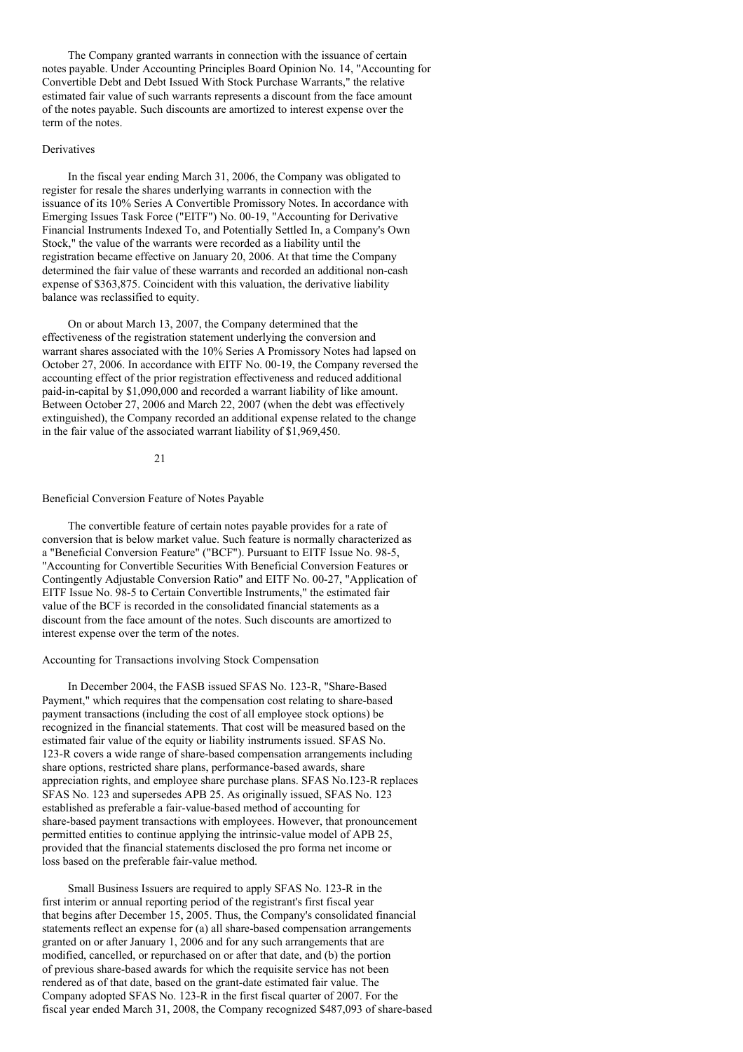The Company granted warrants in connection with the issuance of certain notes payable. Under Accounting Principles Board Opinion No. 14, "Accounting for Convertible Debt and Debt Issued With Stock Purchase Warrants," the relative estimated fair value of such warrants represents a discount from the face amount of the notes payable. Such discounts are amortized to interest expense over the term of the notes.

#### **Derivatives**

In the fiscal year ending March 31, 2006, the Company was obligated to register for resale the shares underlying warrants in connection with the issuance of its 10% Series A Convertible Promissory Notes. In accordance with Emerging Issues Task Force ("EITF") No. 00-19, "Accounting for Derivative Financial Instruments Indexed To, and Potentially Settled In, a Company's Own Stock," the value of the warrants were recorded as a liability until the registration became effective on January 20, 2006. At that time the Company determined the fair value of these warrants and recorded an additional non-cash expense of \$363,875. Coincident with this valuation, the derivative liability balance was reclassified to equity.

On or about March 13, 2007, the Company determined that the effectiveness of the registration statement underlying the conversion and warrant shares associated with the 10% Series A Promissory Notes had lapsed on October 27, 2006. In accordance with EITF No. 00-19, the Company reversed the accounting effect of the prior registration effectiveness and reduced additional paid-in-capital by \$1,090,000 and recorded a warrant liability of like amount. Between October 27, 2006 and March 22, 2007 (when the debt was effectively extinguished), the Company recorded an additional expense related to the change in the fair value of the associated warrant liability of \$1,969,450.

### 21

#### Beneficial Conversion Feature of Notes Payable

The convertible feature of certain notes payable provides for a rate of conversion that is below market value. Such feature is normally characterized as a "Beneficial Conversion Feature" ("BCF"). Pursuant to EITF Issue No. 98-5, "Accounting for Convertible Securities With Beneficial Conversion Features or Contingently Adjustable Conversion Ratio" and EITF No. 00-27, "Application of EITF Issue No. 98-5 to Certain Convertible Instruments," the estimated fair value of the BCF is recorded in the consolidated financial statements as a discount from the face amount of the notes. Such discounts are amortized to interest expense over the term of the notes.

#### Accounting for Transactions involving Stock Compensation

In December 2004, the FASB issued SFAS No. 123-R, "Share-Based Payment," which requires that the compensation cost relating to share-based payment transactions (including the cost of all employee stock options) be recognized in the financial statements. That cost will be measured based on the estimated fair value of the equity or liability instruments issued. SFAS No. 123-R covers a wide range of share-based compensation arrangements including share options, restricted share plans, performance-based awards, share appreciation rights, and employee share purchase plans. SFAS No.123-R replaces SFAS No. 123 and supersedes APB 25. As originally issued, SFAS No. 123 established as preferable a fair-value-based method of accounting for share-based payment transactions with employees. However, that pronouncement permitted entities to continue applying the intrinsic-value model of APB 25, provided that the financial statements disclosed the pro forma net income or loss based on the preferable fair-value method.

Small Business Issuers are required to apply SFAS No. 123-R in the first interim or annual reporting period of the registrant's first fiscal year that begins after December 15, 2005. Thus, the Company's consolidated financial statements reflect an expense for (a) all share-based compensation arrangements granted on or after January 1, 2006 and for any such arrangements that are modified, cancelled, or repurchased on or after that date, and (b) the portion of previous share-based awards for which the requisite service has not been rendered as of that date, based on the grant-date estimated fair value. The Company adopted SFAS No. 123-R in the first fiscal quarter of 2007. For the fiscal year ended March 31, 2008, the Company recognized \$487,093 of share-based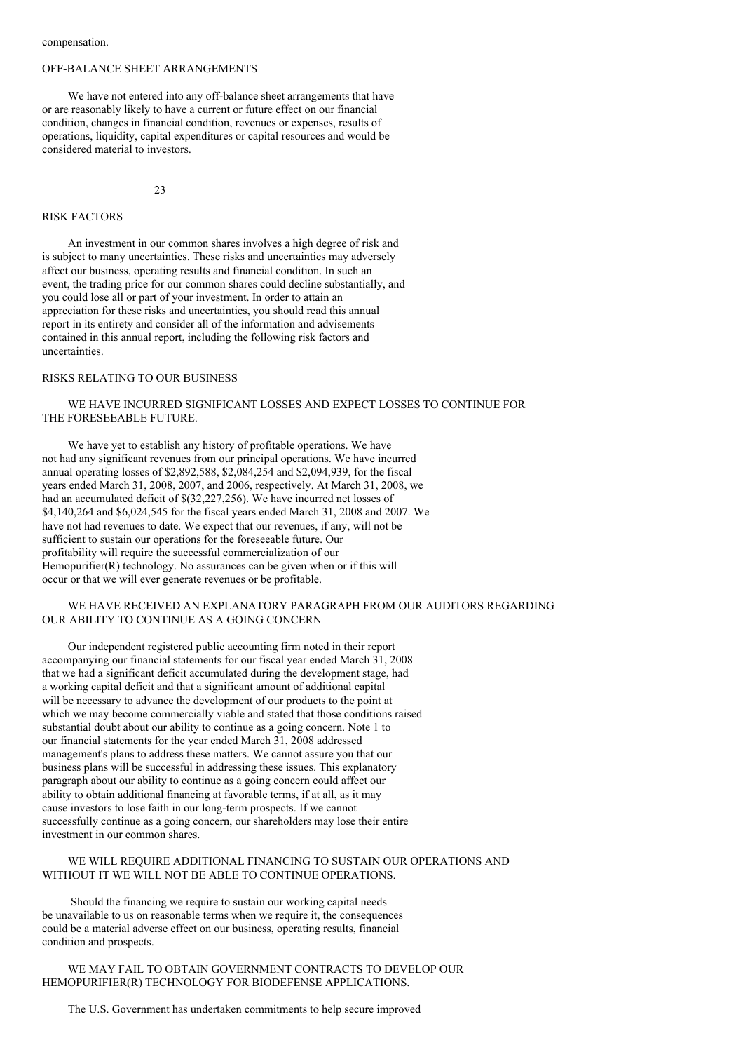## OFF-BALANCE SHEET ARRANGEMENTS

We have not entered into any off-balance sheet arrangements that have or are reasonably likely to have a current or future effect on our financial condition, changes in financial condition, revenues or expenses, results of operations, liquidity, capital expenditures or capital resources and would be considered material to investors.

#### $23$

### RISK FACTORS

An investment in our common shares involves a high degree of risk and is subject to many uncertainties. These risks and uncertainties may adversely affect our business, operating results and financial condition. In such an event, the trading price for our common shares could decline substantially, and you could lose all or part of your investment. In order to attain an appreciation for these risks and uncertainties, you should read this annual report in its entirety and consider all of the information and advisements contained in this annual report, including the following risk factors and uncertainties.

#### RISKS RELATING TO OUR BUSINESS

WE HAVE INCURRED SIGNIFICANT LOSSES AND EXPECT LOSSES TO CONTINUE FOR THE FORESEEABLE FUTURE.

We have yet to establish any history of profitable operations. We have not had any significant revenues from our principal operations. We have incurred annual operating losses of \$2,892,588, \$2,084,254 and \$2,094,939, for the fiscal years ended March 31, 2008, 2007, and 2006, respectively. At March 31, 2008, we had an accumulated deficit of \$(32,227,256). We have incurred net losses of \$4,140,264 and \$6,024,545 for the fiscal years ended March 31, 2008 and 2007. We have not had revenues to date. We expect that our revenues, if any, will not be sufficient to sustain our operations for the foreseeable future. Our profitability will require the successful commercialization of our Hemopurifier(R) technology. No assurances can be given when or if this will occur or that we will ever generate revenues or be profitable.

## WE HAVE RECEIVED AN EXPLANATORY PARAGRAPH FROM OUR AUDITORS REGARDING OUR ABILITY TO CONTINUE AS A GOING CONCERN

Our independent registered public accounting firm noted in their report accompanying our financial statements for our fiscal year ended March 31, 2008 that we had a significant deficit accumulated during the development stage, had a working capital deficit and that a significant amount of additional capital will be necessary to advance the development of our products to the point at which we may become commercially viable and stated that those conditions raised substantial doubt about our ability to continue as a going concern. Note 1 to our financial statements for the year ended March 31, 2008 addressed management's plans to address these matters. We cannot assure you that our business plans will be successful in addressing these issues. This explanatory paragraph about our ability to continue as a going concern could affect our ability to obtain additional financing at favorable terms, if at all, as it may cause investors to lose faith in our long-term prospects. If we cannot successfully continue as a going concern, our shareholders may lose their entire investment in our common shares.

### WE WILL REQUIRE ADDITIONAL FINANCING TO SUSTAIN OUR OPERATIONS AND WITHOUT IT WE WILL NOT BE ABLE TO CONTINUE OPERATIONS.

Should the financing we require to sustain our working capital needs be unavailable to us on reasonable terms when we require it, the consequences could be a material adverse effect on our business, operating results, financial condition and prospects.

WE MAY FAIL TO OBTAIN GOVERNMENT CONTRACTS TO DEVELOP OUR HEMOPURIFIER(R) TECHNOLOGY FOR BIODEFENSE APPLICATIONS.

The U.S. Government has undertaken commitments to help secure improved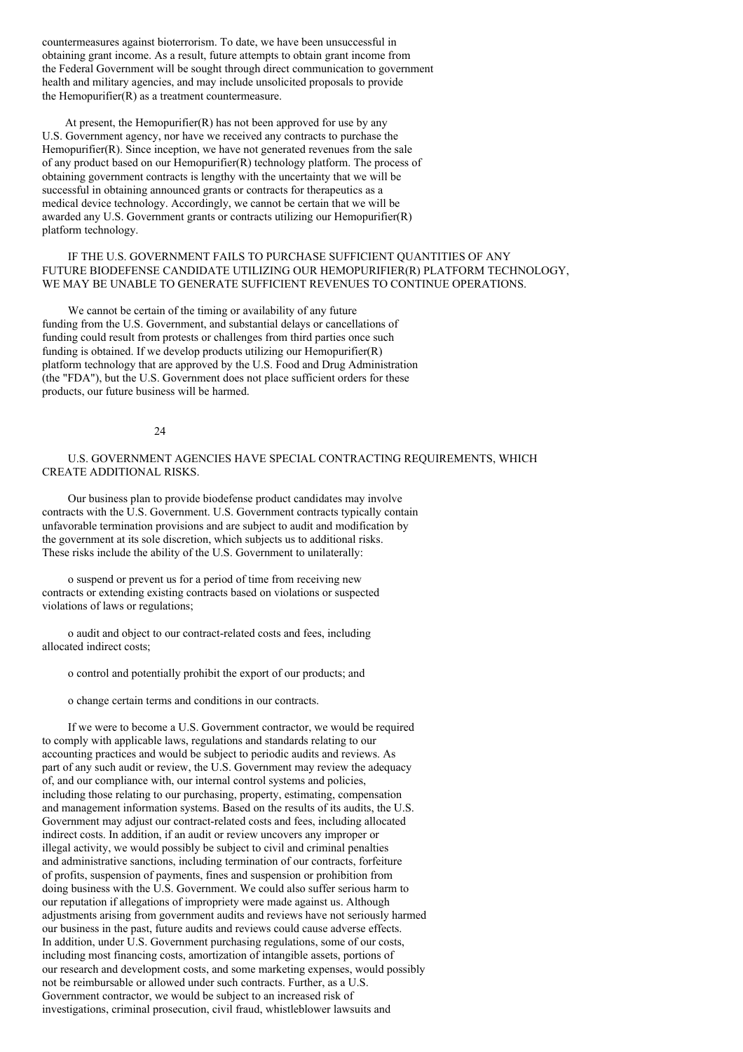countermeasures against bioterrorism. To date, we have been unsuccessful in obtaining grant income. As a result, future attempts to obtain grant income from the Federal Government will be sought through direct communication to government health and military agencies, and may include unsolicited proposals to provide the Hemopurifier(R) as a treatment countermeasure.

At present, the Hemopurifier(R) has not been approved for use by any U.S. Government agency, nor have we received any contracts to purchase the Hemopurifier $(R)$ . Since inception, we have not generated revenues from the sale of any product based on our Hemopurifier(R) technology platform. The process of obtaining government contracts is lengthy with the uncertainty that we will be successful in obtaining announced grants or contracts for therapeutics as a medical device technology. Accordingly, we cannot be certain that we will be awarded any U.S. Government grants or contracts utilizing our Hemopurifier(R) platform technology.

## IF THE U.S. GOVERNMENT FAILS TO PURCHASE SUFFICIENT QUANTITIES OF ANY FUTURE BIODEFENSE CANDIDATE UTILIZING OUR HEMOPURIFIER(R) PLATFORM TECHNOLOGY, WE MAY BE UNABLE TO GENERATE SUFFICIENT REVENUES TO CONTINUE OPERATIONS.

We cannot be certain of the timing or availability of any future funding from the U.S. Government, and substantial delays or cancellations of funding could result from protests or challenges from third parties once such funding is obtained. If we develop products utilizing our Hemopurifier(R) platform technology that are approved by the U.S. Food and Drug Administration (the "FDA"), but the U.S. Government does not place sufficient orders for these products, our future business will be harmed.

### $24$

## U.S. GOVERNMENT AGENCIES HAVE SPECIAL CONTRACTING REQUIREMENTS, WHICH CREATE ADDITIONAL RISKS.

Our business plan to provide biodefense product candidates may involve contracts with the U.S. Government. U.S. Government contracts typically contain unfavorable termination provisions and are subject to audit and modification by the government at its sole discretion, which subjects us to additional risks. These risks include the ability of the U.S. Government to unilaterally:

o suspend or prevent us for a period of time from receiving new contracts or extending existing contracts based on violations or suspected violations of laws or regulations;

o audit and object to our contract-related costs and fees, including allocated indirect costs;

o control and potentially prohibit the export of our products; and

o change certain terms and conditions in our contracts.

If we were to become a U.S. Government contractor, we would be required to comply with applicable laws, regulations and standards relating to our accounting practices and would be subject to periodic audits and reviews. As part of any such audit or review, the U.S. Government may review the adequacy of, and our compliance with, our internal control systems and policies, including those relating to our purchasing, property, estimating, compensation and management information systems. Based on the results of its audits, the U.S. Government may adjust our contract-related costs and fees, including allocated indirect costs. In addition, if an audit or review uncovers any improper or illegal activity, we would possibly be subject to civil and criminal penalties and administrative sanctions, including termination of our contracts, forfeiture of profits, suspension of payments, fines and suspension or prohibition from doing business with the U.S. Government. We could also suffer serious harm to our reputation if allegations of impropriety were made against us. Although adjustments arising from government audits and reviews have not seriously harmed our business in the past, future audits and reviews could cause adverse effects. In addition, under U.S. Government purchasing regulations, some of our costs, including most financing costs, amortization of intangible assets, portions of our research and development costs, and some marketing expenses, would possibly not be reimbursable or allowed under such contracts. Further, as a U.S. Government contractor, we would be subject to an increased risk of investigations, criminal prosecution, civil fraud, whistleblower lawsuits and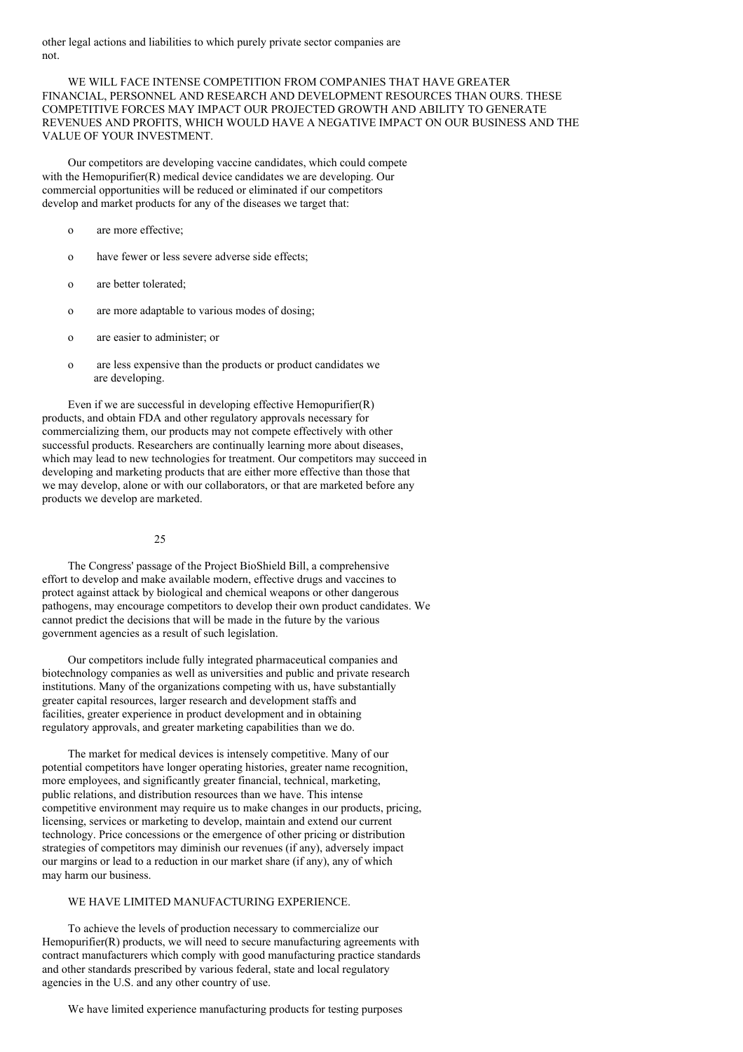other legal actions and liabilities to which purely private sector companies are not.

WE WILL FACE INTENSE COMPETITION FROM COMPANIES THAT HAVE GREATER FINANCIAL, PERSONNEL AND RESEARCH AND DEVELOPMENT RESOURCES THAN OURS. THESE COMPETITIVE FORCES MAY IMPACT OUR PROJECTED GROWTH AND ABILITY TO GENERATE REVENUES AND PROFITS, WHICH WOULD HAVE A NEGATIVE IMPACT ON OUR BUSINESS AND THE VALUE OF YOUR INVESTMENT.

Our competitors are developing vaccine candidates, which could compete with the Hemopurifier(R) medical device candidates we are developing. Our commercial opportunities will be reduced or eliminated if our competitors develop and market products for any of the diseases we target that:

- o are more effective;
- o have fewer or less severe adverse side effects;
- o are better tolerated;
- o are more adaptable to various modes of dosing;
- o are easier to administer; or
- o are less expensive than the products or product candidates we are developing.

Even if we are successful in developing effective Hemopurifier(R) products, and obtain FDA and other regulatory approvals necessary for commercializing them, our products may not compete effectively with other successful products. Researchers are continually learning more about diseases, which may lead to new technologies for treatment. Our competitors may succeed in developing and marketing products that are either more effective than those that we may develop, alone or with our collaborators, or that are marketed before any products we develop are marketed.

#### 25

The Congress' passage of the Project BioShield Bill, a comprehensive effort to develop and make available modern, effective drugs and vaccines to protect against attack by biological and chemical weapons or other dangerous pathogens, may encourage competitors to develop their own product candidates. We cannot predict the decisions that will be made in the future by the various government agencies as a result of such legislation.

Our competitors include fully integrated pharmaceutical companies and biotechnology companies as well as universities and public and private research institutions. Many of the organizations competing with us, have substantially greater capital resources, larger research and development staffs and facilities, greater experience in product development and in obtaining regulatory approvals, and greater marketing capabilities than we do.

The market for medical devices is intensely competitive. Many of our potential competitors have longer operating histories, greater name recognition, more employees, and significantly greater financial, technical, marketing, public relations, and distribution resources than we have. This intense competitive environment may require us to make changes in our products, pricing, licensing, services or marketing to develop, maintain and extend our current technology. Price concessions or the emergence of other pricing or distribution strategies of competitors may diminish our revenues (if any), adversely impact our margins or lead to a reduction in our market share (if any), any of which may harm our business.

### WE HAVE LIMITED MANUFACTURING EXPERIENCE.

To achieve the levels of production necessary to commercialize our Hemopurifier(R) products, we will need to secure manufacturing agreements with contract manufacturers which comply with good manufacturing practice standards and other standards prescribed by various federal, state and local regulatory agencies in the U.S. and any other country of use.

We have limited experience manufacturing products for testing purposes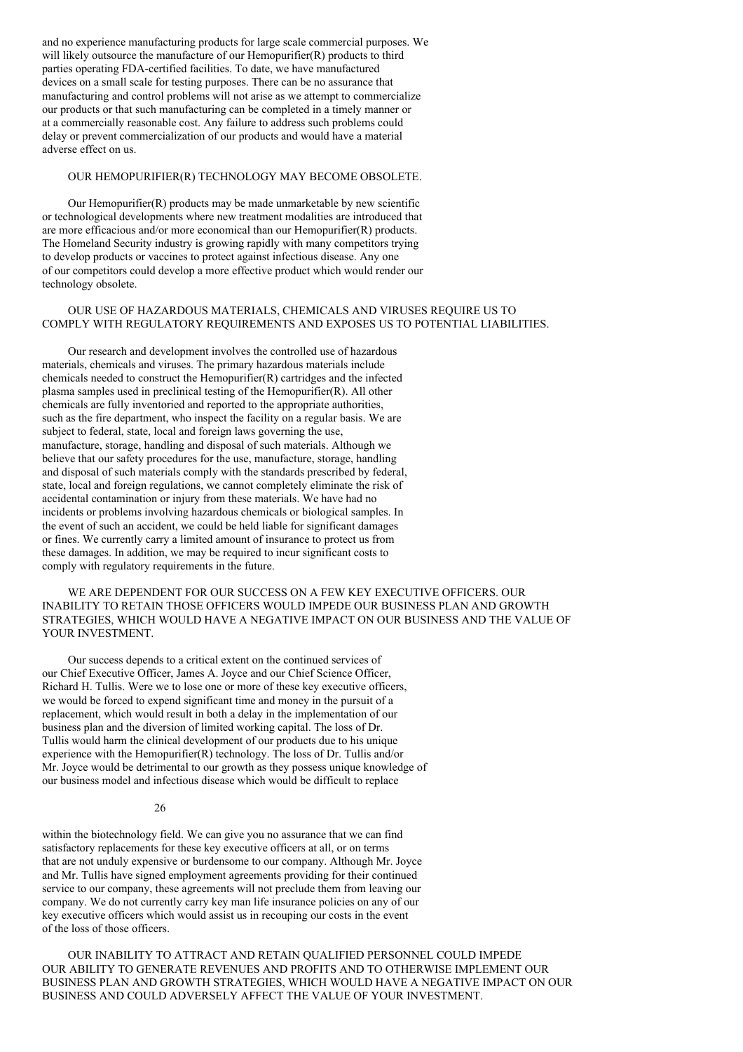and no experience manufacturing products for large scale commercial purposes. We will likely outsource the manufacture of our Hemopurifier(R) products to third parties operating FDA-certified facilities. To date, we have manufactured devices on a small scale for testing purposes. There can be no assurance that manufacturing and control problems will not arise as we attempt to commercialize our products or that such manufacturing can be completed in a timely manner or at a commercially reasonable cost. Any failure to address such problems could delay or prevent commercialization of our products and would have a material adverse effect on us.

## OUR HEMOPURIFIER(R) TECHNOLOGY MAY BECOME OBSOLETE.

Our Hemopurifier(R) products may be made unmarketable by new scientific or technological developments where new treatment modalities are introduced that are more efficacious and/or more economical than our Hemopurifier(R) products. The Homeland Security industry is growing rapidly with many competitors trying to develop products or vaccines to protect against infectious disease. Any one of our competitors could develop a more effective product which would render our technology obsolete.

## OUR USE OF HAZARDOUS MATERIALS, CHEMICALS AND VIRUSES REQUIRE US TO COMPLY WITH REGULATORY REQUIREMENTS AND EXPOSES US TO POTENTIAL LIABILITIES.

Our research and development involves the controlled use of hazardous materials, chemicals and viruses. The primary hazardous materials include chemicals needed to construct the Hemopurifier(R) cartridges and the infected plasma samples used in preclinical testing of the Hemopurifier(R). All other chemicals are fully inventoried and reported to the appropriate authorities, such as the fire department, who inspect the facility on a regular basis. We are subject to federal, state, local and foreign laws governing the use, manufacture, storage, handling and disposal of such materials. Although we believe that our safety procedures for the use, manufacture, storage, handling and disposal of such materials comply with the standards prescribed by federal, state, local and foreign regulations, we cannot completely eliminate the risk of accidental contamination or injury from these materials. We have had no incidents or problems involving hazardous chemicals or biological samples. In the event of such an accident, we could be held liable for significant damages or fines. We currently carry a limited amount of insurance to protect us from these damages. In addition, we may be required to incur significant costs to comply with regulatory requirements in the future.

WE ARE DEPENDENT FOR OUR SUCCESS ON A FEW KEY EXECUTIVE OFFICERS. OUR INABILITY TO RETAIN THOSE OFFICERS WOULD IMPEDE OUR BUSINESS PLAN AND GROWTH STRATEGIES, WHICH WOULD HAVE A NEGATIVE IMPACT ON OUR BUSINESS AND THE VALUE OF YOUR INVESTMENT.

Our success depends to a critical extent on the continued services of our Chief Executive Officer, James A. Joyce and our Chief Science Officer, Richard H. Tullis. Were we to lose one or more of these key executive officers, we would be forced to expend significant time and money in the pursuit of a replacement, which would result in both a delay in the implementation of our business plan and the diversion of limited working capital. The loss of Dr. Tullis would harm the clinical development of our products due to his unique experience with the Hemopurifier(R) technology. The loss of Dr. Tullis and/or Mr. Joyce would be detrimental to our growth as they possess unique knowledge of our business model and infectious disease which would be difficult to replace

#### 26

within the biotechnology field. We can give you no assurance that we can find satisfactory replacements for these key executive officers at all, or on terms that are not unduly expensive or burdensome to our company. Although Mr. Joyce and Mr. Tullis have signed employment agreements providing for their continued service to our company, these agreements will not preclude them from leaving our company. We do not currently carry key man life insurance policies on any of our key executive officers which would assist us in recouping our costs in the event of the loss of those officers.

OUR INABILITY TO ATTRACT AND RETAIN QUALIFIED PERSONNEL COULD IMPEDE OUR ABILITY TO GENERATE REVENUES AND PROFITS AND TO OTHERWISE IMPLEMENT OUR BUSINESS PLAN AND GROWTH STRATEGIES, WHICH WOULD HAVE A NEGATIVE IMPACT ON OUR BUSINESS AND COULD ADVERSELY AFFECT THE VALUE OF YOUR INVESTMENT.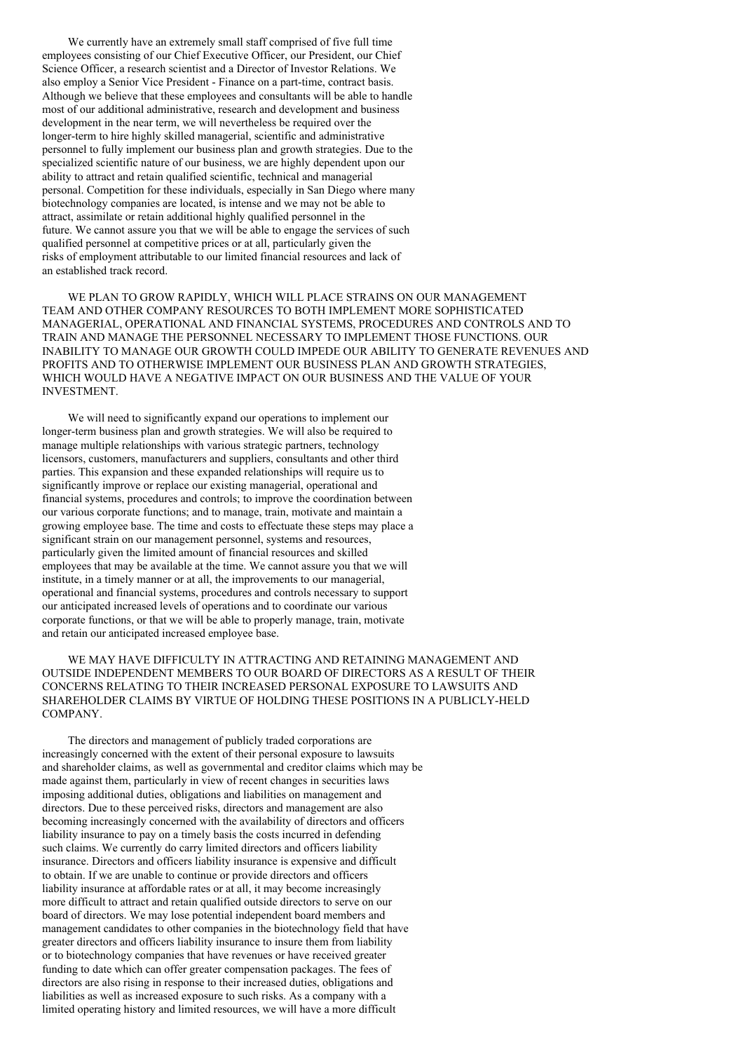We currently have an extremely small staff comprised of five full time employees consisting of our Chief Executive Officer, our President, our Chief Science Officer, a research scientist and a Director of Investor Relations. We also employ a Senior Vice President - Finance on a part-time, contract basis. Although we believe that these employees and consultants will be able to handle most of our additional administrative, research and development and business development in the near term, we will nevertheless be required over the longer-term to hire highly skilled managerial, scientific and administrative personnel to fully implement our business plan and growth strategies. Due to the specialized scientific nature of our business, we are highly dependent upon our ability to attract and retain qualified scientific, technical and managerial personal. Competition for these individuals, especially in San Diego where many biotechnology companies are located, is intense and we may not be able to attract, assimilate or retain additional highly qualified personnel in the future. We cannot assure you that we will be able to engage the services of such qualified personnel at competitive prices or at all, particularly given the risks of employment attributable to our limited financial resources and lack of an established track record.

WE PLAN TO GROW RAPIDLY, WHICH WILL PLACE STRAINS ON OUR MANAGEMENT TEAM AND OTHER COMPANY RESOURCES TO BOTH IMPLEMENT MORE SOPHISTICATED MANAGERIAL, OPERATIONAL AND FINANCIAL SYSTEMS, PROCEDURES AND CONTROLS AND TO TRAIN AND MANAGE THE PERSONNEL NECESSARY TO IMPLEMENT THOSE FUNCTIONS. OUR INABILITY TO MANAGE OUR GROWTH COULD IMPEDE OUR ABILITY TO GENERATE REVENUES AND PROFITS AND TO OTHERWISE IMPLEMENT OUR BUSINESS PLAN AND GROWTH STRATEGIES, WHICH WOULD HAVE A NEGATIVE IMPACT ON OUR BUSINESS AND THE VALUE OF YOUR INVESTMENT.

We will need to significantly expand our operations to implement our longer-term business plan and growth strategies. We will also be required to manage multiple relationships with various strategic partners, technology licensors, customers, manufacturers and suppliers, consultants and other third parties. This expansion and these expanded relationships will require us to significantly improve or replace our existing managerial, operational and financial systems, procedures and controls; to improve the coordination between our various corporate functions; and to manage, train, motivate and maintain a growing employee base. The time and costs to effectuate these steps may place a significant strain on our management personnel, systems and resources, particularly given the limited amount of financial resources and skilled employees that may be available at the time. We cannot assure you that we will institute, in a timely manner or at all, the improvements to our managerial, operational and financial systems, procedures and controls necessary to support our anticipated increased levels of operations and to coordinate our various corporate functions, or that we will be able to properly manage, train, motivate and retain our anticipated increased employee base.

WE MAY HAVE DIFFICULTY IN ATTRACTING AND RETAINING MANAGEMENT AND OUTSIDE INDEPENDENT MEMBERS TO OUR BOARD OF DIRECTORS AS A RESULT OF THEIR CONCERNS RELATING TO THEIR INCREASED PERSONAL EXPOSURE TO LAWSUITS AND SHAREHOLDER CLAIMS BY VIRTUE OF HOLDING THESE POSITIONS IN A PUBLICLY-HELD COMPANY.

The directors and management of publicly traded corporations are increasingly concerned with the extent of their personal exposure to lawsuits and shareholder claims, as well as governmental and creditor claims which may be made against them, particularly in view of recent changes in securities laws imposing additional duties, obligations and liabilities on management and directors. Due to these perceived risks, directors and management are also becoming increasingly concerned with the availability of directors and officers liability insurance to pay on a timely basis the costs incurred in defending such claims. We currently do carry limited directors and officers liability insurance. Directors and officers liability insurance is expensive and difficult to obtain. If we are unable to continue or provide directors and officers liability insurance at affordable rates or at all, it may become increasingly more difficult to attract and retain qualified outside directors to serve on our board of directors. We may lose potential independent board members and management candidates to other companies in the biotechnology field that have greater directors and officers liability insurance to insure them from liability or to biotechnology companies that have revenues or have received greater funding to date which can offer greater compensation packages. The fees of directors are also rising in response to their increased duties, obligations and liabilities as well as increased exposure to such risks. As a company with a limited operating history and limited resources, we will have a more difficult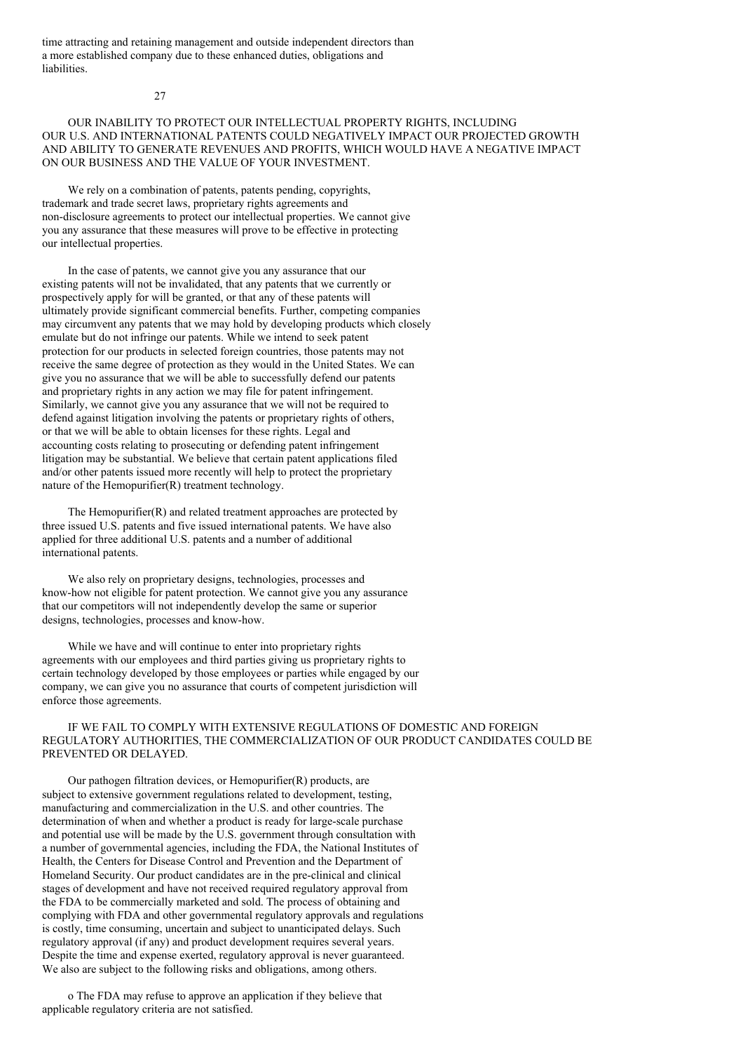time attracting and retaining management and outside independent directors than a more established company due to these enhanced duties, obligations and liabilities.

27

## OUR INABILITY TO PROTECT OUR INTELLECTUAL PROPERTY RIGHTS, INCLUDING OUR U.S. AND INTERNATIONAL PATENTS COULD NEGATIVELY IMPACT OUR PROJECTED GROWTH AND ABILITY TO GENERATE REVENUES AND PROFITS, WHICH WOULD HAVE A NEGATIVE IMPACT ON OUR BUSINESS AND THE VALUE OF YOUR INVESTMENT.

We rely on a combination of patents, patents pending, copyrights, trademark and trade secret laws, proprietary rights agreements and non-disclosure agreements to protect our intellectual properties. We cannot give you any assurance that these measures will prove to be effective in protecting our intellectual properties.

In the case of patents, we cannot give you any assurance that our existing patents will not be invalidated, that any patents that we currently or prospectively apply for will be granted, or that any of these patents will ultimately provide significant commercial benefits. Further, competing companies may circumvent any patents that we may hold by developing products which closely emulate but do not infringe our patents. While we intend to seek patent protection for our products in selected foreign countries, those patents may not receive the same degree of protection as they would in the United States. We can give you no assurance that we will be able to successfully defend our patents and proprietary rights in any action we may file for patent infringement. Similarly, we cannot give you any assurance that we will not be required to defend against litigation involving the patents or proprietary rights of others, or that we will be able to obtain licenses for these rights. Legal and accounting costs relating to prosecuting or defending patent infringement litigation may be substantial. We believe that certain patent applications filed and/or other patents issued more recently will help to protect the proprietary nature of the Hemopurifier(R) treatment technology.

The Hemopurifier(R) and related treatment approaches are protected by three issued U.S. patents and five issued international patents. We have also applied for three additional U.S. patents and a number of additional international patents.

We also rely on proprietary designs, technologies, processes and know-how not eligible for patent protection. We cannot give you any assurance that our competitors will not independently develop the same or superior designs, technologies, processes and know-how.

While we have and will continue to enter into proprietary rights agreements with our employees and third parties giving us proprietary rights to certain technology developed by those employees or parties while engaged by our company, we can give you no assurance that courts of competent jurisdiction will enforce those agreements.

# IF WE FAIL TO COMPLY WITH EXTENSIVE REGULATIONS OF DOMESTIC AND FOREIGN REGULATORY AUTHORITIES, THE COMMERCIALIZATION OF OUR PRODUCT CANDIDATES COULD BE PREVENTED OR DELAYED.

Our pathogen filtration devices, or Hemopurifier(R) products, are subject to extensive government regulations related to development, testing, manufacturing and commercialization in the U.S. and other countries. The determination of when and whether a product is ready for large-scale purchase and potential use will be made by the U.S. government through consultation with a number of governmental agencies, including the FDA, the National Institutes of Health, the Centers for Disease Control and Prevention and the Department of Homeland Security. Our product candidates are in the pre-clinical and clinical stages of development and have not received required regulatory approval from the FDA to be commercially marketed and sold. The process of obtaining and complying with FDA and other governmental regulatory approvals and regulations is costly, time consuming, uncertain and subject to unanticipated delays. Such regulatory approval (if any) and product development requires several years. Despite the time and expense exerted, regulatory approval is never guaranteed. We also are subject to the following risks and obligations, among others.

o The FDA may refuse to approve an application if they believe that applicable regulatory criteria are not satisfied.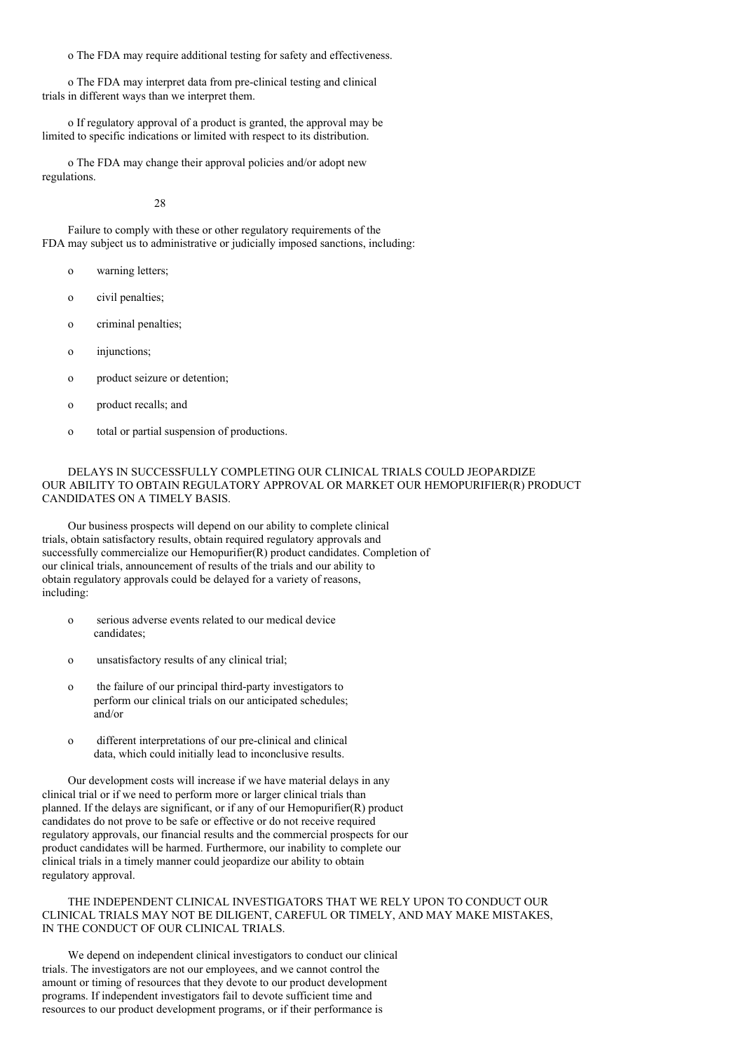o The FDA may require additional testing for safety and effectiveness.

o The FDA may interpret data from pre-clinical testing and clinical trials in different ways than we interpret them.

o If regulatory approval of a product is granted, the approval may be limited to specific indications or limited with respect to its distribution.

o The FDA may change their approval policies and/or adopt new regulations.

28

Failure to comply with these or other regulatory requirements of the FDA may subject us to administrative or judicially imposed sanctions, including:

- o warning letters;
- o civil penalties;
- o criminal penalties;
- o injunctions;
- o product seizure or detention;
- o product recalls; and
- o total or partial suspension of productions.

## DELAYS IN SUCCESSFULLY COMPLETING OUR CLINICAL TRIALS COULD JEOPARDIZE OUR ABILITY TO OBTAIN REGULATORY APPROVAL OR MARKET OUR HEMOPURIFIER(R) PRODUCT CANDIDATES ON A TIMELY BASIS.

Our business prospects will depend on our ability to complete clinical trials, obtain satisfactory results, obtain required regulatory approvals and successfully commercialize our Hemopurifier(R) product candidates. Completion of our clinical trials, announcement of results of the trials and our ability to obtain regulatory approvals could be delayed for a variety of reasons, including:

- o serious adverse events related to our medical device candidates;
- o unsatisfactory results of any clinical trial;
- o the failure of our principal third-party investigators to perform our clinical trials on our anticipated schedules; and/or
- o different interpretations of our pre-clinical and clinical data, which could initially lead to inconclusive results.

Our development costs will increase if we have material delays in any clinical trial or if we need to perform more or larger clinical trials than planned. If the delays are significant, or if any of our Hemopurifier(R) product candidates do not prove to be safe or effective or do not receive required regulatory approvals, our financial results and the commercial prospects for our product candidates will be harmed. Furthermore, our inability to complete our clinical trials in a timely manner could jeopardize our ability to obtain regulatory approval.

## THE INDEPENDENT CLINICAL INVESTIGATORS THAT WE RELY UPON TO CONDUCT OUR CLINICAL TRIALS MAY NOT BE DILIGENT, CAREFUL OR TIMELY, AND MAY MAKE MISTAKES, IN THE CONDUCT OF OUR CLINICAL TRIALS.

We depend on independent clinical investigators to conduct our clinical trials. The investigators are not our employees, and we cannot control the amount or timing of resources that they devote to our product development programs. If independent investigators fail to devote sufficient time and resources to our product development programs, or if their performance is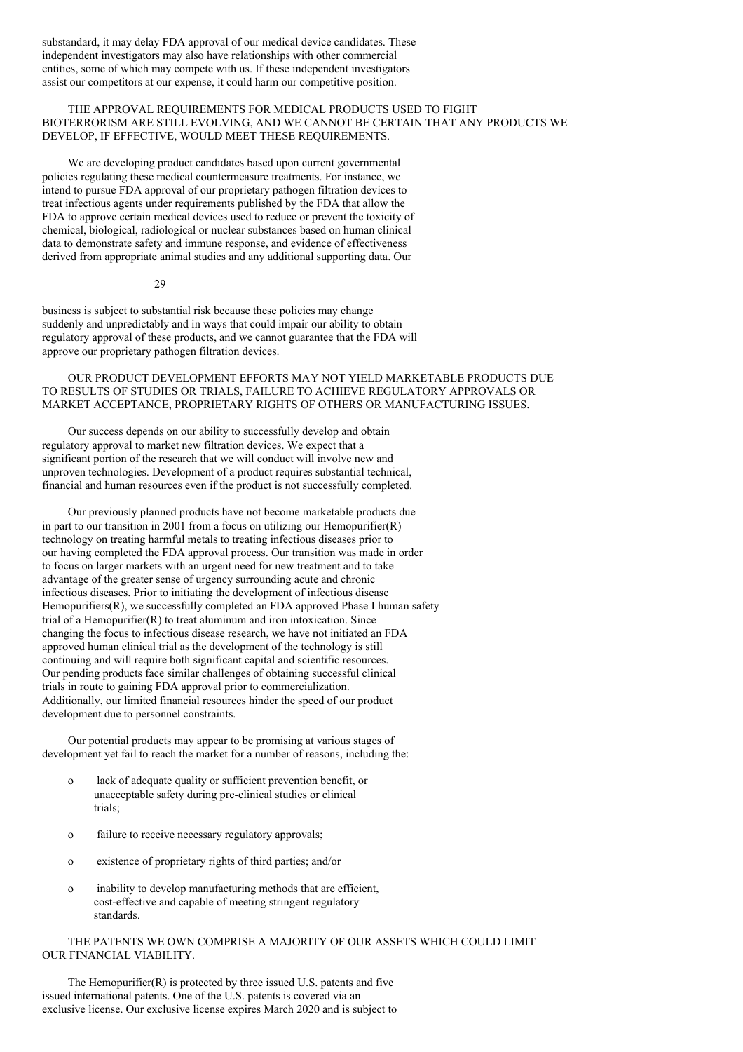substandard, it may delay FDA approval of our medical device candidates. These independent investigators may also have relationships with other commercial entities, some of which may compete with us. If these independent investigators assist our competitors at our expense, it could harm our competitive position.

### THE APPROVAL REQUIREMENTS FOR MEDICAL PRODUCTS USED TO FIGHT BIOTERRORISM ARE STILL EVOLVING, AND WE CANNOT BE CERTAIN THAT ANY PRODUCTS WE DEVELOP, IF EFFECTIVE, WOULD MEET THESE REQUIREMENTS.

We are developing product candidates based upon current governmental policies regulating these medical countermeasure treatments. For instance, we intend to pursue FDA approval of our proprietary pathogen filtration devices to treat infectious agents under requirements published by the FDA that allow the FDA to approve certain medical devices used to reduce or prevent the toxicity of chemical, biological, radiological or nuclear substances based on human clinical data to demonstrate safety and immune response, and evidence of effectiveness derived from appropriate animal studies and any additional supporting data. Our

29

business is subject to substantial risk because these policies may change suddenly and unpredictably and in ways that could impair our ability to obtain regulatory approval of these products, and we cannot guarantee that the FDA will approve our proprietary pathogen filtration devices.

OUR PRODUCT DEVELOPMENT EFFORTS MAY NOT YIELD MARKETABLE PRODUCTS DUE TO RESULTS OF STUDIES OR TRIALS, FAILURE TO ACHIEVE REGULATORY APPROVALS OR MARKET ACCEPTANCE, PROPRIETARY RIGHTS OF OTHERS OR MANUFACTURING ISSUES.

Our success depends on our ability to successfully develop and obtain regulatory approval to market new filtration devices. We expect that a significant portion of the research that we will conduct will involve new and unproven technologies. Development of a product requires substantial technical, financial and human resources even if the product is not successfully completed.

Our previously planned products have not become marketable products due in part to our transition in 2001 from a focus on utilizing our Hemopurifier $(R)$ technology on treating harmful metals to treating infectious diseases prior to our having completed the FDA approval process. Our transition was made in order to focus on larger markets with an urgent need for new treatment and to take advantage of the greater sense of urgency surrounding acute and chronic infectious diseases. Prior to initiating the development of infectious disease Hemopurifiers(R), we successfully completed an FDA approved Phase I human safety trial of a Hemopurifier(R) to treat aluminum and iron intoxication. Since changing the focus to infectious disease research, we have not initiated an FDA approved human clinical trial as the development of the technology is still continuing and will require both significant capital and scientific resources. Our pending products face similar challenges of obtaining successful clinical trials in route to gaining FDA approval prior to commercialization. Additionally, our limited financial resources hinder the speed of our product development due to personnel constraints.

Our potential products may appear to be promising at various stages of development yet fail to reach the market for a number of reasons, including the:

- lack of adequate quality or sufficient prevention benefit, or unacceptable safety during pre-clinical studies or clinical trials;
- o failure to receive necessary regulatory approvals;
- o existence of proprietary rights of third parties; and/or
- o inability to develop manufacturing methods that are efficient, cost-effective and capable of meeting stringent regulatory standards.

THE PATENTS WE OWN COMPRISE A MAJORITY OF OUR ASSETS WHICH COULD LIMIT OUR FINANCIAL VIABILITY.

The Hemopurifier(R) is protected by three issued U.S. patents and five issued international patents. One of the U.S. patents is covered via an exclusive license. Our exclusive license expires March 2020 and is subject to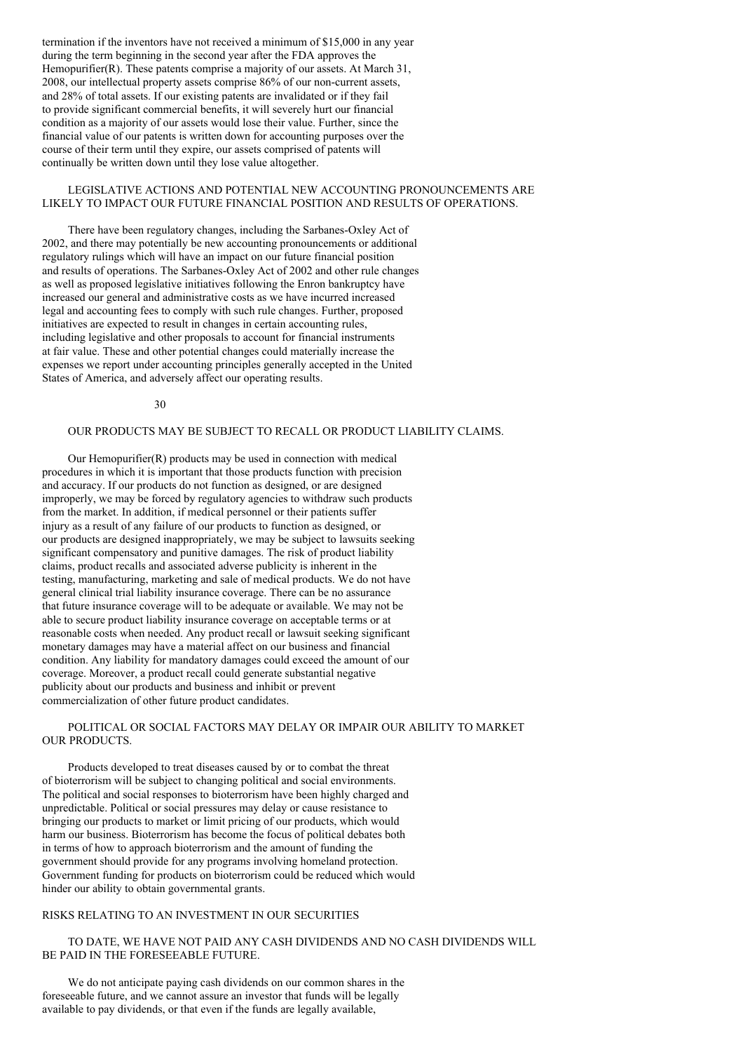termination if the inventors have not received a minimum of \$15,000 in any year during the term beginning in the second year after the FDA approves the Hemopurifier(R). These patents comprise a majority of our assets. At March 31, 2008, our intellectual property assets comprise 86% of our non-current assets, and 28% of total assets. If our existing patents are invalidated or if they fail to provide significant commercial benefits, it will severely hurt our financial condition as a majority of our assets would lose their value. Further, since the financial value of our patents is written down for accounting purposes over the course of their term until they expire, our assets comprised of patents will continually be written down until they lose value altogether.

## LEGISLATIVE ACTIONS AND POTENTIAL NEW ACCOUNTING PRONOUNCEMENTS ARE LIKELY TO IMPACT OUR FUTURE FINANCIAL POSITION AND RESULTS OF OPERATIONS.

There have been regulatory changes, including the Sarbanes-Oxley Act of 2002, and there may potentially be new accounting pronouncements or additional regulatory rulings which will have an impact on our future financial position and results of operations. The Sarbanes-Oxley Act of 2002 and other rule changes as well as proposed legislative initiatives following the Enron bankruptcy have increased our general and administrative costs as we have incurred increased legal and accounting fees to comply with such rule changes. Further, proposed initiatives are expected to result in changes in certain accounting rules, including legislative and other proposals to account for financial instruments at fair value. These and other potential changes could materially increase the expenses we report under accounting principles generally accepted in the United States of America, and adversely affect our operating results.

30

# OUR PRODUCTS MAY BE SUBJECT TO RECALL OR PRODUCT LIABILITY CLAIMS.

Our Hemopurifier(R) products may be used in connection with medical procedures in which it is important that those products function with precision and accuracy. If our products do not function as designed, or are designed improperly, we may be forced by regulatory agencies to withdraw such products from the market. In addition, if medical personnel or their patients suffer injury as a result of any failure of our products to function as designed, or our products are designed inappropriately, we may be subject to lawsuits seeking significant compensatory and punitive damages. The risk of product liability claims, product recalls and associated adverse publicity is inherent in the testing, manufacturing, marketing and sale of medical products. We do not have general clinical trial liability insurance coverage. There can be no assurance that future insurance coverage will to be adequate or available. We may not be able to secure product liability insurance coverage on acceptable terms or at reasonable costs when needed. Any product recall or lawsuit seeking significant monetary damages may have a material affect on our business and financial condition. Any liability for mandatory damages could exceed the amount of our coverage. Moreover, a product recall could generate substantial negative publicity about our products and business and inhibit or prevent commercialization of other future product candidates.

## POLITICAL OR SOCIAL FACTORS MAY DELAY OR IMPAIR OUR ABILITY TO MARKET OUR PRODUCTS.

Products developed to treat diseases caused by or to combat the threat of bioterrorism will be subject to changing political and social environments. The political and social responses to bioterrorism have been highly charged and unpredictable. Political or social pressures may delay or cause resistance to bringing our products to market or limit pricing of our products, which would harm our business. Bioterrorism has become the focus of political debates both in terms of how to approach bioterrorism and the amount of funding the government should provide for any programs involving homeland protection. Government funding for products on bioterrorism could be reduced which would hinder our ability to obtain governmental grants.

## RISKS RELATING TO AN INVESTMENT IN OUR SECURITIES

## TO DATE, WE HAVE NOT PAID ANY CASH DIVIDENDS AND NO CASH DIVIDENDS WILL BE PAID IN THE FORESEEABLE FUTURE.

We do not anticipate paying cash dividends on our common shares in the foreseeable future, and we cannot assure an investor that funds will be legally available to pay dividends, or that even if the funds are legally available,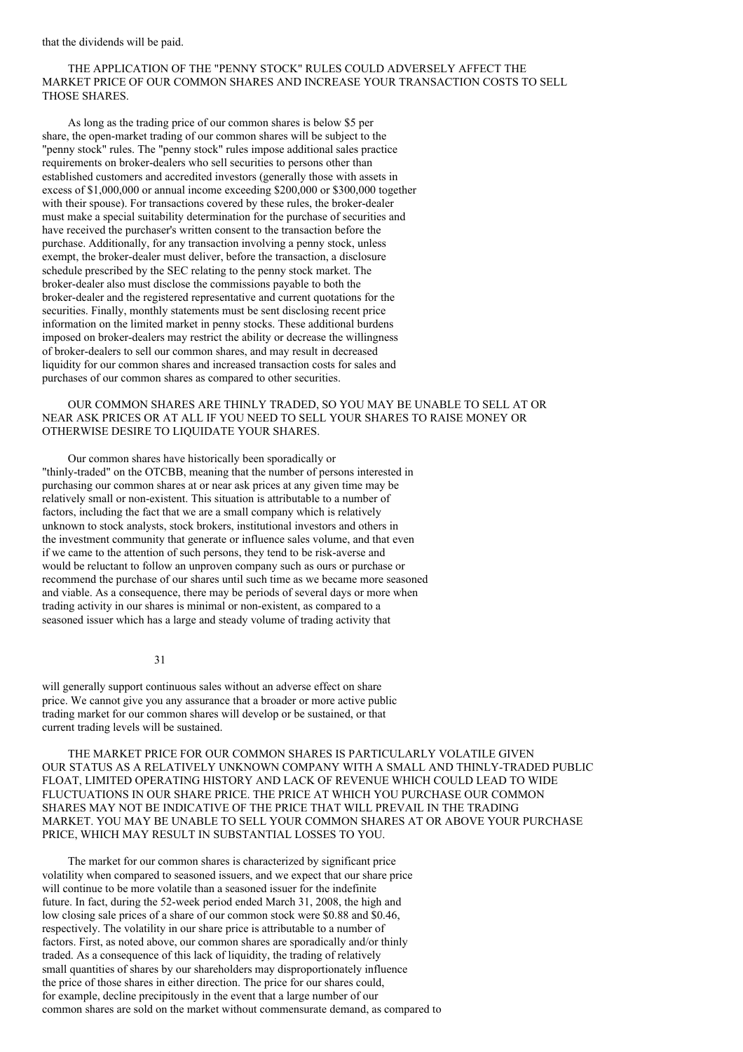## THE APPLICATION OF THE "PENNY STOCK" RULES COULD ADVERSELY AFFECT THE MARKET PRICE OF OUR COMMON SHARES AND INCREASE YOUR TRANSACTION COSTS TO SELL THOSE SHARES.

As long as the trading price of our common shares is below \$5 per share, the open-market trading of our common shares will be subject to the "penny stock" rules. The "penny stock" rules impose additional sales practice requirements on broker-dealers who sell securities to persons other than established customers and accredited investors (generally those with assets in excess of \$1,000,000 or annual income exceeding \$200,000 or \$300,000 together with their spouse). For transactions covered by these rules, the broker-dealer must make a special suitability determination for the purchase of securities and have received the purchaser's written consent to the transaction before the purchase. Additionally, for any transaction involving a penny stock, unless exempt, the broker-dealer must deliver, before the transaction, a disclosure schedule prescribed by the SEC relating to the penny stock market. The broker-dealer also must disclose the commissions payable to both the broker-dealer and the registered representative and current quotations for the securities. Finally, monthly statements must be sent disclosing recent price information on the limited market in penny stocks. These additional burdens imposed on broker-dealers may restrict the ability or decrease the willingness of broker-dealers to sell our common shares, and may result in decreased liquidity for our common shares and increased transaction costs for sales and purchases of our common shares as compared to other securities.

## OUR COMMON SHARES ARE THINLY TRADED, SO YOU MAY BE UNABLE TO SELL AT OR NEAR ASK PRICES OR AT ALL IF YOU NEED TO SELL YOUR SHARES TO RAISE MONEY OR OTHERWISE DESIRE TO LIQUIDATE YOUR SHARES.

Our common shares have historically been sporadically or "thinly-traded" on the OTCBB, meaning that the number of persons interested in purchasing our common shares at or near ask prices at any given time may be relatively small or non-existent. This situation is attributable to a number of factors, including the fact that we are a small company which is relatively unknown to stock analysts, stock brokers, institutional investors and others in the investment community that generate or influence sales volume, and that even if we came to the attention of such persons, they tend to be risk-averse and would be reluctant to follow an unproven company such as ours or purchase or recommend the purchase of our shares until such time as we became more seasoned and viable. As a consequence, there may be periods of several days or more when trading activity in our shares is minimal or non-existent, as compared to a seasoned issuer which has a large and steady volume of trading activity that

31

will generally support continuous sales without an adverse effect on share price. We cannot give you any assurance that a broader or more active public trading market for our common shares will develop or be sustained, or that current trading levels will be sustained.

THE MARKET PRICE FOR OUR COMMON SHARES IS PARTICULARLY VOLATILE GIVEN OUR STATUS AS A RELATIVELY UNKNOWN COMPANY WITH A SMALL AND THINLY-TRADED PUBLIC FLOAT, LIMITED OPERATING HISTORY AND LACK OF REVENUE WHICH COULD LEAD TO WIDE FLUCTUATIONS IN OUR SHARE PRICE. THE PRICE AT WHICH YOU PURCHASE OUR COMMON SHARES MAY NOT BE INDICATIVE OF THE PRICE THAT WILL PREVAIL IN THE TRADING MARKET. YOU MAY BE UNABLE TO SELL YOUR COMMON SHARES AT OR ABOVE YOUR PURCHASE PRICE, WHICH MAY RESULT IN SUBSTANTIAL LOSSES TO YOU.

The market for our common shares is characterized by significant price volatility when compared to seasoned issuers, and we expect that our share price will continue to be more volatile than a seasoned issuer for the indefinite future. In fact, during the 52-week period ended March 31, 2008, the high and low closing sale prices of a share of our common stock were \$0.88 and \$0.46, respectively. The volatility in our share price is attributable to a number of factors. First, as noted above, our common shares are sporadically and/or thinly traded. As a consequence of this lack of liquidity, the trading of relatively small quantities of shares by our shareholders may disproportionately influence the price of those shares in either direction. The price for our shares could, for example, decline precipitously in the event that a large number of our common shares are sold on the market without commensurate demand, as compared to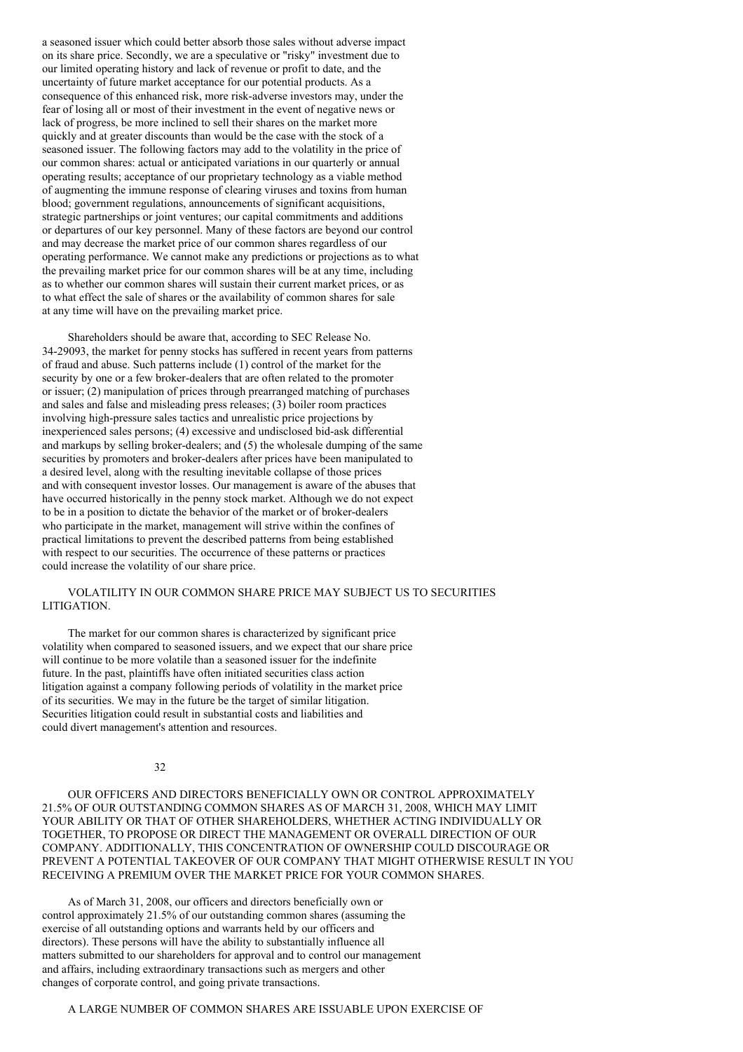a seasoned issuer which could better absorb those sales without adverse impact on its share price. Secondly, we are a speculative or "risky" investment due to our limited operating history and lack of revenue or profit to date, and the uncertainty of future market acceptance for our potential products. As a consequence of this enhanced risk, more risk-adverse investors may, under the fear of losing all or most of their investment in the event of negative news or lack of progress, be more inclined to sell their shares on the market more quickly and at greater discounts than would be the case with the stock of a seasoned issuer. The following factors may add to the volatility in the price of our common shares: actual or anticipated variations in our quarterly or annual operating results; acceptance of our proprietary technology as a viable method of augmenting the immune response of clearing viruses and toxins from human blood; government regulations, announcements of significant acquisitions, strategic partnerships or joint ventures; our capital commitments and additions or departures of our key personnel. Many of these factors are beyond our control and may decrease the market price of our common shares regardless of our operating performance. We cannot make any predictions or projections as to what the prevailing market price for our common shares will be at any time, including as to whether our common shares will sustain their current market prices, or as to what effect the sale of shares or the availability of common shares for sale at any time will have on the prevailing market price.

Shareholders should be aware that, according to SEC Release No. 34-29093, the market for penny stocks has suffered in recent years from patterns of fraud and abuse. Such patterns include (1) control of the market for the security by one or a few broker-dealers that are often related to the promoter or issuer; (2) manipulation of prices through prearranged matching of purchases and sales and false and misleading press releases; (3) boiler room practices involving high-pressure sales tactics and unrealistic price projections by inexperienced sales persons; (4) excessive and undisclosed bid-ask differential and markups by selling broker-dealers; and (5) the wholesale dumping of the same securities by promoters and broker-dealers after prices have been manipulated to a desired level, along with the resulting inevitable collapse of those prices and with consequent investor losses. Our management is aware of the abuses that have occurred historically in the penny stock market. Although we do not expect to be in a position to dictate the behavior of the market or of broker-dealers who participate in the market, management will strive within the confines of practical limitations to prevent the described patterns from being established with respect to our securities. The occurrence of these patterns or practices could increase the volatility of our share price.

## VOLATILITY IN OUR COMMON SHARE PRICE MAY SUBJECT US TO SECURITIES LITIGATION.

The market for our common shares is characterized by significant price volatility when compared to seasoned issuers, and we expect that our share price will continue to be more volatile than a seasoned issuer for the indefinite future. In the past, plaintiffs have often initiated securities class action litigation against a company following periods of volatility in the market price of its securities. We may in the future be the target of similar litigation. Securities litigation could result in substantial costs and liabilities and could divert management's attention and resources.

#### 32

OUR OFFICERS AND DIRECTORS BENEFICIALLY OWN OR CONTROL APPROXIMATELY 21.5% OF OUR OUTSTANDING COMMON SHARES AS OF MARCH 31, 2008, WHICH MAY LIMIT YOUR ABILITY OR THAT OF OTHER SHAREHOLDERS, WHETHER ACTING INDIVIDUALLY OR TOGETHER, TO PROPOSE OR DIRECT THE MANAGEMENT OR OVERALL DIRECTION OF OUR COMPANY. ADDITIONALLY, THIS CONCENTRATION OF OWNERSHIP COULD DISCOURAGE OR PREVENT A POTENTIAL TAKEOVER OF OUR COMPANY THAT MIGHT OTHERWISE RESULT IN YOU RECEIVING A PREMIUM OVER THE MARKET PRICE FOR YOUR COMMON SHARES.

As of March 31, 2008, our officers and directors beneficially own or control approximately 21.5% of our outstanding common shares (assuming the exercise of all outstanding options and warrants held by our officers and directors). These persons will have the ability to substantially influence all matters submitted to our shareholders for approval and to control our management and affairs, including extraordinary transactions such as mergers and other changes of corporate control, and going private transactions.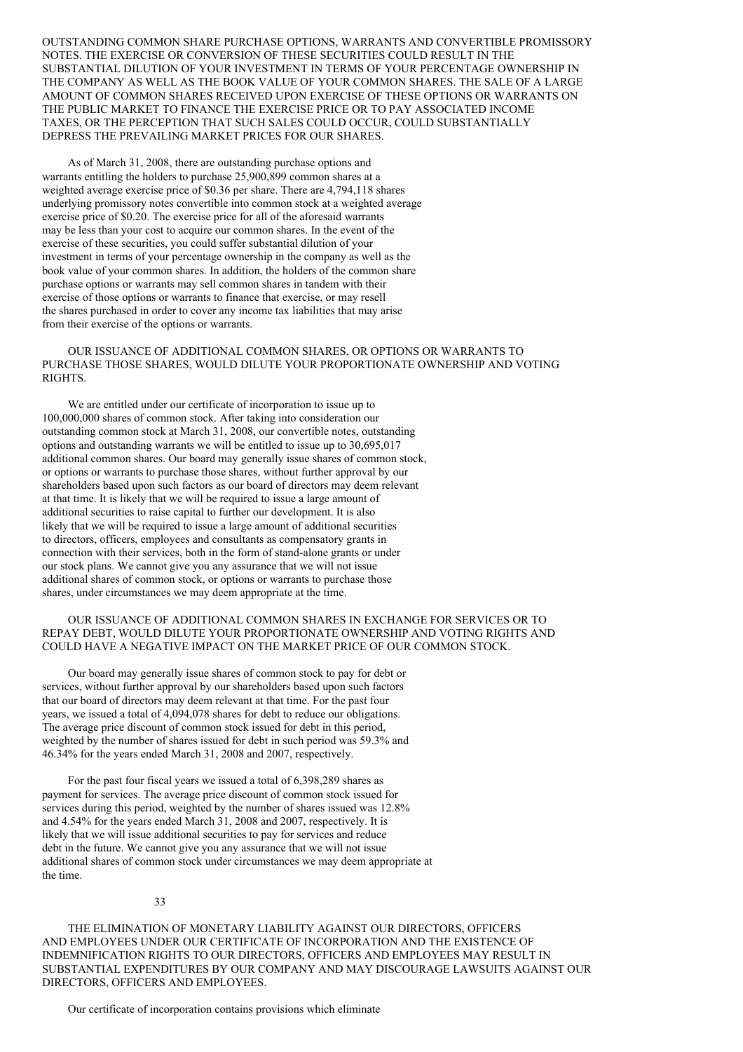OUTSTANDING COMMON SHARE PURCHASE OPTIONS, WARRANTS AND CONVERTIBLE PROMISSORY NOTES. THE EXERCISE OR CONVERSION OF THESE SECURITIES COULD RESULT IN THE SUBSTANTIAL DILUTION OF YOUR INVESTMENT IN TERMS OF YOUR PERCENTAGE OWNERSHIP IN THE COMPANY AS WELL AS THE BOOK VALUE OF YOUR COMMON SHARES. THE SALE OF A LARGE AMOUNT OF COMMON SHARES RECEIVED UPON EXERCISE OF THESE OPTIONS OR WARRANTS ON THE PUBLIC MARKET TO FINANCE THE EXERCISE PRICE OR TO PAY ASSOCIATED INCOME TAXES, OR THE PERCEPTION THAT SUCH SALES COULD OCCUR, COULD SUBSTANTIALLY DEPRESS THE PREVAILING MARKET PRICES FOR OUR SHARES.

As of March 31, 2008, there are outstanding purchase options and warrants entitling the holders to purchase 25,900,899 common shares at a weighted average exercise price of \$0.36 per share. There are 4,794,118 shares underlying promissory notes convertible into common stock at a weighted average exercise price of \$0.20. The exercise price for all of the aforesaid warrants may be less than your cost to acquire our common shares. In the event of the exercise of these securities, you could suffer substantial dilution of your investment in terms of your percentage ownership in the company as well as the book value of your common shares. In addition, the holders of the common share purchase options or warrants may sell common shares in tandem with their exercise of those options or warrants to finance that exercise, or may resell the shares purchased in order to cover any income tax liabilities that may arise from their exercise of the options or warrants.

## OUR ISSUANCE OF ADDITIONAL COMMON SHARES, OR OPTIONS OR WARRANTS TO PURCHASE THOSE SHARES, WOULD DILUTE YOUR PROPORTIONATE OWNERSHIP AND VOTING RIGHTS.

We are entitled under our certificate of incorporation to issue up to 100,000,000 shares of common stock. After taking into consideration our outstanding common stock at March 31, 2008, our convertible notes, outstanding options and outstanding warrants we will be entitled to issue up to 30,695,017 additional common shares. Our board may generally issue shares of common stock, or options or warrants to purchase those shares, without further approval by our shareholders based upon such factors as our board of directors may deem relevant at that time. It is likely that we will be required to issue a large amount of additional securities to raise capital to further our development. It is also likely that we will be required to issue a large amount of additional securities to directors, officers, employees and consultants as compensatory grants in connection with their services, both in the form of stand-alone grants or under our stock plans. We cannot give you any assurance that we will not issue additional shares of common stock, or options or warrants to purchase those shares, under circumstances we may deem appropriate at the time.

## OUR ISSUANCE OF ADDITIONAL COMMON SHARES IN EXCHANGE FOR SERVICES OR TO REPAY DEBT, WOULD DILUTE YOUR PROPORTIONATE OWNERSHIP AND VOTING RIGHTS AND COULD HAVE A NEGATIVE IMPACT ON THE MARKET PRICE OF OUR COMMON STOCK.

Our board may generally issue shares of common stock to pay for debt or services, without further approval by our shareholders based upon such factors that our board of directors may deem relevant at that time. For the past four years, we issued a total of 4,094,078 shares for debt to reduce our obligations. The average price discount of common stock issued for debt in this period, weighted by the number of shares issued for debt in such period was 59.3% and 46.34% for the years ended March 31, 2008 and 2007, respectively.

For the past four fiscal years we issued a total of 6,398,289 shares as payment for services. The average price discount of common stock issued for services during this period, weighted by the number of shares issued was 12.8% and 4.54% for the years ended March 31, 2008 and 2007, respectively. It is likely that we will issue additional securities to pay for services and reduce debt in the future. We cannot give you any assurance that we will not issue additional shares of common stock under circumstances we may deem appropriate at the time.

33

THE ELIMINATION OF MONETARY LIABILITY AGAINST OUR DIRECTORS, OFFICERS AND EMPLOYEES UNDER OUR CERTIFICATE OF INCORPORATION AND THE EXISTENCE OF INDEMNIFICATION RIGHTS TO OUR DIRECTORS, OFFICERS AND EMPLOYEES MAY RESULT IN SUBSTANTIAL EXPENDITURES BY OUR COMPANY AND MAY DISCOURAGE LAWSUITS AGAINST OUR DIRECTORS, OFFICERS AND EMPLOYEES.

Our certificate of incorporation contains provisions which eliminate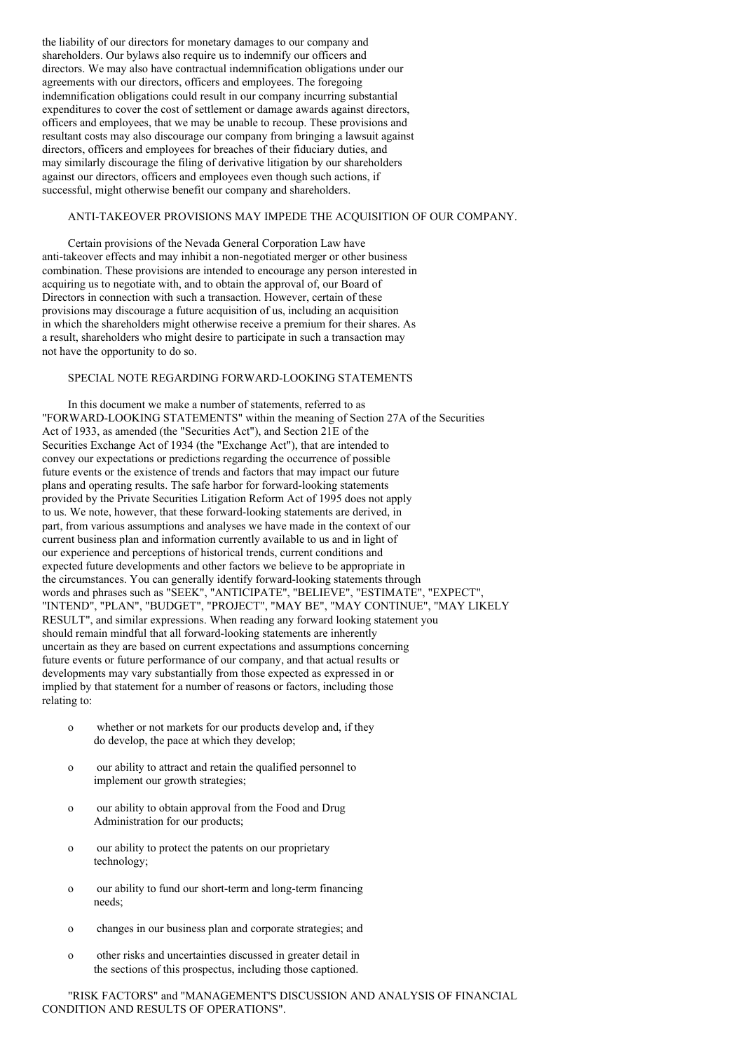the liability of our directors for monetary damages to our company and shareholders. Our bylaws also require us to indemnify our officers and directors. We may also have contractual indemnification obligations under our agreements with our directors, officers and employees. The foregoing indemnification obligations could result in our company incurring substantial expenditures to cover the cost of settlement or damage awards against directors, officers and employees, that we may be unable to recoup. These provisions and resultant costs may also discourage our company from bringing a lawsuit against directors, officers and employees for breaches of their fiduciary duties, and may similarly discourage the filing of derivative litigation by our shareholders against our directors, officers and employees even though such actions, if successful, might otherwise benefit our company and shareholders.

## ANTI-TAKEOVER PROVISIONS MAY IMPEDE THE ACQUISITION OF OUR COMPANY.

Certain provisions of the Nevada General Corporation Law have anti-takeover effects and may inhibit a non-negotiated merger or other business combination. These provisions are intended to encourage any person interested in acquiring us to negotiate with, and to obtain the approval of, our Board of Directors in connection with such a transaction. However, certain of these provisions may discourage a future acquisition of us, including an acquisition in which the shareholders might otherwise receive a premium for their shares. As a result, shareholders who might desire to participate in such a transaction may not have the opportunity to do so.

## SPECIAL NOTE REGARDING FORWARD-LOOKING STATEMENTS

In this document we make a number of statements, referred to as "FORWARD-LOOKING STATEMENTS" within the meaning of Section 27A of the Securities Act of 1933, as amended (the "Securities Act"), and Section 21E of the Securities Exchange Act of 1934 (the "Exchange Act"), that are intended to convey our expectations or predictions regarding the occurrence of possible future events or the existence of trends and factors that may impact our future plans and operating results. The safe harbor for forward-looking statements provided by the Private Securities Litigation Reform Act of 1995 does not apply to us. We note, however, that these forward-looking statements are derived, in part, from various assumptions and analyses we have made in the context of our current business plan and information currently available to us and in light of our experience and perceptions of historical trends, current conditions and expected future developments and other factors we believe to be appropriate in the circumstances. You can generally identify forward-looking statements through words and phrases such as "SEEK", "ANTICIPATE", "BELIEVE", "ESTIMATE", "EXPECT", "INTEND", "PLAN", "BUDGET", "PROJECT", "MAY BE", "MAY CONTINUE", "MAY LIKELY RESULT", and similar expressions. When reading any forward looking statement you should remain mindful that all forward-looking statements are inherently uncertain as they are based on current expectations and assumptions concerning future events or future performance of our company, and that actual results or developments may vary substantially from those expected as expressed in or implied by that statement for a number of reasons or factors, including those relating to:

- o whether or not markets for our products develop and, if they do develop, the pace at which they develop;
- o our ability to attract and retain the qualified personnel to implement our growth strategies;
- o our ability to obtain approval from the Food and Drug Administration for our products;
- o our ability to protect the patents on our proprietary technology;
- o our ability to fund our short-term and long-term financing needs;
- o changes in our business plan and corporate strategies; and
- o other risks and uncertainties discussed in greater detail in the sections of this prospectus, including those captioned.

"RISK FACTORS" and "MANAGEMENT'S DISCUSSION AND ANALYSIS OF FINANCIAL CONDITION AND RESULTS OF OPERATIONS".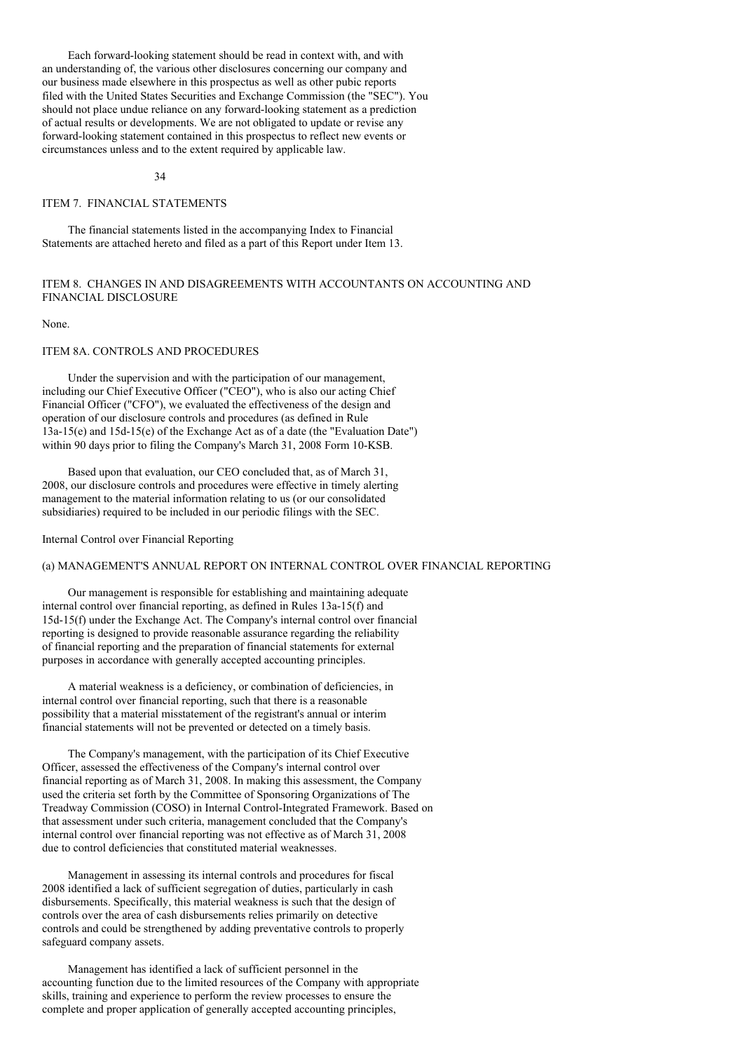Each forward-looking statement should be read in context with, and with an understanding of, the various other disclosures concerning our company and our business made elsewhere in this prospectus as well as other pubic reports filed with the United States Securities and Exchange Commission (the "SEC"). You should not place undue reliance on any forward-looking statement as a prediction of actual results or developments. We are not obligated to update or revise any forward-looking statement contained in this prospectus to reflect new events or circumstances unless and to the extent required by applicable law.

34

#### ITEM 7. FINANCIAL STATEMENTS

The financial statements listed in the accompanying Index to Financial Statements are attached hereto and filed as a part of this Report under Item 13.

## ITEM 8. CHANGES IN AND DISAGREEMENTS WITH ACCOUNTANTS ON ACCOUNTING AND FINANCIAL DISCLOSURE

#### None.

## ITEM 8A. CONTROLS AND PROCEDURES

Under the supervision and with the participation of our management, including our Chief Executive Officer ("CEO"), who is also our acting Chief Financial Officer ("CFO"), we evaluated the effectiveness of the design and operation of our disclosure controls and procedures (as defined in Rule 13a-15(e) and 15d-15(e) of the Exchange Act as of a date (the "Evaluation Date") within 90 days prior to filing the Company's March 31, 2008 Form 10-KSB.

Based upon that evaluation, our CEO concluded that, as of March 31, 2008, our disclosure controls and procedures were effective in timely alerting management to the material information relating to us (or our consolidated subsidiaries) required to be included in our periodic filings with the SEC.

Internal Control over Financial Reporting

# (a) MANAGEMENT'S ANNUAL REPORT ON INTERNAL CONTROL OVER FINANCIAL REPORTING

Our management is responsible for establishing and maintaining adequate internal control over financial reporting, as defined in Rules 13a-15(f) and 15d-15(f) under the Exchange Act. The Company's internal control over financial reporting is designed to provide reasonable assurance regarding the reliability of financial reporting and the preparation of financial statements for external purposes in accordance with generally accepted accounting principles.

A material weakness is a deficiency, or combination of deficiencies, in internal control over financial reporting, such that there is a reasonable possibility that a material misstatement of the registrant's annual or interim financial statements will not be prevented or detected on a timely basis.

The Company's management, with the participation of its Chief Executive Officer, assessed the effectiveness of the Company's internal control over financial reporting as of March 31, 2008. In making this assessment, the Company used the criteria set forth by the Committee of Sponsoring Organizations of The Treadway Commission (COSO) in Internal Control-Integrated Framework. Based on that assessment under such criteria, management concluded that the Company's internal control over financial reporting was not effective as of March 31, 2008 due to control deficiencies that constituted material weaknesses.

Management in assessing its internal controls and procedures for fiscal 2008 identified a lack of sufficient segregation of duties, particularly in cash disbursements. Specifically, this material weakness is such that the design of controls over the area of cash disbursements relies primarily on detective controls and could be strengthened by adding preventative controls to properly safeguard company assets.

Management has identified a lack of sufficient personnel in the accounting function due to the limited resources of the Company with appropriate skills, training and experience to perform the review processes to ensure the complete and proper application of generally accepted accounting principles,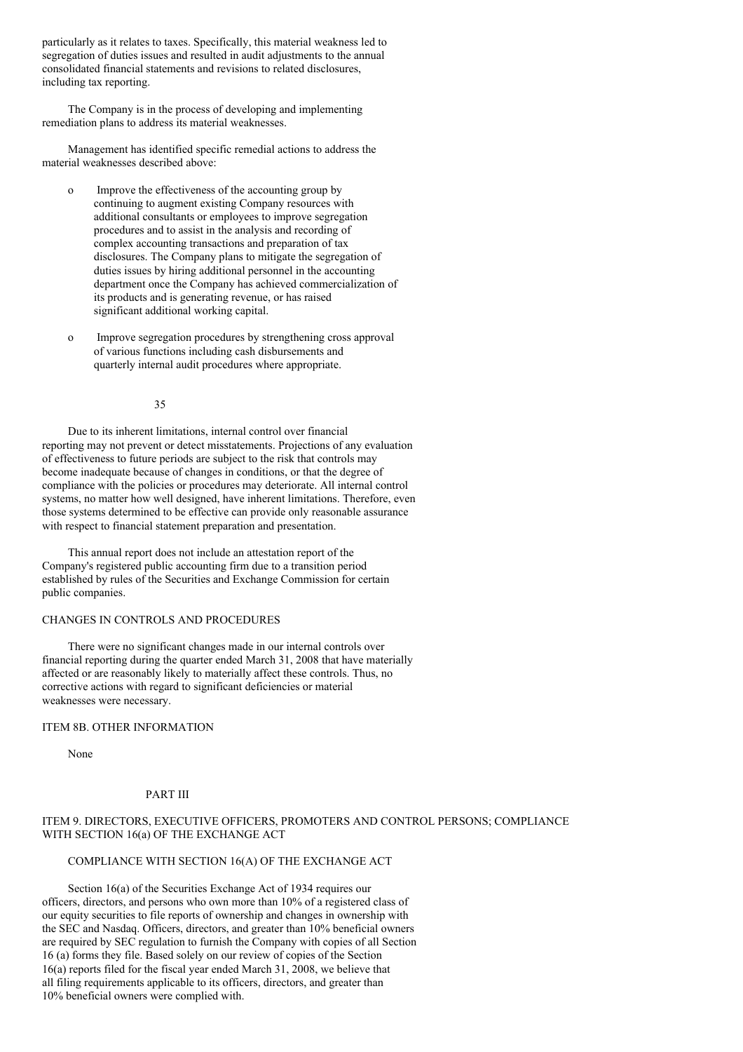particularly as it relates to taxes. Specifically, this material weakness led to segregation of duties issues and resulted in audit adjustments to the annual consolidated financial statements and revisions to related disclosures, including tax reporting.

The Company is in the process of developing and implementing remediation plans to address its material weaknesses.

Management has identified specific remedial actions to address the material weaknesses described above:

- o Improve the effectiveness of the accounting group by continuing to augment existing Company resources with additional consultants or employees to improve segregation procedures and to assist in the analysis and recording of complex accounting transactions and preparation of tax disclosures. The Company plans to mitigate the segregation of duties issues by hiring additional personnel in the accounting department once the Company has achieved commercialization of its products and is generating revenue, or has raised significant additional working capital.
- o Improve segregation procedures by strengthening cross approval of various functions including cash disbursements and quarterly internal audit procedures where appropriate.

## 35

Due to its inherent limitations, internal control over financial reporting may not prevent or detect misstatements. Projections of any evaluation of effectiveness to future periods are subject to the risk that controls may become inadequate because of changes in conditions, or that the degree of compliance with the policies or procedures may deteriorate. All internal control systems, no matter how well designed, have inherent limitations. Therefore, even those systems determined to be effective can provide only reasonable assurance with respect to financial statement preparation and presentation.

This annual report does not include an attestation report of the Company's registered public accounting firm due to a transition period established by rules of the Securities and Exchange Commission for certain public companies.

#### CHANGES IN CONTROLS AND PROCEDURES

There were no significant changes made in our internal controls over financial reporting during the quarter ended March 31, 2008 that have materially affected or are reasonably likely to materially affect these controls. Thus, no corrective actions with regard to significant deficiencies or material weaknesses were necessary.

#### ITEM 8B. OTHER INFORMATION

None

#### PART III

## ITEM 9. DIRECTORS, EXECUTIVE OFFICERS, PROMOTERS AND CONTROL PERSONS; COMPLIANCE WITH SECTION 16(a) OF THE EXCHANGE ACT

## COMPLIANCE WITH SECTION 16(A) OF THE EXCHANGE ACT

Section 16(a) of the Securities Exchange Act of 1934 requires our officers, directors, and persons who own more than 10% of a registered class of our equity securities to file reports of ownership and changes in ownership with the SEC and Nasdaq. Officers, directors, and greater than 10% beneficial owners are required by SEC regulation to furnish the Company with copies of all Section 16 (a) forms they file. Based solely on our review of copies of the Section 16(a) reports filed for the fiscal year ended March 31, 2008, we believe that all filing requirements applicable to its officers, directors, and greater than 10% beneficial owners were complied with.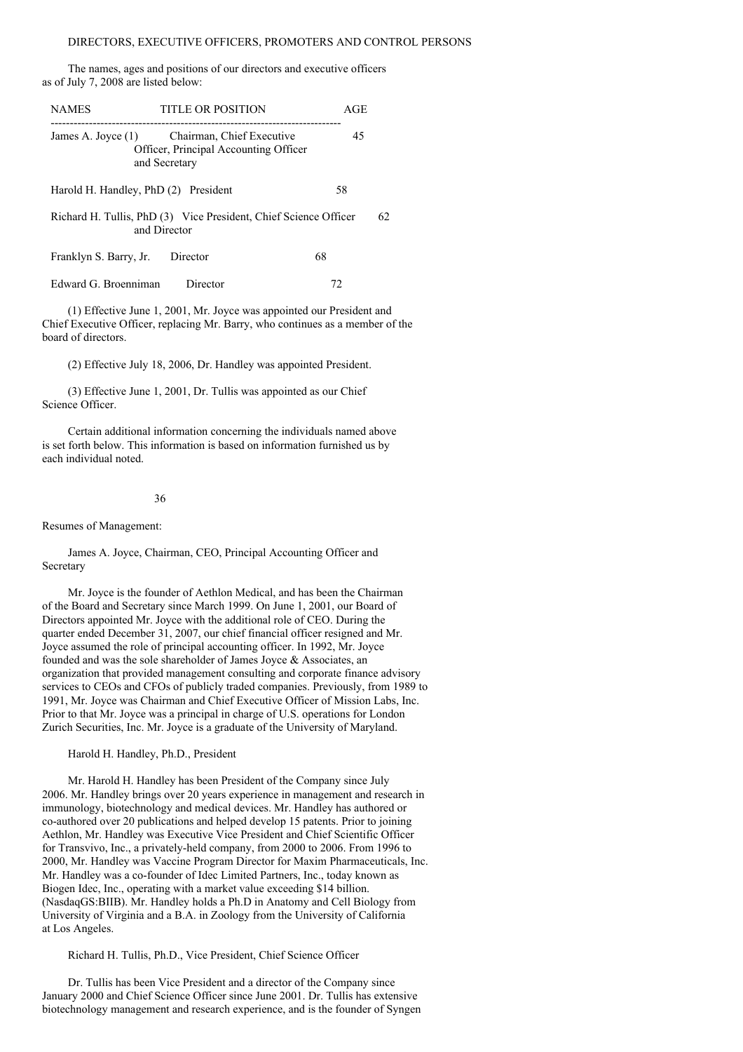## DIRECTORS, EXECUTIVE OFFICERS, PROMOTERS AND CONTROL PERSONS

The names, ages and positions of our directors and executive officers as of July 7, 2008 are listed below:

| <b>NAMES</b>                         | <b>TITLE OR POSITION</b>                                                            | AGE |
|--------------------------------------|-------------------------------------------------------------------------------------|-----|
| James A. Joyce (1)                   | Chairman, Chief Executive<br>Officer, Principal Accounting Officer<br>and Secretary | 45  |
| Harold H. Handley, PhD (2) President |                                                                                     | 58  |
|                                      | Richard H. Tullis, PhD (3) Vice President, Chief Science Officer<br>and Director    | 62. |

Franklyn S. Barry, Jr. Director 68

Edward G. Broenniman Director 72

(1) Effective June 1, 2001, Mr. Joyce was appointed our President and Chief Executive Officer, replacing Mr. Barry, who continues as a member of the board of directors.

(2) Effective July 18, 2006, Dr. Handley was appointed President.

(3) Effective June 1, 2001, Dr. Tullis was appointed as our Chief Science Officer.

Certain additional information concerning the individuals named above is set forth below. This information is based on information furnished us by each individual noted.

#### 36

Resumes of Management:

James A. Joyce, Chairman, CEO, Principal Accounting Officer and Secretary

Mr. Joyce is the founder of Aethlon Medical, and has been the Chairman of the Board and Secretary since March 1999. On June 1, 2001, our Board of Directors appointed Mr. Joyce with the additional role of CEO. During the quarter ended December 31, 2007, our chief financial officer resigned and Mr. Joyce assumed the role of principal accounting officer. In 1992, Mr. Joyce founded and was the sole shareholder of James Joyce & Associates, an organization that provided management consulting and corporate finance advisory services to CEOs and CFOs of publicly traded companies. Previously, from 1989 to 1991, Mr. Joyce was Chairman and Chief Executive Officer of Mission Labs, Inc. Prior to that Mr. Joyce was a principal in charge of U.S. operations for London Zurich Securities, Inc. Mr. Joyce is a graduate of the University of Maryland.

Harold H. Handley, Ph.D., President

Mr. Harold H. Handley has been President of the Company since July 2006. Mr. Handley brings over 20 years experience in management and research in immunology, biotechnology and medical devices. Mr. Handley has authored or co-authored over 20 publications and helped develop 15 patents. Prior to joining Aethlon, Mr. Handley was Executive Vice President and Chief Scientific Officer for Transvivo, Inc., a privately-held company, from 2000 to 2006. From 1996 to 2000, Mr. Handley was Vaccine Program Director for Maxim Pharmaceuticals, Inc. Mr. Handley was a co-founder of Idec Limited Partners, Inc., today known as Biogen Idec, Inc., operating with a market value exceeding \$14 billion. (NasdaqGS:BIIB). Mr. Handley holds a Ph.D in Anatomy and Cell Biology from University of Virginia and a B.A. in Zoology from the University of California at Los Angeles.

Richard H. Tullis, Ph.D., Vice President, Chief Science Officer

Dr. Tullis has been Vice President and a director of the Company since January 2000 and Chief Science Officer since June 2001. Dr. Tullis has extensive biotechnology management and research experience, and is the founder of Syngen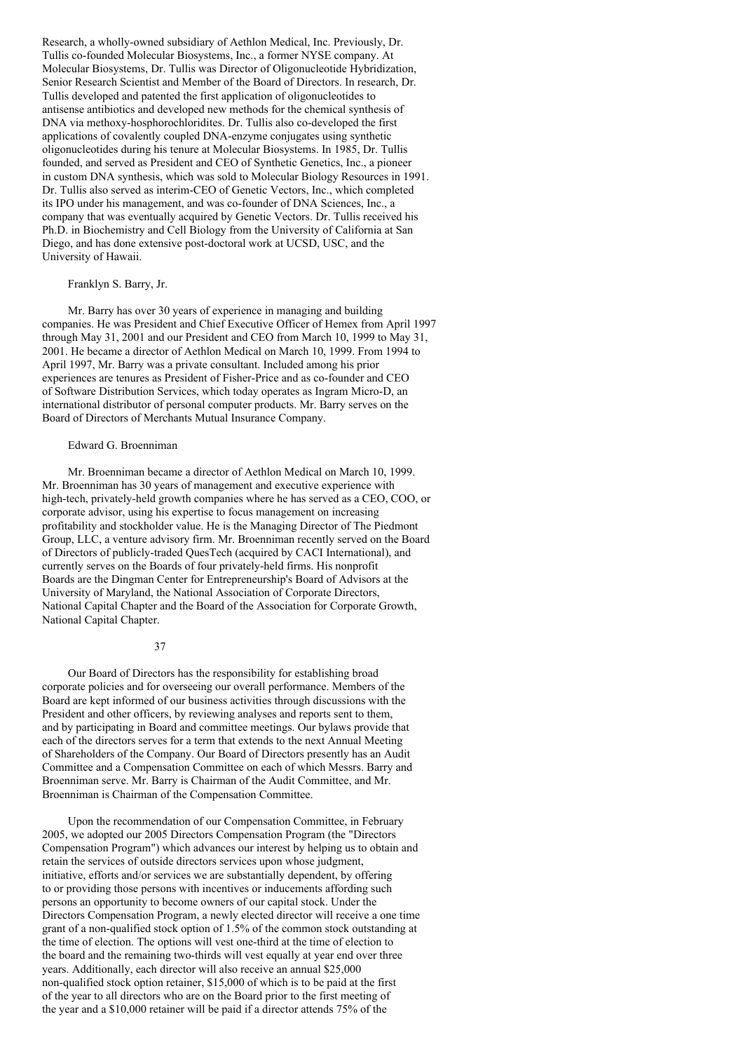Research, a wholly-owned subsidiary of Aethlon Medical, Inc. Previously, Dr. Tullis co-founded Molecular Biosystems, Inc., a former NYSE company. At Molecular Biosystems, Dr. Tullis was Director of Oligonucleotide Hybridization, Senior Research Scientist and Member of the Board of Directors. In research, Dr. Tullis developed and patented the first application of oligonucleotides to antisense antibiotics and developed new methods for the chemical synthesis of DNA via methoxy-hosphorochloridites. Dr. Tullis also co-developed the first applications of covalently coupled DNA-enzyme conjugates using synthetic oligonucleotides during his tenure at Molecular Biosystems. In 1985, Dr. Tullis founded, and served as President and CEO of Synthetic Genetics, Inc., a pioneer in custom DNA synthesis, which was sold to Molecular Biology Resources in 1991. Dr. Tullis also served as interim-CEO of Genetic Vectors, Inc., which completed its IPO under his management, and was co-founder of DNA Sciences, Inc., a company that was eventually acquired by Genetic Vectors. Dr. Tullis received his Ph.D. in Biochemistry and Cell Biology from the University of California at San Diego, and has done extensive post-doctoral work at UCSD, USC, and the University of Hawaii.

## Franklyn S. Barry, Jr.

Mr. Barry has over 30 years of experience in managing and building companies. He was President and Chief Executive Officer of Hemex from April 1997 through May 31, 2001 and our President and CEO from March 10, 1999 to May 31, 2001. He became a director of Aethlon Medical on March 10, 1999. From 1994 to April 1997, Mr. Barry was a private consultant. Included among his prior experiences are tenures as President of Fisher-Price and as co-founder and CEO of Software Distribution Services, which today operates as Ingram Micro-D, an international distributor of personal computer products. Mr. Barry serves on the Board of Directors of Merchants Mutual Insurance Company.

#### Edward G. Broenniman

Mr. Broenniman became a director of Aethlon Medical on March 10, 1999. Mr. Broenniman has 30 years of management and executive experience with high-tech, privately-held growth companies where he has served as a CEO, COO, or corporate advisor, using his expertise to focus management on increasing profitability and stockholder value. He is the Managing Director of The Piedmont Group, LLC, a venture advisory firm. Mr. Broenniman recently served on the Board of Directors of publicly-traded QuesTech (acquired by CACI International), and currently serves on the Boards of four privately-held firms. His nonprofit Boards are the Dingman Center for Entrepreneurship's Board of Advisors at the University of Maryland, the National Association of Corporate Directors, National Capital Chapter and the Board of the Association for Corporate Growth, National Capital Chapter.

#### 37

Our Board of Directors has the responsibility for establishing broad corporate policies and for overseeing our overall performance. Members of the Board are kept informed of our business activities through discussions with the President and other officers, by reviewing analyses and reports sent to them, and by participating in Board and committee meetings. Our bylaws provide that each of the directors serves for a term that extends to the next Annual Meeting of Shareholders of the Company. Our Board of Directors presently has an Audit Committee and a Compensation Committee on each of which Messrs. Barry and Broenniman serve. Mr. Barry is Chairman of the Audit Committee, and Mr. Broenniman is Chairman of the Compensation Committee.

Upon the recommendation of our Compensation Committee, in February 2005, we adopted our 2005 Directors Compensation Program (the "Directors Compensation Program") which advances our interest by helping us to obtain and retain the services of outside directors services upon whose judgment, initiative, efforts and/or services we are substantially dependent, by offering to or providing those persons with incentives or inducements affording such persons an opportunity to become owners of our capital stock. Under the Directors Compensation Program, a newly elected director will receive a one time grant of a non-qualified stock option of 1.5% of the common stock outstanding at the time of election. The options will vest one-third at the time of election to the board and the remaining two-thirds will vest equally at year end over three years. Additionally, each director will also receive an annual \$25,000 non-qualified stock option retainer, \$15,000 of which is to be paid at the first of the year to all directors who are on the Board prior to the first meeting of the year and a \$10,000 retainer will be paid if a director attends 75% of the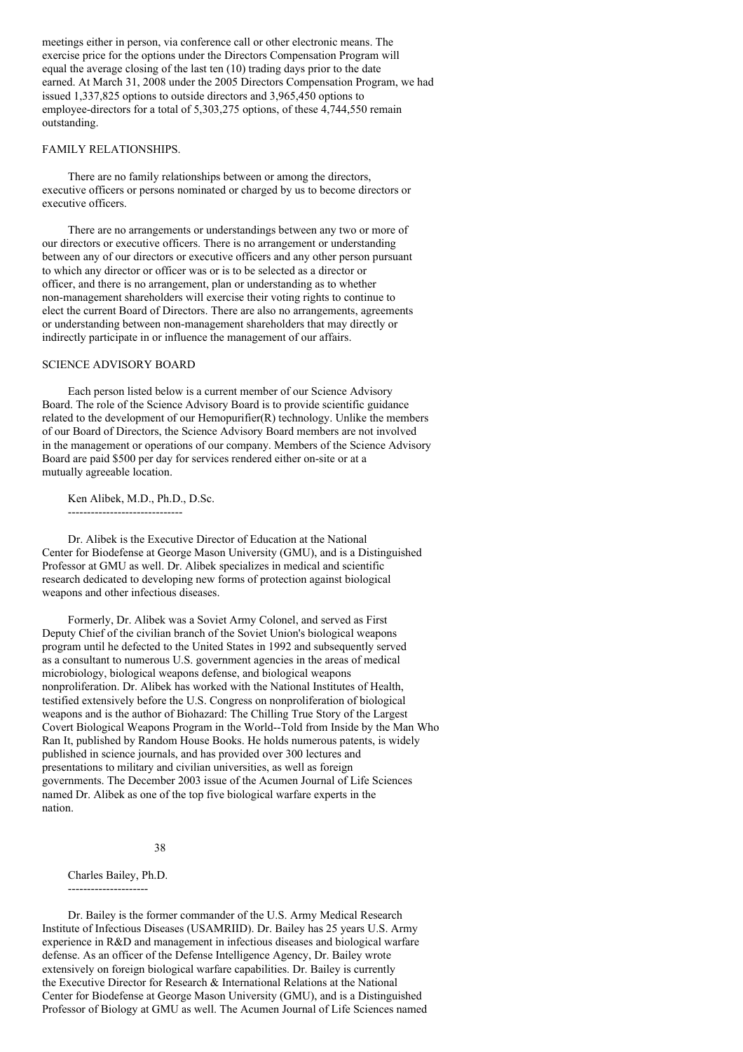meetings either in person, via conference call or other electronic means. The exercise price for the options under the Directors Compensation Program will equal the average closing of the last ten (10) trading days prior to the date earned. At March 31, 2008 under the 2005 Directors Compensation Program, we had issued 1,337,825 options to outside directors and 3,965,450 options to employee-directors for a total of 5,303,275 options, of these 4,744,550 remain outstanding.

#### FAMILY RELATIONSHIPS.

There are no family relationships between or among the directors, executive officers or persons nominated or charged by us to become directors or executive officers.

There are no arrangements or understandings between any two or more of our directors or executive officers. There is no arrangement or understanding between any of our directors or executive officers and any other person pursuant to which any director or officer was or is to be selected as a director or officer, and there is no arrangement, plan or understanding as to whether non-management shareholders will exercise their voting rights to continue to elect the current Board of Directors. There are also no arrangements, agreements or understanding between non-management shareholders that may directly or indirectly participate in or influence the management of our affairs.

## SCIENCE ADVISORY BOARD

Each person listed below is a current member of our Science Advisory Board. The role of the Science Advisory Board is to provide scientific guidance related to the development of our Hemopurifier(R) technology. Unlike the members of our Board of Directors, the Science Advisory Board members are not involved in the management or operations of our company. Members of the Science Advisory Board are paid \$500 per day for services rendered either on-site or at a mutually agreeable location.

Ken Alibek, M.D., Ph.D., D.Sc. ------------------------------

Dr. Alibek is the Executive Director of Education at the National Center for Biodefense at George Mason University (GMU), and is a Distinguished Professor at GMU as well. Dr. Alibek specializes in medical and scientific research dedicated to developing new forms of protection against biological weapons and other infectious diseases.

Formerly, Dr. Alibek was a Soviet Army Colonel, and served as First Deputy Chief of the civilian branch of the Soviet Union's biological weapons program until he defected to the United States in 1992 and subsequently served as a consultant to numerous U.S. government agencies in the areas of medical microbiology, biological weapons defense, and biological weapons nonproliferation. Dr. Alibek has worked with the National Institutes of Health, testified extensively before the U.S. Congress on nonproliferation of biological weapons and is the author of Biohazard: The Chilling True Story of the Largest Covert Biological Weapons Program in the World--Told from Inside by the Man Who Ran It, published by Random House Books. He holds numerous patents, is widely published in science journals, and has provided over 300 lectures and presentations to military and civilian universities, as well as foreign governments. The December 2003 issue of the Acumen Journal of Life Sciences named Dr. Alibek as one of the top five biological warfare experts in the nation.

38

Charles Bailey, Ph.D.

---------------------

Dr. Bailey is the former commander of the U.S. Army Medical Research Institute of Infectious Diseases (USAMRIID). Dr. Bailey has 25 years U.S. Army experience in R&D and management in infectious diseases and biological warfare defense. As an officer of the Defense Intelligence Agency, Dr. Bailey wrote extensively on foreign biological warfare capabilities. Dr. Bailey is currently the Executive Director for Research & International Relations at the National Center for Biodefense at George Mason University (GMU), and is a Distinguished Professor of Biology at GMU as well. The Acumen Journal of Life Sciences named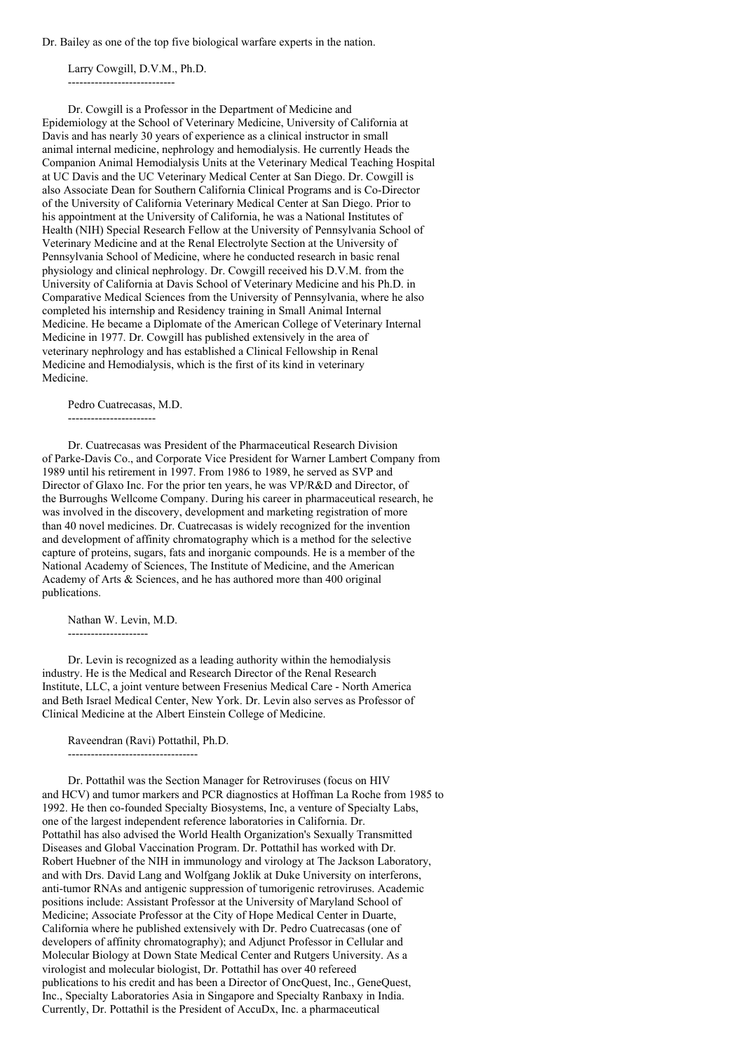Dr. Bailey as one of the top five biological warfare experts in the nation.

Larry Cowgill, D.V.M., Ph.D. ----------------------------

Dr. Cowgill is a Professor in the Department of Medicine and Epidemiology at the School of Veterinary Medicine, University of California at Davis and has nearly 30 years of experience as a clinical instructor in small animal internal medicine, nephrology and hemodialysis. He currently Heads the Companion Animal Hemodialysis Units at the Veterinary Medical Teaching Hospital at UC Davis and the UC Veterinary Medical Center at San Diego. Dr. Cowgill is also Associate Dean for Southern California Clinical Programs and is Co-Director of the University of California Veterinary Medical Center at San Diego. Prior to his appointment at the University of California, he was a National Institutes of Health (NIH) Special Research Fellow at the University of Pennsylvania School of Veterinary Medicine and at the Renal Electrolyte Section at the University of Pennsylvania School of Medicine, where he conducted research in basic renal physiology and clinical nephrology. Dr. Cowgill received his D.V.M. from the University of California at Davis School of Veterinary Medicine and his Ph.D. in Comparative Medical Sciences from the University of Pennsylvania, where he also completed his internship and Residency training in Small Animal Internal Medicine. He became a Diplomate of the American College of Veterinary Internal Medicine in 1977. Dr. Cowgill has published extensively in the area of veterinary nephrology and has established a Clinical Fellowship in Renal Medicine and Hemodialysis, which is the first of its kind in veterinary Medicine.

Pedro Cuatrecasas, M.D.

-----------------------

Dr. Cuatrecasas was President of the Pharmaceutical Research Division of Parke-Davis Co., and Corporate Vice President for Warner Lambert Company from 1989 until his retirement in 1997. From 1986 to 1989, he served as SVP and Director of Glaxo Inc. For the prior ten years, he was VP/R&D and Director, of the Burroughs Wellcome Company. During his career in pharmaceutical research, he was involved in the discovery, development and marketing registration of more than 40 novel medicines. Dr. Cuatrecasas is widely recognized for the invention and development of affinity chromatography which is a method for the selective capture of proteins, sugars, fats and inorganic compounds. He is a member of the National Academy of Sciences, The Institute of Medicine, and the American Academy of Arts & Sciences, and he has authored more than 400 original publications.

Nathan W. Levin, M.D.

---------------------

Dr. Levin is recognized as a leading authority within the hemodialysis industry. He is the Medical and Research Director of the Renal Research Institute, LLC, a joint venture between Fresenius Medical Care - North America and Beth Israel Medical Center, New York. Dr. Levin also serves as Professor of Clinical Medicine at the Albert Einstein College of Medicine.

Raveendran (Ravi) Pottathil, Ph.D.

----------------------------------

Dr. Pottathil was the Section Manager for Retroviruses (focus on HIV and HCV) and tumor markers and PCR diagnostics at Hoffman La Roche from 1985 to 1992. He then co-founded Specialty Biosystems, Inc, a venture of Specialty Labs, one of the largest independent reference laboratories in California. Dr. Pottathil has also advised the World Health Organization's Sexually Transmitted Diseases and Global Vaccination Program. Dr. Pottathil has worked with Dr. Robert Huebner of the NIH in immunology and virology at The Jackson Laboratory, and with Drs. David Lang and Wolfgang Joklik at Duke University on interferons, anti-tumor RNAs and antigenic suppression of tumorigenic retroviruses. Academic positions include: Assistant Professor at the University of Maryland School of Medicine; Associate Professor at the City of Hope Medical Center in Duarte, California where he published extensively with Dr. Pedro Cuatrecasas (one of developers of affinity chromatography); and Adjunct Professor in Cellular and Molecular Biology at Down State Medical Center and Rutgers University. As a virologist and molecular biologist, Dr. Pottathil has over 40 refereed publications to his credit and has been a Director of OncQuest, Inc., GeneQuest, Inc., Specialty Laboratories Asia in Singapore and Specialty Ranbaxy in India. Currently, Dr. Pottathil is the President of AccuDx, Inc. a pharmaceutical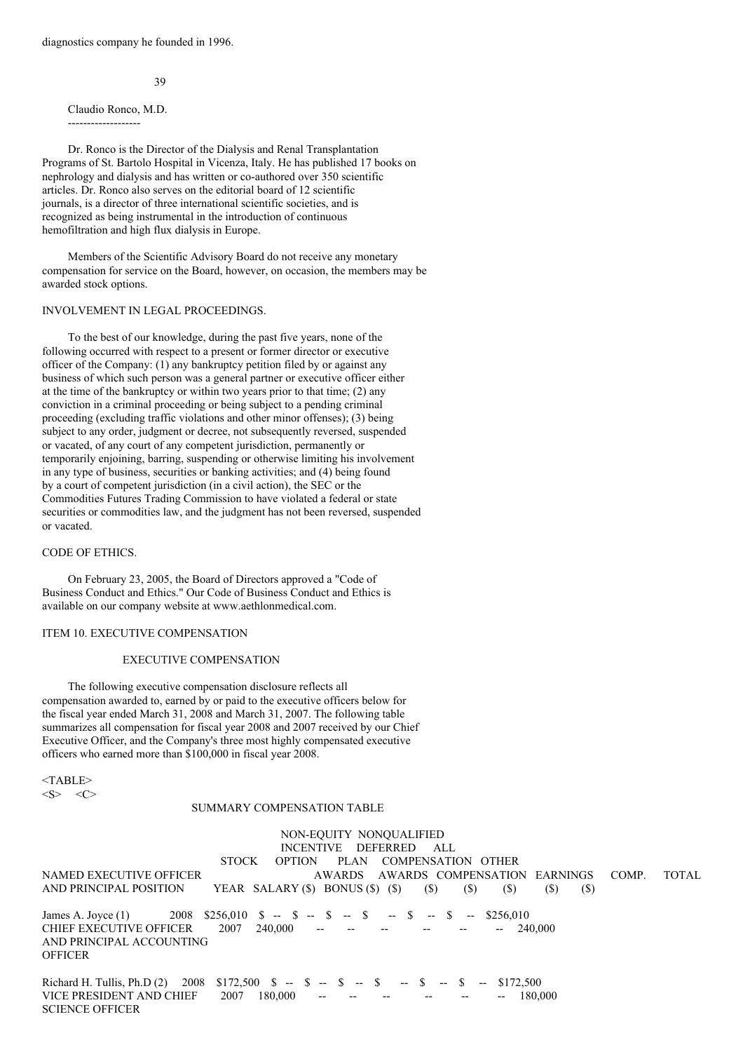39

Claudio Ronco, M.D. -------------------

Dr. Ronco is the Director of the Dialysis and Renal Transplantation Programs of St. Bartolo Hospital in Vicenza, Italy. He has published 17 books on nephrology and dialysis and has written or co-authored over 350 scientific articles. Dr. Ronco also serves on the editorial board of 12 scientific journals, is a director of three international scientific societies, and is recognized as being instrumental in the introduction of continuous hemofiltration and high flux dialysis in Europe.

Members of the Scientific Advisory Board do not receive any monetary compensation for service on the Board, however, on occasion, the members may be awarded stock options.

## INVOLVEMENT IN LEGAL PROCEEDINGS.

To the best of our knowledge, during the past five years, none of the following occurred with respect to a present or former director or executive officer of the Company: (1) any bankruptcy petition filed by or against any business of which such person was a general partner or executive officer either at the time of the bankruptcy or within two years prior to that time; (2) any conviction in a criminal proceeding or being subject to a pending criminal proceeding (excluding traffic violations and other minor offenses); (3) being subject to any order, judgment or decree, not subsequently reversed, suspended or vacated, of any court of any competent jurisdiction, permanently or temporarily enjoining, barring, suspending or otherwise limiting his involvement in any type of business, securities or banking activities; and (4) being found by a court of competent jurisdiction (in a civil action), the SEC or the Commodities Futures Trading Commission to have violated a federal or state securities or commodities law, and the judgment has not been reversed, suspended or vacated.

## CODE OF ETHICS.

On February 23, 2005, the Board of Directors approved a "Code of Business Conduct and Ethics." Our Code of Business Conduct and Ethics is available on our company website at www.aethlonmedical.com.

#### ITEM 10. EXECUTIVE COMPENSATION

## EXECUTIVE COMPENSATION

The following executive compensation disclosure reflects all compensation awarded to, earned by or paid to the executive officers below for the fiscal year ended March 31, 2008 and March 31, 2007. The following table summarizes all compensation for fiscal year 2008 and 2007 received by our Chief Executive Officer, and the Company's three most highly compensated executive officers who earned more than \$100,000 in fiscal year 2008.

<TABLE>  $\langle S \rangle$   $\langle C \rangle$ 

#### SUMMARY COMPENSATION TABLE

| NON-EQUITY NONQUALIFIED<br><b>INCENTIVE</b><br>DEFERRED ALL<br>COMPENSATION OTHER<br><b>STOCK</b><br>PLAN<br><b>OPTION</b><br><b>TOTAL</b><br>NAMED EXECUTIVE OFFICER<br>AWARDS COMPENSATION<br>COMP.<br>AWARDS<br><b>EARNINGS</b> |  |
|------------------------------------------------------------------------------------------------------------------------------------------------------------------------------------------------------------------------------------|--|
| AND PRINCIPAL POSITION<br>YEAR SALARY $(\$)$ BONUS $(\$)$ $(\$)$<br>(\$)<br>(S)<br>(\$)<br>(S)<br>(S)                                                                                                                              |  |
| 2008<br>James A. Joyce $(1)$<br>\$256,010<br><b>CHIEF EXECUTIVE OFFICER</b><br>240,000<br>2007<br>المصادر المتفاد المصادر<br>240.000<br>$--$<br>AND PRINCIPAL ACCOUNTING<br><b>OFFICER</b>                                         |  |
| Richard H. Tullis, Ph.D $(2)$ 2008<br>\$172,500<br>VICE PRESIDENT AND CHIEF<br>180,000<br>2007<br>$\frac{1}{2}$ and $\frac{1}{2}$ and $\frac{1}{2}$ and $\frac{1}{2}$<br>180,000<br>$--$<br><b>SCIENCE OFFICER</b>                 |  |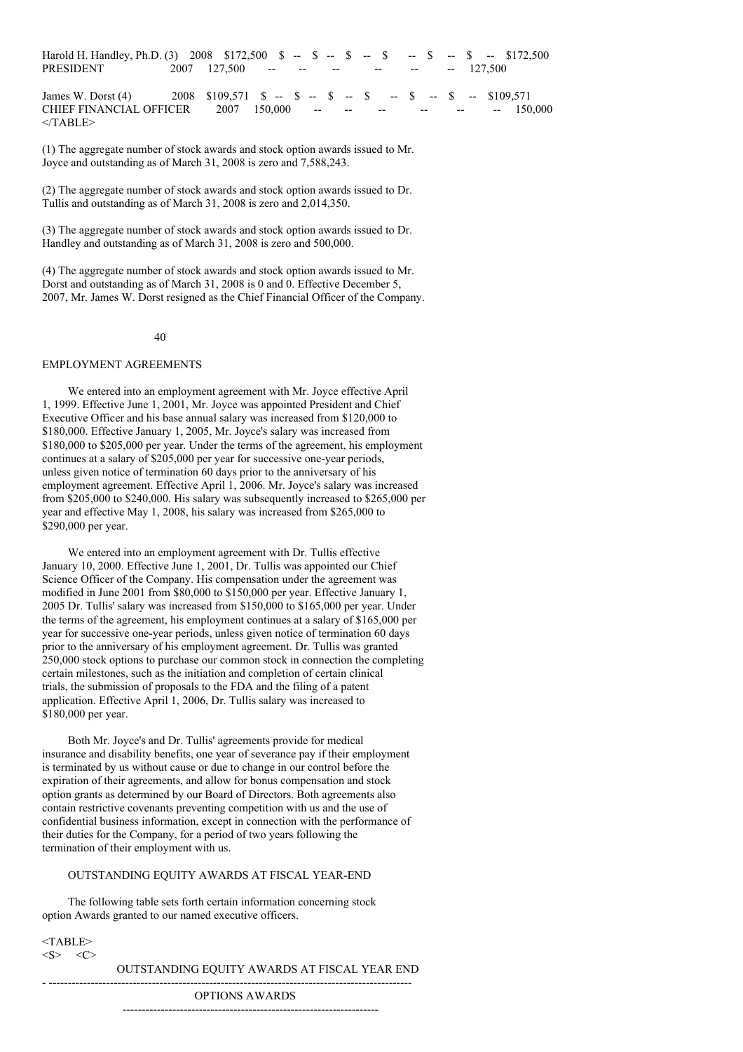| Harold H. Handley, Ph.D. (3) 2008 \$172,500 \$ -- \$ -- \$ -- \$ -- \$ -- \$ -- \$ -5 \$172,500 |                                            |  |  |  |  |
|-------------------------------------------------------------------------------------------------|--------------------------------------------|--|--|--|--|
| <b>PRESIDENT</b>                                                                                | $2007$ $127.500$ -- -- -- -- -- -- 127.500 |  |  |  |  |
| James W. Dorst (4) 2008 \$109,571 \$ -- \$ -- \$ -- \$ -- \$ -- \$ -- \$ -5 - \$ -5 5109,571    |                                            |  |  |  |  |
| CHIEF FINANCIAL OFFICER 2007 150,000 -- -- -- -- -- -- -- 150,000                               |                                            |  |  |  |  |

(1) The aggregate number of stock awards and stock option awards issued to Mr. Joyce and outstanding as of March 31, 2008 is zero and 7,588,243.

(2) The aggregate number of stock awards and stock option awards issued to Dr. Tullis and outstanding as of March 31, 2008 is zero and 2,014,350.

(3) The aggregate number of stock awards and stock option awards issued to Dr. Handley and outstanding as of March 31, 2008 is zero and 500,000.

(4) The aggregate number of stock awards and stock option awards issued to Mr. Dorst and outstanding as of March 31, 2008 is 0 and 0. Effective December 5, 2007, Mr. James W. Dorst resigned as the Chief Financial Officer of the Company.

40

#### EMPLOYMENT AGREEMENTS

</TABLE>

We entered into an employment agreement with Mr. Joyce effective April 1, 1999. Effective June 1, 2001, Mr. Joyce was appointed President and Chief Executive Officer and his base annual salary was increased from \$120,000 to \$180,000. Effective January 1, 2005, Mr. Joyce's salary was increased from \$180,000 to \$205,000 per year. Under the terms of the agreement, his employment continues at a salary of \$205,000 per year for successive one-year periods, unless given notice of termination 60 days prior to the anniversary of his employment agreement. Effective April 1, 2006. Mr. Joyce's salary was increased from \$205,000 to \$240,000. His salary was subsequently increased to \$265,000 per year and effective May 1, 2008, his salary was increased from \$265,000 to \$290,000 per year.

We entered into an employment agreement with Dr. Tullis effective January 10, 2000. Effective June 1, 2001, Dr. Tullis was appointed our Chief Science Officer of the Company. His compensation under the agreement was modified in June 2001 from \$80,000 to \$150,000 per year. Effective January 1, 2005 Dr. Tullis' salary was increased from \$150,000 to \$165,000 per year. Under the terms of the agreement, his employment continues at a salary of \$165,000 per year for successive one-year periods, unless given notice of termination 60 days prior to the anniversary of his employment agreement. Dr. Tullis was granted 250,000 stock options to purchase our common stock in connection the completing certain milestones, such as the initiation and completion of certain clinical trials, the submission of proposals to the FDA and the filing of a patent application. Effective April 1, 2006, Dr. Tullis salary was increased to \$180,000 per year.

Both Mr. Joyce's and Dr. Tullis' agreements provide for medical insurance and disability benefits, one year of severance pay if their employment is terminated by us without cause or due to change in our control before the expiration of their agreements, and allow for bonus compensation and stock option grants as determined by our Board of Directors. Both agreements also contain restrictive covenants preventing competition with us and the use of confidential business information, except in connection with the performance of their duties for the Company, for a period of two years following the termination of their employment with us.

# OUTSTANDING EQUITY AWARDS AT FISCAL YEAR-END

The following table sets forth certain information concerning stock option Awards granted to our named executive officers.

 $<$ TABLE $>$  $\langle S \rangle \langle \langle$ 

OUTSTANDING EQUITY AWARDS AT FISCAL YEAR END

OPTIONS AWARDS

- -----------------------------------------------------------------------------------------------

-------------------------------------------------------------------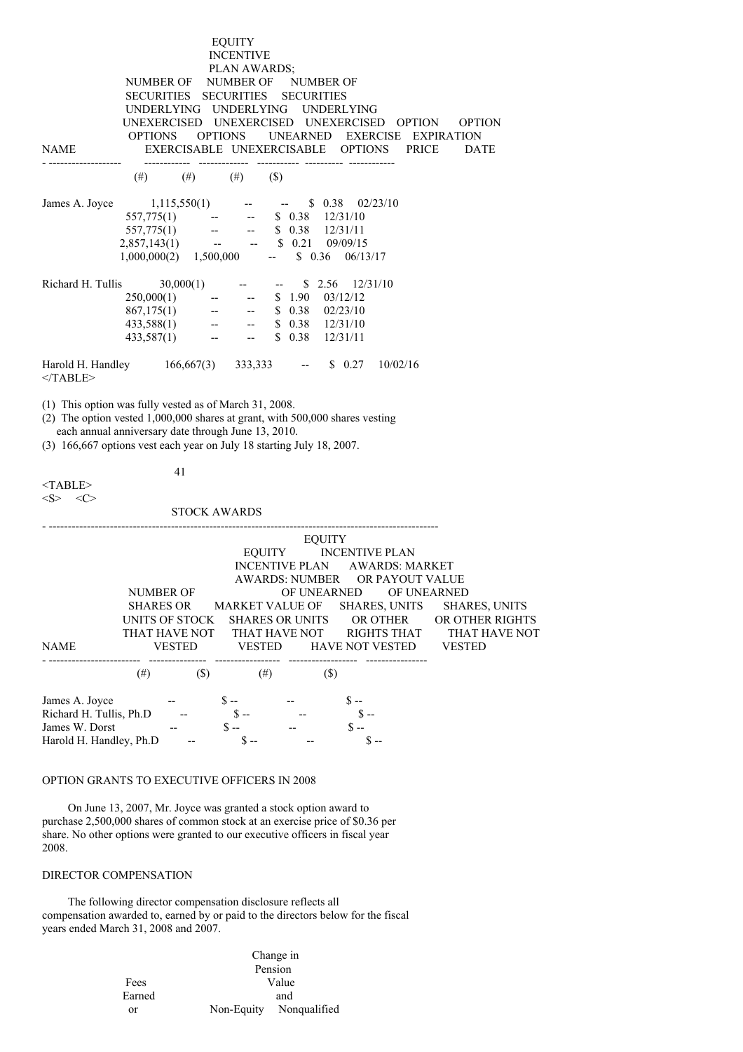|                                                                                                                                                                                                                                                                        |                                                                                          |                                                                                                                                                            | <b>EQUITY</b><br><b>INCENTIVE</b> |               |  |                       |          |                               |       |                                |
|------------------------------------------------------------------------------------------------------------------------------------------------------------------------------------------------------------------------------------------------------------------------|------------------------------------------------------------------------------------------|------------------------------------------------------------------------------------------------------------------------------------------------------------|-----------------------------------|---------------|--|-----------------------|----------|-------------------------------|-------|--------------------------------|
|                                                                                                                                                                                                                                                                        | PLAN AWARDS;                                                                             |                                                                                                                                                            |                                   |               |  |                       |          |                               |       |                                |
| NUMBER OF<br>NUMBER OF<br>NUMBER OF                                                                                                                                                                                                                                    |                                                                                          |                                                                                                                                                            |                                   |               |  |                       |          |                               |       |                                |
|                                                                                                                                                                                                                                                                        | SECURITIES<br><b>SECURITIES</b><br>SECURITIES                                            |                                                                                                                                                            |                                   |               |  |                       |          |                               |       |                                |
|                                                                                                                                                                                                                                                                        |                                                                                          | UNDERLYING UNDERLYING UNDERLYING                                                                                                                           |                                   |               |  |                       |          |                               |       |                                |
|                                                                                                                                                                                                                                                                        | UNEXERCISED UNEXERCISED UNEXERCISED OPTION                                               |                                                                                                                                                            |                                   |               |  |                       |          |                               |       | <b>OPTION</b>                  |
|                                                                                                                                                                                                                                                                        |                                                                                          | OPTIONS OPTIONS                                                                                                                                            |                                   |               |  |                       |          |                               |       | UNEARNED EXERCISE EXPIRATION   |
| <b>NAME</b>                                                                                                                                                                                                                                                            |                                                                                          | EXERCISABLE UNEXERCISABLE OPTIONS                                                                                                                          |                                   |               |  |                       |          |                               | PRICE | <b>DATE</b>                    |
|                                                                                                                                                                                                                                                                        |                                                                                          | (#) (#) (#) (\$)                                                                                                                                           |                                   |               |  |                       |          |                               |       |                                |
|                                                                                                                                                                                                                                                                        |                                                                                          |                                                                                                                                                            |                                   |               |  |                       |          |                               |       |                                |
| James A. Joyce 1,115,550(1)                                                                                                                                                                                                                                            |                                                                                          |                                                                                                                                                            |                                   |               |  | $ -$ \$ 0.38 02/23/10 |          |                               |       |                                |
|                                                                                                                                                                                                                                                                        |                                                                                          | 557,775(1) -- -- \$ 0.38 12/31/10                                                                                                                          |                                   |               |  |                       |          |                               |       |                                |
|                                                                                                                                                                                                                                                                        | 557,775(1) -- -- \$ 0.38 12/31/11<br>2,857,143(1) -- -- \$ 0.21 09/09/15<br>2,857,143(1) |                                                                                                                                                            |                                   |               |  |                       |          |                               |       |                                |
|                                                                                                                                                                                                                                                                        | $1,000,000(2)$ $1,500,000$                                                               |                                                                                                                                                            |                                   |               |  | $-$ \$ 0.36 06/13/17  |          |                               |       |                                |
|                                                                                                                                                                                                                                                                        |                                                                                          |                                                                                                                                                            |                                   |               |  |                       |          |                               |       |                                |
| Richard H. Tullis                                                                                                                                                                                                                                                      |                                                                                          | $30,000(1)$ -- --                                                                                                                                          |                                   |               |  | \$2.56                | 12/31/10 |                               |       |                                |
|                                                                                                                                                                                                                                                                        |                                                                                          | $250,000(1)$ -- - \$ 1.90                                                                                                                                  |                                   |               |  | 03/12/12              |          |                               |       |                                |
|                                                                                                                                                                                                                                                                        |                                                                                          | $\begin{array}{cccccc} 867,175(1) & & \text{---} & & \text{\$} & 0.38 & 02/23/10 \\ 433,588(1) & & \text{---} & & \text{\$} & 0.38 & 12/31/10 \end{array}$ |                                   |               |  |                       |          |                               |       |                                |
|                                                                                                                                                                                                                                                                        |                                                                                          |                                                                                                                                                            |                                   |               |  |                       |          |                               |       |                                |
|                                                                                                                                                                                                                                                                        |                                                                                          | $433,587(1)$ --                                                                                                                                            | $-$ \$ 0.38                       |               |  | 12/31/11              |          |                               |       |                                |
| Harold H. Handley 166,667(3) 333,333 -- \$ 0.27<br>$<$ TABLE>                                                                                                                                                                                                          |                                                                                          |                                                                                                                                                            |                                   |               |  |                       |          | 10/02/16                      |       |                                |
| (1) This option was fully vested as of March 31, 2008.<br>(2) The option vested 1,000,000 shares at grant, with 500,000 shares vesting<br>each annual anniversary date through June 13, 2010.<br>(3) 166,667 options vest each year on July 18 starting July 18, 2007. |                                                                                          |                                                                                                                                                            |                                   |               |  |                       |          |                               |       |                                |
|                                                                                                                                                                                                                                                                        |                                                                                          | 41                                                                                                                                                         |                                   |               |  |                       |          |                               |       |                                |
| <table></table>                                                                                                                                                                                                                                                        |                                                                                          |                                                                                                                                                            |                                   |               |  |                       |          |                               |       |                                |
| $\ll$ $\ll$ $\ll$                                                                                                                                                                                                                                                      |                                                                                          |                                                                                                                                                            |                                   |               |  |                       |          |                               |       |                                |
|                                                                                                                                                                                                                                                                        |                                                                                          | <b>STOCK AWARDS</b>                                                                                                                                        |                                   |               |  |                       |          |                               |       |                                |
|                                                                                                                                                                                                                                                                        |                                                                                          |                                                                                                                                                            |                                   |               |  | EQUITY                |          |                               |       |                                |
|                                                                                                                                                                                                                                                                        |                                                                                          |                                                                                                                                                            |                                   | <b>EQUITY</b> |  |                       |          | <b>INCENTIVE PLAN</b>         |       |                                |
|                                                                                                                                                                                                                                                                        |                                                                                          |                                                                                                                                                            |                                   |               |  |                       |          | INCENTIVE PLAN AWARDS: MARKET |       |                                |
|                                                                                                                                                                                                                                                                        |                                                                                          |                                                                                                                                                            |                                   |               |  |                       |          |                               |       | AWARDS: NUMBER OR PAYOUT VALUE |
|                                                                                                                                                                                                                                                                        | <b>NUMBER OF</b>                                                                         |                                                                                                                                                            |                                   |               |  |                       |          |                               |       | OF UNEARNED OF UNEARNED        |
|                                                                                                                                                                                                                                                                        | <b>SHARES OR</b>                                                                         |                                                                                                                                                            | MARKET VALUE OF SHARES, UNITS     |               |  |                       |          |                               |       | <b>SHARES, UNITS</b>           |
|                                                                                                                                                                                                                                                                        | UNITS OF STOCK                                                                           |                                                                                                                                                            | <b>SHARES OR UNITS</b>            |               |  |                       |          | OR OTHER                      |       | OR OTHER RIGHTS                |
|                                                                                                                                                                                                                                                                        | THAT HAVE NOT                                                                            |                                                                                                                                                            | THAT HAVE NOT                     |               |  |                       |          | RIGHTS THAT                   |       | THAT HAVE NOT                  |
| NAME                                                                                                                                                                                                                                                                   |                                                                                          | <b>VESTED</b>                                                                                                                                              | <b>VESTED</b>                     |               |  |                       |          | HAVE NOT VESTED               |       | <b>VESTED</b>                  |
|                                                                                                                                                                                                                                                                        | $^{(#)}$                                                                                 | $(\$)$ (#)                                                                                                                                                 |                                   |               |  | (S)                   |          |                               |       |                                |
| James A. Joyce                                                                                                                                                                                                                                                         |                                                                                          |                                                                                                                                                            | $S -$                             |               |  |                       | $S -$    |                               |       |                                |
| Richard H. Tullis, Ph.D                                                                                                                                                                                                                                                |                                                                                          |                                                                                                                                                            | $S -$                             |               |  |                       |          |                               |       |                                |
| James W. Dorst                                                                                                                                                                                                                                                         |                                                                                          |                                                                                                                                                            | $S -$                             |               |  |                       |          |                               |       |                                |
| Harold H. Handley, Ph.D                                                                                                                                                                                                                                                |                                                                                          |                                                                                                                                                            |                                   |               |  |                       |          |                               |       |                                |
|                                                                                                                                                                                                                                                                        |                                                                                          |                                                                                                                                                            |                                   |               |  |                       |          |                               |       |                                |

# OPTION GRANTS TO EXECUTIVE OFFICERS IN 2008

On June 13, 2007, Mr. Joyce was granted a stock option award to purchase 2,500,000 shares of common stock at an exercise price of \$0.36 per share. No other options were granted to our executive officers in fiscal year 2008.

# DIRECTOR COMPENSATION

The following director compensation disclosure reflects all compensation awarded to, earned by or paid to the directors below for the fiscal years ended March 31, 2008 and 2007.

|        |         | Change in               |  |  |  |  |
|--------|---------|-------------------------|--|--|--|--|
|        | Pension |                         |  |  |  |  |
| Fees   |         | Value                   |  |  |  |  |
| Earned |         | and                     |  |  |  |  |
| or     |         | Non-Equity Nonqualified |  |  |  |  |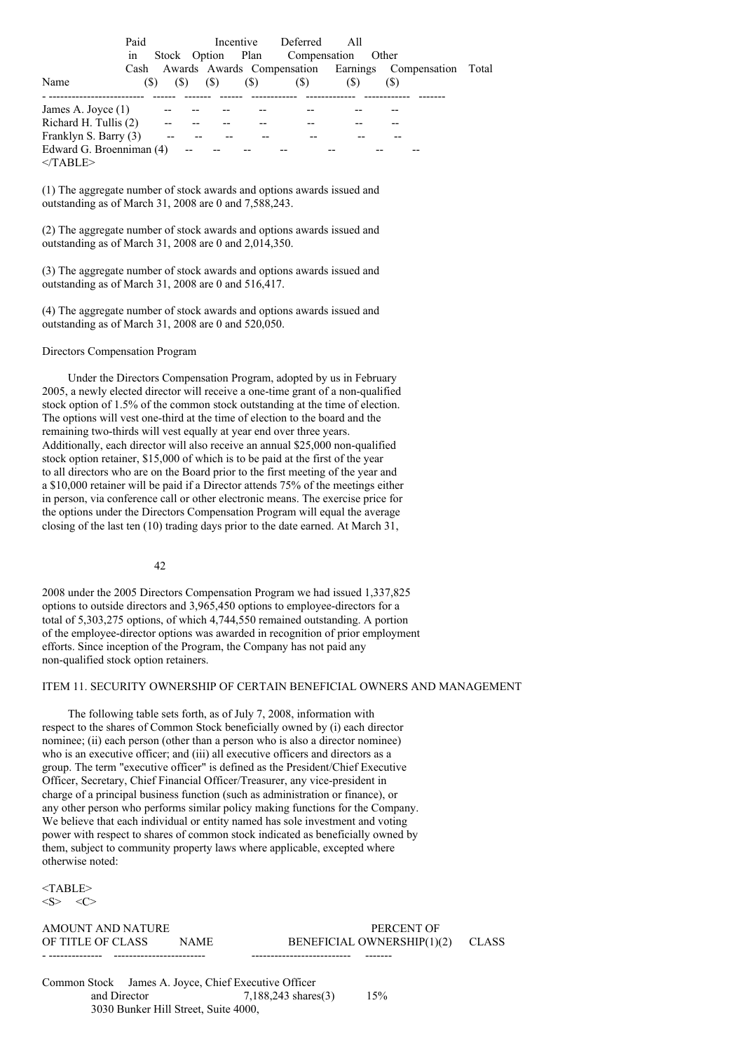|                          | Paid |     |     |     | Incentive Deferred                   | -A11 |     |                                                             |  |
|--------------------------|------|-----|-----|-----|--------------------------------------|------|-----|-------------------------------------------------------------|--|
|                          | in   |     |     |     | Stock Option Plan Compensation Other |      |     |                                                             |  |
|                          |      |     |     |     |                                      |      |     | Cash Awards Awards Compensation Earnings Compensation Total |  |
| Name                     | (S)  | (S) | (S) | (S) | (\$)                                 | (S)  | (S) |                                                             |  |
|                          |      |     |     |     |                                      |      |     |                                                             |  |
| James A. Joyce $(1)$     |      |     |     |     |                                      |      |     |                                                             |  |
| Richard H. Tullis (2)    |      |     |     |     |                                      |      |     |                                                             |  |
| Franklyn S. Barry (3)    |      |     |     |     |                                      |      |     |                                                             |  |
| Edward G. Broenniman (4) |      |     |     |     |                                      |      |     |                                                             |  |
| $<$ TABLE>               |      |     |     |     |                                      |      |     |                                                             |  |

(1) The aggregate number of stock awards and options awards issued and outstanding as of March 31, 2008 are 0 and 7,588,243.

(2) The aggregate number of stock awards and options awards issued and outstanding as of March 31, 2008 are 0 and 2,014,350.

(3) The aggregate number of stock awards and options awards issued and outstanding as of March 31, 2008 are 0 and 516,417.

(4) The aggregate number of stock awards and options awards issued and outstanding as of March 31, 2008 are 0 and  $520,050$ .

Directors Compensation Program

Under the Directors Compensation Program, adopted by us in February 2005, a newly elected director will receive a one-time grant of a non-qualified stock option of 1.5% of the common stock outstanding at the time of election. The options will vest one-third at the time of election to the board and the remaining two-thirds will vest equally at year end over three years. Additionally, each director will also receive an annual \$25,000 non-qualified stock option retainer, \$15,000 of which is to be paid at the first of the year to all directors who are on the Board prior to the first meeting of the year and a \$10,000 retainer will be paid if a Director attends 75% of the meetings either in person, via conference call or other electronic means. The exercise price for the options under the Directors Compensation Program will equal the average closing of the last ten (10) trading days prior to the date earned. At March 31,

## 42

2008 under the 2005 Directors Compensation Program we had issued 1,337,825 options to outside directors and 3,965,450 options to employee-directors for a total of 5,303,275 options, of which 4,744,550 remained outstanding. A portion of the employee-director options was awarded in recognition of prior employment efforts. Since inception of the Program, the Company has not paid any non-qualified stock option retainers.

# ITEM 11. SECURITY OWNERSHIP OF CERTAIN BENEFICIAL OWNERS AND MANAGEMENT

The following table sets forth, as of July 7, 2008, information with respect to the shares of Common Stock beneficially owned by (i) each director nominee; (ii) each person (other than a person who is also a director nominee) who is an executive officer; and (iii) all executive officers and directors as a group. The term "executive officer" is defined as the President/Chief Executive Officer, Secretary, Chief Financial Officer/Treasurer, any vice-president in charge of a principal business function (such as administration or finance), or any other person who performs similar policy making functions for the Company. We believe that each individual or entity named has sole investment and voting power with respect to shares of common stock indicated as beneficially owned by them, subject to community property laws where applicable, excepted where otherwise noted:

 $<$ TABLE $>$  $\langle S \rangle$   $\langle C \rangle$ 

AMOUNT AND NATURE THE PERCENT OF - -------------- ------------------------ -------------------------- -------

OF TITLE OF CLASS NAME BENEFICIAL OWNERSHIP(1)(2) CLASS

Common Stock James A. Joyce, Chief Executive Officer and Director 7,188,243 shares(3) 15% 3030 Bunker Hill Street, Suite 4000,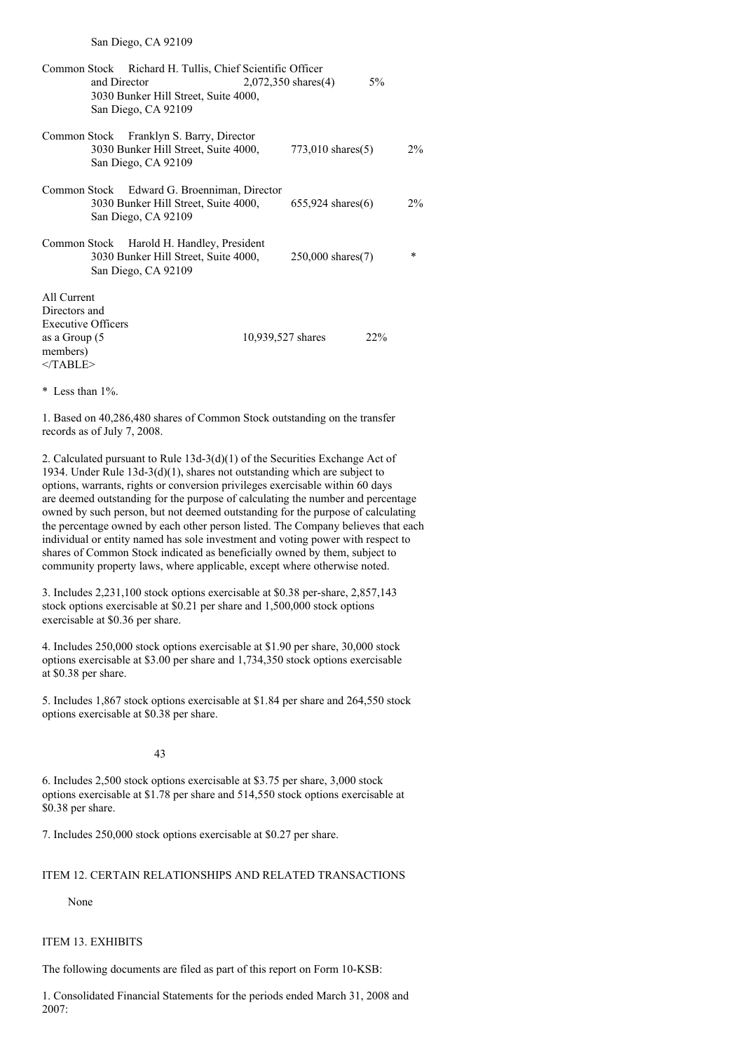| Common Stock Richard H. Tullis, Chief Scientific Officer<br>and Director<br>3030 Bunker Hill Street, Suite 4000,<br>San Diego, CA 92109 |                   | $2,072,350$ shares(4)  | $5\%$  |
|-----------------------------------------------------------------------------------------------------------------------------------------|-------------------|------------------------|--------|
| Common Stock Franklyn S. Barry, Director<br>3030 Bunker Hill Street, Suite 4000,<br>San Diego, CA 92109                                 |                   | $773,010$ shares $(5)$ | $2\%$  |
| Common Stock Edward G. Broenniman, Director<br>3030 Bunker Hill Street, Suite 4000,<br>San Diego, CA 92109                              |                   | $655,924$ shares $(6)$ | $2\%$  |
| Common Stock Harold H. Handley, President<br>3030 Bunker Hill Street, Suite 4000,<br>San Diego, CA 92109                                |                   | $250,000$ shares $(7)$ | $\ast$ |
| All Current<br>Directors and<br><b>Executive Officers</b><br>as a Group (5<br>members)<br>$<$ TABLE>                                    | 10,939,527 shares |                        | 22%    |

\* Less than 1%.

1. Based on 40,286,480 shares of Common Stock outstanding on the transfer records as of July 7, 2008.

2. Calculated pursuant to Rule 13d-3(d)(1) of the Securities Exchange Act of 1934. Under Rule 13d-3(d)(1), shares not outstanding which are subject to options, warrants, rights or conversion privileges exercisable within 60 days are deemed outstanding for the purpose of calculating the number and percentage owned by such person, but not deemed outstanding for the purpose of calculating the percentage owned by each other person listed. The Company believes that each individual or entity named has sole investment and voting power with respect to shares of Common Stock indicated as beneficially owned by them, subject to community property laws, where applicable, except where otherwise noted.

3. Includes 2,231,100 stock options exercisable at \$0.38 per-share, 2,857,143 stock options exercisable at \$0.21 per share and 1,500,000 stock options exercisable at \$0.36 per share.

4. Includes 250,000 stock options exercisable at \$1.90 per share, 30,000 stock options exercisable at \$3.00 per share and 1,734,350 stock options exercisable at \$0.38 per share.

5. Includes 1,867 stock options exercisable at \$1.84 per share and 264,550 stock options exercisable at \$0.38 per share.

### 43

6. Includes 2,500 stock options exercisable at \$3.75 per share, 3,000 stock options exercisable at \$1.78 per share and 514,550 stock options exercisable at \$0.38 per share.

7. Includes 250,000 stock options exercisable at \$0.27 per share.

# ITEM 12. CERTAIN RELATIONSHIPS AND RELATED TRANSACTIONS

None

## ITEM 13. EXHIBITS

The following documents are filed as part of this report on Form 10-KSB:

1. Consolidated Financial Statements for the periods ended March 31, 2008 and 2007: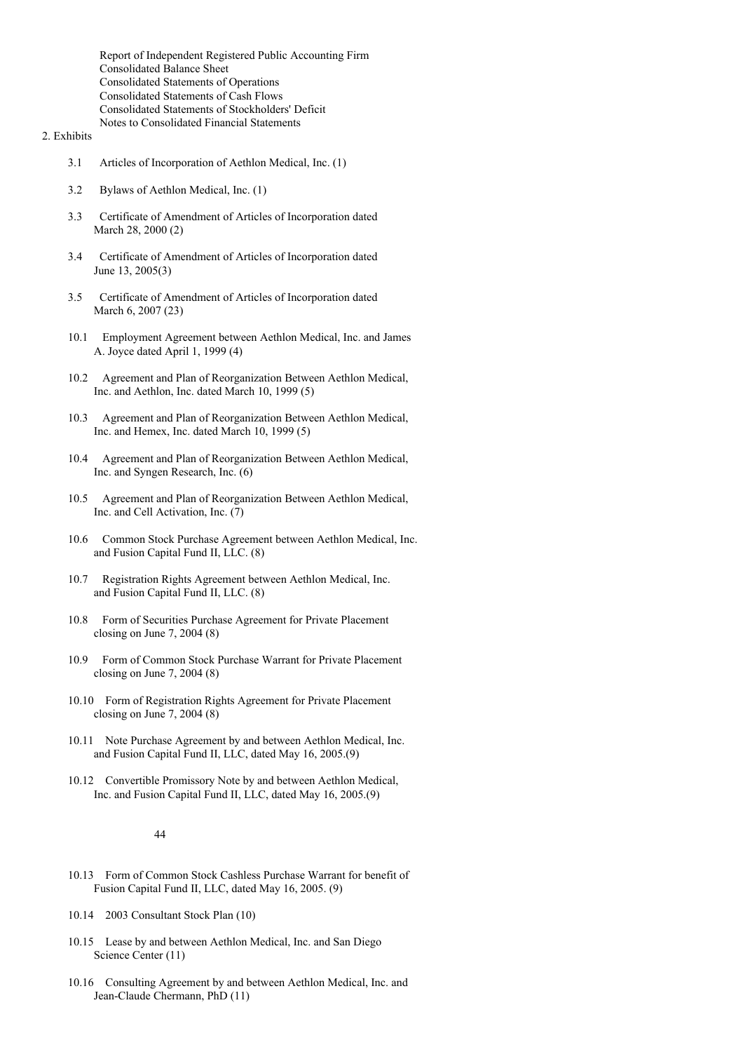Report of Independent Registered Public Accounting Firm Consolidated Balance Sheet Consolidated Statements of Operations Consolidated Statements of Cash Flows Consolidated Statements of Stockholders' Deficit Notes to Consolidated Financial Statements

# 2. Exhibits

- 3.1 Articles of Incorporation of Aethlon Medical, Inc. (1)
- 3.2 Bylaws of Aethlon Medical, Inc. (1)
- 3.3 Certificate of Amendment of Articles of Incorporation dated March 28, 2000 (2)
- 3.4 Certificate of Amendment of Articles of Incorporation dated June 13, 2005(3)
- 3.5 Certificate of Amendment of Articles of Incorporation dated March 6, 2007 (23)
- 10.1 Employment Agreement between Aethlon Medical, Inc. and James A. Joyce dated April 1, 1999 (4)
- 10.2 Agreement and Plan of Reorganization Between Aethlon Medical, Inc. and Aethlon, Inc. dated March 10, 1999 (5)
- 10.3 Agreement and Plan of Reorganization Between Aethlon Medical, Inc. and Hemex, Inc. dated March 10, 1999 (5)
- 10.4 Agreement and Plan of Reorganization Between Aethlon Medical, Inc. and Syngen Research, Inc. (6)
- 10.5 Agreement and Plan of Reorganization Between Aethlon Medical, Inc. and Cell Activation, Inc. (7)
- 10.6 Common Stock Purchase Agreement between Aethlon Medical, Inc. and Fusion Capital Fund II, LLC. (8)
- 10.7 Registration Rights Agreement between Aethlon Medical, Inc. and Fusion Capital Fund II, LLC. (8)
- 10.8 Form of Securities Purchase Agreement for Private Placement closing on June 7, 2004 (8)
- 10.9 Form of Common Stock Purchase Warrant for Private Placement closing on June 7, 2004 (8)
- 10.10 Form of Registration Rights Agreement for Private Placement closing on June 7, 2004 (8)
- 10.11 Note Purchase Agreement by and between Aethlon Medical, Inc. and Fusion Capital Fund II, LLC, dated May 16, 2005.(9)
- 10.12 Convertible Promissory Note by and between Aethlon Medical, Inc. and Fusion Capital Fund II, LLC, dated May 16, 2005.(9)

## 44

- 10.13 Form of Common Stock Cashless Purchase Warrant for benefit of Fusion Capital Fund II, LLC, dated May 16, 2005. (9)
- 10.14 2003 Consultant Stock Plan (10)
- 10.15 Lease by and between Aethlon Medical, Inc. and San Diego Science Center (11)
- 10.16 Consulting Agreement by and between Aethlon Medical, Inc. and Jean-Claude Chermann, PhD (11)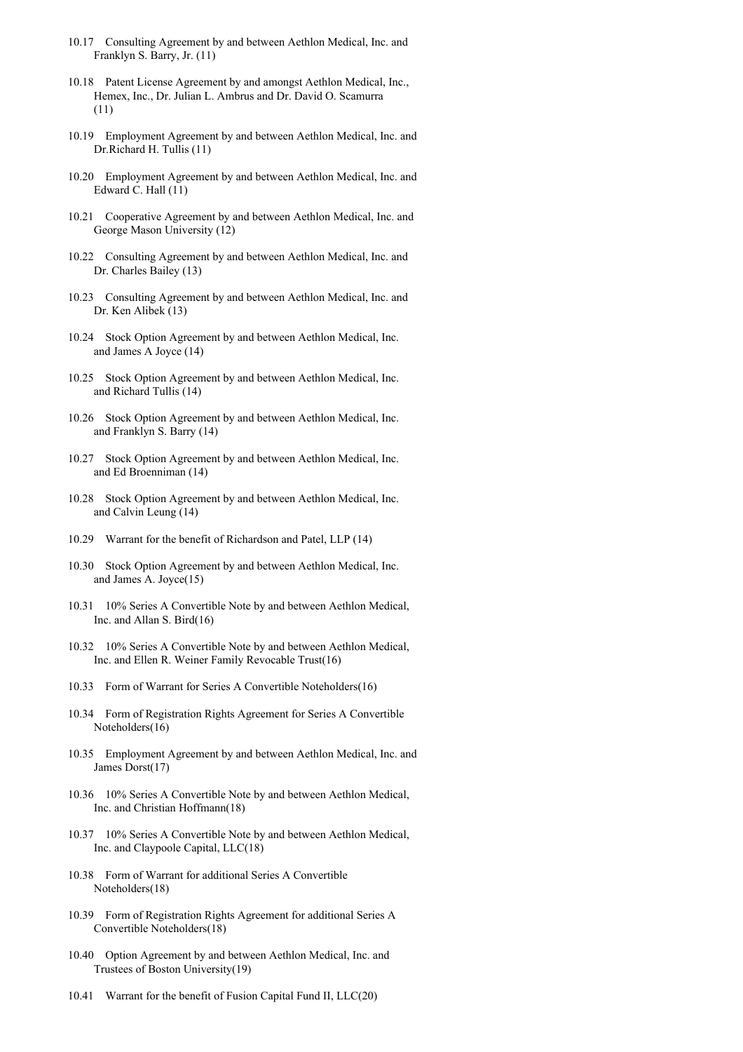- 10.17 Consulting Agreement by and between Aethlon Medical, Inc. and Franklyn S. Barry, Jr. (11)
- 10.18 Patent License Agreement by and amongst Aethlon Medical, Inc., Hemex, Inc., Dr. Julian L. Ambrus and Dr. David O. Scamurra (11)
- 10.19 Employment Agreement by and between Aethlon Medical, Inc. and Dr.Richard H. Tullis (11)
- 10.20 Employment Agreement by and between Aethlon Medical, Inc. and Edward C. Hall (11)
- 10.21 Cooperative Agreement by and between Aethlon Medical, Inc. and George Mason University (12)
- 10.22 Consulting Agreement by and between Aethlon Medical, Inc. and Dr. Charles Bailey (13)
- 10.23 Consulting Agreement by and between Aethlon Medical, Inc. and Dr. Ken Alibek (13)
- 10.24 Stock Option Agreement by and between Aethlon Medical, Inc. and James A Joyce (14)
- 10.25 Stock Option Agreement by and between Aethlon Medical, Inc. and Richard Tullis (14)
- 10.26 Stock Option Agreement by and between Aethlon Medical, Inc. and Franklyn S. Barry (14)
- 10.27 Stock Option Agreement by and between Aethlon Medical, Inc. and Ed Broenniman (14)
- 10.28 Stock Option Agreement by and between Aethlon Medical, Inc. and Calvin Leung (14)
- 10.29 Warrant for the benefit of Richardson and Patel, LLP (14)
- 10.30 Stock Option Agreement by and between Aethlon Medical, Inc. and James A. Joyce(15)
- 10.31 10% Series A Convertible Note by and between Aethlon Medical, Inc. and Allan S. Bird(16)
- 10.32 10% Series A Convertible Note by and between Aethlon Medical, Inc. and Ellen R. Weiner Family Revocable Trust(16)
- 10.33 Form of Warrant for Series A Convertible Noteholders(16)
- 10.34 Form of Registration Rights Agreement for Series A Convertible Noteholders(16)
- 10.35 Employment Agreement by and between Aethlon Medical, Inc. and James Dorst(17)
- 10.36 10% Series A Convertible Note by and between Aethlon Medical, Inc. and Christian Hoffmann(18)
- 10.37 10% Series A Convertible Note by and between Aethlon Medical, Inc. and Claypoole Capital, LLC(18)
- 10.38 Form of Warrant for additional Series A Convertible Noteholders(18)
- 10.39 Form of Registration Rights Agreement for additional Series A Convertible Noteholders(18)
- 10.40 Option Agreement by and between Aethlon Medical, Inc. and Trustees of Boston University(19)
- 10.41 Warrant for the benefit of Fusion Capital Fund II, LLC(20)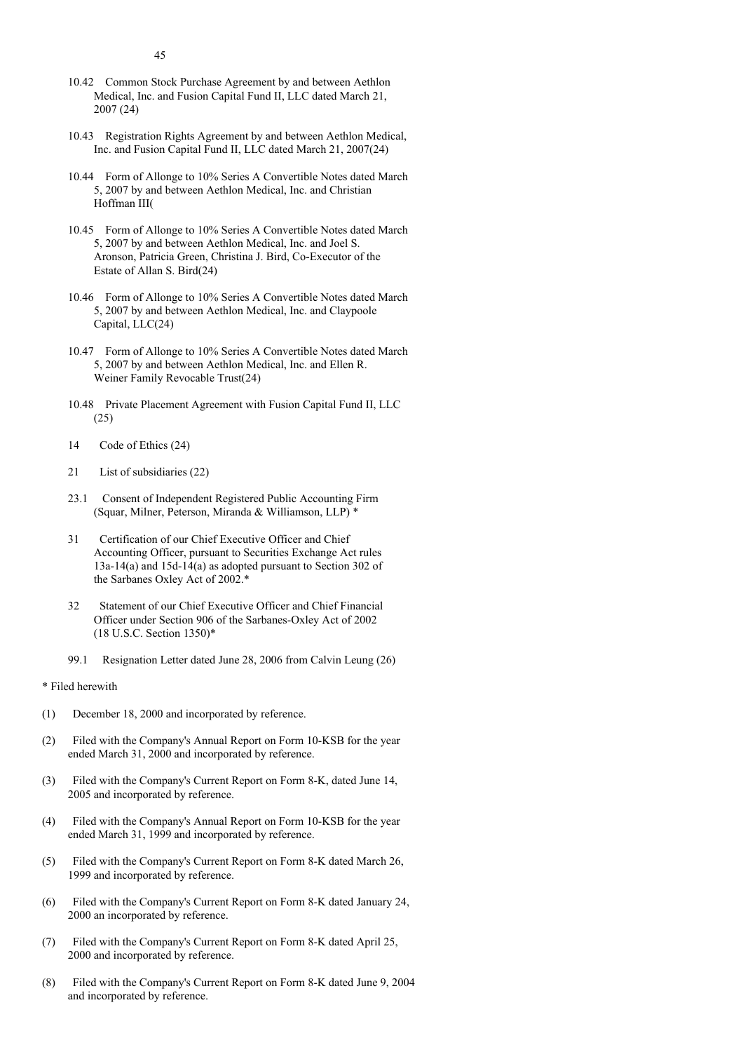- 10.42 Common Stock Purchase Agreement by and between Aethlon Medical, Inc. and Fusion Capital Fund II, LLC dated March 21, 2007 (24)
- 10.43 Registration Rights Agreement by and between Aethlon Medical, Inc. and Fusion Capital Fund II, LLC dated March 21, 2007(24)
- 10.44 Form of Allonge to 10% Series A Convertible Notes dated March 5, 2007 by and between Aethlon Medical, Inc. and Christian Hoffman III(
- 10.45 Form of Allonge to 10% Series A Convertible Notes dated March 5, 2007 by and between Aethlon Medical, Inc. and Joel S. Aronson, Patricia Green, Christina J. Bird, Co-Executor of the Estate of Allan S. Bird(24)
- 10.46 Form of Allonge to 10% Series A Convertible Notes dated March 5, 2007 by and between Aethlon Medical, Inc. and Claypoole Capital, LLC(24)
- 10.47 Form of Allonge to 10% Series A Convertible Notes dated March 5, 2007 by and between Aethlon Medical, Inc. and Ellen R. Weiner Family Revocable Trust(24)
- 10.48 Private Placement Agreement with Fusion Capital Fund II, LLC (25)
- 14 Code of Ethics (24)
- 21 List of subsidiaries (22)
- 23.1 Consent of Independent Registered Public Accounting Firm (Squar, Milner, Peterson, Miranda & Williamson, LLP) \*
- 31 Certification of our Chief Executive Officer and Chief Accounting Officer, pursuant to Securities Exchange Act rules 13a-14(a) and 15d-14(a) as adopted pursuant to Section 302 of the Sarbanes Oxley Act of 2002.\*
- 32 Statement of our Chief Executive Officer and Chief Financial Officer under Section 906 of the Sarbanes-Oxley Act of 2002 (18 U.S.C. Section 1350)\*
- 99.1 Resignation Letter dated June 28, 2006 from Calvin Leung (26)

#### \* Filed herewith

- (1) December 18, 2000 and incorporated by reference.
- (2) Filed with the Company's Annual Report on Form 10-KSB for the year ended March 31, 2000 and incorporated by reference.
- (3) Filed with the Company's Current Report on Form 8-K, dated June 14, 2005 and incorporated by reference.
- (4) Filed with the Company's Annual Report on Form 10-KSB for the year ended March 31, 1999 and incorporated by reference.
- (5) Filed with the Company's Current Report on Form 8-K dated March 26, 1999 and incorporated by reference.
- (6) Filed with the Company's Current Report on Form 8-K dated January 24, 2000 an incorporated by reference.
- (7) Filed with the Company's Current Report on Form 8-K dated April 25, 2000 and incorporated by reference.
- (8) Filed with the Company's Current Report on Form 8-K dated June 9, 2004 and incorporated by reference.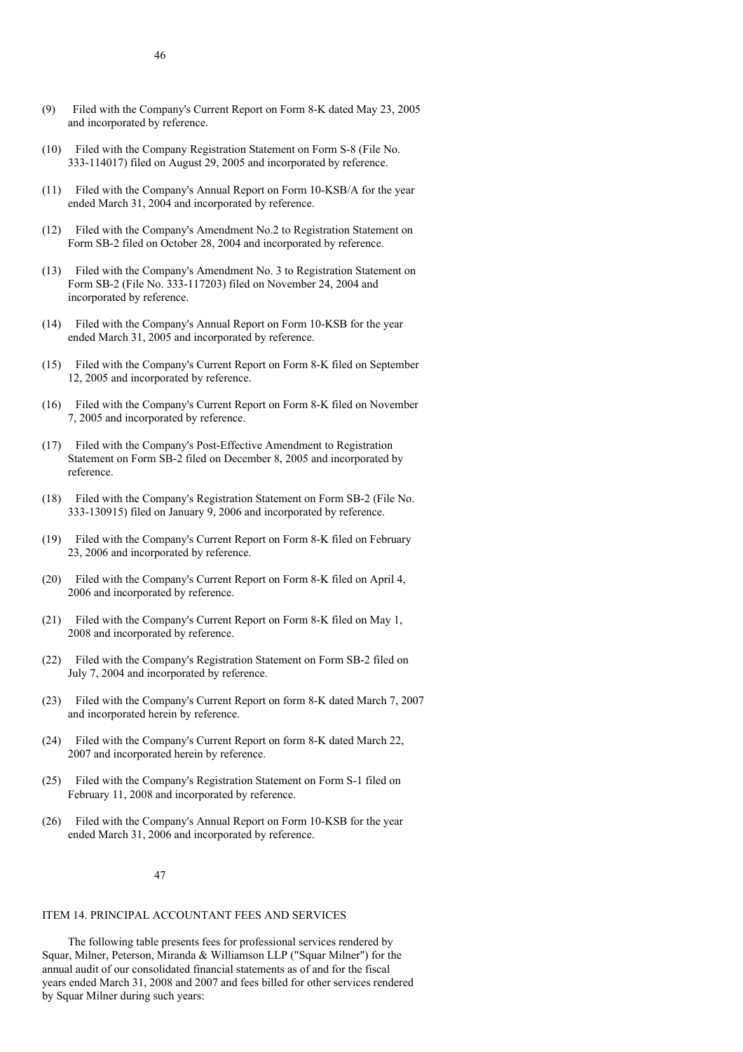- (9) Filed with the Company's Current Report on Form 8-K dated May 23, 2005 and incorporated by reference.
- (10) Filed with the Company Registration Statement on Form S-8 (File No. 333-114017) filed on August 29, 2005 and incorporated by reference.
- (11) Filed with the Company's Annual Report on Form 10-KSB/A for the year ended March 31, 2004 and incorporated by reference.
- (12) Filed with the Company's Amendment No.2 to Registration Statement on Form SB-2 filed on October 28, 2004 and incorporated by reference.
- (13) Filed with the Company's Amendment No. 3 to Registration Statement on Form SB-2 (File No. 333-117203) filed on November 24, 2004 and incorporated by reference.
- (14) Filed with the Company's Annual Report on Form 10-KSB for the year ended March 31, 2005 and incorporated by reference.
- (15) Filed with the Company's Current Report on Form 8-K filed on September 12, 2005 and incorporated by reference.
- (16) Filed with the Company's Current Report on Form 8-K filed on November 7, 2005 and incorporated by reference.
- (17) Filed with the Company's Post-Effective Amendment to Registration Statement on Form SB-2 filed on December 8, 2005 and incorporated by reference.
- (18) Filed with the Company's Registration Statement on Form SB-2 (File No. 333-130915) filed on January 9, 2006 and incorporated by reference.
- (19) Filed with the Company's Current Report on Form 8-K filed on February 23, 2006 and incorporated by reference.
- (20) Filed with the Company's Current Report on Form 8-K filed on April 4, 2006 and incorporated by reference.
- (21) Filed with the Company's Current Report on Form 8-K filed on May 1, 2008 and incorporated by reference.
- (22) Filed with the Company's Registration Statement on Form SB-2 filed on July 7, 2004 and incorporated by reference.
- (23) Filed with the Company's Current Report on form 8-K dated March 7, 2007 and incorporated herein by reference.
- (24) Filed with the Company's Current Report on form 8-K dated March 22, 2007 and incorporated herein by reference.
- (25) Filed with the Company's Registration Statement on Form S-1 filed on February 11, 2008 and incorporated by reference.
- (26) Filed with the Company's Annual Report on Form 10-KSB for the year ended March 31, 2006 and incorporated by reference.

#### 47

# ITEM 14. PRINCIPAL ACCOUNTANT FEES AND SERVICES

The following table presents fees for professional services rendered by Squar, Milner, Peterson, Miranda & Williamson LLP ("Squar Milner") for the annual audit of our consolidated financial statements as of and for the fiscal years ended March 31, 2008 and 2007 and fees billed for other services rendered by Squar Milner during such years: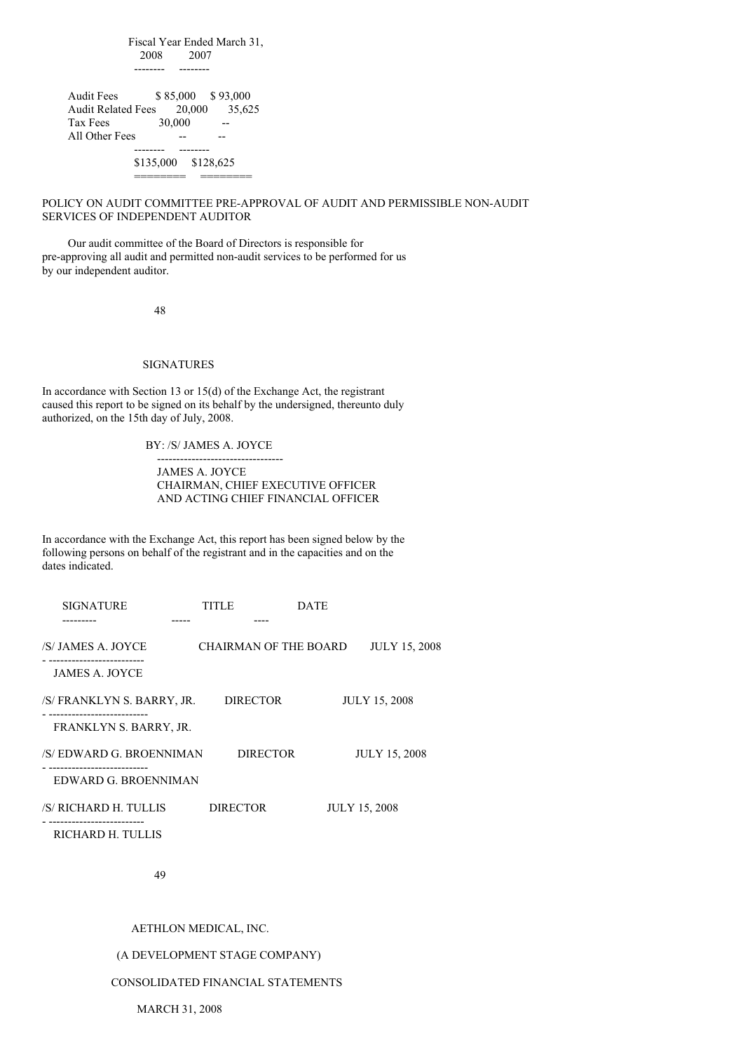2008 2007 -------- -------- Audit Fees \$ 85,000 \$ 93,000 Audit Related Fees 20,000 35,625 Tax Fees 30,000 --All Other Fees -- ---------- -------- \$135,000 \$128,625 ======== ========

Fiscal Year Ended March 31,

## POLICY ON AUDIT COMMITTEE PRE-APPROVAL OF AUDIT AND PERMISSIBLE NON-AUDIT SERVICES OF INDEPENDENT AUDITOR

Our audit committee of the Board of Directors is responsible for pre-approving all audit and permitted non-audit services to be performed for us by our independent auditor.

48

#### SIGNATURES

In accordance with Section 13 or 15(d) of the Exchange Act, the registrant caused this report to be signed on its behalf by the undersigned, thereunto duly authorized, on the 15th day of July, 2008.

BY: /S/ JAMES A. JOYCE

--------------------------------- JAMES A. JOYCE CHAIRMAN, CHIEF EXECUTIVE OFFICER AND ACTING CHIEF FINANCIAL OFFICER

In accordance with the Exchange Act, this report has been signed below by the following persons on behalf of the registrant and in the capacities and on the dates indicated.

|                                             | <b>DATE</b> |                       |
|---------------------------------------------|-------------|-----------------------|
|                                             |             |                       |
|                                             |             | <b>JULY 15, 2008</b>  |
|                                             |             |                       |
| /S/ FRANKLYN S. BARRY, JR. DIRECTOR         |             | <b>JULY 15, 2008</b>  |
|                                             |             |                       |
| /S/ EDWARD G. BROENNIMAN<br><b>DIRECTOR</b> |             | <b>JULY 15, 2008</b>  |
|                                             |             |                       |
| <b>DIRECTOR</b>                             |             | <b>JULY 15, 2008</b>  |
|                                             |             |                       |
|                                             |             |                       |
|                                             |             |                       |
|                                             |             | CHAIRMAN OF THE BOARD |

# AETHLON MEDICAL, INC.

## (A DEVELOPMENT STAGE COMPANY)

#### CONSOLIDATED FINANCIAL STATEMENTS

## MARCH 31, 2008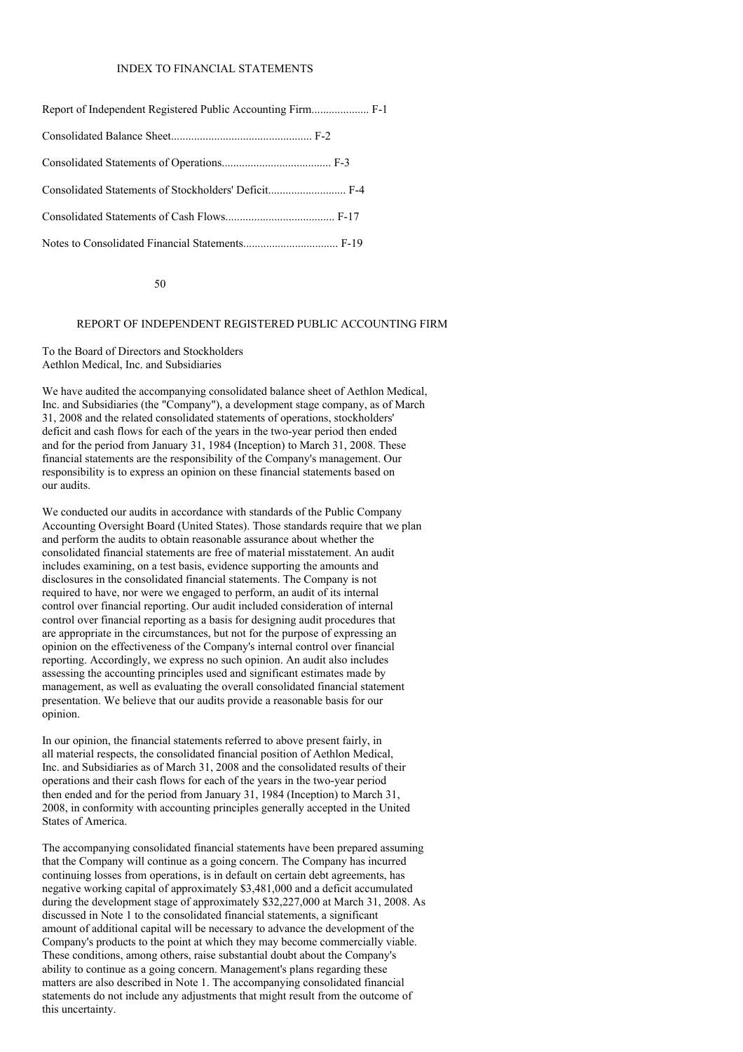## INDEX TO FINANCIAL STATEMENTS

| Consolidated Statements of Stockholders' Deficit F-4 |  |
|------------------------------------------------------|--|
|                                                      |  |
|                                                      |  |

50

# REPORT OF INDEPENDENT REGISTERED PUBLIC ACCOUNTING FIRM

To the Board of Directors and Stockholders Aethlon Medical, Inc. and Subsidiaries

We have audited the accompanying consolidated balance sheet of Aethlon Medical, Inc. and Subsidiaries (the "Company"), a development stage company, as of March 31, 2008 and the related consolidated statements of operations, stockholders' deficit and cash flows for each of the years in the two-year period then ended and for the period from January 31, 1984 (Inception) to March 31, 2008. These financial statements are the responsibility of the Company's management. Our responsibility is to express an opinion on these financial statements based on our audits.

We conducted our audits in accordance with standards of the Public Company Accounting Oversight Board (United States). Those standards require that we plan and perform the audits to obtain reasonable assurance about whether the consolidated financial statements are free of material misstatement. An audit includes examining, on a test basis, evidence supporting the amounts and disclosures in the consolidated financial statements. The Company is not required to have, nor were we engaged to perform, an audit of its internal control over financial reporting. Our audit included consideration of internal control over financial reporting as a basis for designing audit procedures that are appropriate in the circumstances, but not for the purpose of expressing an opinion on the effectiveness of the Company's internal control over financial reporting. Accordingly, we express no such opinion. An audit also includes assessing the accounting principles used and significant estimates made by management, as well as evaluating the overall consolidated financial statement presentation. We believe that our audits provide a reasonable basis for our opinion.

In our opinion, the financial statements referred to above present fairly, in all material respects, the consolidated financial position of Aethlon Medical, Inc. and Subsidiaries as of March 31, 2008 and the consolidated results of their operations and their cash flows for each of the years in the two-year period then ended and for the period from January 31, 1984 (Inception) to March 31, 2008, in conformity with accounting principles generally accepted in the United States of America.

The accompanying consolidated financial statements have been prepared assuming that the Company will continue as a going concern. The Company has incurred continuing losses from operations, is in default on certain debt agreements, has negative working capital of approximately \$3,481,000 and a deficit accumulated during the development stage of approximately \$32,227,000 at March 31, 2008. As discussed in Note 1 to the consolidated financial statements, a significant amount of additional capital will be necessary to advance the development of the Company's products to the point at which they may become commercially viable. These conditions, among others, raise substantial doubt about the Company's ability to continue as a going concern. Management's plans regarding these matters are also described in Note 1. The accompanying consolidated financial statements do not include any adjustments that might result from the outcome of this uncertainty.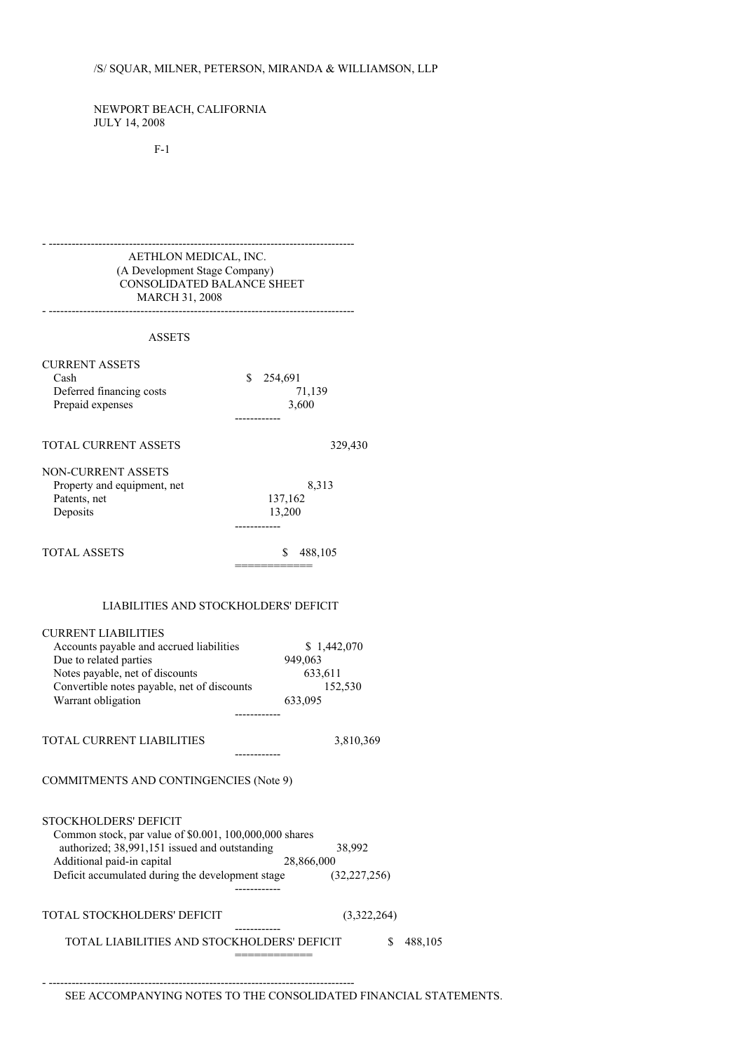- --------------------------------------------------------------------------------

NEWPORT BEACH, CALIFORNIA JULY 14, 2008

#### F-1

AETHLON MEDICAL, INC. (A Development Stage Company) CONSOLIDATED BALANCE SHEET MARCH 31, 2008 - --------------------------------------------------------------------------------

#### ASSETS

| <b>CURRENT ASSETS</b>       |                                       |
|-----------------------------|---------------------------------------|
| Cash                        | \$<br>254,691                         |
| Deferred financing costs    | 71,139                                |
| Prepaid expenses            | 3,600                                 |
|                             | ----------                            |
| TOTAL CURRENT ASSETS        | 329,430                               |
| NON-CURRENT ASSETS          |                                       |
| Property and equipment, net | 8,313                                 |
| Patents, net                | 137,162                               |
| Deposits                    | 13,200                                |
|                             | ----------                            |
| TOTAL ASSETS                | S<br>488,105                          |
|                             |                                       |
|                             |                                       |
|                             | LIABILITIES AND STOCKHOLDERS' DEFICIT |

| <b>CURRENT LIABILITIES</b>                  |             |
|---------------------------------------------|-------------|
| Accounts payable and accrued liabilities    | \$1,442,070 |
| Due to related parties                      | 949,063     |
| Notes payable, net of discounts             | 633,611     |
| Convertible notes payable, net of discounts | 152,530     |
| Warrant obligation                          | 633,095     |
|                                             |             |

TOTAL CURRENT LIABILITIES 3,810,369

COMMITMENTS AND CONTINGENCIES (Note 9)

STOCKHOLDERS' DEFICIT Common stock, par value of \$0.001, 100,000,000 shares authorized; 38,991,151 issued and outstanding 38,992 Additional paid-in capital 28,866,000 Deficit accumulated during the development stage (32,227,256) ------------

TOTAL STOCKHOLDERS' DEFICIT (3,322,264)

- --------------------------------------------------------------------------------

 $-$ TOTAL LIABILITIES AND STOCKHOLDERS' DEFICIT  $$ 488,105$ ============

------------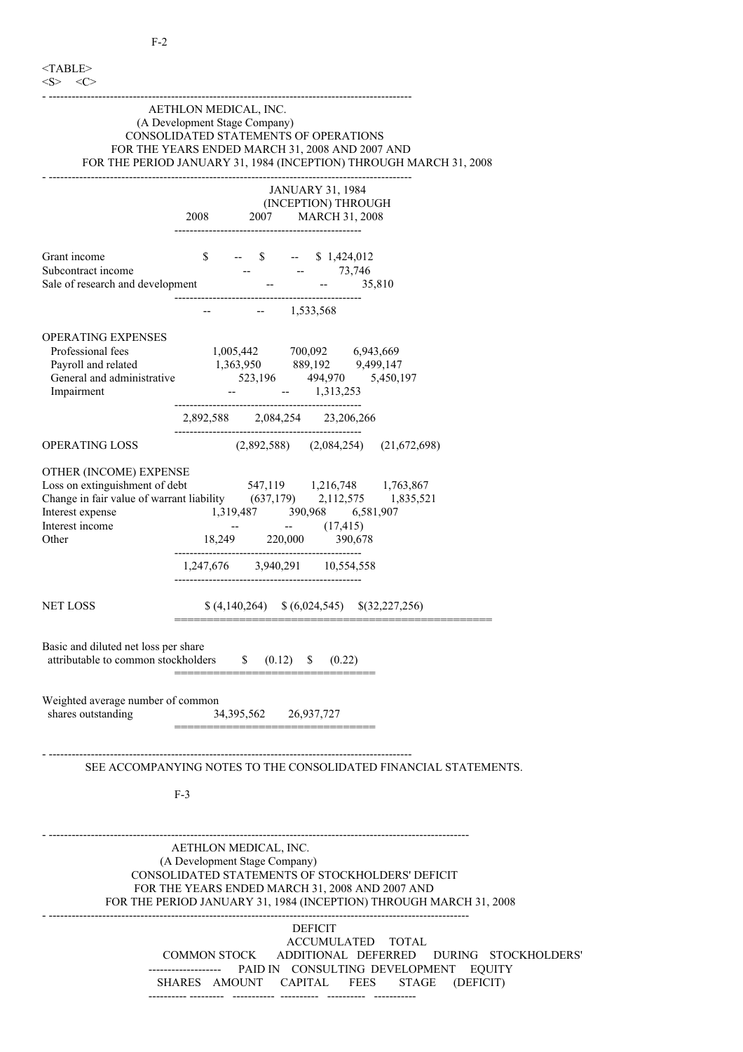|                                                                             | AETHLON MEDICAL, INC.<br>(A Development Stage Company)<br>CONSOLIDATED STATEMENTS OF OPERATIONS<br>FOR THE YEARS ENDED MARCH 31, 2008 AND 2007 AND<br>FOR THE PERIOD JANUARY 31, 1984 (INCEPTION) THROUGH MARCH 31, 2008                                                                                              |
|-----------------------------------------------------------------------------|-----------------------------------------------------------------------------------------------------------------------------------------------------------------------------------------------------------------------------------------------------------------------------------------------------------------------|
|                                                                             | JANUARY 31, 1984<br>(INCEPTION) THROUGH<br>2008 2007 MARCH 31, 2008                                                                                                                                                                                                                                                   |
| Grant income                                                                | $\$\quad -\quad \$\quad -\quad \quad \$\quad 1,424,012$<br>Subcontract income<br>Sale of research and development<br>T3,746<br>Sale of research and development<br>Sale of research and development<br>Sale of research and development<br>Sale of research and development<br>Sale of research and dev<br>$-35,810$  |
|                                                                             | $  1,533,568$                                                                                                                                                                                                                                                                                                         |
| <b>OPERATING EXPENSES</b><br>Professional fees<br>Impairment                | 1,005,442 700,092 6,943,669<br>Payroll and related 1,363,950 889,192 9,499,147<br>General and administrative 523,196 494,970 5,450,197<br>$  1,313,253$                                                                                                                                                               |
|                                                                             | 2,892,588 2,084,254 23,206,266                                                                                                                                                                                                                                                                                        |
|                                                                             | OPERATING LOSS (2,892,588) (2,084,254) (21,672,698)                                                                                                                                                                                                                                                                   |
| OTHER (INCOME) EXPENSE<br>Interest expense<br>Interest income<br>Other      | Loss on extinguishment of debt 547,119 1,216,748 1,763,867<br>Change in fair value of warrant liability (637,179) 2,112,575 1,835,521<br>1,319,487 390,968 6,581,907<br>$18,249 \underbrace{17,415}_{\text{---}} \underbrace{18,249}_{\text{---}} \underbrace{220,000}_{\text{---}} \underbrace{17,415}_{\text{---}}$ |
|                                                                             | 1,247,676 3,940,291 10,554,558                                                                                                                                                                                                                                                                                        |
| <b>NET LOSS</b>                                                             | $(4,140,264)$ $(6,024,545)$ $(32,227,256)$                                                                                                                                                                                                                                                                            |
| Basic and diluted net loss per share<br>attributable to common stockholders | S.<br>(0.12)<br>\$<br>(0.22)                                                                                                                                                                                                                                                                                          |
| Weighted average number of common<br>shares outstanding                     | 34, 395, 562 26, 937, 727                                                                                                                                                                                                                                                                                             |
|                                                                             | SEE ACCOMPANYING NOTES TO THE CONSOLIDATED FINANCIAL STATEMENTS.                                                                                                                                                                                                                                                      |
|                                                                             | $F-3$                                                                                                                                                                                                                                                                                                                 |
|                                                                             | AETHLON MEDICAL, INC.<br>$1$ annant $C$ taga $C$ ami                                                                                                                                                                                                                                                                  |

(A Development Stage Company) CONSOLIDATED STATEMENTS OF STOCKHOLDERS' DEFICIT FOR THE YEARS ENDED MARCH 31, 2008 AND 2007 AND FOR THE PERIOD JANUARY 31, 1984 (INCEPTION) THROUGH MARCH 31, 2008

- --------------------------------------------------------------------------------------------------------------

DEFICIT ACCUMULATED TOTAL COMMON STOCK ADDITIONAL DEFERRED DURING STOCKHOLDERS' ------------------- PAID IN CONSULTING DEVELOPMENT EQUITY SHARES AMOUNT CAPITAL FEES STAGE (DEFICIT) ---------- --------- ----------- ---------- ---------- -----------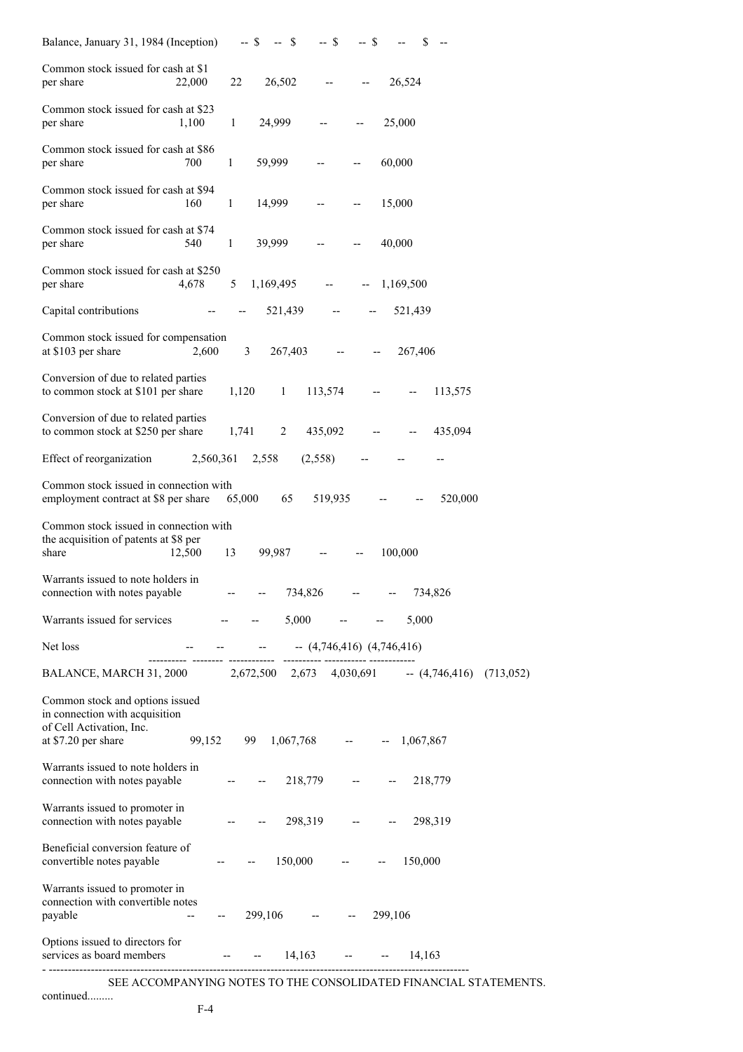| $-5$<br>$- S$<br>$-5$<br>$-$ \$<br>Balance, January 31, 1984 (Inception)<br>\$                                                                             |
|------------------------------------------------------------------------------------------------------------------------------------------------------------|
| Common stock issued for cash at \$1<br>22<br>26,502<br>26,524<br>per share<br>22,000                                                                       |
| Common stock issued for cash at \$23<br>$\mathbf{1}$<br>24,999<br>per share<br>1,100<br>25,000                                                             |
| Common stock issued for cash at \$86<br>per share<br>700<br>$\mathbf{1}$<br>59,999<br>60,000                                                               |
| Common stock issued for cash at \$94<br>$\mathbf{1}$<br>14,999<br>per share<br>160<br>15,000                                                               |
| Common stock issued for cash at \$74<br>$\mathbf{1}$<br>39,999<br>per share<br>540<br>40,000                                                               |
| Common stock issued for cash at \$250<br>1,169,495<br>per share<br>4,678<br>5<br>1,169,500                                                                 |
| Capital contributions<br>521,439<br>521,439                                                                                                                |
| Common stock issued for compensation<br>at \$103 per share<br>267,403<br>2,600<br>3<br>267,406                                                             |
| Conversion of due to related parties<br>to common stock at \$101 per share<br>1,120<br>113,574<br>$\mathbf{1}$<br>113,575                                  |
| Conversion of due to related parties<br>to common stock at \$250 per share<br>1,741<br>2<br>435,092<br>435,094                                             |
| 2,560,361<br>Effect of reorganization<br>2,558<br>(2,558)                                                                                                  |
| Common stock issued in connection with<br>employment contract at \$8 per share<br>65,000<br>65<br>519,935<br>520,000                                       |
| Common stock issued in connection with<br>the acquisition of patents at \$8 per<br>share<br>12,500<br>13<br>99,987<br>100,000                              |
| Warrants issued to note holders in<br>connection with notes payable<br>734,826<br>734,826<br>$- -$<br>$- -$<br>$--$                                        |
| Warrants issued for services --<br>5,000<br>$5,000$ --                                                                                                     |
| Net loss<br>-- - - - $(4,746,416)$ $(4,746,416)$                                                                                                           |
| BALANCE, MARCH 31, 2000 2,672,500 2,673 4,030,691 - (4,746,416) (713,052)                                                                                  |
| Common stock and options issued<br>in connection with acquisition<br>of Cell Activation, Inc.<br>99,152 99 1,067,768 -- - 1,067,867<br>at \$7.20 per share |
| Warrants issued to note holders in<br>connection with notes payable<br>-- -- 218,779 -- --<br>218,779                                                      |
| Warrants issued to promoter in<br>connection with notes payable<br>298,319 --<br>298,319                                                                   |
| Beneficial conversion feature of<br>convertible notes payable<br>$150,000$ --<br>150,000<br>$\hspace{0.05cm} \ldots$                                       |
| Warrants issued to promoter in<br>connection with convertible notes<br>$299,106$ -- --<br>payable<br>299,106<br>$\overline{\phantom{a}}$                   |
| Options issued to directors for<br>-- -- $14,163$ -- - $14,163$<br>services as board members                                                               |
|                                                                                                                                                            |

SEE ACCOMPANYING NOTES TO THE CONSOLIDATED FINANCIAL STATEMENTS.

continued.........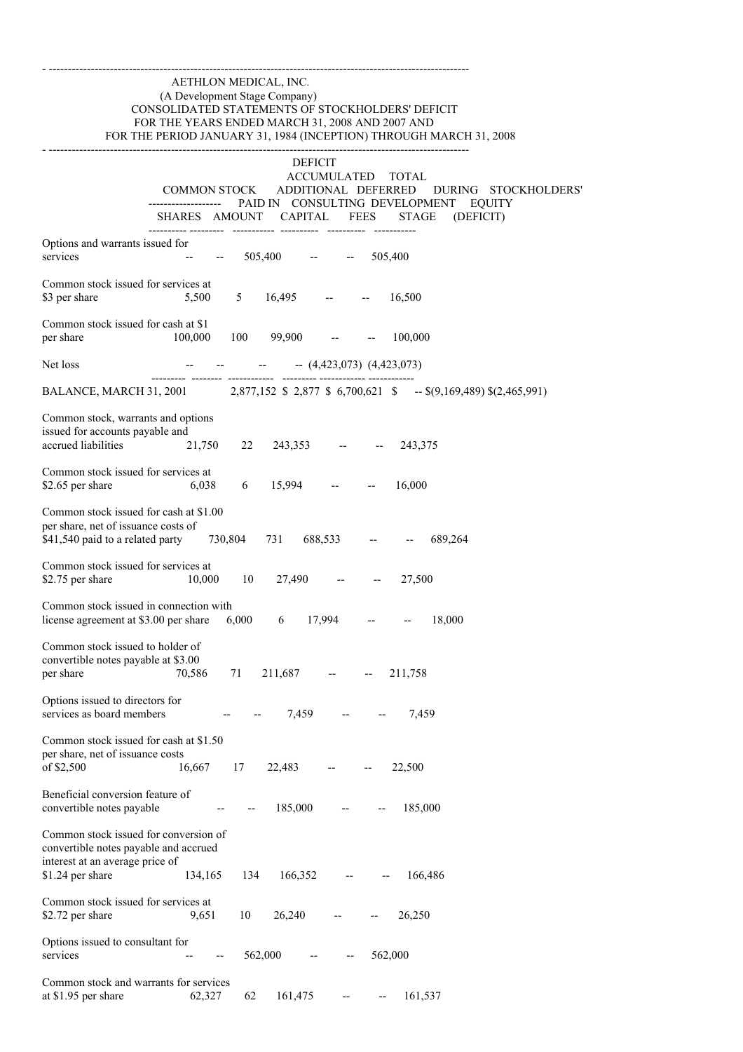| AETHLON MEDICAL, INC.<br>(A Development Stage Company)<br>CONSOLIDATED STATEMENTS OF STOCKHOLDERS' DEFICIT<br>FOR THE YEARS ENDED MARCH 31, 2008 AND 2007 AND<br>FOR THE PERIOD JANUARY 31, 1984 (INCEPTION) THROUGH MARCH 31, 2008 |
|-------------------------------------------------------------------------------------------------------------------------------------------------------------------------------------------------------------------------------------|
| <b>DEFICIT</b><br>ACCUMULATED TOTAL<br>COMMON STOCK ADDITIONAL DEFERRED DURING STOCKHOLDERS'<br>------------------ PAID IN CONSULTING DEVELOPMENT EQUITY<br>SHARES AMOUNT CAPITAL FEES STAGE<br>(DEFICIT)                           |
| Options and warrants issued for<br>services<br>-- -- $505,400$ -- -- $505,400$                                                                                                                                                      |
| Common stock issued for services at<br>\$3 per share<br>$5 \t16,495 \t---$<br>5,500<br>16,500                                                                                                                                       |
| Common stock issued for cash at \$1<br>$100 \t 99,900 \t -$<br>100,000<br>per share<br>100,000                                                                                                                                      |
| Net loss<br>-- -- -- -- $(4,423,073)$ $(4,423,073)$                                                                                                                                                                                 |
| BALANCE, MARCH 31, 2001 2,877,152 \$ 2,877 \$ 6,700,621 \$ - \$(9,169,489) \$(2,465,991)                                                                                                                                            |
| Common stock, warrants and options<br>issued for accounts payable and                                                                                                                                                               |
| accrued liabilities<br>243,353 -- - 243,375<br>21,750<br>22                                                                                                                                                                         |
| Common stock issued for services at<br>\$2.65 per share<br>$15,994$ -- --<br>16,000<br>6,038<br>6                                                                                                                                   |
| Common stock issued for cash at \$1.00<br>per share, net of issuance costs of<br>\$41,540 paid to a related party<br>730,804 731 688,533 --<br>689,264<br>$\hspace{0.05cm} \dashv$                                                  |
| Common stock issued for services at<br>$27,490$ -- --<br>\$2.75 per share<br>10<br>10,000<br>27,500                                                                                                                                 |
| Common stock issued in connection with<br>license agreement at \$3.00 per share<br>6,000<br>17,994<br>18,000<br>6<br>$\overline{\phantom{a}}$                                                                                       |
| Common stock issued to holder of<br>convertible notes payable at \$3.00<br>71<br>70,586<br>211,687<br>211,758<br>per share<br>--<br>$- \, -$                                                                                        |
| Options issued to directors for<br>services as board members<br>7,459<br>7,459                                                                                                                                                      |
| Common stock issued for cash at \$1.50<br>per share, net of issuance costs<br>of \$2,500<br>16,667<br>17<br>22,483<br>22,500                                                                                                        |
| Beneficial conversion feature of<br>convertible notes payable<br>185,000<br>185,000                                                                                                                                                 |
| Common stock issued for conversion of<br>convertible notes payable and accrued<br>interest at an average price of<br>\$1.24 per share<br>134,165<br>134<br>166,352<br>166,486                                                       |
| Common stock issued for services at<br>10<br>26,240<br>\$2.72 per share<br>26,250<br>9,651                                                                                                                                          |
| Options issued to consultant for<br>services<br>562,000<br>562,000                                                                                                                                                                  |
| Common stock and warrants for services<br>at \$1.95 per share<br>62,327<br>62<br>161,475<br>161,537<br>$\hspace{0.05cm}$ – $\hspace{0.05cm}$                                                                                        |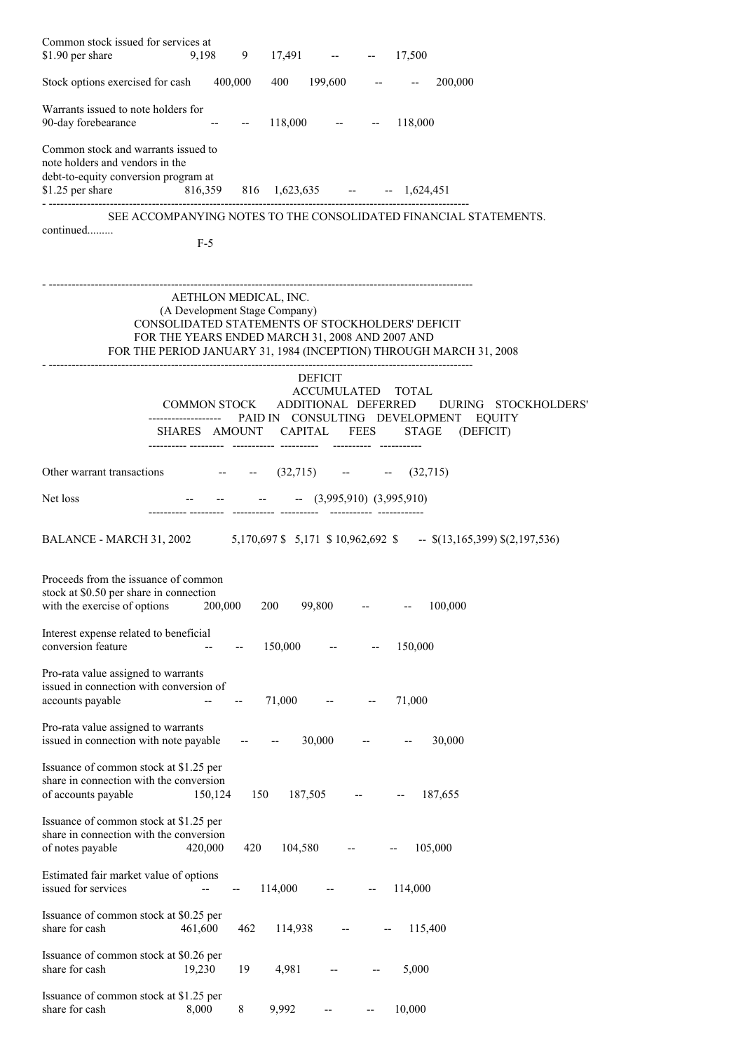| Common stock issued for services at<br>\$1.90 per share<br>9,198<br>9 $17,491$ -- - $17,500$                                                                                                                                        |
|-------------------------------------------------------------------------------------------------------------------------------------------------------------------------------------------------------------------------------------|
| Stock options exercised for cash<br>400,000<br>400 199,600 -- --<br>200,000                                                                                                                                                         |
| Warrants issued to note holders for<br>90-day forebearance<br>$- -118,000$ $- -118,000$                                                                                                                                             |
| Common stock and warrants issued to<br>note holders and vendors in the<br>debt-to-equity conversion program at<br>\$1.25 per share 816,359 816 1,623,635 -- - 1,624,451                                                             |
| SEE ACCOMPANYING NOTES TO THE CONSOLIDATED FINANCIAL STATEMENTS.                                                                                                                                                                    |
| continued<br>$F-5$                                                                                                                                                                                                                  |
| AETHLON MEDICAL, INC.<br>(A Development Stage Company)<br>CONSOLIDATED STATEMENTS OF STOCKHOLDERS' DEFICIT<br>FOR THE YEARS ENDED MARCH 31, 2008 AND 2007 AND<br>FOR THE PERIOD JANUARY 31, 1984 (INCEPTION) THROUGH MARCH 31, 2008 |
| DEFICIT<br>ACCUMULATED TOTAL<br>COMMON STOCK ADDITIONAL DEFERRED DURING STOCKHOLDERS'<br>------------------ PAID IN CONSULTING DEVELOPMENT EQUITY<br>SHARES AMOUNT CAPITAL FEES STAGE (DEFICIT)                                     |
| Other warrant transactions -- -- (32,715) -- -- (32,715)                                                                                                                                                                            |
| Net loss<br>$    (3,995,910)$ $(3,995,910)$                                                                                                                                                                                         |
| BALANCE - MARCH 31, 2002 5, 170, 697 \$5, 171 \$10, 962, 692 \$- \$(13, 165, 399) \$(2, 197, 536)                                                                                                                                   |
| Proceeds from the issuance of common<br>stock at \$0.50 per share in connection<br>with the exercise of options<br>200,000<br>99,800<br>100,000<br>200                                                                              |
| Interest expense related to beneficial<br>conversion feature<br>150,000<br>150,000                                                                                                                                                  |
| Pro-rata value assigned to warrants<br>issued in connection with conversion of<br>accounts payable<br>71,000<br>71,000                                                                                                              |
| Pro-rata value assigned to warrants<br>issued in connection with note payable<br>30,000<br>30,000                                                                                                                                   |
| Issuance of common stock at \$1.25 per<br>share in connection with the conversion<br>of accounts payable<br>150<br>150,124<br>187,505<br>187,655                                                                                    |
| Issuance of common stock at \$1.25 per<br>share in connection with the conversion<br>of notes payable<br>420<br>104,580<br>105,000<br>420,000                                                                                       |
| Estimated fair market value of options<br>issued for services<br>114,000<br>114,000                                                                                                                                                 |
| Issuance of common stock at \$0.25 per<br>share for cash<br>462<br>461,600<br>114,938<br>115,400                                                                                                                                    |
| Issuance of common stock at \$0.26 per<br>share for cash<br>19<br>4,981<br>19,230<br>5,000                                                                                                                                          |
| Issuance of common stock at \$1.25 per<br>share for cash<br>8,000<br>8<br>9,992<br>10,000                                                                                                                                           |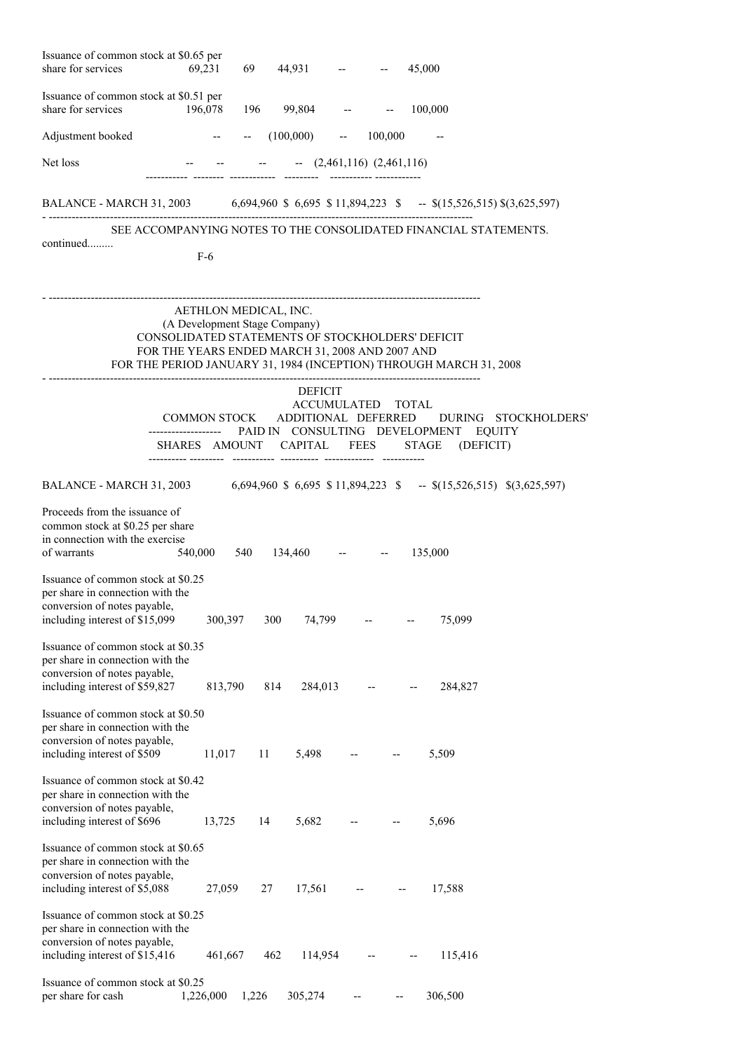| Issuance of common stock at \$0.65 per<br>share for services                                                                             | 69,231                                                                                                                                                        | 69 —  | 44,931  | and the state               | 45,000                                                                      |                                                       |
|------------------------------------------------------------------------------------------------------------------------------------------|---------------------------------------------------------------------------------------------------------------------------------------------------------------|-------|---------|-----------------------------|-----------------------------------------------------------------------------|-------------------------------------------------------|
| Issuance of common stock at \$0.51 per<br>share for services                                                                             | 196,078                                                                                                                                                       | 196   | 99,804  |                             | 100,000                                                                     |                                                       |
| Adjustment booked                                                                                                                        |                                                                                                                                                               |       |         | $- - (100,000)$ $- 100,000$ |                                                                             |                                                       |
| Net loss                                                                                                                                 | -- -- -- -- $(2,461,116)$ $(2,461,116)$                                                                                                                       |       |         |                             |                                                                             |                                                       |
| BALANCE - MARCH 31, 2003 6,694,960 \$ 6,695 \$ 11,894,223 \$ -- \$(15,526,515) \$(3,625,597)                                             |                                                                                                                                                               |       |         |                             |                                                                             |                                                       |
| continued                                                                                                                                | $F-6$                                                                                                                                                         |       |         |                             | SEE ACCOMPANYING NOTES TO THE CONSOLIDATED FINANCIAL STATEMENTS.            |                                                       |
|                                                                                                                                          | AETHLON MEDICAL, INC.<br>(A Development Stage Company)<br>CONSOLIDATED STATEMENTS OF STOCKHOLDERS' DEFICIT<br>FOR THE YEARS ENDED MARCH 31, 2008 AND 2007 AND |       |         |                             | FOR THE PERIOD JANUARY 31, 1984 (INCEPTION) THROUGH MARCH 31, 2008          |                                                       |
|                                                                                                                                          | SHARES AMOUNT CAPITAL FEES                                                                                                                                    |       | DEFICIT | ACCUMULATED TOTAL           | ------------------ PAID IN CONSULTING DEVELOPMENT EQUITY<br>STAGE (DEFICIT) | COMMON STOCK ADDITIONAL DEFERRED DURING STOCKHOLDERS' |
| BALANCE - MARCH 31, 2003 6,694,960 \$6,695 \$11,894,223 \$-\$615,526,515) \$(3,625,597)                                                  |                                                                                                                                                               |       |         |                             |                                                                             |                                                       |
| Proceeds from the issuance of<br>common stock at \$0.25 per share<br>in connection with the exercise<br>of warrants                      | 540,000                                                                                                                                                       |       |         | 540 134,460 -- --           | 135,000                                                                     |                                                       |
| Issuance of common stock at \$0.25<br>per share in connection with the<br>conversion of notes payable,<br>including interest of \$15,099 | 300,397                                                                                                                                                       | 300   | 74,799  |                             | 75,099                                                                      |                                                       |
| Issuance of common stock at \$0.35<br>per share in connection with the<br>conversion of notes payable,<br>including interest of \$59,827 | 813,790                                                                                                                                                       | 814   | 284,013 |                             | 284,827                                                                     |                                                       |
| Issuance of common stock at \$0.50<br>per share in connection with the<br>conversion of notes payable,<br>including interest of \$509    | 11,017                                                                                                                                                        | 11    | 5,498   |                             | 5,509                                                                       |                                                       |
| Issuance of common stock at \$0.42<br>per share in connection with the<br>conversion of notes payable,<br>including interest of \$696    | 13,725                                                                                                                                                        | 14    | 5,682   |                             | 5,696                                                                       |                                                       |
| Issuance of common stock at \$0.65<br>per share in connection with the<br>conversion of notes payable,<br>including interest of \$5,088  | 27,059                                                                                                                                                        | 27    | 17,561  |                             | 17,588                                                                      |                                                       |
| Issuance of common stock at \$0.25<br>per share in connection with the<br>conversion of notes payable,<br>including interest of \$15,416 | 461,667                                                                                                                                                       | 462   | 114,954 |                             | 115,416                                                                     |                                                       |
| Issuance of common stock at \$0.25<br>per share for cash                                                                                 | 1,226,000                                                                                                                                                     | 1,226 | 305,274 |                             | 306,500                                                                     |                                                       |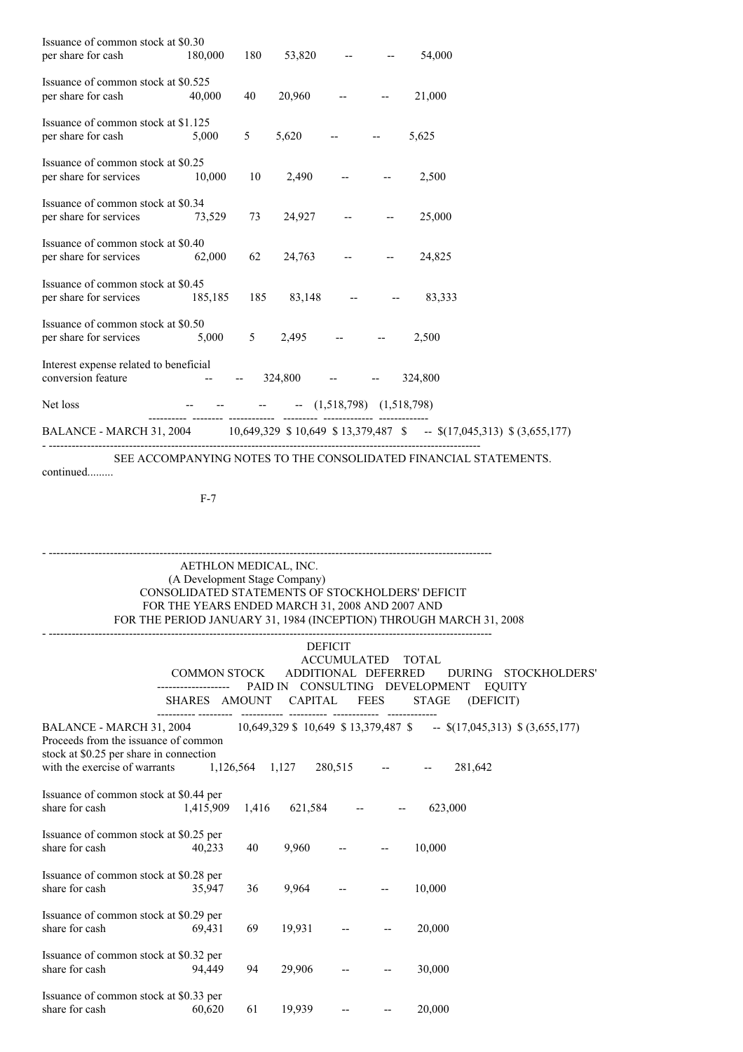| Issuance of common stock at \$0.30     |         |     |                |                             |         |                                                                    |
|----------------------------------------|---------|-----|----------------|-----------------------------|---------|--------------------------------------------------------------------|
| per share for cash                     | 180,000 | 180 | 53,820         |                             | 54,000  |                                                                    |
| Issuance of common stock at \$0.525    |         |     |                |                             |         |                                                                    |
| per share for cash                     | 40,000  | 40  | 20,960         |                             | 21,000  |                                                                    |
| Issuance of common stock at \$1.125    |         |     |                |                             |         |                                                                    |
| per share for cash                     | 5,000   | 5   | 5,620          |                             | 5,625   |                                                                    |
| Issuance of common stock at \$0.25     |         |     |                |                             |         |                                                                    |
| per share for services                 | 10,000  | 10  | 2,490          |                             | 2,500   |                                                                    |
| Issuance of common stock at \$0.34     |         |     |                |                             |         |                                                                    |
| per share for services                 | 73,529  | 73  | 24,927         |                             | 25,000  |                                                                    |
| Issuance of common stock at \$0.40     |         |     |                |                             |         |                                                                    |
| per share for services                 | 62,000  | 62  | $24,763$ -- -- |                             | 24,825  |                                                                    |
| Issuance of common stock at \$0.45     |         |     |                |                             |         |                                                                    |
| per share for services                 | 185,185 | 185 | 83,148         |                             | 83,333  |                                                                    |
| Issuance of common stock at \$0.50     |         |     |                |                             |         |                                                                    |
| per share for services                 | 5,000   | 5   | 2,495          |                             | 2,500   |                                                                    |
| Interest expense related to beneficial |         |     |                |                             |         |                                                                    |
| conversion feature                     |         |     | 324,800        |                             | 324,800 |                                                                    |
| Net loss                               |         |     |                | $(1,518,798)$ $(1,518,798)$ |         |                                                                    |
| BALANCE - MARCH 31, 2004               |         |     |                |                             |         | 10,649,329 \$10,649 \$13,379,487 \$ - \$(17,045,313) \$(3,655,177) |
|                                        |         |     |                |                             |         |                                                                    |

SEE ACCOMPANYING NOTES TO THE CONSOLIDATED FINANCIAL STATEMENTS.

- --------------------------------------------------------------------------------------------------------------------

continued.........

F-7

# AETHLON MEDICAL, INC. (A Development Stage Company) CONSOLIDATED STATEMENTS OF STOCKHOLDERS' DEFICIT FOR THE YEARS ENDED MARCH 31, 2008 AND 2007 AND FOR THE PERIOD JANUARY 31, 1984 (INCEPTION) THROUGH MARCH 31, 2008

|                                                                                 |                            |    |                        | <b>DEFICIT</b>    |                                                     |                                                                                                 |  |
|---------------------------------------------------------------------------------|----------------------------|----|------------------------|-------------------|-----------------------------------------------------|-------------------------------------------------------------------------------------------------|--|
|                                                                                 |                            |    |                        | ACCUMULATED TOTAL |                                                     |                                                                                                 |  |
|                                                                                 | COMMON STOCK               |    | ADDITIONAL DEFERRED    |                   |                                                     | DURING STOCKHOLDERS'                                                                            |  |
|                                                                                 |                            |    |                        |                   |                                                     | PAID IN CONSULTING DEVELOPMENT EQUITY                                                           |  |
|                                                                                 | SHARES AMOUNT CAPITAL FEES |    |                        |                   |                                                     | STAGE (DEFICIT)                                                                                 |  |
| Proceeds from the issuance of common<br>stock at \$0.25 per share in connection |                            |    |                        |                   |                                                     | BALANCE - MARCH 31, 2004 10,649,329 \$ 10,649 \$ 13,379,487 \$ -- \$(17,045,313) \$ (3,655,177) |  |
| with the exercise of warrants $1,126,564$ $1,127$ $280,515$ -- --               |                            |    |                        |                   |                                                     | 281,642                                                                                         |  |
| Issuance of common stock at \$0.44 per                                          |                            |    |                        |                   |                                                     |                                                                                                 |  |
| share for cash                                                                  | 1.415.909                  |    | $1,416$ $621,584$ -- - |                   |                                                     | 623,000                                                                                         |  |
|                                                                                 |                            |    |                        |                   |                                                     |                                                                                                 |  |
| Issuance of common stock at \$0.25 per                                          |                            |    |                        |                   |                                                     |                                                                                                 |  |
| share for cash                                                                  | 40.233                     | 40 | $9,960$ -- --          |                   |                                                     | 10,000                                                                                          |  |
| Issuance of common stock at \$0.28 per                                          |                            |    |                        |                   |                                                     |                                                                                                 |  |
| share for cash                                                                  | 35,947                     | 36 | $9,964$ -- --          |                   |                                                     | 10,000                                                                                          |  |
| Issuance of common stock at \$0.29 per                                          |                            |    |                        |                   |                                                     |                                                                                                 |  |
| share for cash                                                                  | 69,431                     | 69 | $19,931$ --            |                   |                                                     | 20,000                                                                                          |  |
| Issuance of common stock at \$0.32 per                                          |                            |    |                        |                   |                                                     |                                                                                                 |  |
| share for cash                                                                  | 94,449                     | 94 | $29,906$ -- --         |                   |                                                     | 30,000                                                                                          |  |
| Issuance of common stock at \$0.33 per                                          |                            |    |                        |                   |                                                     |                                                                                                 |  |
| share for cash                                                                  | 60,620                     | 61 | $19,939$ --            |                   | $\hspace{0.05cm} -\hspace{0.05cm} -\hspace{0.05cm}$ | 20,000                                                                                          |  |
|                                                                                 |                            |    |                        |                   |                                                     |                                                                                                 |  |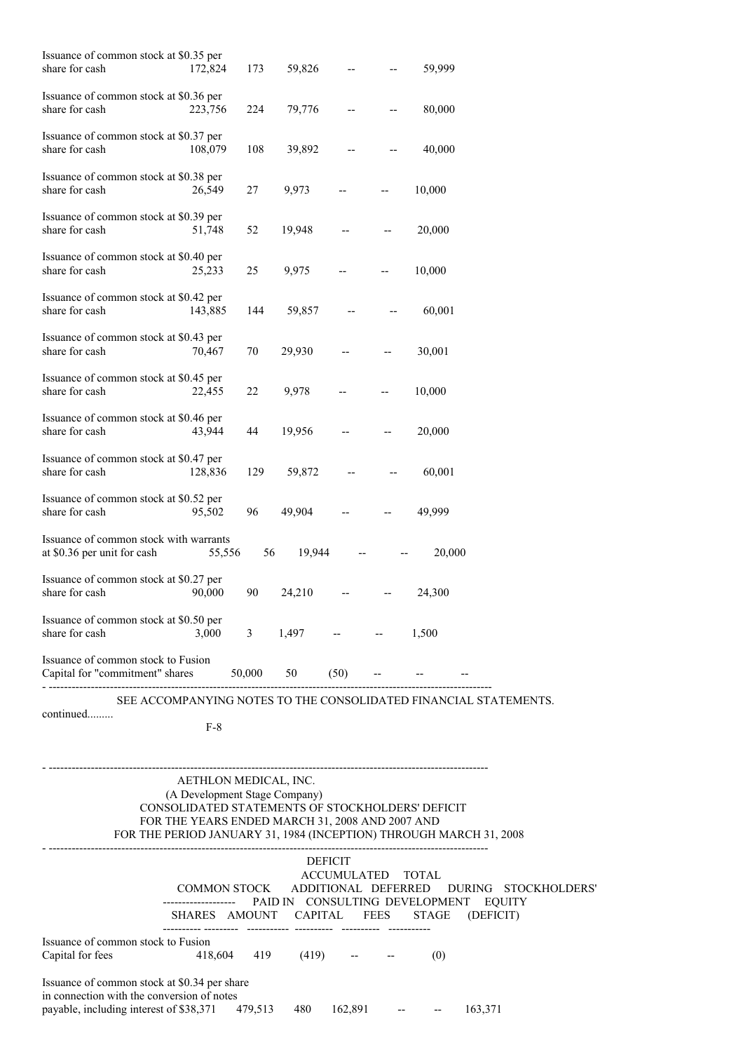| Issuance of common stock at \$0.35 per<br>share for cash              | 172,824                                                                                                                                                       | 173    | 59,826                  |                |                                          | 59,999                                                             |                                                                  |  |
|-----------------------------------------------------------------------|---------------------------------------------------------------------------------------------------------------------------------------------------------------|--------|-------------------------|----------------|------------------------------------------|--------------------------------------------------------------------|------------------------------------------------------------------|--|
| Issuance of common stock at \$0.36 per<br>share for cash              | 223,756                                                                                                                                                       | 224    | 79,776                  |                |                                          | 80,000                                                             |                                                                  |  |
| Issuance of common stock at \$0.37 per<br>share for cash              | 108,079                                                                                                                                                       | 108    | 39,892                  |                |                                          | 40,000                                                             |                                                                  |  |
| Issuance of common stock at \$0.38 per<br>share for cash              | 26,549                                                                                                                                                        | 27     | 9,973                   |                |                                          | 10,000                                                             |                                                                  |  |
| Issuance of common stock at \$0.39 per<br>share for cash              | 51,748                                                                                                                                                        | 52     | 19,948                  |                |                                          | 20,000                                                             |                                                                  |  |
| Issuance of common stock at \$0.40 per<br>share for cash              | 25,233                                                                                                                                                        | 25     | 9,975                   |                |                                          | 10,000                                                             |                                                                  |  |
| Issuance of common stock at \$0.42 per<br>share for cash              | 143,885                                                                                                                                                       | 144    | 59,857                  |                |                                          | 60,001                                                             |                                                                  |  |
| Issuance of common stock at \$0.43 per<br>share for cash              | 70,467                                                                                                                                                        | 70     | 29,930                  |                |                                          | 30,001                                                             |                                                                  |  |
| Issuance of common stock at \$0.45 per<br>share for cash              | 22,455                                                                                                                                                        | 22     | 9,978                   |                |                                          | 10,000                                                             |                                                                  |  |
| Issuance of common stock at \$0.46 per<br>share for cash              | 43,944                                                                                                                                                        | 44     | 19,956                  |                |                                          | 20,000                                                             |                                                                  |  |
| Issuance of common stock at \$0.47 per<br>share for cash              | 128,836                                                                                                                                                       | 129    | 59,872                  |                |                                          | 60,001                                                             |                                                                  |  |
| Issuance of common stock at \$0.52 per<br>share for cash              | 95,502                                                                                                                                                        | 96     | 49,904                  |                |                                          | 49,999                                                             |                                                                  |  |
| Issuance of common stock with warrants<br>at \$0.36 per unit for cash | 55,556                                                                                                                                                        | 56     | 19,944                  |                |                                          | 20,000                                                             |                                                                  |  |
| Issuance of common stock at \$0.27 per<br>share for cash              | 90,000                                                                                                                                                        | 90     | 24,210                  |                |                                          | 24,300                                                             |                                                                  |  |
| Issuance of common stock at \$0.50 per<br>share for cash              | 3,000                                                                                                                                                         | 3      | 1,497                   |                |                                          | 1,500                                                              |                                                                  |  |
| Issuance of common stock to Fusion<br>Capital for "commitment" shares |                                                                                                                                                               | 50,000 | 50                      | (50)           |                                          |                                                                    |                                                                  |  |
|                                                                       |                                                                                                                                                               |        |                         |                |                                          |                                                                    | SEE ACCOMPANYING NOTES TO THE CONSOLIDATED FINANCIAL STATEMENTS. |  |
| continued                                                             | $F-8$                                                                                                                                                         |        |                         |                |                                          |                                                                    |                                                                  |  |
|                                                                       |                                                                                                                                                               |        |                         |                |                                          |                                                                    |                                                                  |  |
|                                                                       | AETHLON MEDICAL, INC.<br>(A Development Stage Company)<br>CONSOLIDATED STATEMENTS OF STOCKHOLDERS' DEFICIT<br>FOR THE YEARS ENDED MARCH 31, 2008 AND 2007 AND |        |                         |                |                                          | FOR THE PERIOD JANUARY 31, 1984 (INCEPTION) THROUGH MARCH 31, 2008 |                                                                  |  |
|                                                                       |                                                                                                                                                               |        | ----------------------- | <b>DEFICIT</b> |                                          |                                                                    |                                                                  |  |
|                                                                       | <b>COMMON STOCK</b>                                                                                                                                           |        |                         |                | ACCUMULATED TOTAL<br>ADDITIONAL DEFERRED | <b>DURING</b>                                                      | <b>STOCKHO</b>                                                   |  |
|                                                                       |                                                                                                                                                               |        |                         |                |                                          |                                                                    |                                                                  |  |

STOCKHOLDERS' ------------------- PAID IN CONSULTING DEVELOPMENT EQUITY<br>HARES AMOUNT CAPITAL FEES STAGE (DEFICIT) SHARES AMOUNT CAPITAL FEES STAGE ---------- --------- ----------- ---------- ---------- ----------- Issuance of common stock to Fusion<br>Capital for fees 418,604 Capital for fees 418,604 419 (419) -- - (0) Issuance of common stock at \$0.34 per share in connection with the conversion of notes payable, including interest of \$38,371 479,513 480 162,891 -- - 163,371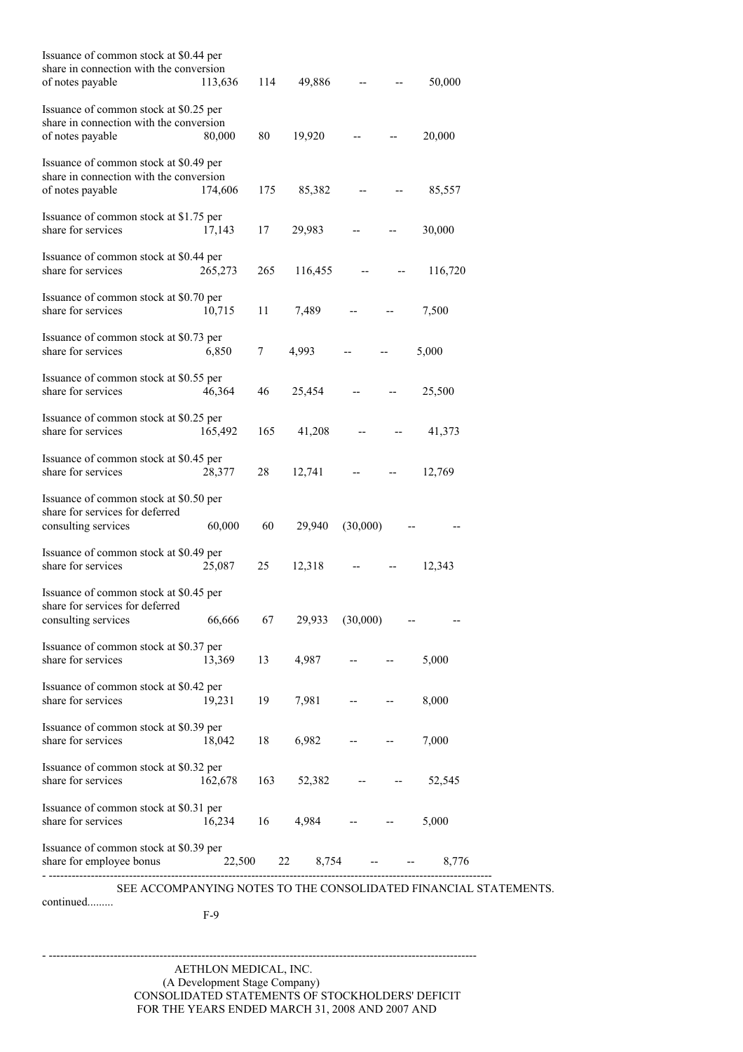| Issuance of common stock at \$0.44 per<br>share in connection with the conversion<br>of notes payable | 113,636 | 114 | 49,886  |          | 50,000                                                    |
|-------------------------------------------------------------------------------------------------------|---------|-----|---------|----------|-----------------------------------------------------------|
| Issuance of common stock at \$0.25 per<br>share in connection with the conversion<br>of notes payable | 80,000  | 80  | 19,920  |          | 20,000                                                    |
| Issuance of common stock at \$0.49 per<br>share in connection with the conversion<br>of notes payable | 174,606 | 175 | 85,382  |          | 85,557                                                    |
| Issuance of common stock at \$1.75 per<br>share for services                                          | 17,143  | 17  | 29,983  |          | 30,000                                                    |
| Issuance of common stock at \$0.44 per<br>share for services                                          | 265,273 | 265 | 116,455 |          | 116,720                                                   |
| Issuance of common stock at \$0.70 per<br>share for services                                          | 10,715  | 11  | 7,489   |          | 7,500                                                     |
| Issuance of common stock at \$0.73 per<br>share for services                                          | 6,850   | 7   | 4,993   |          | 5,000                                                     |
| Issuance of common stock at \$0.55 per<br>share for services                                          | 46,364  | 46  | 25,454  |          | 25,500                                                    |
| Issuance of common stock at \$0.25 per<br>share for services                                          | 165,492 | 165 | 41,208  |          | 41,373                                                    |
| Issuance of common stock at \$0.45 per<br>share for services                                          | 28,377  | 28  | 12,741  |          | 12,769                                                    |
| Issuance of common stock at \$0.50 per<br>share for services for deferred                             |         |     |         |          |                                                           |
| consulting services                                                                                   | 60,000  | 60  | 29,940  | (30,000) |                                                           |
| Issuance of common stock at \$0.49 per<br>share for services                                          | 25,087  | 25  | 12,318  | --       | 12,343                                                    |
| Issuance of common stock at \$0.45 per<br>share for services for deferred                             |         |     |         |          |                                                           |
| consulting services                                                                                   | 66,666  | 67  | 29,933  | (30,000) |                                                           |
| Issuance of common stock at \$0.37 per<br>share for services                                          | 13,369  | 13  | 4,987   |          | 5,000                                                     |
| Issuance of common stock at \$0.42 per<br>share for services                                          | 19,231  | 19  | 7,981   |          | 8,000                                                     |
| Issuance of common stock at \$0.39 per<br>share for services                                          | 18,042  | 18  | 6,982   |          | 7,000                                                     |
| Issuance of common stock at \$0.32 per<br>share for services                                          | 162,678 | 163 | 52,382  |          | 52,545                                                    |
| Issuance of common stock at \$0.31 per<br>share for services                                          | 16,234  | 16  | 4,984   |          | 5,000                                                     |
| Issuance of common stock at \$0.39 per<br>share for employee bonus                                    | 22,500  | 22  | 8,754   |          | 8,776                                                     |
|                                                                                                       |         |     |         |          | SEE ACCOMPANYING NOTES TO THE CONSOLIDATED FINANCIAL STAT |

# EMENTS.

continued.........

F-9

AETHLON MEDICAL, INC. (A Development Stage Company) CONSOLIDATED STATEMENTS OF STOCKHOLDERS' DEFICIT FOR THE YEARS ENDED MARCH 31, 2008 AND 2007 AND

- ----------------------------------------------------------------------------------------------------------------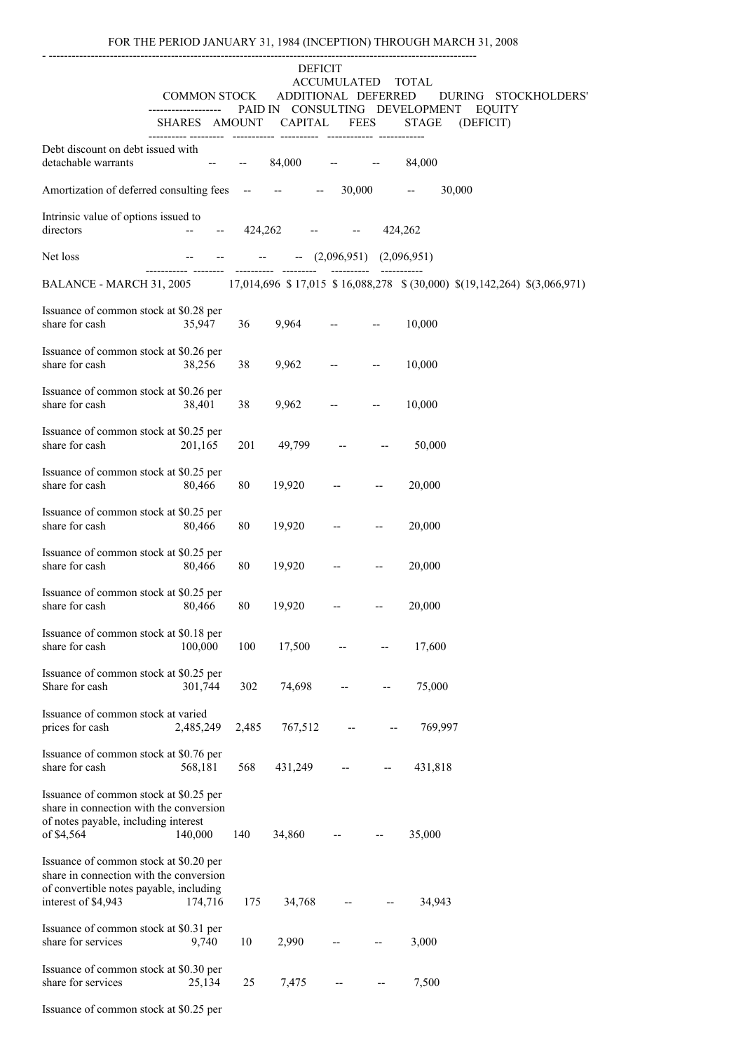# FOR THE PERIOD JANUARY 31, 1984 (INCEPTION) THROUGH MARCH 31, 2008

|                                                                                                                                                     | COMMON STOCK ADDITIONAL DEFERRED |       | <b>DEFICIT</b>                                                  | ACCUMULATED TOTAL                                                                            |                          | DURING STOCKHOLDERS'                                                                              |  |
|-----------------------------------------------------------------------------------------------------------------------------------------------------|----------------------------------|-------|-----------------------------------------------------------------|----------------------------------------------------------------------------------------------|--------------------------|---------------------------------------------------------------------------------------------------|--|
|                                                                                                                                                     | SHARES AMOUNT CAPITAL FEES       |       |                                                                 |                                                                                              |                          | --------------- PAID IN CONSULTING DEVELOPMENT EQUITY<br>STAGE (DEFICIT)                          |  |
| Debt discount on debt issued with<br>detachable warrants                                                                                            |                                  |       | $ -$ 84,000                                                     | and the state                                                                                |                          | 84,000                                                                                            |  |
| Amortization of deferred consulting fees -- -- - - 30,000                                                                                           |                                  |       |                                                                 |                                                                                              |                          | 30,000<br>$\sim$ $-$                                                                              |  |
| Intrinsic value of options issued to<br>directors                                                                                                   |                                  |       | 424,262                                                         | $   424,262$                                                                                 |                          |                                                                                                   |  |
| Net loss                                                                                                                                            |                                  |       | $  (2,096,951)$ $(2,096,951)$<br>---------- -------- ---------- |                                                                                              |                          |                                                                                                   |  |
|                                                                                                                                                     |                                  |       |                                                                 |                                                                                              |                          | BALANCE - MARCH 31, 2005 17,014,696 \$17,015 \$16,088,278 \$(30,000) \$(19,142,264) \$(3,066,971) |  |
| Issuance of common stock at \$0.28 per<br>share for cash                                                                                            | 35,947                           | 36    | 9,964                                                           | $\mathcal{L}_{\mathbf{m}}$ , and $\mathcal{L}_{\mathbf{m}}$ , and $\mathcal{L}_{\mathbf{m}}$ |                          | 10,000                                                                                            |  |
| Issuance of common stock at \$0.26 per<br>share for cash                                                                                            | 38,256                           | 38    | $9,962$ --                                                      |                                                                                              |                          | 10,000                                                                                            |  |
| Issuance of common stock at \$0.26 per<br>share for cash                                                                                            | 38,401                           | 38    | 9,962                                                           |                                                                                              |                          | 10,000                                                                                            |  |
| Issuance of common stock at \$0.25 per<br>share for cash                                                                                            | 201,165                          | 201   | 49,799 --                                                       |                                                                                              |                          | 50,000                                                                                            |  |
| Issuance of common stock at \$0.25 per<br>share for cash                                                                                            | 80,466                           | 80    | 19,920                                                          |                                                                                              |                          | 20,000                                                                                            |  |
| Issuance of common stock at \$0.25 per<br>share for cash                                                                                            | 80,466                           | 80    | 19,920                                                          | $\frac{1}{2}$ and $\frac{1}{2}$ and $\frac{1}{2}$                                            | $\overline{\phantom{a}}$ | 20,000                                                                                            |  |
| Issuance of common stock at \$0.25 per<br>share for cash                                                                                            | 80,466                           | 80    | 19,920                                                          | <b>ARCHITECT</b>                                                                             |                          | 20,000                                                                                            |  |
| Issuance of common stock at \$0.25 per<br>share for cash                                                                                            | 80,466                           | 80    | 19,920                                                          |                                                                                              |                          | 20,000                                                                                            |  |
| Issuance of common stock at \$0.18 per<br>share for cash                                                                                            | 100,000                          | 100   | 17,500                                                          |                                                                                              | $\overline{\phantom{a}}$ | 17,600                                                                                            |  |
| Issuance of common stock at \$0.25 per<br>Share for cash                                                                                            | 301,744                          | 302   | 74,698                                                          |                                                                                              |                          | 75,000                                                                                            |  |
| Issuance of common stock at varied<br>prices for cash                                                                                               | 2,485,249                        | 2,485 | 767,512                                                         |                                                                                              |                          | 769,997                                                                                           |  |
| Issuance of common stock at \$0.76 per<br>share for cash                                                                                            | 568,181                          | 568   | 431,249                                                         |                                                                                              |                          | 431,818                                                                                           |  |
| Issuance of common stock at \$0.25 per<br>share in connection with the conversion<br>of notes payable, including interest<br>of \$4,564             | 140,000                          | 140   | 34,860                                                          |                                                                                              |                          | 35,000                                                                                            |  |
| Issuance of common stock at \$0.20 per<br>share in connection with the conversion<br>of convertible notes payable, including<br>interest of \$4,943 | 174,716                          | 175   | 34,768                                                          |                                                                                              |                          | 34,943                                                                                            |  |
| Issuance of common stock at \$0.31 per<br>share for services                                                                                        | 9,740                            | 10    | 2,990                                                           |                                                                                              |                          | 3,000                                                                                             |  |
| Issuance of common stock at \$0.30 per<br>share for services                                                                                        | 25,134                           | 25    | 7,475                                                           |                                                                                              |                          | 7,500                                                                                             |  |

Issuance of common stock at \$0.25 per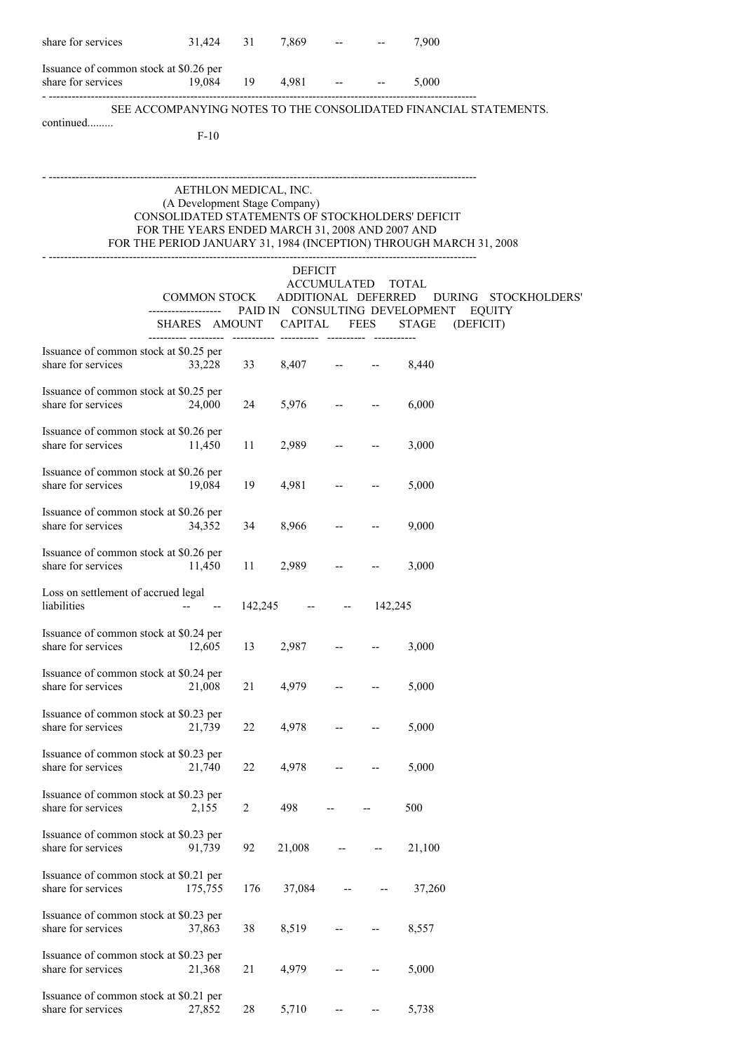| share for services                                           | 31,424                                                                                                                                                        | 31      | 7,869                   |                                                     |         | 7,900                                                                            |  |
|--------------------------------------------------------------|---------------------------------------------------------------------------------------------------------------------------------------------------------------|---------|-------------------------|-----------------------------------------------------|---------|----------------------------------------------------------------------------------|--|
| Issuance of common stock at \$0.26 per<br>share for services | 19,084                                                                                                                                                        |         | $19 \t 4,981 \t - \t -$ |                                                     |         | 5,000                                                                            |  |
| continued                                                    | $F-10$                                                                                                                                                        |         |                         |                                                     |         | SEE ACCOMPANYING NOTES TO THE CONSOLIDATED FINANCIAL STATEMENTS.                 |  |
|                                                              | AETHLON MEDICAL, INC.<br>(A Development Stage Company)<br>CONSOLIDATED STATEMENTS OF STOCKHOLDERS' DEFICIT<br>FOR THE YEARS ENDED MARCH 31, 2008 AND 2007 AND |         |                         |                                                     |         | FOR THE PERIOD JANUARY 31, 1984 (INCEPTION) THROUGH MARCH 31, 2008               |  |
|                                                              |                                                                                                                                                               |         | <b>DEFICIT</b>          | ACCUMULATED TOTAL                                   |         |                                                                                  |  |
|                                                              | COMMON STOCK                                                                                                                                                  |         | ADDITIONAL DEFERRED     |                                                     |         | DURING STOCKHOLDERS'<br>------------------ PAID IN CONSULTING DEVELOPMENT EQUITY |  |
|                                                              | SHARES AMOUNT CAPITAL FEES                                                                                                                                    |         |                         |                                                     |         | (DEFICIT)<br><b>STAGE</b>                                                        |  |
| Issuance of common stock at \$0.25 per<br>share for services | 33,228                                                                                                                                                        | 33      | 8,407 --                |                                                     |         | 8,440                                                                            |  |
| Issuance of common stock at \$0.25 per<br>share for services | 24,000                                                                                                                                                        | 24      | 5,976                   |                                                     |         | 6,000                                                                            |  |
| Issuance of common stock at \$0.26 per<br>share for services | 11,450                                                                                                                                                        | 11      | 2,989                   |                                                     |         | 3,000                                                                            |  |
| Issuance of common stock at \$0.26 per<br>share for services | 19,084                                                                                                                                                        | 19      | 4,981                   |                                                     |         | 5,000                                                                            |  |
| Issuance of common stock at \$0.26 per<br>share for services | 34,352                                                                                                                                                        | 34      | 8,966                   | $\frac{1}{2}$ and $\frac{1}{2}$ . The $\frac{1}{2}$ |         | 9,000                                                                            |  |
| Issuance of common stock at \$0.26 per<br>share for services | 11,450                                                                                                                                                        | 11      | 2,989                   |                                                     |         | 3,000                                                                            |  |
| Loss on settlement of accrued legal<br>liabilities           | --                                                                                                                                                            | 142,245 |                         |                                                     | 142,245 |                                                                                  |  |
| Issuance of common stock at \$0.24 per<br>share for services | 12,605                                                                                                                                                        | 13      | 2,987                   |                                                     |         | 3,000                                                                            |  |
| Issuance of common stock at \$0.24 per                       |                                                                                                                                                               |         |                         |                                                     |         |                                                                                  |  |
| share for services                                           | 21,008                                                                                                                                                        | 21      | 4,979                   |                                                     |         | 5,000                                                                            |  |
| Issuance of common stock at \$0.23 per<br>share for services | 21,739                                                                                                                                                        | 22      | 4,978                   |                                                     |         | 5,000                                                                            |  |
| Issuance of common stock at \$0.23 per<br>share for services | 21,740                                                                                                                                                        | 22      | 4,978                   |                                                     |         | 5,000                                                                            |  |
| Issuance of common stock at \$0.23 per<br>share for services | 2,155                                                                                                                                                         | 2       | 498                     |                                                     |         | 500                                                                              |  |
| Issuance of common stock at \$0.23 per<br>share for services | 91,739                                                                                                                                                        | 92      | 21,008                  |                                                     |         | 21,100                                                                           |  |
| Issuance of common stock at \$0.21 per<br>share for services | 175,755                                                                                                                                                       | 176     | 37,084                  |                                                     |         | 37,260                                                                           |  |
| Issuance of common stock at \$0.23 per<br>share for services | 37,863                                                                                                                                                        | 38      | 8,519                   |                                                     |         | 8,557                                                                            |  |
| Issuance of common stock at \$0.23 per<br>share for services | 21,368                                                                                                                                                        | 21      | 4,979                   |                                                     |         | 5,000                                                                            |  |
| Issuance of common stock at \$0.21 per<br>share for services | 27,852                                                                                                                                                        | 28      | 5,710                   |                                                     |         | 5,738                                                                            |  |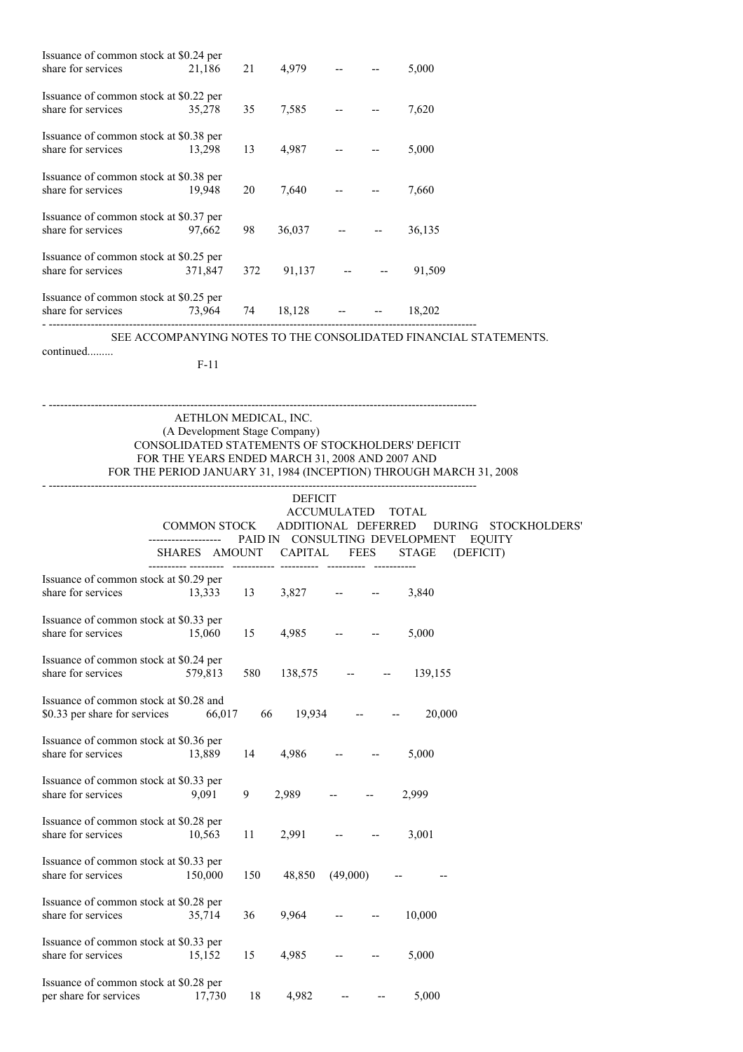| Issuance of common stock at \$0.24 per<br>share for services            | 21,186                                                                                                                                                                                                                              | 21  | 4,979               |                    |             | 5,000                                   |                            |  |
|-------------------------------------------------------------------------|-------------------------------------------------------------------------------------------------------------------------------------------------------------------------------------------------------------------------------------|-----|---------------------|--------------------|-------------|-----------------------------------------|----------------------------|--|
| Issuance of common stock at \$0.22 per<br>share for services            | 35,278                                                                                                                                                                                                                              | 35  | 7,585               |                    |             | 7,620                                   |                            |  |
| Issuance of common stock at \$0.38 per<br>share for services            | 13,298                                                                                                                                                                                                                              | 13  | 4,987               |                    |             | 5,000                                   |                            |  |
| Issuance of common stock at \$0.38 per<br>share for services            | 19,948                                                                                                                                                                                                                              | 20  | 7,640               |                    |             | 7,660                                   |                            |  |
| Issuance of common stock at \$0.37 per<br>share for services            | 97,662                                                                                                                                                                                                                              | 98  | 36,037              |                    |             | 36,135                                  |                            |  |
| Issuance of common stock at \$0.25 per<br>share for services            | 371,847                                                                                                                                                                                                                             | 372 | 91,137              |                    |             | 91,509                                  |                            |  |
| Issuance of common stock at \$0.25 per<br>share for services            | 73,964                                                                                                                                                                                                                              |     | 74 18,128 -- --     |                    |             | 18,202                                  |                            |  |
|                                                                         | SEE ACCOMPANYING NOTES TO THE CONSOLIDATED FINANCIAL STATEMENTS.                                                                                                                                                                    |     |                     |                    |             |                                         |                            |  |
| continued                                                               | $F-11$                                                                                                                                                                                                                              |     |                     |                    |             |                                         |                            |  |
|                                                                         | AETHLON MEDICAL, INC.<br>(A Development Stage Company)<br>CONSOLIDATED STATEMENTS OF STOCKHOLDERS' DEFICIT<br>FOR THE YEARS ENDED MARCH 31, 2008 AND 2007 AND<br>FOR THE PERIOD JANUARY 31, 1984 (INCEPTION) THROUGH MARCH 31, 2008 |     |                     |                    |             |                                         |                            |  |
|                                                                         |                                                                                                                                                                                                                                     |     | <b>DEFICIT</b>      |                    |             |                                         |                            |  |
|                                                                         | <b>COMMON STOCK</b>                                                                                                                                                                                                                 |     | ADDITIONAL DEFERRED | <b>ACCUMULATED</b> |             | <b>TOTAL</b>                            | DURING STOCKHOLDERS'       |  |
|                                                                         | ----------------<br>SHARES AMOUNT CAPITAL                                                                                                                                                                                           |     |                     |                    | <b>FEES</b> | PAID IN CONSULTING DEVELOPMENT<br>STAGE | <b>EQUITY</b><br>(DEFICIT) |  |
|                                                                         |                                                                                                                                                                                                                                     |     |                     |                    |             |                                         |                            |  |
| Issuance of common stock at \$0.29 per<br>share for services            | 13,333                                                                                                                                                                                                                              | 13  | $3,827 - -$         |                    |             | 3,840                                   |                            |  |
| Issuance of common stock at \$0.33 per<br>share for services            | 15,060                                                                                                                                                                                                                              | 15  | 4,985               |                    |             | 5,000                                   |                            |  |
| Issuance of common stock at \$0.24 per<br>share for services            | 579,813                                                                                                                                                                                                                             | 580 | 138,575             |                    |             | 139,155                                 |                            |  |
| Issuance of common stock at \$0.28 and<br>\$0.33 per share for services | 66,017                                                                                                                                                                                                                              | 66  | 19,934              |                    |             | 20,000                                  |                            |  |
| Issuance of common stock at \$0.36 per<br>share for services            | 13,889                                                                                                                                                                                                                              | 14  | 4,986               |                    |             | 5,000                                   |                            |  |
| Issuance of common stock at \$0.33 per<br>share for services            | 9,091                                                                                                                                                                                                                               | 9   | 2,989               |                    |             | 2,999                                   |                            |  |
| Issuance of common stock at \$0.28 per<br>share for services            | 10,563                                                                                                                                                                                                                              | 11  | 2,991               |                    |             | 3,001                                   |                            |  |
| Issuance of common stock at \$0.33 per<br>share for services            | 150,000                                                                                                                                                                                                                             | 150 | 48,850              | (49,000)           |             |                                         |                            |  |
| Issuance of common stock at \$0.28 per<br>share for services            | 35,714                                                                                                                                                                                                                              | 36  | 9,964               |                    |             | 10,000                                  |                            |  |
| Issuance of common stock at \$0.33 per<br>share for services            | 15,152                                                                                                                                                                                                                              | 15  | 4,985               |                    |             | 5,000                                   |                            |  |
| Issuance of common stock at \$0.28 per<br>per share for services        | 17,730                                                                                                                                                                                                                              | 18  | 4,982               |                    |             | 5,000                                   |                            |  |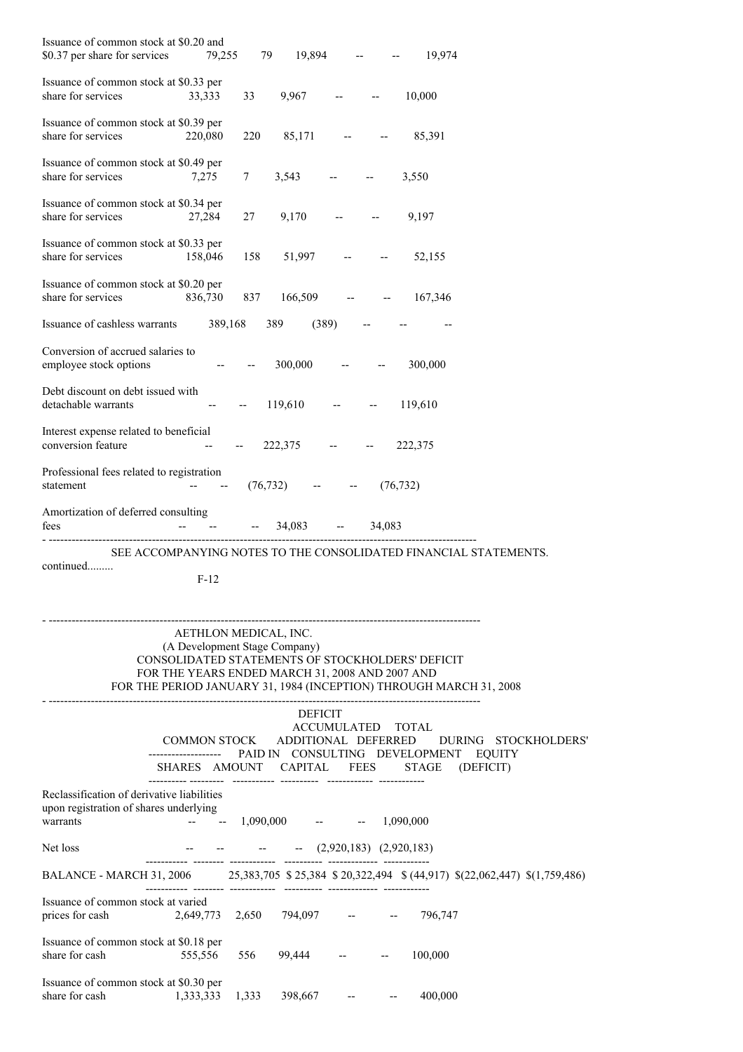| Issuance of common stock at \$0.20 and<br>\$0.37 per share for services<br>79 19,894 --<br>19,974<br>79,255                                                                                                                         |
|-------------------------------------------------------------------------------------------------------------------------------------------------------------------------------------------------------------------------------------|
| Issuance of common stock at \$0.33 per<br>share for services<br>33<br>33,333<br>$9,967$ --<br>10,000                                                                                                                                |
| Issuance of common stock at \$0.39 per<br>share for services<br>220 85,171 --<br>220,080<br>85,391                                                                                                                                  |
| Issuance of common stock at \$0.49 per<br>share for services<br>$3,543$ --<br>3,550<br>7,275<br>$7\overline{ }$                                                                                                                     |
| Issuance of common stock at \$0.34 per<br>share for services<br>27<br>27,284<br>9,170<br>9,197                                                                                                                                      |
| Issuance of common stock at \$0.33 per<br>share for services<br>158,046<br>$158$ $51,997$ --<br>52,155                                                                                                                              |
| Issuance of common stock at \$0.20 per<br>share for services<br>836,730<br>837<br>$166,509$ --<br>167,346                                                                                                                           |
| Issuance of cashless warrants<br>389,168<br>389<br>(389)                                                                                                                                                                            |
| Conversion of accrued salaries to<br>employee stock options<br>300,000<br>300,000<br>$\sim$ 100 $\pm$                                                                                                                               |
| Debt discount on debt issued with<br>detachable warrants<br>$119,610$ -- --<br>119,610                                                                                                                                              |
| Interest expense related to beneficial<br>conversion feature<br>$222,375$ -- --<br>222,375<br>$\overline{\phantom{a}}$<br>$- -$                                                                                                     |
| Professional fees related to registration<br>$(76, 732)$ -- --<br>statement<br>$\sim$ $-$<br>(76, 732)                                                                                                                              |
| Amortization of deferred consulting<br>$   34,083$ $ 34,083$<br>fees                                                                                                                                                                |
| SEE ACCOMPANYING NOTES TO THE CONSOLIDATED FINANCIAL STATEMENTS.<br>continued<br>$F-12$                                                                                                                                             |
| AETHLON MEDICAL, INC.<br>(A Development Stage Company)<br>CONSOLIDATED STATEMENTS OF STOCKHOLDERS' DEFICIT<br>FOR THE YEARS ENDED MARCH 31, 2008 AND 2007 AND<br>FOR THE PERIOD JANUARY 31, 1984 (INCEPTION) THROUGH MARCH 31, 2008 |
| <b>DEFICIT</b><br>ACCUMULATED TOTAL<br>COMMON STOCK ADDITIONAL DEFERRED<br>DURING STOCKHOLDERS'<br>---------------    PAID IN    CONSULTING    DEVELOPMENT    EQUITY<br>SHARES AMOUNT CAPITAL FEES<br>STAGE (DEFICIT)               |
| Reclassification of derivative liabilities<br>upon registration of shares underlying<br>$ -$ 1,090,000 $ -$ 1,090,000<br>warrants                                                                                                   |
| Net loss<br>$    (2,920,183)$ $(2,920,183)$                                                                                                                                                                                         |
| BALANCE - MARCH 31, 2006 25,383,705 \$ 25,384 \$ 20,322,494 \$ (44,917) \$(22,062,447) \$(1,759,486)                                                                                                                                |
| Issuance of common stock at varied<br>2,649,773 2,650 794,097 -- - 796,747<br>prices for cash                                                                                                                                       |
| Issuance of common stock at \$0.18 per<br>share for cash<br>99,444 -- --<br>555,556<br>556<br>100,000                                                                                                                               |

Issuance of common stock at \$0.30 per

share for cash 1,333,333 1,333 398,667 -- - 400,000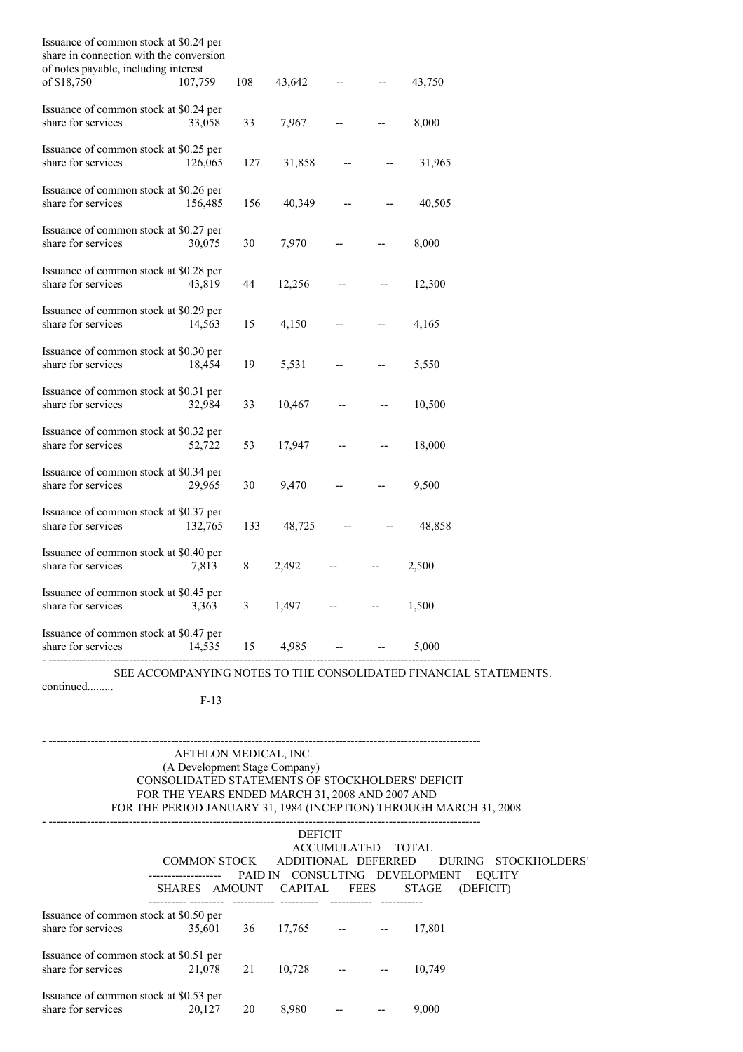| Issuance of common stock at \$0.24 per<br>share in connection with the conversion<br>of notes payable, including interest |         |     |        |  |  |                                                                  |  |
|---------------------------------------------------------------------------------------------------------------------------|---------|-----|--------|--|--|------------------------------------------------------------------|--|
| of \$18,750                                                                                                               | 107,759 | 108 | 43,642 |  |  | 43,750                                                           |  |
| Issuance of common stock at \$0.24 per<br>share for services                                                              | 33,058  | 33  | 7,967  |  |  | 8,000                                                            |  |
| Issuance of common stock at \$0.25 per<br>share for services                                                              | 126,065 | 127 | 31,858 |  |  | 31,965                                                           |  |
| Issuance of common stock at \$0.26 per<br>share for services                                                              | 156,485 | 156 | 40,349 |  |  | 40,505                                                           |  |
| Issuance of common stock at \$0.27 per<br>share for services                                                              | 30,075  | 30  | 7,970  |  |  | 8,000                                                            |  |
| Issuance of common stock at \$0.28 per<br>share for services                                                              | 43,819  | 44  | 12,256 |  |  | 12,300                                                           |  |
| Issuance of common stock at \$0.29 per<br>share for services                                                              | 14,563  | 15  | 4,150  |  |  | 4,165                                                            |  |
| Issuance of common stock at \$0.30 per<br>share for services                                                              | 18,454  | 19  | 5,531  |  |  | 5,550                                                            |  |
| Issuance of common stock at \$0.31 per<br>share for services                                                              | 32,984  | 33  | 10,467 |  |  | 10,500                                                           |  |
| Issuance of common stock at \$0.32 per<br>share for services                                                              | 52,722  | 53  | 17,947 |  |  | 18,000                                                           |  |
| Issuance of common stock at \$0.34 per<br>share for services                                                              | 29,965  | 30  | 9,470  |  |  | 9,500                                                            |  |
| Issuance of common stock at \$0.37 per<br>share for services                                                              | 132,765 | 133 | 48,725 |  |  | 48,858                                                           |  |
| Issuance of common stock at \$0.40 per<br>share for services                                                              | 7,813   | 8   | 2,492  |  |  | 2,500                                                            |  |
| Issuance of common stock at \$0.45 per                                                                                    |         |     |        |  |  |                                                                  |  |
| share for services                                                                                                        | 3,363   | 3   | 1,497  |  |  | 1,500                                                            |  |
| Issuance of common stock at \$0.47 per<br>share for services                                                              | 14,535  | 15  | 4,985  |  |  | 5,000                                                            |  |
| continued                                                                                                                 |         |     |        |  |  | SEE ACCOMPANYING NOTES TO THE CONSOLIDATED FINANCIAL STATEMENTS. |  |

F-13

## AETHLON MEDICAL, INC. (A Development Stage Company) CONSOLIDATED STATEMENTS OF STOCKHOLDERS' DEFICIT FOR THE YEARS ENDED MARCH 31, 2008 AND 2007 AND FOR THE PERIOD JANUARY 31, 1984 (INCEPTION) THROUGH MARCH 31, 2008

- -----------------------------------------------------------------------------------------------------------------

|                                        |                     |        | <b>DEFICIT</b>                 |                   |  |              |           |                      |
|----------------------------------------|---------------------|--------|--------------------------------|-------------------|--|--------------|-----------|----------------------|
|                                        |                     |        |                                | ACCUMULATED TOTAL |  |              |           |                      |
|                                        | <b>COMMON STOCK</b> |        | ADDITIONAL DEFERRED            |                   |  |              |           | DURING STOCKHOLDERS' |
|                                        |                     |        | PAID IN CONSULTING DEVELOPMENT |                   |  |              | EOUITY    |                      |
|                                        | <b>SHARES</b>       | AMOUNT | CAPITAL FEES                   |                   |  | <b>STAGE</b> | (DEFICIT) |                      |
|                                        |                     |        |                                |                   |  |              |           |                      |
| Issuance of common stock at \$0.50 per |                     |        |                                |                   |  |              |           |                      |
| share for services                     | 35.601              | 36     | $17,765$ -- --                 |                   |  | 17.801       |           |                      |
| Issuance of common stock at \$0.51 per |                     |        |                                |                   |  |              |           |                      |
| share for services                     | 21.078              | 21     | 10,728                         |                   |  | 10.749       |           |                      |
| Issuance of common stock at \$0.53 per |                     |        |                                |                   |  |              |           |                      |
| share for services                     | 20,127              | 20     | 8.980                          |                   |  | 9.000        |           |                      |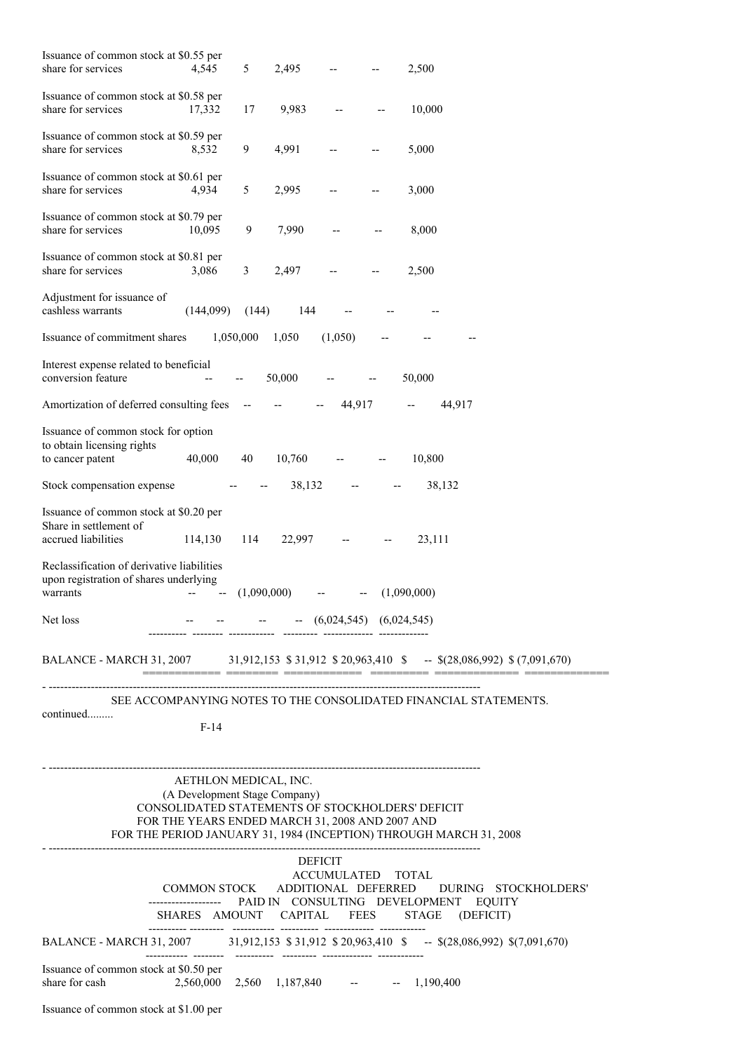| Issuance of common stock at \$0.55 per<br>share for services                                     | 4,545                                                                                                     | 5           | 2,495                                |                   | 2,500                                                                                                                  |
|--------------------------------------------------------------------------------------------------|-----------------------------------------------------------------------------------------------------------|-------------|--------------------------------------|-------------------|------------------------------------------------------------------------------------------------------------------------|
| Issuance of common stock at \$0.58 per<br>share for services                                     | 17,332                                                                                                    | 17          | 9,983                                |                   | 10,000                                                                                                                 |
| Issuance of common stock at \$0.59 per<br>share for services                                     | 8,532                                                                                                     | 9           | 4,991                                |                   | 5,000                                                                                                                  |
| Issuance of common stock at \$0.61 per<br>share for services                                     | 4,934                                                                                                     | 5           | 2,995                                |                   | 3,000                                                                                                                  |
| Issuance of common stock at \$0.79 per<br>share for services                                     | 10,095                                                                                                    | 9           | 7,990                                |                   | 8,000                                                                                                                  |
| Issuance of common stock at \$0.81 per<br>share for services                                     | 3,086                                                                                                     | 3           | 2,497                                |                   | 2,500                                                                                                                  |
| Adjustment for issuance of<br>cashless warrants                                                  | (144,099)                                                                                                 | (144)       | 144                                  |                   |                                                                                                                        |
| Issuance of commitment shares                                                                    | 1,050,000                                                                                                 |             | 1,050                                | (1,050)           |                                                                                                                        |
| Interest expense related to beneficial<br>conversion feature                                     |                                                                                                           |             | 50,000                               |                   | 50,000                                                                                                                 |
| Amortization of deferred consulting fees                                                         |                                                                                                           |             |                                      | 44,917            | 44,917                                                                                                                 |
| Issuance of common stock for option<br>to obtain licensing rights<br>to cancer patent            | 40,000                                                                                                    | 40          | 10,760                               |                   | 10,800                                                                                                                 |
| Stock compensation expense                                                                       |                                                                                                           |             | 38,132                               |                   | 38,132                                                                                                                 |
| Issuance of common stock at \$0.20 per<br>Share in settlement of<br>accrued liabilities          | 114,130                                                                                                   | 114         | 22,997                               |                   | 23,111                                                                                                                 |
| Reclassification of derivative liabilities<br>upon registration of shares underlying<br>warrants |                                                                                                           | (1,090,000) |                                      |                   | (1,090,000)                                                                                                            |
| Net loss                                                                                         |                                                                                                           |             | -- - - - $(6,024,545)$ $(6,024,545)$ |                   |                                                                                                                        |
|                                                                                                  |                                                                                                           |             |                                      |                   | BALANCE - MARCH 31, 2007 31, 912, 153 \$ 31, 912 \$ 20, 963, 410 \$ - \$ (28, 086, 992) \$ (7, 091, 670)               |
| continued                                                                                        | $F-14$                                                                                                    |             |                                      |                   | SEE ACCOMPANYING NOTES TO THE CONSOLIDATED FINANCIAL STATEMENTS.                                                       |
|                                                                                                  | AETHLON MEDICAL, INC.<br>(A Development Stage Company)<br>FOR THE YEARS ENDED MARCH 31, 2008 AND 2007 AND |             |                                      |                   | CONSOLIDATED STATEMENTS OF STOCKHOLDERS' DEFICIT<br>FOR THE PERIOD JANUARY 31, 1984 (INCEPTION) THROUGH MARCH 31, 2008 |
|                                                                                                  | ----------------<br>SHARES AMOUNT CAPITAL FEES STAGE                                                      |             | <b>DEFICIT</b>                       | ACCUMULATED TOTAL | COMMON STOCK ADDITIONAL DEFERRED DURING STOCKHOLDERS'<br>PAID IN CONSULTING DEVELOPMENT EQUITY<br>(DEFICIT)            |
|                                                                                                  |                                                                                                           |             |                                      |                   | BALANCE - MARCH 31, 2007 31, 912, 153 \$ 31, 912 \$ 20, 963, 410 \$ -- \$(28, 086, 992) \$(7, 091, 670)                |
| Issuance of common stock at \$0.50 per<br>share for cash                                         |                                                                                                           |             |                                      |                   | 2,560,000 2,560 1,187,840 -- - 1,190,400                                                                               |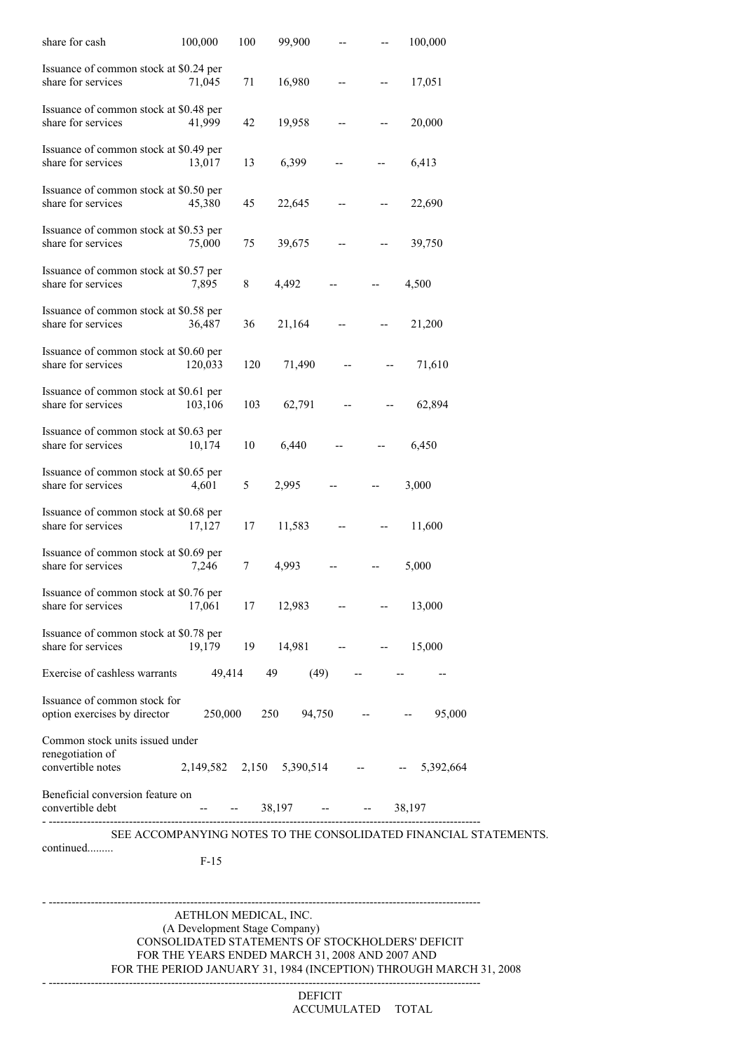| share for cash                                                                                  | 100,000 | 100 | 99,900        |                                                     |                                                     | 100,000                                                 |  |
|-------------------------------------------------------------------------------------------------|---------|-----|---------------|-----------------------------------------------------|-----------------------------------------------------|---------------------------------------------------------|--|
| Issuance of common stock at \$0.24 per<br>share for services                                    | 71,045  | 71  | 16,980        | --                                                  |                                                     | 17,051                                                  |  |
| Issuance of common stock at \$0.48 per<br>share for services                                    | 41,999  | 42  | 19,958        |                                                     |                                                     | 20,000                                                  |  |
| Issuance of common stock at \$0.49 per<br>share for services                                    | 13,017  | 13  | 6,399         | --                                                  |                                                     | 6,413                                                   |  |
| Issuance of common stock at \$0.50 per<br>share for services                                    | 45,380  | 45  | 22,645        |                                                     |                                                     | 22,690                                                  |  |
| Issuance of common stock at \$0.53 per<br>share for services                                    | 75,000  | 75  | 39,675        |                                                     |                                                     | 39,750                                                  |  |
| Issuance of common stock at \$0.57 per<br>share for services                                    | 7,895   | 8   | 4,492         | $- -$                                               |                                                     | 4,500                                                   |  |
| Issuance of common stock at \$0.58 per<br>share for services                                    | 36,487  | 36  | 21,164        |                                                     |                                                     | 21,200                                                  |  |
| Issuance of common stock at \$0.60 per<br>share for services                                    | 120,033 | 120 | 71,490        |                                                     |                                                     | 71,610                                                  |  |
| Issuance of common stock at \$0.61 per<br>share for services                                    | 103,106 | 103 | 62,791        | $\hspace{0.05cm} -\hspace{0.05cm} -\hspace{0.05cm}$ |                                                     | 62,894                                                  |  |
| Issuance of common stock at \$0.63 per<br>share for services                                    | 10,174  | 10  | 6,440         |                                                     |                                                     | 6,450                                                   |  |
| Issuance of common stock at \$0.65 per<br>share for services                                    | 4,601   | 5   | 2,995         |                                                     |                                                     | 3,000                                                   |  |
| Issuance of common stock at \$0.68 per<br>share for services                                    | 17,127  | 17  | 11,583        |                                                     |                                                     | 11,600                                                  |  |
| Issuance of common stock at \$0.69 per<br>share for services                                    | 7,246   | 7   | 4,993         |                                                     |                                                     | 5,000                                                   |  |
| Issuance of common stock at \$0.76 per<br>share for services                                    | 17,061  |     | 17 12,983     | <b>Address Contract</b>                             | $\overline{\phantom{m}}$                            | 13,000                                                  |  |
| Issuance of common stock at \$0.78 per<br>share for services                                    | 19,179  |     | 19 14,981     |                                                     |                                                     | 15,000                                                  |  |
| Exercise of cashless warrants                                                                   | 49,414  |     | 49<br>(49)    |                                                     |                                                     |                                                         |  |
| Issuance of common stock for<br>option exercises by director                                    | 250,000 |     | 250 94,750    |                                                     |                                                     | 95,000                                                  |  |
| Common stock units issued under<br>renegotiation of<br>2,149,582 2,150 5,390,514 -- - 5,392,664 |         |     |               |                                                     |                                                     |                                                         |  |
| convertible notes                                                                               |         |     |               |                                                     |                                                     |                                                         |  |
| Beneficial conversion feature on<br>convertible debt                                            |         |     | $-38,197$ $-$ |                                                     | $\frac{1}{2}$ and $\frac{1}{2}$ . The $\frac{1}{2}$ | 38,197                                                  |  |
|                                                                                                 |         |     |               |                                                     |                                                     | SEE ACCOMPANYING NOTES TO THE CONSOLIDATED EINANCIAL ST |  |

continued.........

SEE ACCOMPANYING NOTES TO THE CONSOLIDATED FINANCIAL STATEMENTS.

F-15

- ----------------------------------------------------------------------------------------------------------------- AETHLON MEDICAL, INC. (A Development Stage Company) CONSOLIDATED STATEMENTS OF STOCKHOLDERS' DEFICIT FOR THE YEARS ENDED MARCH 31, 2008 AND 2007 AND FOR THE PERIOD JANUARY 31, 1984 (INCEPTION) THROUGH MARCH 31, 2008

- -----------------------------------------------------------------------------------------------------------------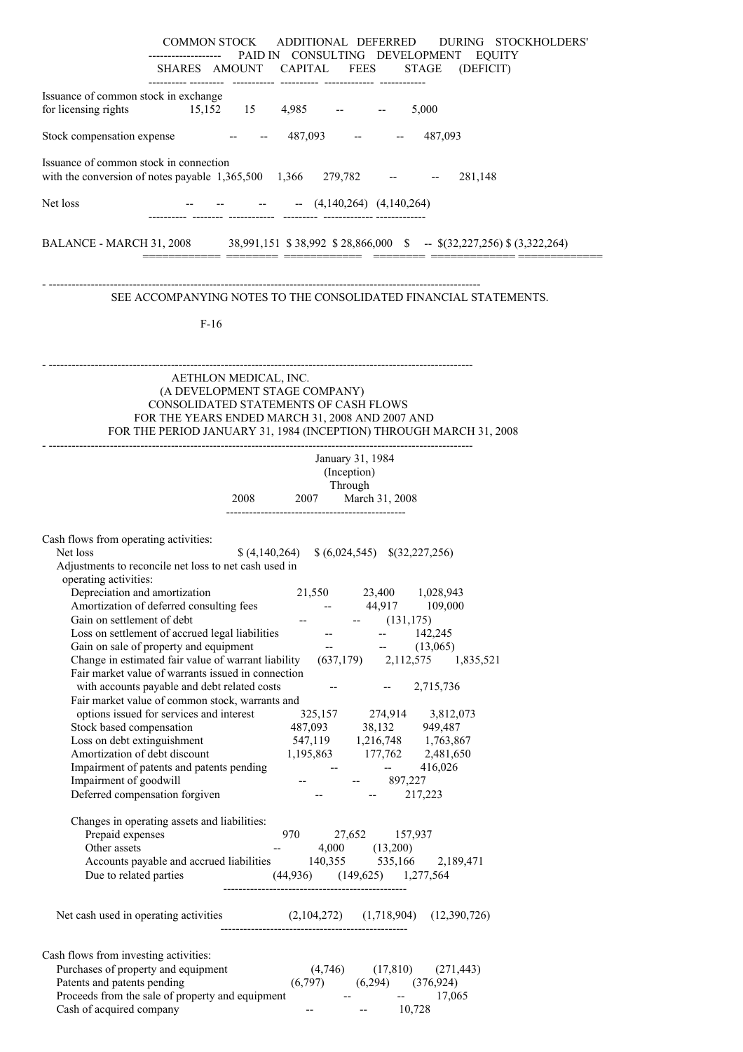|                                                                                                                                                                                                                                                                                                                                                                                                                                                                                                                                                                                                                                                                                                                                                                                                                                                                                                                                                                                       | COMMON STOCK<br>----------------                                       | ADDITIONAL DEFERRED                                                                                                                                                                                                                                                                                                                                                                                         |                                                                                                                                                          | DURING STOCKHOLDERS'<br>PAID IN CONSULTING DEVELOPMENT EQUITY                                 |
|---------------------------------------------------------------------------------------------------------------------------------------------------------------------------------------------------------------------------------------------------------------------------------------------------------------------------------------------------------------------------------------------------------------------------------------------------------------------------------------------------------------------------------------------------------------------------------------------------------------------------------------------------------------------------------------------------------------------------------------------------------------------------------------------------------------------------------------------------------------------------------------------------------------------------------------------------------------------------------------|------------------------------------------------------------------------|-------------------------------------------------------------------------------------------------------------------------------------------------------------------------------------------------------------------------------------------------------------------------------------------------------------------------------------------------------------------------------------------------------------|----------------------------------------------------------------------------------------------------------------------------------------------------------|-----------------------------------------------------------------------------------------------|
|                                                                                                                                                                                                                                                                                                                                                                                                                                                                                                                                                                                                                                                                                                                                                                                                                                                                                                                                                                                       | SHARES AMOUNT CAPITAL FEES STAGE                                       |                                                                                                                                                                                                                                                                                                                                                                                                             |                                                                                                                                                          | (DEFICIT)                                                                                     |
| Issuance of common stock in exchange<br>for licensing rights                                                                                                                                                                                                                                                                                                                                                                                                                                                                                                                                                                                                                                                                                                                                                                                                                                                                                                                          | $15,152$ $15$ $4,985$ -- - $5,000$                                     |                                                                                                                                                                                                                                                                                                                                                                                                             |                                                                                                                                                          |                                                                                               |
| Stock compensation expense                                                                                                                                                                                                                                                                                                                                                                                                                                                                                                                                                                                                                                                                                                                                                                                                                                                                                                                                                            | $ -$ 487,093 $ -$ 487,093                                              |                                                                                                                                                                                                                                                                                                                                                                                                             |                                                                                                                                                          |                                                                                               |
| Issuance of common stock in connection<br>with the conversion of notes payable $1,365,500$ $1,366$ $279,782$ -- - 281,148                                                                                                                                                                                                                                                                                                                                                                                                                                                                                                                                                                                                                                                                                                                                                                                                                                                             |                                                                        |                                                                                                                                                                                                                                                                                                                                                                                                             |                                                                                                                                                          |                                                                                               |
| Net loss                                                                                                                                                                                                                                                                                                                                                                                                                                                                                                                                                                                                                                                                                                                                                                                                                                                                                                                                                                              |                                                                        | -- -- -- $(4,140,264)$ $(4,140,264)$                                                                                                                                                                                                                                                                                                                                                                        |                                                                                                                                                          |                                                                                               |
|                                                                                                                                                                                                                                                                                                                                                                                                                                                                                                                                                                                                                                                                                                                                                                                                                                                                                                                                                                                       |                                                                        |                                                                                                                                                                                                                                                                                                                                                                                                             |                                                                                                                                                          | BALANCE - MARCH 31, 2008 38,991,151 \$38,992 \$28,866,000 \$ -- \$(32,227,256) \$ (3,322,264) |
|                                                                                                                                                                                                                                                                                                                                                                                                                                                                                                                                                                                                                                                                                                                                                                                                                                                                                                                                                                                       |                                                                        |                                                                                                                                                                                                                                                                                                                                                                                                             |                                                                                                                                                          | SEE ACCOMPANYING NOTES TO THE CONSOLIDATED FINANCIAL STATEMENTS.                              |
|                                                                                                                                                                                                                                                                                                                                                                                                                                                                                                                                                                                                                                                                                                                                                                                                                                                                                                                                                                                       | $F-16$                                                                 |                                                                                                                                                                                                                                                                                                                                                                                                             |                                                                                                                                                          |                                                                                               |
|                                                                                                                                                                                                                                                                                                                                                                                                                                                                                                                                                                                                                                                                                                                                                                                                                                                                                                                                                                                       | AETHLON MEDICAL, INC.                                                  |                                                                                                                                                                                                                                                                                                                                                                                                             |                                                                                                                                                          |                                                                                               |
|                                                                                                                                                                                                                                                                                                                                                                                                                                                                                                                                                                                                                                                                                                                                                                                                                                                                                                                                                                                       | (A DEVELOPMENT STAGE COMPANY)<br>CONSOLIDATED STATEMENTS OF CASH FLOWS |                                                                                                                                                                                                                                                                                                                                                                                                             |                                                                                                                                                          |                                                                                               |
|                                                                                                                                                                                                                                                                                                                                                                                                                                                                                                                                                                                                                                                                                                                                                                                                                                                                                                                                                                                       | FOR THE YEARS ENDED MARCH 31, 2008 AND 2007 AND                        |                                                                                                                                                                                                                                                                                                                                                                                                             |                                                                                                                                                          | FOR THE PERIOD JANUARY 31, 1984 (INCEPTION) THROUGH MARCH 31, 2008                            |
|                                                                                                                                                                                                                                                                                                                                                                                                                                                                                                                                                                                                                                                                                                                                                                                                                                                                                                                                                                                       |                                                                        |                                                                                                                                                                                                                                                                                                                                                                                                             | January 31, 1984                                                                                                                                         |                                                                                               |
|                                                                                                                                                                                                                                                                                                                                                                                                                                                                                                                                                                                                                                                                                                                                                                                                                                                                                                                                                                                       |                                                                        | (Inception)<br>Through                                                                                                                                                                                                                                                                                                                                                                                      |                                                                                                                                                          |                                                                                               |
|                                                                                                                                                                                                                                                                                                                                                                                                                                                                                                                                                                                                                                                                                                                                                                                                                                                                                                                                                                                       |                                                                        | 2008 2007 March 31, 2008                                                                                                                                                                                                                                                                                                                                                                                    |                                                                                                                                                          |                                                                                               |
| Cash flows from operating activities:<br>Net loss<br>Adjustments to reconcile net loss to net cash used in<br>operating activities:<br>Depreciation and amortization<br>Amortization of deferred consulting fees<br>Gain on settlement of debt<br>Loss on settlement of accrued legal liabilities --<br>Gain on sale of property and equipment<br>Change in estimated fair value of warrant liability<br>Fair market value of warrants issued in connection<br>with accounts payable and debt related costs<br>Fair market value of common stock, warrants and<br>options issued for services and interest<br>Stock based compensation<br>Loss on debt extinguishment<br>Amortization of debt discount<br>Impairment of patents and patents pending<br>Impairment of goodwill<br>manuparment of goodwill<br>Deferred compensation forgiven<br>Changes in operating assets and liabilities:<br>Prepaid expenses<br>Other assets<br>Due to related parties (44,936) (149,625) 1,277,564 | Accounts payable and accrued liabilities 140,355 535,166 2,189,471     | $(4,140,264)$ $(6,024,545)$ $(32,227,256)$<br>21,550<br>$-$<br>$\overline{\phantom{a}}$<br>325,157 274,914 3,812,073<br>487,093 38,132 949,487<br>547,119 1,216,748 1,763,867<br>1,195,863 177,762 2,481,650<br>15 and the contract of the contract of the contract of the contract of the contract of the contract of the contract of the contract of the con<br>970 27,652 157,937<br>$-4,000$ $(13,200)$ | 23,400<br>44,917 109,000<br>$-$ (131,175)<br>$-142,245$<br>$\frac{1}{2}$ and $\frac{1}{2}$ . The $\frac{1}{2}$<br>$\overline{\phantom{a}}$<br>$-897,227$ | 1,028,943<br>(13,065)<br>$(637,179)$ 2,112,575 1,835,521<br>2,715,736<br>217,223              |
| Net cash used in operating activities (2,104,272) (1,718,904) (12,390,726)                                                                                                                                                                                                                                                                                                                                                                                                                                                                                                                                                                                                                                                                                                                                                                                                                                                                                                            |                                                                        |                                                                                                                                                                                                                                                                                                                                                                                                             |                                                                                                                                                          |                                                                                               |
|                                                                                                                                                                                                                                                                                                                                                                                                                                                                                                                                                                                                                                                                                                                                                                                                                                                                                                                                                                                       |                                                                        |                                                                                                                                                                                                                                                                                                                                                                                                             |                                                                                                                                                          |                                                                                               |
| Cash flows from investing activities:<br>Purchases of property and equipment<br>Patents and patents pending<br>$(4,746)$ $(17,810)$ $(271,443)$<br>Patents and patents pending<br>$(6,797)$ $(6,294)$ $(376,924)$<br>Proceeds from the sale of property and equipment<br>Cash of acquired company                                                                                                                                                                                                                                                                                                                                                                                                                                                                                                                                                                                                                                                                                     |                                                                        |                                                                                                                                                                                                                                                                                                                                                                                                             | <b>ARCHITECT</b><br>10,728<br>$\overline{\phantom{a}}$                                                                                                   | $-17,065$                                                                                     |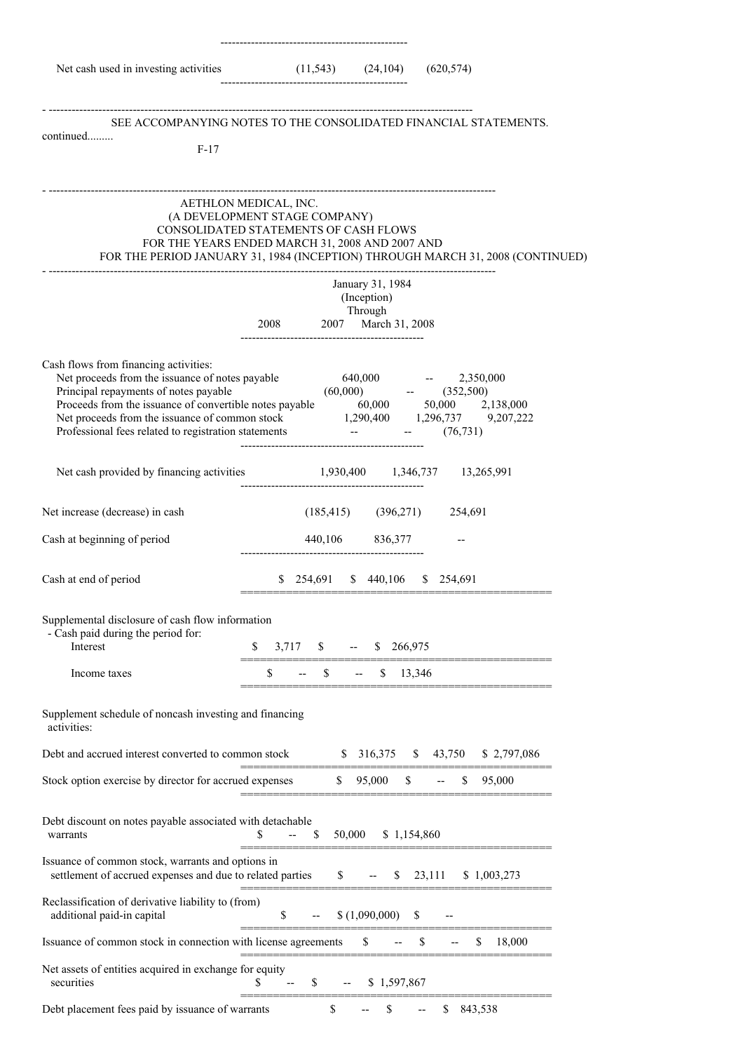| Net cash used in investing activities (11,543) (24,104) (620,574)                                                                                                                                                                                                                                                                                                                      |                                                                                                 |                                            |                                                                                |
|----------------------------------------------------------------------------------------------------------------------------------------------------------------------------------------------------------------------------------------------------------------------------------------------------------------------------------------------------------------------------------------|-------------------------------------------------------------------------------------------------|--------------------------------------------|--------------------------------------------------------------------------------|
| continued<br>$F-17$                                                                                                                                                                                                                                                                                                                                                                    |                                                                                                 |                                            | SEE ACCOMPANYING NOTES TO THE CONSOLIDATED FINANCIAL STATEMENTS.               |
| FOR THE YEARS ENDED MARCH 31, 2008 AND 2007 AND                                                                                                                                                                                                                                                                                                                                        | AETHLON MEDICAL, INC.<br>(A DEVELOPMENT STAGE COMPANY)<br>CONSOLIDATED STATEMENTS OF CASH FLOWS |                                            | FOR THE PERIOD JANUARY 31, 1984 (INCEPTION) THROUGH MARCH 31, 2008 (CONTINUED) |
|                                                                                                                                                                                                                                                                                                                                                                                        | 2008 2007 March 31, 2008                                                                        | January 31, 1984<br>(Inception)<br>Through |                                                                                |
| Cash flows from financing activities:<br>Net proceeds from the issuance of notes payable<br>Principal repayments of notes payable<br>Proceeds from the issuance of convertible notes payable<br>$(60,000)$ - $(352,500)$<br>$50,000$ 2,138,000<br>Net proceeds from the issuance of common stock 1,290,400 1,296,737 9,207,222<br>Professional fees related to registration statements |                                                                                                 |                                            | $  (76,731)$                                                                   |
| Net cash provided by financing activities 1,930,400 1,346,737 13,265,991                                                                                                                                                                                                                                                                                                               |                                                                                                 |                                            |                                                                                |
| Net increase (decrease) in cash                                                                                                                                                                                                                                                                                                                                                        |                                                                                                 |                                            | $(185, 415)$ $(396, 271)$ $254, 691$                                           |
| Cash at beginning of period                                                                                                                                                                                                                                                                                                                                                            |                                                                                                 | 440,106 836,377 --                         |                                                                                |
| Cash at end of period                                                                                                                                                                                                                                                                                                                                                                  |                                                                                                 | \$ 254,691 \$ 440,106 \$ 254,691           |                                                                                |
| Supplemental disclosure of cash flow information<br>- Cash paid during the period for:<br>Interest<br>Income taxes                                                                                                                                                                                                                                                                     | \$<br>\$<br>3,717<br>\$<br>\$                                                                   | \$266,975<br>\$                            | 13,346                                                                         |
| Supplement schedule of noncash investing and financing<br>activities:                                                                                                                                                                                                                                                                                                                  |                                                                                                 |                                            |                                                                                |
| Debt and accrued interest converted to common stock                                                                                                                                                                                                                                                                                                                                    |                                                                                                 | 316,375<br>S                               | \$2,797,086<br>S.<br>43,750                                                    |
| Stock option exercise by director for accrued expenses                                                                                                                                                                                                                                                                                                                                 | \$                                                                                              | 95,000<br>\$                               | \$<br>95,000                                                                   |
| Debt discount on notes payable associated with detachable<br>warrants                                                                                                                                                                                                                                                                                                                  | \$<br>S                                                                                         | 50,000<br>\$1,154,860                      |                                                                                |
| Issuance of common stock, warrants and options in<br>settlement of accrued expenses and due to related parties                                                                                                                                                                                                                                                                         |                                                                                                 | \$<br>S                                    | 23,111<br>\$1,003,273                                                          |
| Reclassification of derivative liability to (from)<br>additional paid-in capital                                                                                                                                                                                                                                                                                                       | \$                                                                                              | \$(1,090,000)                              | \$                                                                             |
| Issuance of common stock in connection with license agreements                                                                                                                                                                                                                                                                                                                         |                                                                                                 | \$                                         | \$<br>\$<br>18,000                                                             |
| Net assets of entities acquired in exchange for equity<br>securities                                                                                                                                                                                                                                                                                                                   | \$<br>\$                                                                                        | \$1,597,867                                |                                                                                |
| Debt placement fees paid by issuance of warrants                                                                                                                                                                                                                                                                                                                                       | \$                                                                                              | \$                                         | 843,538                                                                        |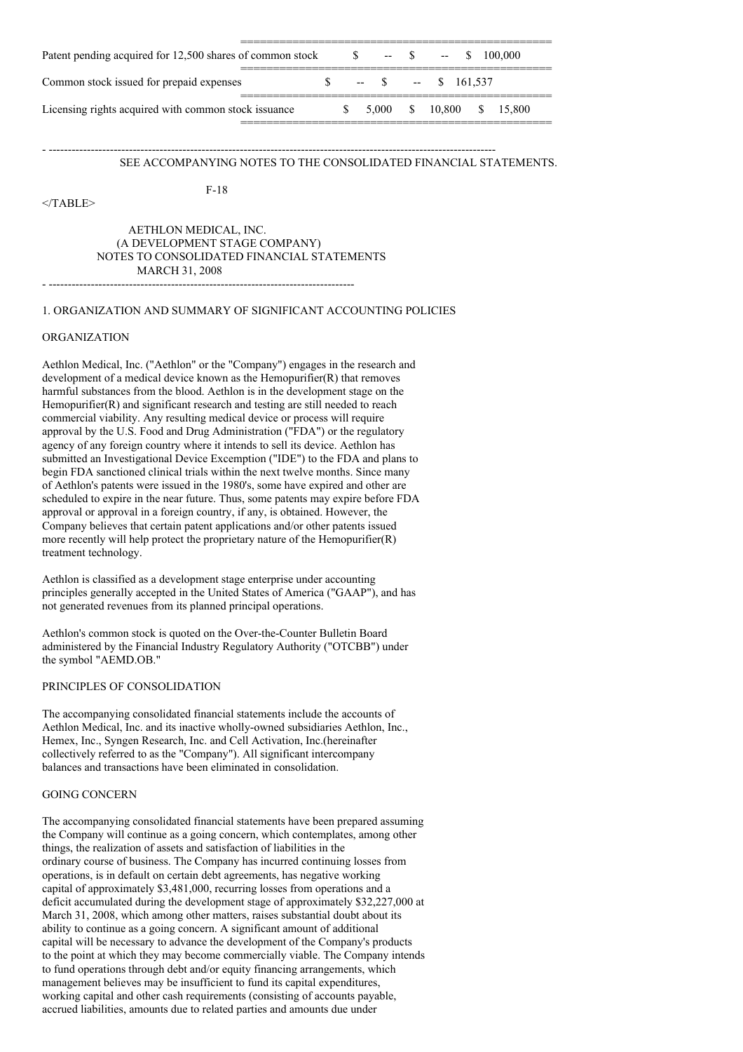| Patent pending acquired for 12,500 shares of common stock |  | $- -$                 | $\sim$ 8 | $\sim$ $\sim$ $\sim$ $\sim$ |  | 100,000   |
|-----------------------------------------------------------|--|-----------------------|----------|-----------------------------|--|-----------|
| Common stock issued for prepaid expenses                  |  | $-$ \$ $-$ \$ 161,537 |          |                             |  |           |
| Licensing rights acquired with common stock issuance      |  | 5,000 \$ 10,800       |          |                             |  | \$ 15,800 |

#### - --------------------------------------------------------------------------------------------------------------------- SEE ACCOMPANYING NOTES TO THE CONSOLIDATED FINANCIAL STATEMENTS.

 $<$ /TABLE>

AETHLON MEDICAL, INC. (A DEVELOPMENT STAGE COMPANY) NOTES TO CONSOLIDATED FINANCIAL STATEMENTS MARCH 31, 2008

- --------------------------------------------------------------------------------

F-18

## 1. ORGANIZATION AND SUMMARY OF SIGNIFICANT ACCOUNTING POLICIES

## ORGANIZATION

Aethlon Medical, Inc. ("Aethlon" or the "Company") engages in the research and development of a medical device known as the Hemopurifier(R) that removes harmful substances from the blood. Aethlon is in the development stage on the Hemopurifier(R) and significant research and testing are still needed to reach commercial viability. Any resulting medical device or process will require approval by the U.S. Food and Drug Administration ("FDA") or the regulatory agency of any foreign country where it intends to sell its device. Aethlon has submitted an Investigational Device Excemption ("IDE") to the FDA and plans to begin FDA sanctioned clinical trials within the next twelve months. Since many of Aethlon's patents were issued in the 1980's, some have expired and other are scheduled to expire in the near future. Thus, some patents may expire before FDA approval or approval in a foreign country, if any, is obtained. However, the Company believes that certain patent applications and/or other patents issued more recently will help protect the proprietary nature of the Hemopurifier(R) treatment technology.

Aethlon is classified as a development stage enterprise under accounting principles generally accepted in the United States of America ("GAAP"), and has not generated revenues from its planned principal operations.

Aethlon's common stock is quoted on the Over-the-Counter Bulletin Board administered by the Financial Industry Regulatory Authority ("OTCBB") under the symbol "AEMD.OB."

#### PRINCIPLES OF CONSOLIDATION

The accompanying consolidated financial statements include the accounts of Aethlon Medical, Inc. and its inactive wholly-owned subsidiaries Aethlon, Inc., Hemex, Inc., Syngen Research, Inc. and Cell Activation, Inc.(hereinafter collectively referred to as the "Company"). All significant intercompany balances and transactions have been eliminated in consolidation.

## GOING CONCERN

The accompanying consolidated financial statements have been prepared assuming the Company will continue as a going concern, which contemplates, among other things, the realization of assets and satisfaction of liabilities in the ordinary course of business. The Company has incurred continuing losses from operations, is in default on certain debt agreements, has negative working capital of approximately \$3,481,000, recurring losses from operations and a deficit accumulated during the development stage of approximately \$32,227,000 at March 31, 2008, which among other matters, raises substantial doubt about its ability to continue as a going concern. A significant amount of additional capital will be necessary to advance the development of the Company's products to the point at which they may become commercially viable. The Company intends to fund operations through debt and/or equity financing arrangements, which management believes may be insufficient to fund its capital expenditures, working capital and other cash requirements (consisting of accounts payable, accrued liabilities, amounts due to related parties and amounts due under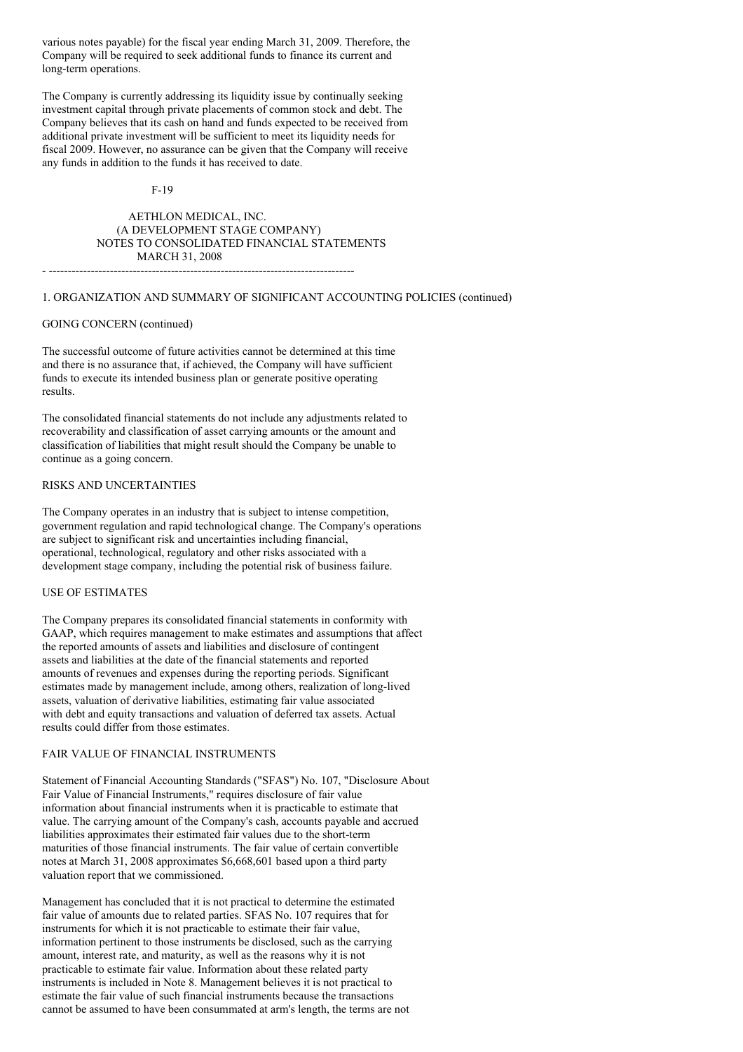various notes payable) for the fiscal year ending March 31, 2009. Therefore, the Company will be required to seek additional funds to finance its current and long-term operations.

The Company is currently addressing its liquidity issue by continually seeking investment capital through private placements of common stock and debt. The Company believes that its cash on hand and funds expected to be received from additional private investment will be sufficient to meet its liquidity needs for fiscal 2009. However, no assurance can be given that the Company will receive any funds in addition to the funds it has received to date.

F-19

AETHLON MEDICAL, INC. (A DEVELOPMENT STAGE COMPANY) NOTES TO CONSOLIDATED FINANCIAL STATEMENTS MARCH 31, 2008 - --------------------------------------------------------------------------------

### 1. ORGANIZATION AND SUMMARY OF SIGNIFICANT ACCOUNTING POLICIES (continued)

## GOING CONCERN (continued)

The successful outcome of future activities cannot be determined at this time and there is no assurance that, if achieved, the Company will have sufficient funds to execute its intended business plan or generate positive operating results.

The consolidated financial statements do not include any adjustments related to recoverability and classification of asset carrying amounts or the amount and classification of liabilities that might result should the Company be unable to continue as a going concern.

## RISKS AND UNCERTAINTIES

The Company operates in an industry that is subject to intense competition, government regulation and rapid technological change. The Company's operations are subject to significant risk and uncertainties including financial, operational, technological, regulatory and other risks associated with a development stage company, including the potential risk of business failure.

## USE OF ESTIMATES

The Company prepares its consolidated financial statements in conformity with GAAP, which requires management to make estimates and assumptions that affect the reported amounts of assets and liabilities and disclosure of contingent assets and liabilities at the date of the financial statements and reported amounts of revenues and expenses during the reporting periods. Significant estimates made by management include, among others, realization of long-lived assets, valuation of derivative liabilities, estimating fair value associated with debt and equity transactions and valuation of deferred tax assets. Actual results could differ from those estimates.

#### FAIR VALUE OF FINANCIAL INSTRUMENTS

Statement of Financial Accounting Standards ("SFAS") No. 107, "Disclosure About Fair Value of Financial Instruments," requires disclosure of fair value information about financial instruments when it is practicable to estimate that value. The carrying amount of the Company's cash, accounts payable and accrued liabilities approximates their estimated fair values due to the short-term maturities of those financial instruments. The fair value of certain convertible notes at March 31, 2008 approximates \$6,668,601 based upon a third party valuation report that we commissioned.

Management has concluded that it is not practical to determine the estimated fair value of amounts due to related parties. SFAS No. 107 requires that for instruments for which it is not practicable to estimate their fair value, information pertinent to those instruments be disclosed, such as the carrying amount, interest rate, and maturity, as well as the reasons why it is not practicable to estimate fair value. Information about these related party instruments is included in Note 8. Management believes it is not practical to estimate the fair value of such financial instruments because the transactions cannot be assumed to have been consummated at arm's length, the terms are not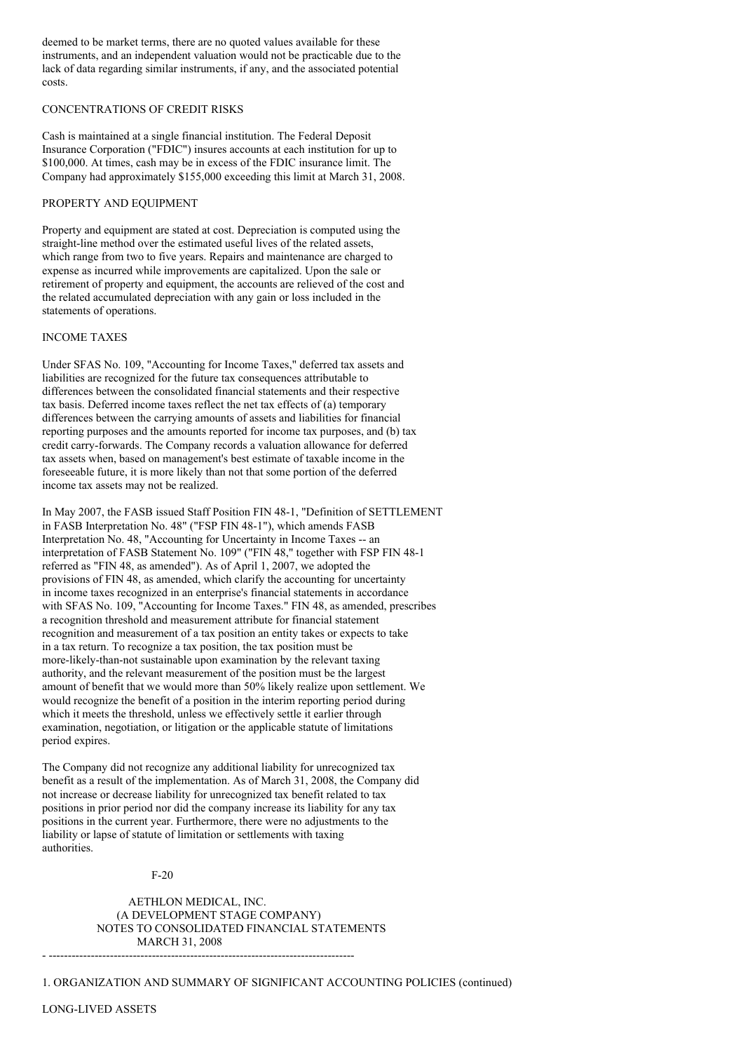deemed to be market terms, there are no quoted values available for these instruments, and an independent valuation would not be practicable due to the lack of data regarding similar instruments, if any, and the associated potential costs.

## CONCENTRATIONS OF CREDIT RISKS

Cash is maintained at a single financial institution. The Federal Deposit Insurance Corporation ("FDIC") insures accounts at each institution for up to \$100,000. At times, cash may be in excess of the FDIC insurance limit. The Company had approximately \$155,000 exceeding this limit at March 31, 2008.

## PROPERTY AND EQUIPMENT

Property and equipment are stated at cost. Depreciation is computed using the straight-line method over the estimated useful lives of the related assets, which range from two to five years. Repairs and maintenance are charged to expense as incurred while improvements are capitalized. Upon the sale or retirement of property and equipment, the accounts are relieved of the cost and the related accumulated depreciation with any gain or loss included in the statements of operations.

## INCOME TAXES

Under SFAS No. 109, "Accounting for Income Taxes," deferred tax assets and liabilities are recognized for the future tax consequences attributable to differences between the consolidated financial statements and their respective tax basis. Deferred income taxes reflect the net tax effects of (a) temporary differences between the carrying amounts of assets and liabilities for financial reporting purposes and the amounts reported for income tax purposes, and (b) tax credit carry-forwards. The Company records a valuation allowance for deferred tax assets when, based on management's best estimate of taxable income in the foreseeable future, it is more likely than not that some portion of the deferred income tax assets may not be realized.

In May 2007, the FASB issued Staff Position FIN 48-1, "Definition of SETTLEMENT in FASB Interpretation No. 48" ("FSP FIN 48-1"), which amends FASB Interpretation No. 48, "Accounting for Uncertainty in Income Taxes -- an interpretation of FASB Statement No. 109" ("FIN 48," together with FSP FIN 48-1 referred as "FIN 48, as amended"). As of April 1, 2007, we adopted the provisions of FIN 48, as amended, which clarify the accounting for uncertainty in income taxes recognized in an enterprise's financial statements in accordance with SFAS No. 109, "Accounting for Income Taxes." FIN 48, as amended, prescribes a recognition threshold and measurement attribute for financial statement recognition and measurement of a tax position an entity takes or expects to take in a tax return. To recognize a tax position, the tax position must be more-likely-than-not sustainable upon examination by the relevant taxing authority, and the relevant measurement of the position must be the largest amount of benefit that we would more than 50% likely realize upon settlement. We would recognize the benefit of a position in the interim reporting period during which it meets the threshold, unless we effectively settle it earlier through examination, negotiation, or litigation or the applicable statute of limitations period expires.

The Company did not recognize any additional liability for unrecognized tax benefit as a result of the implementation. As of March 31, 2008, the Company did not increase or decrease liability for unrecognized tax benefit related to tax positions in prior period nor did the company increase its liability for any tax positions in the current year. Furthermore, there were no adjustments to the liability or lapse of statute of limitation or settlements with taxing authorities.

F-20

AETHLON MEDICAL, INC. (A DEVELOPMENT STAGE COMPANY) NOTES TO CONSOLIDATED FINANCIAL STATEMENTS MARCH 31, 2008  $-$ 

1. ORGANIZATION AND SUMMARY OF SIGNIFICANT ACCOUNTING POLICIES (continued)

LONG-LIVED ASSETS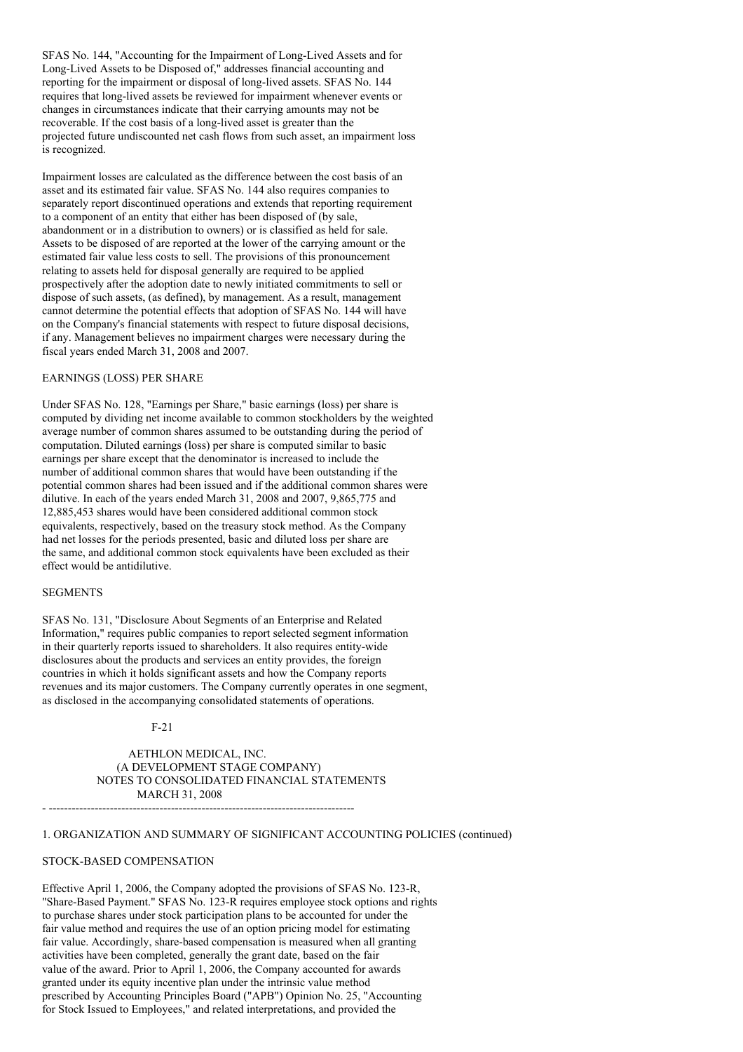SFAS No. 144, "Accounting for the Impairment of Long-Lived Assets and for Long-Lived Assets to be Disposed of," addresses financial accounting and reporting for the impairment or disposal of long-lived assets. SFAS No. 144 requires that long-lived assets be reviewed for impairment whenever events or changes in circumstances indicate that their carrying amounts may not be recoverable. If the cost basis of a long-lived asset is greater than the projected future undiscounted net cash flows from such asset, an impairment loss is recognized.

Impairment losses are calculated as the difference between the cost basis of an asset and its estimated fair value. SFAS No. 144 also requires companies to separately report discontinued operations and extends that reporting requirement to a component of an entity that either has been disposed of (by sale, abandonment or in a distribution to owners) or is classified as held for sale. Assets to be disposed of are reported at the lower of the carrying amount or the estimated fair value less costs to sell. The provisions of this pronouncement relating to assets held for disposal generally are required to be applied prospectively after the adoption date to newly initiated commitments to sell or dispose of such assets, (as defined), by management. As a result, management cannot determine the potential effects that adoption of SFAS No. 144 will have on the Company's financial statements with respect to future disposal decisions, if any. Management believes no impairment charges were necessary during the fiscal years ended March 31, 2008 and 2007.

### EARNINGS (LOSS) PER SHARE

Under SFAS No. 128, "Earnings per Share," basic earnings (loss) per share is computed by dividing net income available to common stockholders by the weighted average number of common shares assumed to be outstanding during the period of computation. Diluted earnings (loss) per share is computed similar to basic earnings per share except that the denominator is increased to include the number of additional common shares that would have been outstanding if the potential common shares had been issued and if the additional common shares were dilutive. In each of the years ended March 31, 2008 and 2007, 9,865,775 and 12,885,453 shares would have been considered additional common stock equivalents, respectively, based on the treasury stock method. As the Company had net losses for the periods presented, basic and diluted loss per share are the same, and additional common stock equivalents have been excluded as their effect would be antidilutive.

#### SEGMENTS

SFAS No. 131, "Disclosure About Segments of an Enterprise and Related Information," requires public companies to report selected segment information in their quarterly reports issued to shareholders. It also requires entity-wide disclosures about the products and services an entity provides, the foreign countries in which it holds significant assets and how the Company reports revenues and its major customers. The Company currently operates in one segment, as disclosed in the accompanying consolidated statements of operations.

#### F-21

AETHLON MEDICAL, INC. (A DEVELOPMENT STAGE COMPANY) NOTES TO CONSOLIDATED FINANCIAL STATEMENTS MARCH 31, 2008 - --------------------------------------------------------------------------------

## 1. ORGANIZATION AND SUMMARY OF SIGNIFICANT ACCOUNTING POLICIES (continued)

#### STOCK-BASED COMPENSATION

Effective April 1, 2006, the Company adopted the provisions of SFAS No. 123-R, "Share-Based Payment." SFAS No. 123-R requires employee stock options and rights to purchase shares under stock participation plans to be accounted for under the fair value method and requires the use of an option pricing model for estimating fair value. Accordingly, share-based compensation is measured when all granting activities have been completed, generally the grant date, based on the fair value of the award. Prior to April 1, 2006, the Company accounted for awards granted under its equity incentive plan under the intrinsic value method prescribed by Accounting Principles Board ("APB") Opinion No. 25, "Accounting for Stock Issued to Employees," and related interpretations, and provided the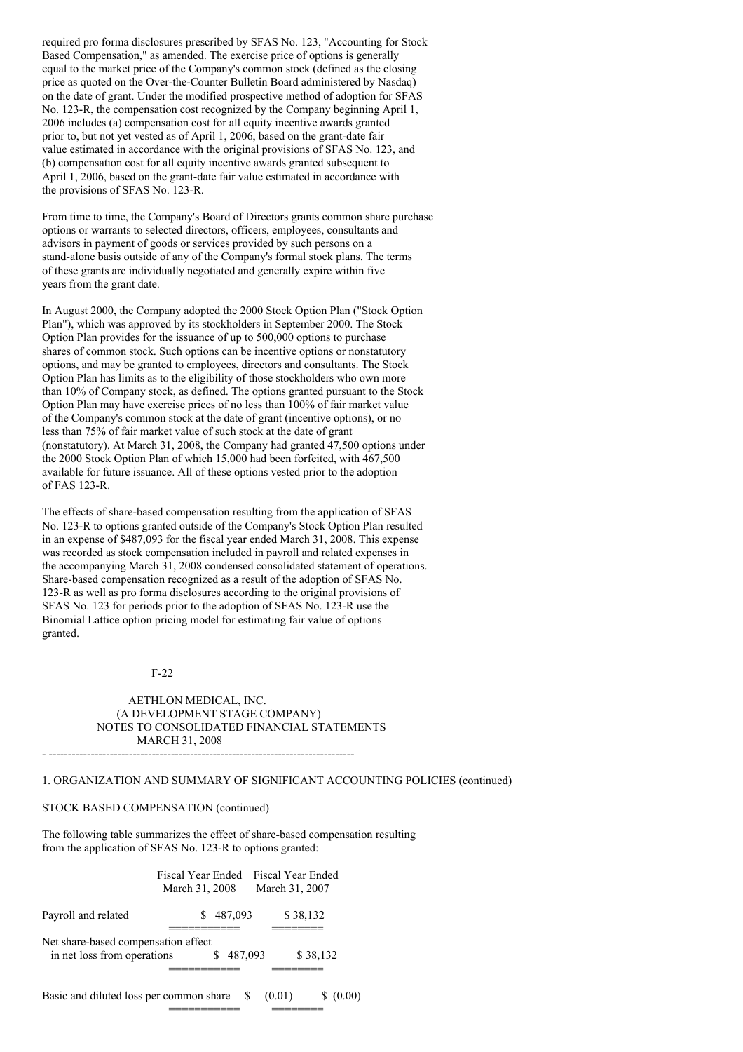required pro forma disclosures prescribed by SFAS No. 123, "Accounting for Stock Based Compensation," as amended. The exercise price of options is generally equal to the market price of the Company's common stock (defined as the closing price as quoted on the Over-the-Counter Bulletin Board administered by Nasdaq) on the date of grant. Under the modified prospective method of adoption for SFAS No. 123-R, the compensation cost recognized by the Company beginning April 1, 2006 includes (a) compensation cost for all equity incentive awards granted prior to, but not yet vested as of April 1, 2006, based on the grant-date fair value estimated in accordance with the original provisions of SFAS No. 123, and (b) compensation cost for all equity incentive awards granted subsequent to April 1, 2006, based on the grant-date fair value estimated in accordance with the provisions of SFAS No. 123-R.

From time to time, the Company's Board of Directors grants common share purchase options or warrants to selected directors, officers, employees, consultants and advisors in payment of goods or services provided by such persons on a stand-alone basis outside of any of the Company's formal stock plans. The terms of these grants are individually negotiated and generally expire within five years from the grant date.

In August 2000, the Company adopted the 2000 Stock Option Plan ("Stock Option Plan"), which was approved by its stockholders in September 2000. The Stock Option Plan provides for the issuance of up to 500,000 options to purchase shares of common stock. Such options can be incentive options or nonstatutory options, and may be granted to employees, directors and consultants. The Stock Option Plan has limits as to the eligibility of those stockholders who own more than 10% of Company stock, as defined. The options granted pursuant to the Stock Option Plan may have exercise prices of no less than 100% of fair market value of the Company's common stock at the date of grant (incentive options), or no less than 75% of fair market value of such stock at the date of grant (nonstatutory). At March 31, 2008, the Company had granted 47,500 options under the 2000 Stock Option Plan of which 15,000 had been forfeited, with 467,500 available for future issuance. All of these options vested prior to the adoption of FAS 123-R.

The effects of share-based compensation resulting from the application of SFAS No. 123-R to options granted outside of the Company's Stock Option Plan resulted in an expense of \$487,093 for the fiscal year ended March 31, 2008. This expense was recorded as stock compensation included in payroll and related expenses in the accompanying March 31, 2008 condensed consolidated statement of operations. Share-based compensation recognized as a result of the adoption of SFAS No. 123-R as well as pro forma disclosures according to the original provisions of SFAS No. 123 for periods prior to the adoption of SFAS No. 123-R use the Binomial Lattice option pricing model for estimating fair value of options granted.

#### F-22

## AETHLON MEDICAL, INC. (A DEVELOPMENT STAGE COMPANY) NOTES TO CONSOLIDATED FINANCIAL STATEMENTS MARCH 31, 2008 - --------------------------------------------------------------------------------

#### 1. ORGANIZATION AND SUMMARY OF SIGNIFICANT ACCOUNTING POLICIES (continued)

#### STOCK BASED COMPENSATION (continued)

The following table summarizes the effect of share-based compensation resulting from the application of SFAS No. 123-R to options granted:

|                                                                    | Fiscal Year Ended<br>March 31, 2008 |         | Fiscal Year Ended<br>March 31, 2007 |
|--------------------------------------------------------------------|-------------------------------------|---------|-------------------------------------|
| Payroll and related                                                |                                     | 487.093 | \$38,132                            |
| Net share-based compensation effect<br>in net loss from operations |                                     | 487,093 | \$38,132                            |

Basic and diluted loss per common share  $$ (0.01) \$ (0.00)$ =========== ========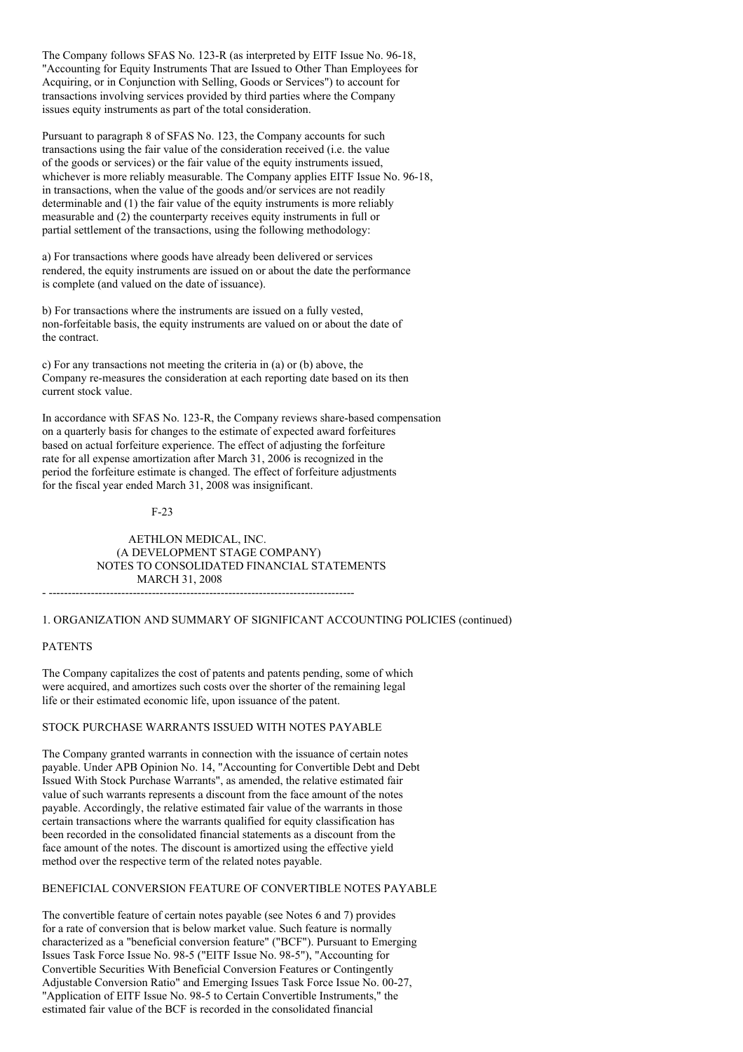The Company follows SFAS No. 123-R (as interpreted by EITF Issue No. 96-18, "Accounting for Equity Instruments That are Issued to Other Than Employees for Acquiring, or in Conjunction with Selling, Goods or Services") to account for transactions involving services provided by third parties where the Company issues equity instruments as part of the total consideration.

Pursuant to paragraph 8 of SFAS No. 123, the Company accounts for such transactions using the fair value of the consideration received (i.e. the value of the goods or services) or the fair value of the equity instruments issued, whichever is more reliably measurable. The Company applies EITF Issue No. 96-18, in transactions, when the value of the goods and/or services are not readily determinable and (1) the fair value of the equity instruments is more reliably measurable and (2) the counterparty receives equity instruments in full or partial settlement of the transactions, using the following methodology:

a) For transactions where goods have already been delivered or services rendered, the equity instruments are issued on or about the date the performance is complete (and valued on the date of issuance).

b) For transactions where the instruments are issued on a fully vested, non-forfeitable basis, the equity instruments are valued on or about the date of the contract.

c) For any transactions not meeting the criteria in (a) or (b) above, the Company re-measures the consideration at each reporting date based on its then current stock value.

In accordance with SFAS No. 123-R, the Company reviews share-based compensation on a quarterly basis for changes to the estimate of expected award forfeitures based on actual forfeiture experience. The effect of adjusting the forfeiture rate for all expense amortization after March 31, 2006 is recognized in the period the forfeiture estimate is changed. The effect of forfeiture adjustments for the fiscal year ended March 31, 2008 was insignificant.

F-23

AETHLON MEDICAL, INC. (A DEVELOPMENT STAGE COMPANY) NOTES TO CONSOLIDATED FINANCIAL STATEMENTS MARCH 31, 2008

- --------------------------------------------------------------------------------

## 1. ORGANIZATION AND SUMMARY OF SIGNIFICANT ACCOUNTING POLICIES (continued)

## PATENTS

The Company capitalizes the cost of patents and patents pending, some of which were acquired, and amortizes such costs over the shorter of the remaining legal life or their estimated economic life, upon issuance of the patent.

## STOCK PURCHASE WARRANTS ISSUED WITH NOTES PAYABLE

The Company granted warrants in connection with the issuance of certain notes payable. Under APB Opinion No. 14, "Accounting for Convertible Debt and Debt Issued With Stock Purchase Warrants", as amended, the relative estimated fair value of such warrants represents a discount from the face amount of the notes payable. Accordingly, the relative estimated fair value of the warrants in those certain transactions where the warrants qualified for equity classification has been recorded in the consolidated financial statements as a discount from the face amount of the notes. The discount is amortized using the effective yield method over the respective term of the related notes payable.

## BENEFICIAL CONVERSION FEATURE OF CONVERTIBLE NOTES PAYABLE

The convertible feature of certain notes payable (see Notes 6 and 7) provides for a rate of conversion that is below market value. Such feature is normally characterized as a "beneficial conversion feature" ("BCF"). Pursuant to Emerging Issues Task Force Issue No. 98-5 ("EITF Issue No. 98-5"), "Accounting for Convertible Securities With Beneficial Conversion Features or Contingently Adjustable Conversion Ratio" and Emerging Issues Task Force Issue No. 00-27, "Application of EITF Issue No. 98-5 to Certain Convertible Instruments," the estimated fair value of the BCF is recorded in the consolidated financial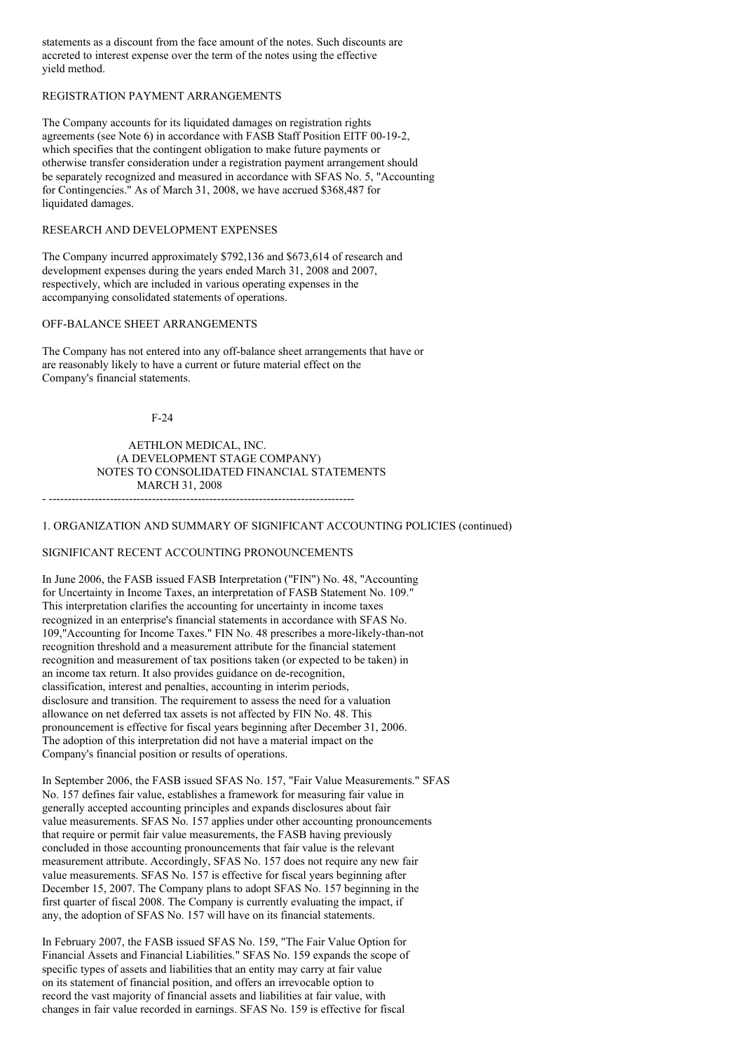statements as a discount from the face amount of the notes. Such discounts are accreted to interest expense over the term of the notes using the effective yield method.

## REGISTRATION PAYMENT ARRANGEMENTS

The Company accounts for its liquidated damages on registration rights agreements (see Note 6) in accordance with FASB Staff Position EITF 00-19-2, which specifies that the contingent obligation to make future payments or otherwise transfer consideration under a registration payment arrangement should be separately recognized and measured in accordance with SFAS No. 5, "Accounting for Contingencies." As of March 31, 2008, we have accrued \$368,487 for liquidated damages.

## RESEARCH AND DEVELOPMENT EXPENSES

The Company incurred approximately \$792,136 and \$673,614 of research and development expenses during the years ended March 31, 2008 and 2007, respectively, which are included in various operating expenses in the accompanying consolidated statements of operations.

## OFF-BALANCE SHEET ARRANGEMENTS

The Company has not entered into any off-balance sheet arrangements that have or are reasonably likely to have a current or future material effect on the Company's financial statements.

F-24

AETHLON MEDICAL, INC. (A DEVELOPMENT STAGE COMPANY) NOTES TO CONSOLIDATED FINANCIAL STATEMENTS MARCH 31, 2008 - --------------------------------------------------------------------------------

## 1. ORGANIZATION AND SUMMARY OF SIGNIFICANT ACCOUNTING POLICIES (continued)

## SIGNIFICANT RECENT ACCOUNTING PRONOUNCEMENTS

In June 2006, the FASB issued FASB Interpretation ("FIN") No. 48, "Accounting for Uncertainty in Income Taxes, an interpretation of FASB Statement No. 109." This interpretation clarifies the accounting for uncertainty in income taxes recognized in an enterprise's financial statements in accordance with SFAS No. 109,"Accounting for Income Taxes." FIN No. 48 prescribes a more-likely-than-not recognition threshold and a measurement attribute for the financial statement recognition and measurement of tax positions taken (or expected to be taken) in an income tax return. It also provides guidance on de-recognition, classification, interest and penalties, accounting in interim periods, disclosure and transition. The requirement to assess the need for a valuation allowance on net deferred tax assets is not affected by FIN No. 48. This pronouncement is effective for fiscal years beginning after December 31, 2006. The adoption of this interpretation did not have a material impact on the Company's financial position or results of operations.

In September 2006, the FASB issued SFAS No. 157, "Fair Value Measurements." SFAS No. 157 defines fair value, establishes a framework for measuring fair value in generally accepted accounting principles and expands disclosures about fair value measurements. SFAS No. 157 applies under other accounting pronouncements that require or permit fair value measurements, the FASB having previously concluded in those accounting pronouncements that fair value is the relevant measurement attribute. Accordingly, SFAS No. 157 does not require any new fair value measurements. SFAS No. 157 is effective for fiscal years beginning after December 15, 2007. The Company plans to adopt SFAS No. 157 beginning in the first quarter of fiscal 2008. The Company is currently evaluating the impact, if any, the adoption of SFAS No. 157 will have on its financial statements.

In February 2007, the FASB issued SFAS No. 159, "The Fair Value Option for Financial Assets and Financial Liabilities." SFAS No. 159 expands the scope of specific types of assets and liabilities that an entity may carry at fair value on its statement of financial position, and offers an irrevocable option to record the vast majority of financial assets and liabilities at fair value, with changes in fair value recorded in earnings. SFAS No. 159 is effective for fiscal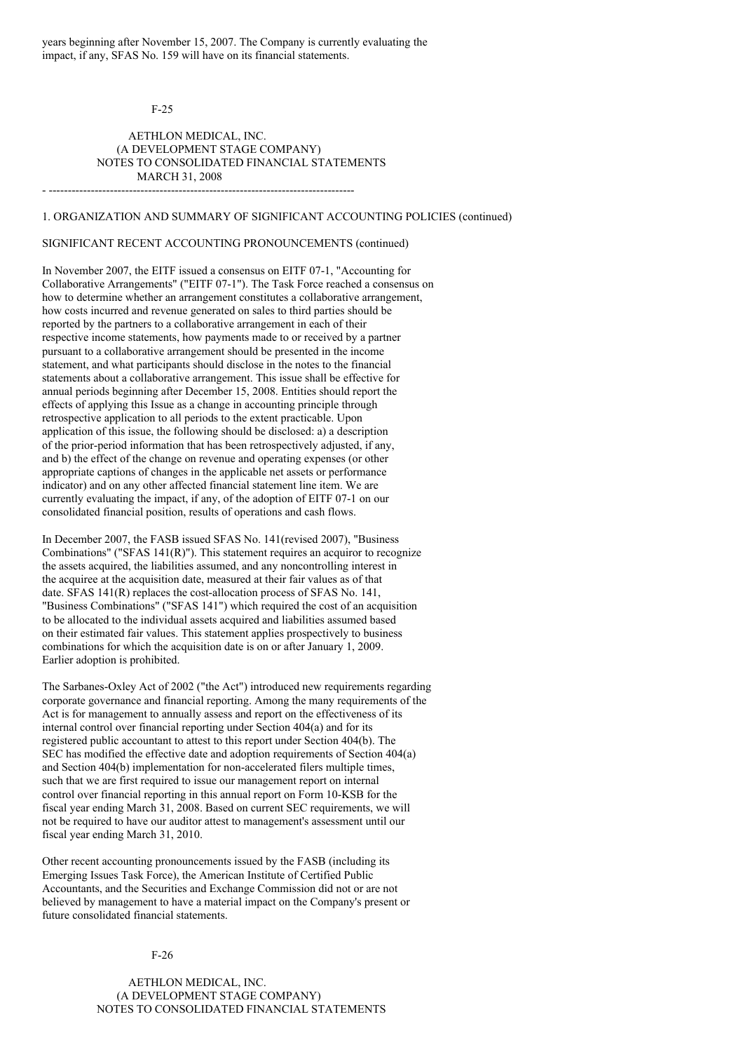years beginning after November 15, 2007. The Company is currently evaluating the impact, if any, SFAS No. 159 will have on its financial statements.

### F-25

AETHLON MEDICAL, INC. (A DEVELOPMENT STAGE COMPANY) NOTES TO CONSOLIDATED FINANCIAL STATEMENTS MARCH 31, 2008

1. ORGANIZATION AND SUMMARY OF SIGNIFICANT ACCOUNTING POLICIES (continued)

#### SIGNIFICANT RECENT ACCOUNTING PRONOUNCEMENTS (continued)

- --------------------------------------------------------------------------------

In November 2007, the EITF issued a consensus on EITF 07-1, "Accounting for Collaborative Arrangements" ("EITF 07-1"). The Task Force reached a consensus on how to determine whether an arrangement constitutes a collaborative arrangement, how costs incurred and revenue generated on sales to third parties should be reported by the partners to a collaborative arrangement in each of their respective income statements, how payments made to or received by a partner pursuant to a collaborative arrangement should be presented in the income statement, and what participants should disclose in the notes to the financial statements about a collaborative arrangement. This issue shall be effective for annual periods beginning after December 15, 2008. Entities should report the effects of applying this Issue as a change in accounting principle through retrospective application to all periods to the extent practicable. Upon application of this issue, the following should be disclosed: a) a description of the prior-period information that has been retrospectively adjusted, if any, and b) the effect of the change on revenue and operating expenses (or other appropriate captions of changes in the applicable net assets or performance indicator) and on any other affected financial statement line item. We are currently evaluating the impact, if any, of the adoption of EITF 07-1 on our consolidated financial position, results of operations and cash flows.

In December 2007, the FASB issued SFAS No. 141(revised 2007), "Business Combinations" ("SFAS 141(R)"). This statement requires an acquiror to recognize the assets acquired, the liabilities assumed, and any noncontrolling interest in the acquiree at the acquisition date, measured at their fair values as of that date. SFAS 141(R) replaces the cost-allocation process of SFAS No. 141, "Business Combinations" ("SFAS 141") which required the cost of an acquisition to be allocated to the individual assets acquired and liabilities assumed based on their estimated fair values. This statement applies prospectively to business combinations for which the acquisition date is on or after January 1, 2009. Earlier adoption is prohibited.

The Sarbanes-Oxley Act of 2002 ("the Act") introduced new requirements regarding corporate governance and financial reporting. Among the many requirements of the Act is for management to annually assess and report on the effectiveness of its internal control over financial reporting under Section 404(a) and for its registered public accountant to attest to this report under Section 404(b). The SEC has modified the effective date and adoption requirements of Section 404(a) and Section 404(b) implementation for non-accelerated filers multiple times, such that we are first required to issue our management report on internal control over financial reporting in this annual report on Form 10-KSB for the fiscal year ending March 31, 2008. Based on current SEC requirements, we will not be required to have our auditor attest to management's assessment until our fiscal year ending March 31, 2010.

Other recent accounting pronouncements issued by the FASB (including its Emerging Issues Task Force), the American Institute of Certified Public Accountants, and the Securities and Exchange Commission did not or are not believed by management to have a material impact on the Company's present or future consolidated financial statements.

#### F-26

AETHLON MEDICAL, INC. (A DEVELOPMENT STAGE COMPANY) NOTES TO CONSOLIDATED FINANCIAL STATEMENTS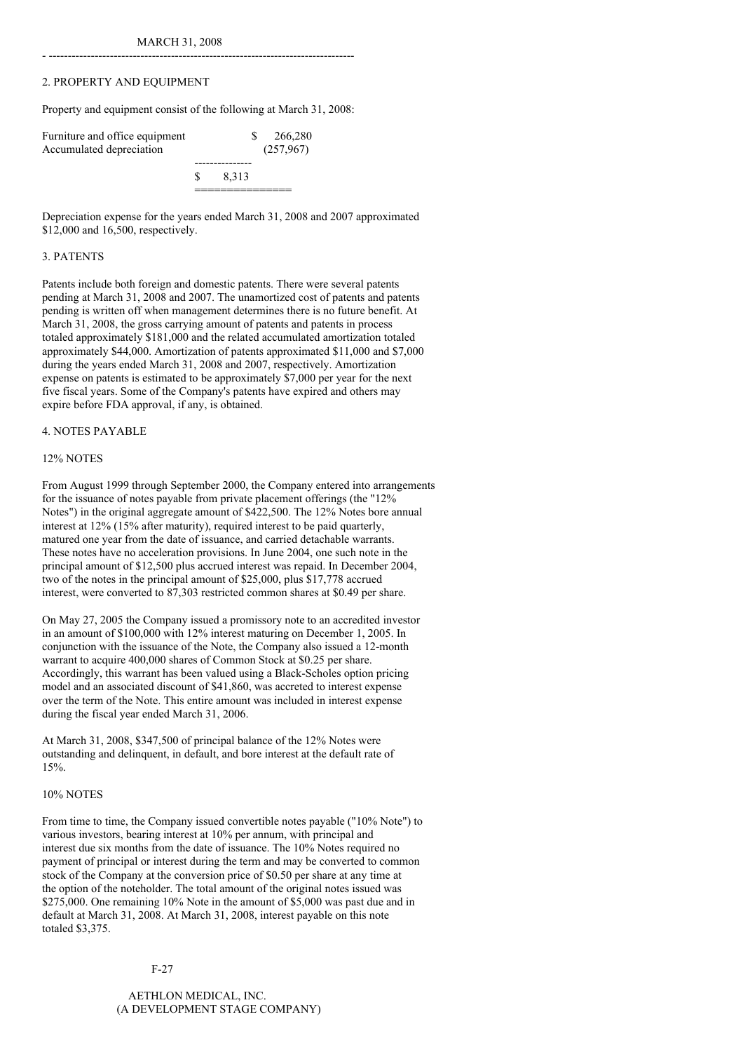#### 2. PROPERTY AND EQUIPMENT

Property and equipment consist of the following at March 31, 2008:

- --------------------------------------------------------------------------------

| Furniture and office equipment<br>Accumulated depreciation |    |       | 266,280<br>(257,967) |
|------------------------------------------------------------|----|-------|----------------------|
|                                                            |    |       |                      |
|                                                            | -S | 8.313 |                      |
|                                                            |    |       |                      |

Depreciation expense for the years ended March 31, 2008 and 2007 approximated \$12,000 and 16,500, respectively.

## 3. PATENTS

Patents include both foreign and domestic patents. There were several patents pending at March 31, 2008 and 2007. The unamortized cost of patents and patents pending is written off when management determines there is no future benefit. At March 31, 2008, the gross carrying amount of patents and patents in process totaled approximately \$181,000 and the related accumulated amortization totaled approximately \$44,000. Amortization of patents approximated \$11,000 and \$7,000 during the years ended March 31, 2008 and 2007, respectively. Amortization expense on patents is estimated to be approximately \$7,000 per year for the next five fiscal years. Some of the Company's patents have expired and others may expire before FDA approval, if any, is obtained.

## 4. NOTES PAYABLE

## 12% NOTES

From August 1999 through September 2000, the Company entered into arrangements for the issuance of notes payable from private placement offerings (the "12% Notes") in the original aggregate amount of \$422,500. The 12% Notes bore annual interest at 12% (15% after maturity), required interest to be paid quarterly, matured one year from the date of issuance, and carried detachable warrants. These notes have no acceleration provisions. In June 2004, one such note in the principal amount of \$12,500 plus accrued interest was repaid. In December 2004, two of the notes in the principal amount of \$25,000, plus \$17,778 accrued interest, were converted to 87,303 restricted common shares at \$0.49 per share.

On May 27, 2005 the Company issued a promissory note to an accredited investor in an amount of \$100,000 with 12% interest maturing on December 1, 2005. In conjunction with the issuance of the Note, the Company also issued a 12-month warrant to acquire 400,000 shares of Common Stock at \$0.25 per share. Accordingly, this warrant has been valued using a Black-Scholes option pricing model and an associated discount of \$41,860, was accreted to interest expense over the term of the Note. This entire amount was included in interest expense during the fiscal year ended March 31, 2006.

At March 31, 2008, \$347,500 of principal balance of the 12% Notes were outstanding and delinquent, in default, and bore interest at the default rate of 15%.

## 10% NOTES

From time to time, the Company issued convertible notes payable ("10% Note") to various investors, bearing interest at 10% per annum, with principal and interest due six months from the date of issuance. The 10% Notes required no payment of principal or interest during the term and may be converted to common stock of the Company at the conversion price of \$0.50 per share at any time at the option of the noteholder. The total amount of the original notes issued was \$275,000. One remaining 10% Note in the amount of \$5,000 was past due and in default at March 31, 2008. At March 31, 2008, interest payable on this note totaled \$3,375.

#### F-27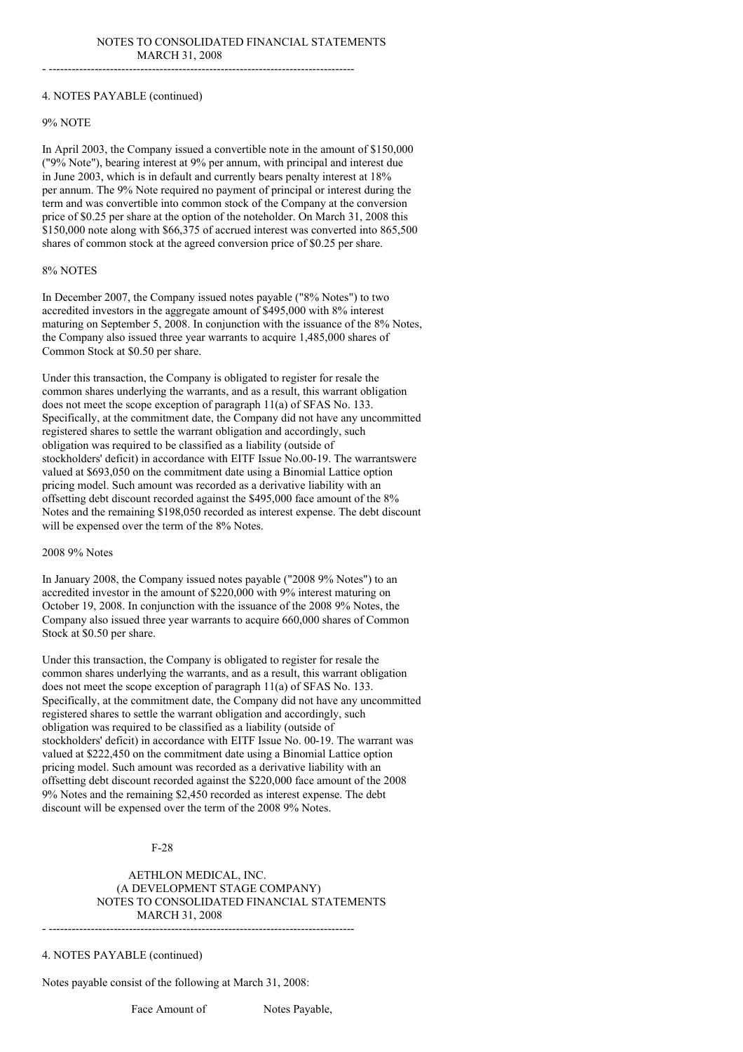- --------------------------------------------------------------------------------

## 4. NOTES PAYABLE (continued)

## 9% NOTE

In April 2003, the Company issued a convertible note in the amount of \$150,000 ("9% Note"), bearing interest at 9% per annum, with principal and interest due in June 2003, which is in default and currently bears penalty interest at 18% per annum. The 9% Note required no payment of principal or interest during the term and was convertible into common stock of the Company at the conversion price of \$0.25 per share at the option of the noteholder. On March 31, 2008 this  $$150,000$  note along with \$66,375 of accrued interest was converted into 865,500 shares of common stock at the agreed conversion price of \$0.25 per share.

## 8% NOTES

In December 2007, the Company issued notes payable ("8% Notes") to two accredited investors in the aggregate amount of \$495,000 with 8% interest maturing on September 5, 2008. In conjunction with the issuance of the 8% Notes, the Company also issued three year warrants to acquire 1,485,000 shares of Common Stock at \$0.50 per share.

Under this transaction, the Company is obligated to register for resale the common shares underlying the warrants, and as a result, this warrant obligation does not meet the scope exception of paragraph 11(a) of SFAS No. 133. Specifically, at the commitment date, the Company did not have any uncommitted registered shares to settle the warrant obligation and accordingly, such obligation was required to be classified as a liability (outside of stockholders' deficit) in accordance with EITF Issue No.00-19. The warrantswere valued at \$693,050 on the commitment date using a Binomial Lattice option pricing model. Such amount was recorded as a derivative liability with an offsetting debt discount recorded against the \$495,000 face amount of the 8% Notes and the remaining \$198,050 recorded as interest expense. The debt discount will be expensed over the term of the  $8\%$  Notes.

## 2008 9% Notes

In January 2008, the Company issued notes payable ("2008 9% Notes") to an accredited investor in the amount of \$220,000 with 9% interest maturing on October 19, 2008. In conjunction with the issuance of the 2008 9% Notes, the Company also issued three year warrants to acquire 660,000 shares of Common Stock at \$0.50 per share.

Under this transaction, the Company is obligated to register for resale the common shares underlying the warrants, and as a result, this warrant obligation does not meet the scope exception of paragraph 11(a) of SFAS No. 133. Specifically, at the commitment date, the Company did not have any uncommitted registered shares to settle the warrant obligation and accordingly, such obligation was required to be classified as a liability (outside of stockholders' deficit) in accordance with EITF Issue No. 00-19. The warrant was valued at \$222,450 on the commitment date using a Binomial Lattice option pricing model. Such amount was recorded as a derivative liability with an offsetting debt discount recorded against the \$220,000 face amount of the 2008 9% Notes and the remaining \$2,450 recorded as interest expense. The debt discount will be expensed over the term of the 2008 9% Notes.

## F-28

AETHLON MEDICAL, INC. (A DEVELOPMENT STAGE COMPANY) NOTES TO CONSOLIDATED FINANCIAL STATEMENTS MARCH 31, 2008 - --------------------------------------------------------------------------------

4. NOTES PAYABLE (continued)

Notes payable consist of the following at March 31, 2008:

Face Amount of Notes Payable,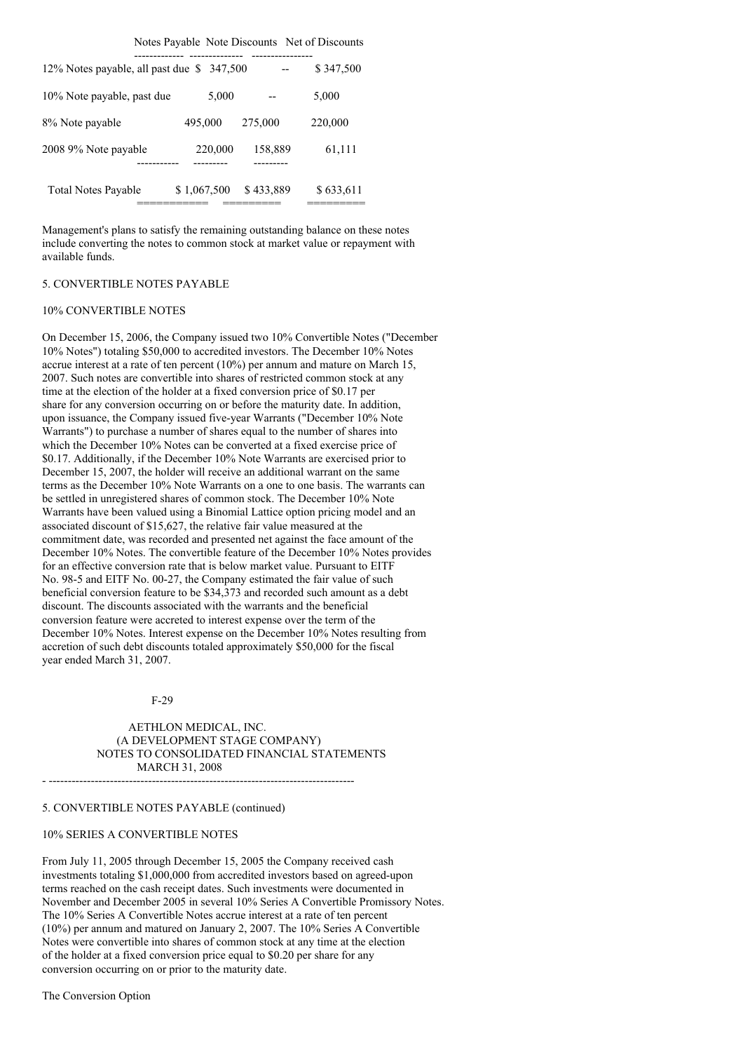|                                           |             |           | TORS I avable TWR Discounts TWR OF Discounts |
|-------------------------------------------|-------------|-----------|----------------------------------------------|
| 12% Notes payable, all past due \$347,500 |             |           | \$347,500                                    |
| 10% Note payable, past due                | 5,000       |           | 5,000                                        |
| 8% Note payable                           | 495,000     | 275,000   | 220,000                                      |
| 2008 9% Note payable                      | 220,000     | 158,889   | 61,111                                       |
|                                           |             |           |                                              |
| <b>Total Notes Payable</b>                | \$1,067,500 | \$433,889 | \$633,611                                    |
|                                           |             |           |                                              |

Notes Payable Note Discounts Net of Discounts

Management's plans to satisfy the remaining outstanding balance on these notes include converting the notes to common stock at market value or repayment with available funds.

## 5. CONVERTIBLE NOTES PAYABLE

#### 10% CONVERTIBLE NOTES

On December 15, 2006, the Company issued two 10% Convertible Notes ("December 10% Notes") totaling \$50,000 to accredited investors. The December 10% Notes accrue interest at a rate of ten percent (10%) per annum and mature on March 15, 2007. Such notes are convertible into shares of restricted common stock at any time at the election of the holder at a fixed conversion price of \$0.17 per share for any conversion occurring on or before the maturity date. In addition, upon issuance, the Company issued five-year Warrants ("December 10% Note Warrants") to purchase a number of shares equal to the number of shares into which the December 10% Notes can be converted at a fixed exercise price of \$0.17. Additionally, if the December 10% Note Warrants are exercised prior to December 15, 2007, the holder will receive an additional warrant on the same terms as the December 10% Note Warrants on a one to one basis. The warrants can be settled in unregistered shares of common stock. The December 10% Note Warrants have been valued using a Binomial Lattice option pricing model and an associated discount of \$15,627, the relative fair value measured at the commitment date, was recorded and presented net against the face amount of the December 10% Notes. The convertible feature of the December 10% Notes provides for an effective conversion rate that is below market value. Pursuant to EITF No. 98-5 and EITF No. 00-27, the Company estimated the fair value of such beneficial conversion feature to be \$34,373 and recorded such amount as a debt discount. The discounts associated with the warrants and the beneficial conversion feature were accreted to interest expense over the term of the December 10% Notes. Interest expense on the December 10% Notes resulting from accretion of such debt discounts totaled approximately \$50,000 for the fiscal year ended March 31, 2007.

F-29

AETHLON MEDICAL, INC. (A DEVELOPMENT STAGE COMPANY) NOTES TO CONSOLIDATED FINANCIAL STATEMENTS MARCH 31, 2008

- --------------------------------------------------------------------------------

## 5. CONVERTIBLE NOTES PAYABLE (continued)

## 10% SERIES A CONVERTIBLE NOTES

From July 11, 2005 through December 15, 2005 the Company received cash investments totaling \$1,000,000 from accredited investors based on agreed-upon terms reached on the cash receipt dates. Such investments were documented in November and December 2005 in several 10% Series A Convertible Promissory Notes. The 10% Series A Convertible Notes accrue interest at a rate of ten percent (10%) per annum and matured on January 2, 2007. The 10% Series A Convertible Notes were convertible into shares of common stock at any time at the election of the holder at a fixed conversion price equal to \$0.20 per share for any conversion occurring on or prior to the maturity date.

The Conversion Option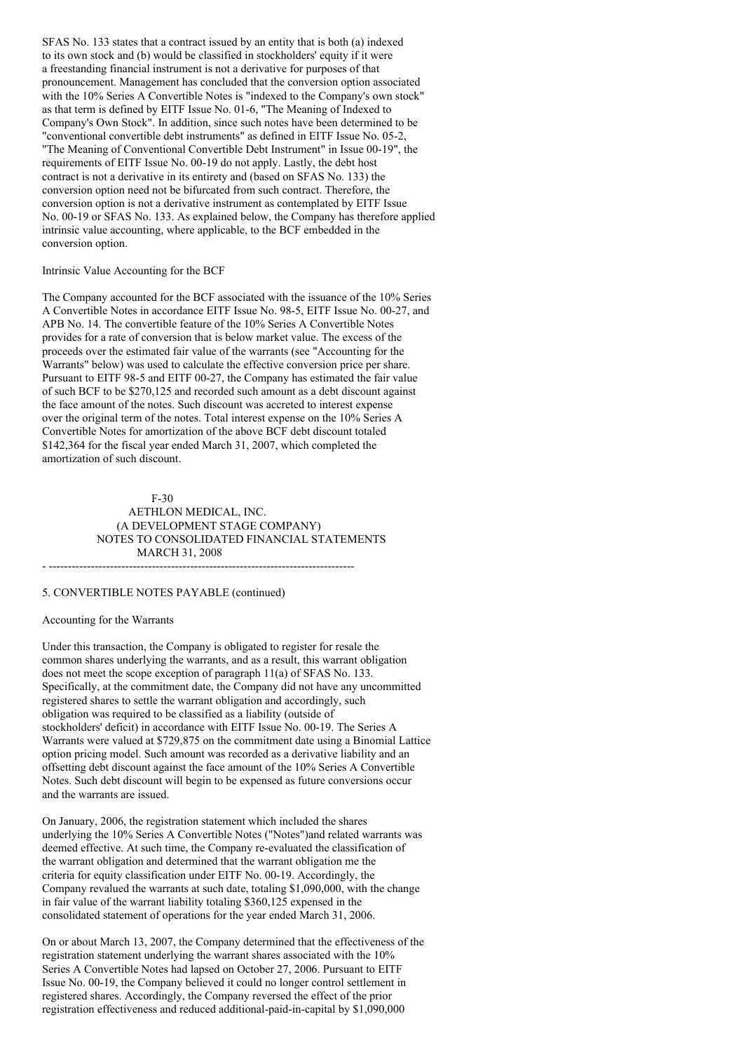SFAS No. 133 states that a contract issued by an entity that is both (a) indexed to its own stock and (b) would be classified in stockholders' equity if it were a freestanding financial instrument is not a derivative for purposes of that pronouncement. Management has concluded that the conversion option associated with the 10% Series A Convertible Notes is "indexed to the Company's own stock" as that term is defined by EITF Issue No. 01-6, "The Meaning of Indexed to Company's Own Stock". In addition, since such notes have been determined to be "conventional convertible debt instruments" as defined in EITF Issue No. 05-2, "The Meaning of Conventional Convertible Debt Instrument" in Issue 00-19", the requirements of EITF Issue No. 00-19 do not apply. Lastly, the debt host contract is not a derivative in its entirety and (based on SFAS No. 133) the conversion option need not be bifurcated from such contract. Therefore, the conversion option is not a derivative instrument as contemplated by EITF Issue No. 00-19 or SFAS No. 133. As explained below, the Company has therefore applied intrinsic value accounting, where applicable, to the BCF embedded in the conversion option.

#### Intrinsic Value Accounting for the BCF

The Company accounted for the BCF associated with the issuance of the 10% Series A Convertible Notes in accordance EITF Issue No. 98-5, EITF Issue No. 00-27, and APB No. 14. The convertible feature of the 10% Series A Convertible Notes provides for a rate of conversion that is below market value. The excess of the proceeds over the estimated fair value of the warrants (see "Accounting for the Warrants" below) was used to calculate the effective conversion price per share. Pursuant to EITF 98-5 and EITF 00-27, the Company has estimated the fair value of such BCF to be \$270,125 and recorded such amount as a debt discount against the face amount of the notes. Such discount was accreted to interest expense over the original term of the notes. Total interest expense on the 10% Series A Convertible Notes for amortization of the above BCF debt discount totaled \$142,364 for the fiscal year ended March 31, 2007, which completed the amortization of such discount.

> F-30 AETHLON MEDICAL, INC. (A DEVELOPMENT STAGE COMPANY) NOTES TO CONSOLIDATED FINANCIAL STATEMENTS MARCH 31, 2008

- --------------------------------------------------------------------------------

## 5. CONVERTIBLE NOTES PAYABLE (continued)

## Accounting for the Warrants

Under this transaction, the Company is obligated to register for resale the common shares underlying the warrants, and as a result, this warrant obligation does not meet the scope exception of paragraph 11(a) of SFAS No. 133. Specifically, at the commitment date, the Company did not have any uncommitted registered shares to settle the warrant obligation and accordingly, such obligation was required to be classified as a liability (outside of stockholders' deficit) in accordance with EITF Issue No. 00-19. The Series A Warrants were valued at \$729,875 on the commitment date using a Binomial Lattice option pricing model. Such amount was recorded as a derivative liability and an offsetting debt discount against the face amount of the 10% Series A Convertible Notes. Such debt discount will begin to be expensed as future conversions occur and the warrants are issued.

On January, 2006, the registration statement which included the shares underlying the 10% Series A Convertible Notes ("Notes")and related warrants was deemed effective. At such time, the Company re-evaluated the classification of the warrant obligation and determined that the warrant obligation me the criteria for equity classification under EITF No. 00-19. Accordingly, the Company revalued the warrants at such date, totaling \$1,090,000, with the change in fair value of the warrant liability totaling \$360,125 expensed in the consolidated statement of operations for the year ended March 31, 2006.

On or about March 13, 2007, the Company determined that the effectiveness of the registration statement underlying the warrant shares associated with the 10% Series A Convertible Notes had lapsed on October 27, 2006. Pursuant to EITF Issue No. 00-19, the Company believed it could no longer control settlement in registered shares. Accordingly, the Company reversed the effect of the prior registration effectiveness and reduced additional-paid-in-capital by \$1,090,000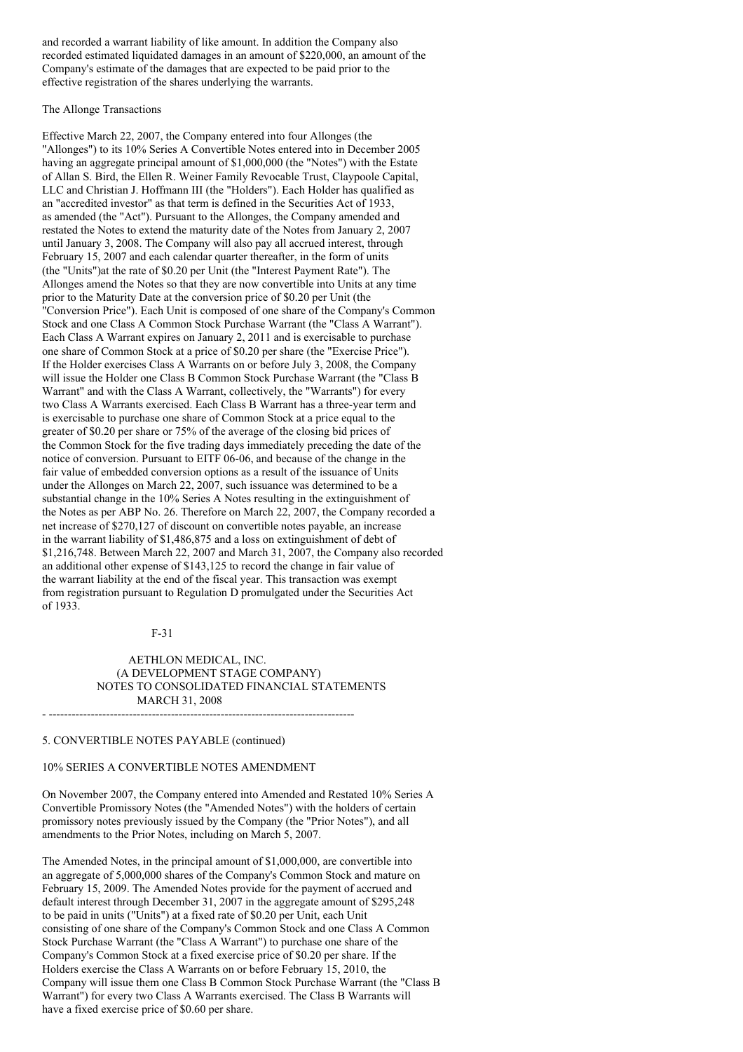and recorded a warrant liability of like amount. In addition the Company also recorded estimated liquidated damages in an amount of \$220,000, an amount of the Company's estimate of the damages that are expected to be paid prior to the effective registration of the shares underlying the warrants.

## The Allonge Transactions

Effective March 22, 2007, the Company entered into four Allonges (the "Allonges") to its 10% Series A Convertible Notes entered into in December 2005 having an aggregate principal amount of \$1,000,000 (the "Notes") with the Estate of Allan S. Bird, the Ellen R. Weiner Family Revocable Trust, Claypoole Capital, LLC and Christian J. Hoffmann III (the "Holders"). Each Holder has qualified as an "accredited investor" as that term is defined in the Securities Act of 1933, as amended (the "Act"). Pursuant to the Allonges, the Company amended and restated the Notes to extend the maturity date of the Notes from January 2, 2007 until January 3, 2008. The Company will also pay all accrued interest, through February 15, 2007 and each calendar quarter thereafter, in the form of units (the "Units")at the rate of \$0.20 per Unit (the "Interest Payment Rate"). The Allonges amend the Notes so that they are now convertible into Units at any time prior to the Maturity Date at the conversion price of \$0.20 per Unit (the "Conversion Price"). Each Unit is composed of one share of the Company's Common Stock and one Class A Common Stock Purchase Warrant (the "Class A Warrant"). Each Class A Warrant expires on January 2, 2011 and is exercisable to purchase one share of Common Stock at a price of \$0.20 per share (the "Exercise Price"). If the Holder exercises Class A Warrants on or before July 3, 2008, the Company will issue the Holder one Class B Common Stock Purchase Warrant (the "Class B Warrant" and with the Class A Warrant, collectively, the "Warrants") for every two Class A Warrants exercised. Each Class B Warrant has a three-year term and is exercisable to purchase one share of Common Stock at a price equal to the greater of \$0.20 per share or 75% of the average of the closing bid prices of the Common Stock for the five trading days immediately preceding the date of the notice of conversion. Pursuant to EITF 06-06, and because of the change in the fair value of embedded conversion options as a result of the issuance of Units under the Allonges on March 22, 2007, such issuance was determined to be a substantial change in the 10% Series A Notes resulting in the extinguishment of the Notes as per ABP No. 26. Therefore on March 22, 2007, the Company recorded a net increase of \$270,127 of discount on convertible notes payable, an increase in the warrant liability of \$1,486,875 and a loss on extinguishment of debt of \$1,216,748. Between March 22, 2007 and March 31, 2007, the Company also recorded an additional other expense of \$143,125 to record the change in fair value of the warrant liability at the end of the fiscal year. This transaction was exempt from registration pursuant to Regulation D promulgated under the Securities Act of 1933.

#### F-31

AETHLON MEDICAL, INC. (A DEVELOPMENT STAGE COMPANY) NOTES TO CONSOLIDATED FINANCIAL STATEMENTS MARCH 31, 2008

#### - --------------------------------------------------------------------------------

## 5. CONVERTIBLE NOTES PAYABLE (continued)

#### 10% SERIES A CONVERTIBLE NOTES AMENDMENT

On November 2007, the Company entered into Amended and Restated 10% Series A Convertible Promissory Notes (the "Amended Notes") with the holders of certain promissory notes previously issued by the Company (the "Prior Notes"), and all amendments to the Prior Notes, including on March 5, 2007.

The Amended Notes, in the principal amount of \$1,000,000, are convertible into an aggregate of 5,000,000 shares of the Company's Common Stock and mature on February 15, 2009. The Amended Notes provide for the payment of accrued and default interest through December 31, 2007 in the aggregate amount of \$295,248 to be paid in units ("Units") at a fixed rate of \$0.20 per Unit, each Unit consisting of one share of the Company's Common Stock and one Class A Common Stock Purchase Warrant (the "Class A Warrant") to purchase one share of the Company's Common Stock at a fixed exercise price of \$0.20 per share. If the Holders exercise the Class A Warrants on or before February 15, 2010, the Company will issue them one Class B Common Stock Purchase Warrant (the "Class B Warrant") for every two Class A Warrants exercised. The Class B Warrants will have a fixed exercise price of \$0.60 per share.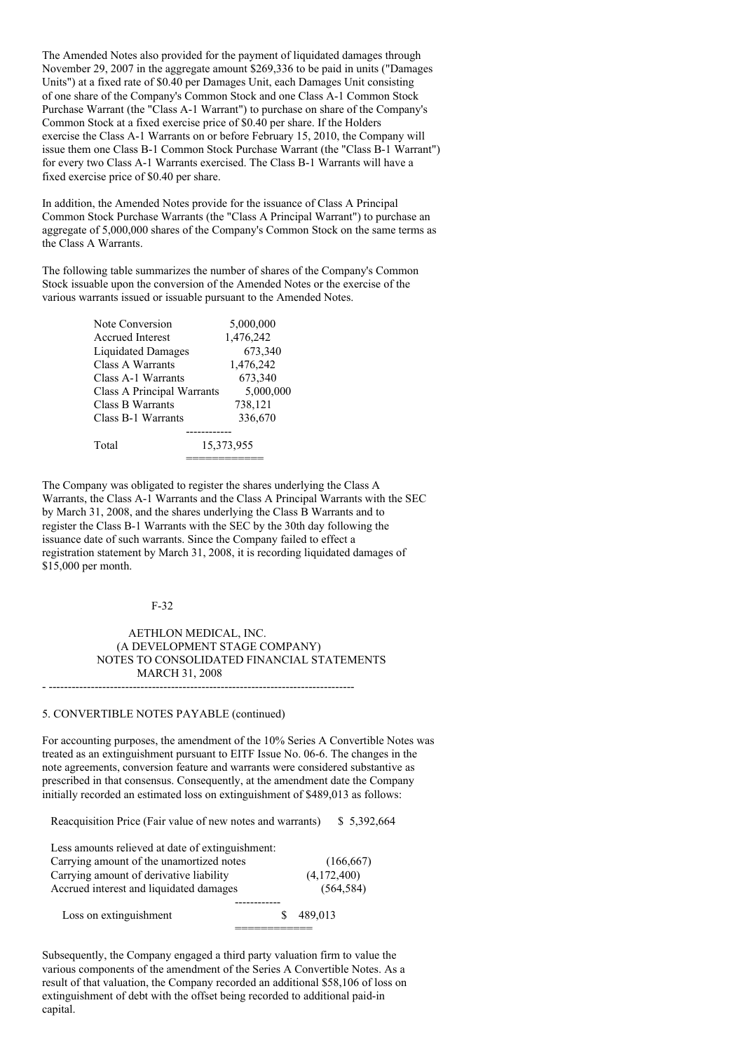The Amended Notes also provided for the payment of liquidated damages through November 29, 2007 in the aggregate amount \$269,336 to be paid in units ("Damages Units") at a fixed rate of \$0.40 per Damages Unit, each Damages Unit consisting of one share of the Company's Common Stock and one Class A-1 Common Stock Purchase Warrant (the "Class A-1 Warrant") to purchase on share of the Company's Common Stock at a fixed exercise price of \$0.40 per share. If the Holders exercise the Class A-1 Warrants on or before February 15, 2010, the Company will issue them one Class B-1 Common Stock Purchase Warrant (the "Class B-1 Warrant") for every two Class A-1 Warrants exercised. The Class B-1 Warrants will have a fixed exercise price of \$0.40 per share.

In addition, the Amended Notes provide for the issuance of Class A Principal Common Stock Purchase Warrants (the "Class A Principal Warrant") to purchase an aggregate of 5,000,000 shares of the Company's Common Stock on the same terms as the Class A Warrants.

The following table summarizes the number of shares of the Company's Common Stock issuable upon the conversion of the Amended Notes or the exercise of the various warrants issued or issuable pursuant to the Amended Notes.

| Note Conversion            | 5,000,000  |
|----------------------------|------------|
| <b>Accrued Interest</b>    | 1,476,242  |
| <b>Liquidated Damages</b>  | 673,340    |
| Class A Warrants           | 1,476,242  |
| Class A-1 Warrants         | 673,340    |
| Class A Principal Warrants | 5,000,000  |
| Class B Warrants           | 738,121    |
| Class B-1 Warrants         | 336,670    |
|                            |            |
| Total                      | 15,373,955 |
|                            |            |

The Company was obligated to register the shares underlying the Class A Warrants, the Class A-1 Warrants and the Class A Principal Warrants with the SEC by March 31, 2008, and the shares underlying the Class B Warrants and to register the Class B-1 Warrants with the SEC by the 30th day following the issuance date of such warrants. Since the Company failed to effect a registration statement by March 31, 2008, it is recording liquidated damages of \$15,000 per month.

#### F-32

AETHLON MEDICAL, INC. (A DEVELOPMENT STAGE COMPANY) NOTES TO CONSOLIDATED FINANCIAL STATEMENTS MARCH 31, 2008 - --------------------------------------------------------------------------------

5. CONVERTIBLE NOTES PAYABLE (continued)

For accounting purposes, the amendment of the 10% Series A Convertible Notes was treated as an extinguishment pursuant to EITF Issue No. 06-6. The changes in the note agreements, conversion feature and warrants were considered substantive as prescribed in that consensus. Consequently, at the amendment date the Company initially recorded an estimated loss on extinguishment of \$489,013 as follows:

Reacquisition Price (Fair value of new notes and warrants) \$ 5,392,664

| Less amounts relieved at date of extinguishment: |             |
|--------------------------------------------------|-------------|
| Carrying amount of the unamortized notes         | (166, 667)  |
| Carrying amount of derivative liability          | (4,172,400) |
| Accrued interest and liquidated damages          | (564, 584)  |
|                                                  |             |
| Loss on extinguishment                           | 489.013     |
|                                                  |             |

Subsequently, the Company engaged a third party valuation firm to value the various components of the amendment of the Series A Convertible Notes. As a result of that valuation, the Company recorded an additional \$58,106 of loss on extinguishment of debt with the offset being recorded to additional paid-in capital.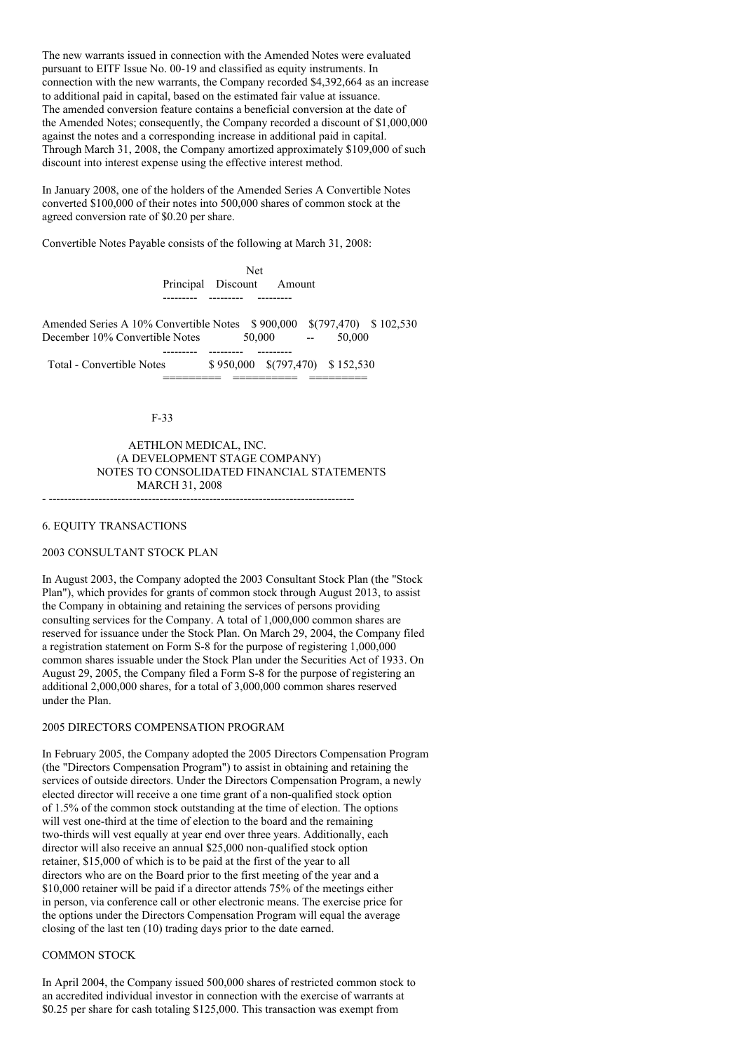The new warrants issued in connection with the Amended Notes were evaluated pursuant to EITF Issue No. 00-19 and classified as equity instruments. In connection with the new warrants, the Company recorded \$4,392,664 as an increase to additional paid in capital, based on the estimated fair value at issuance. The amended conversion feature contains a beneficial conversion at the date of the Amended Notes; consequently, the Company recorded a discount of \$1,000,000 against the notes and a corresponding increase in additional paid in capital. Through March 31, 2008, the Company amortized approximately \$109,000 of such discount into interest expense using the effective interest method.

In January 2008, one of the holders of the Amended Series A Convertible Notes converted \$100,000 of their notes into 500,000 shares of common stock at the agreed conversion rate of \$0.20 per share.

Convertible Notes Payable consists of the following at March 31, 2008:

Net Principal Discount Amount --------- --------- --------- Amended Series A 10% Convertible Notes \$ 900,000 \$(797,470) \$ 102,530 December 10% Convertible Notes 50,000 -- 50,000 --------- --------- --------- Total - Convertible Notes \$ 950,000 \$(797,470) \$ 152,530 ========= ========== =========

F-33

AETHLON MEDICAL, INC. (A DEVELOPMENT STAGE COMPANY) NOTES TO CONSOLIDATED FINANCIAL STATEMENTS MARCH 31, 2008 - --------------------------------------------------------------------------------

#### 6. EQUITY TRANSACTIONS

#### 2003 CONSULTANT STOCK PLAN

In August 2003, the Company adopted the 2003 Consultant Stock Plan (the "Stock Plan"), which provides for grants of common stock through August 2013, to assist the Company in obtaining and retaining the services of persons providing consulting services for the Company. A total of 1,000,000 common shares are reserved for issuance under the Stock Plan. On March 29, 2004, the Company filed a registration statement on Form S-8 for the purpose of registering 1,000,000 common shares issuable under the Stock Plan under the Securities Act of 1933. On August 29, 2005, the Company filed a Form S-8 for the purpose of registering an additional 2,000,000 shares, for a total of 3,000,000 common shares reserved under the Plan.

#### 2005 DIRECTORS COMPENSATION PROGRAM

In February 2005, the Company adopted the 2005 Directors Compensation Program (the "Directors Compensation Program") to assist in obtaining and retaining the services of outside directors. Under the Directors Compensation Program, a newly elected director will receive a one time grant of a non-qualified stock option of 1.5% of the common stock outstanding at the time of election. The options will vest one-third at the time of election to the board and the remaining two-thirds will vest equally at year end over three years. Additionally, each director will also receive an annual \$25,000 non-qualified stock option retainer, \$15,000 of which is to be paid at the first of the year to all directors who are on the Board prior to the first meeting of the year and a \$10,000 retainer will be paid if a director attends 75% of the meetings either in person, via conference call or other electronic means. The exercise price for the options under the Directors Compensation Program will equal the average closing of the last ten (10) trading days prior to the date earned.

#### COMMON STOCK

In April 2004, the Company issued 500,000 shares of restricted common stock to an accredited individual investor in connection with the exercise of warrants at \$0.25 per share for cash totaling \$125,000. This transaction was exempt from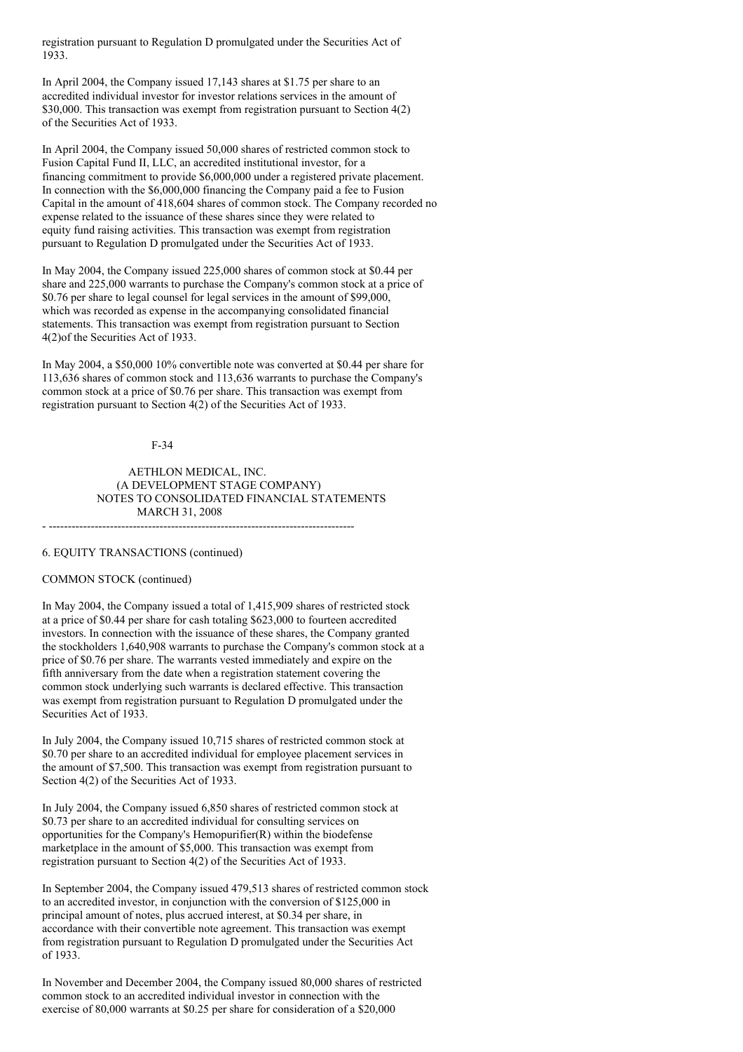registration pursuant to Regulation D promulgated under the Securities Act of 1933.

In April 2004, the Company issued 17,143 shares at \$1.75 per share to an accredited individual investor for investor relations services in the amount of \$30,000. This transaction was exempt from registration pursuant to Section 4(2) of the Securities Act of 1933.

In April 2004, the Company issued 50,000 shares of restricted common stock to Fusion Capital Fund II, LLC, an accredited institutional investor, for a financing commitment to provide \$6,000,000 under a registered private placement. In connection with the \$6,000,000 financing the Company paid a fee to Fusion Capital in the amount of 418,604 shares of common stock. The Company recorded no expense related to the issuance of these shares since they were related to equity fund raising activities. This transaction was exempt from registration pursuant to Regulation D promulgated under the Securities Act of 1933.

In May 2004, the Company issued 225,000 shares of common stock at \$0.44 per share and 225,000 warrants to purchase the Company's common stock at a price of \$0.76 per share to legal counsel for legal services in the amount of \$99,000, which was recorded as expense in the accompanying consolidated financial statements. This transaction was exempt from registration pursuant to Section 4(2)of the Securities Act of 1933.

In May 2004, a \$50,000 10% convertible note was converted at \$0.44 per share for 113,636 shares of common stock and 113,636 warrants to purchase the Company's common stock at a price of \$0.76 per share. This transaction was exempt from registration pursuant to Section 4(2) of the Securities Act of 1933.

### F-34

AETHLON MEDICAL, INC. (A DEVELOPMENT STAGE COMPANY) NOTES TO CONSOLIDATED FINANCIAL STATEMENTS MARCH 31, 2008 - --------------------------------------------------------------------------------

#### 6. EQUITY TRANSACTIONS (continued)

#### COMMON STOCK (continued)

In May 2004, the Company issued a total of 1,415,909 shares of restricted stock at a price of \$0.44 per share for cash totaling \$623,000 to fourteen accredited investors. In connection with the issuance of these shares, the Company granted the stockholders 1,640,908 warrants to purchase the Company's common stock at a price of \$0.76 per share. The warrants vested immediately and expire on the fifth anniversary from the date when a registration statement covering the common stock underlying such warrants is declared effective. This transaction was exempt from registration pursuant to Regulation D promulgated under the Securities Act of 1933.

In July 2004, the Company issued 10,715 shares of restricted common stock at \$0.70 per share to an accredited individual for employee placement services in the amount of \$7,500. This transaction was exempt from registration pursuant to Section  $4(2)$  of the Securities Act of 1933.

In July 2004, the Company issued 6,850 shares of restricted common stock at \$0.73 per share to an accredited individual for consulting services on opportunities for the Company's Hemopurifier(R) within the biodefense marketplace in the amount of \$5,000. This transaction was exempt from registration pursuant to Section 4(2) of the Securities Act of 1933.

In September 2004, the Company issued 479,513 shares of restricted common stock to an accredited investor, in conjunction with the conversion of \$125,000 in principal amount of notes, plus accrued interest, at \$0.34 per share, in accordance with their convertible note agreement. This transaction was exempt from registration pursuant to Regulation D promulgated under the Securities Act of 1933.

In November and December 2004, the Company issued 80,000 shares of restricted common stock to an accredited individual investor in connection with the exercise of 80,000 warrants at \$0.25 per share for consideration of a \$20,000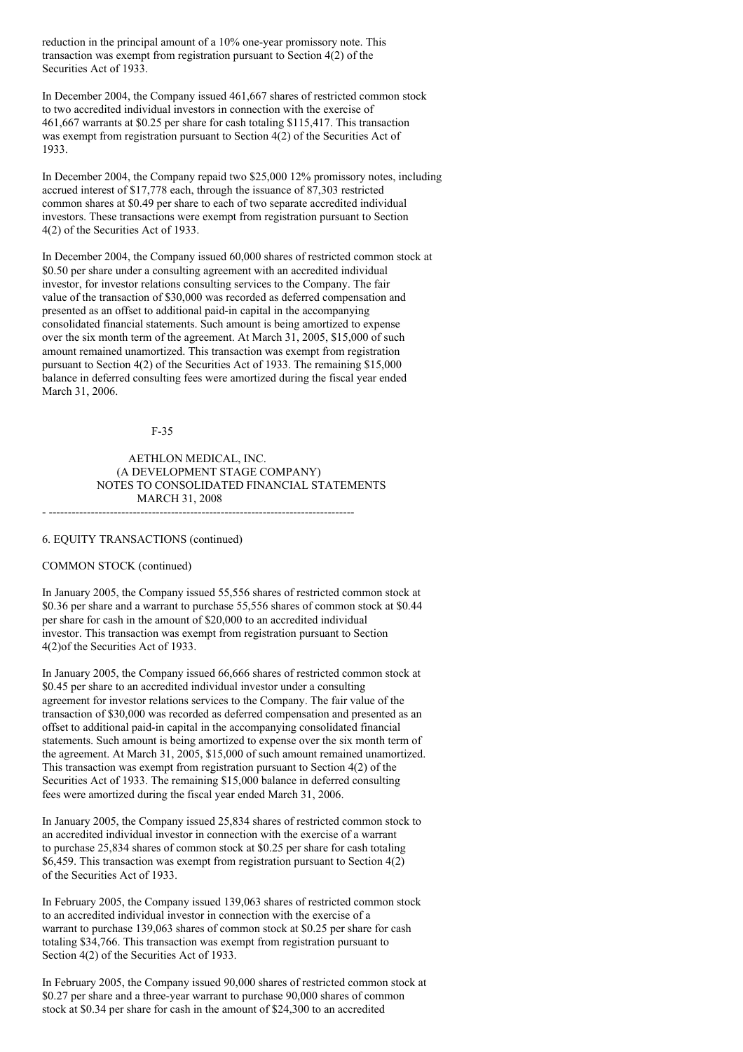reduction in the principal amount of a 10% one-year promissory note. This transaction was exempt from registration pursuant to Section 4(2) of the Securities Act of 1933.

In December 2004, the Company issued 461,667 shares of restricted common stock to two accredited individual investors in connection with the exercise of 461,667 warrants at \$0.25 per share for cash totaling \$115,417. This transaction was exempt from registration pursuant to Section 4(2) of the Securities Act of 1933.

In December 2004, the Company repaid two \$25,000 12% promissory notes, including accrued interest of \$17,778 each, through the issuance of 87,303 restricted common shares at \$0.49 per share to each of two separate accredited individual investors. These transactions were exempt from registration pursuant to Section 4(2) of the Securities Act of 1933.

In December 2004, the Company issued 60,000 shares of restricted common stock at \$0.50 per share under a consulting agreement with an accredited individual investor, for investor relations consulting services to the Company. The fair value of the transaction of \$30,000 was recorded as deferred compensation and presented as an offset to additional paid-in capital in the accompanying consolidated financial statements. Such amount is being amortized to expense over the six month term of the agreement. At March 31, 2005, \$15,000 of such amount remained unamortized. This transaction was exempt from registration pursuant to Section 4(2) of the Securities Act of 1933. The remaining \$15,000 balance in deferred consulting fees were amortized during the fiscal year ended March 31, 2006.

F-35

AETHLON MEDICAL, INC. (A DEVELOPMENT STAGE COMPANY) NOTES TO CONSOLIDATED FINANCIAL STATEMENTS MARCH 31, 2008 - --------------------------------------------------------------------------------

6. EQUITY TRANSACTIONS (continued)

## COMMON STOCK (continued)

In January 2005, the Company issued 55,556 shares of restricted common stock at \$0.36 per share and a warrant to purchase 55,556 shares of common stock at \$0.44 per share for cash in the amount of \$20,000 to an accredited individual investor. This transaction was exempt from registration pursuant to Section 4(2)of the Securities Act of 1933.

In January 2005, the Company issued 66,666 shares of restricted common stock at \$0.45 per share to an accredited individual investor under a consulting agreement for investor relations services to the Company. The fair value of the transaction of \$30,000 was recorded as deferred compensation and presented as an offset to additional paid-in capital in the accompanying consolidated financial statements. Such amount is being amortized to expense over the six month term of the agreement. At March 31, 2005, \$15,000 of such amount remained unamortized. This transaction was exempt from registration pursuant to Section 4(2) of the Securities Act of 1933. The remaining \$15,000 balance in deferred consulting fees were amortized during the fiscal year ended March 31, 2006.

In January 2005, the Company issued 25,834 shares of restricted common stock to an accredited individual investor in connection with the exercise of a warrant to purchase 25,834 shares of common stock at \$0.25 per share for cash totaling \$6,459. This transaction was exempt from registration pursuant to Section 4(2) of the Securities Act of 1933.

In February 2005, the Company issued 139,063 shares of restricted common stock to an accredited individual investor in connection with the exercise of a warrant to purchase 139,063 shares of common stock at \$0.25 per share for cash totaling \$34,766. This transaction was exempt from registration pursuant to Section  $4(2)$  of the Securities Act of 1933.

In February 2005, the Company issued 90,000 shares of restricted common stock at \$0.27 per share and a three-year warrant to purchase 90,000 shares of common stock at \$0.34 per share for cash in the amount of \$24,300 to an accredited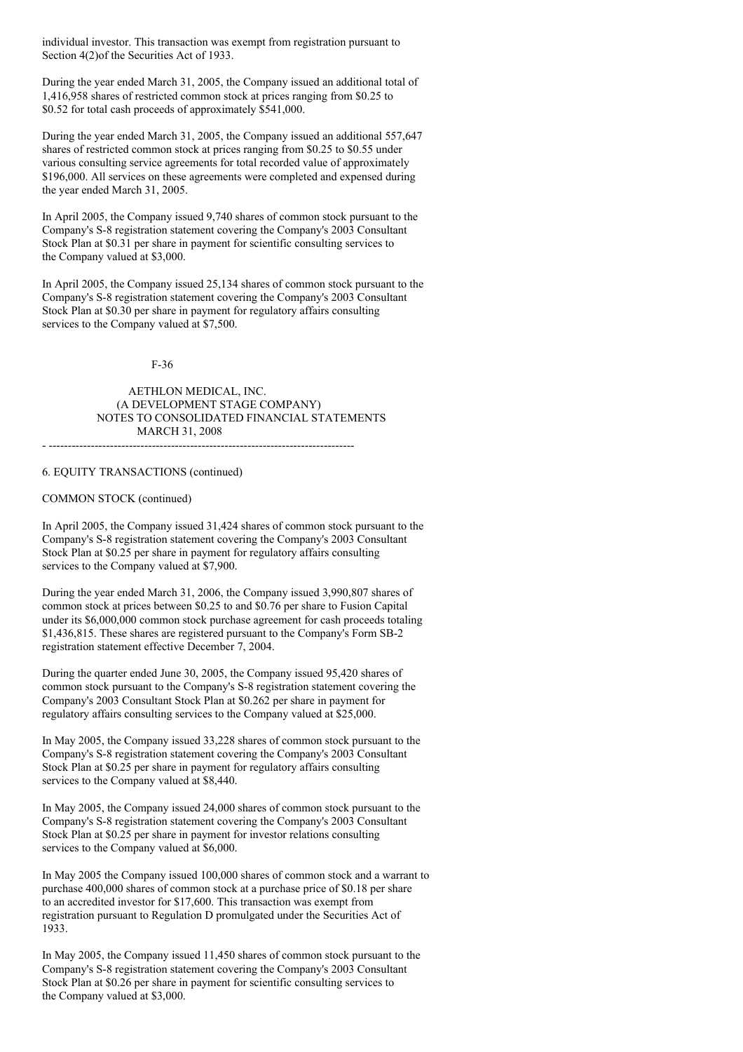individual investor. This transaction was exempt from registration pursuant to Section 4(2)of the Securities Act of 1933.

During the year ended March 31, 2005, the Company issued an additional total of 1,416,958 shares of restricted common stock at prices ranging from \$0.25 to \$0.52 for total cash proceeds of approximately \$541,000.

During the year ended March 31, 2005, the Company issued an additional 557,647 shares of restricted common stock at prices ranging from \$0.25 to \$0.55 under various consulting service agreements for total recorded value of approximately \$196,000. All services on these agreements were completed and expensed during the year ended March 31, 2005.

In April 2005, the Company issued 9,740 shares of common stock pursuant to the Company's S-8 registration statement covering the Company's 2003 Consultant Stock Plan at \$0.31 per share in payment for scientific consulting services to the Company valued at \$3,000.

In April 2005, the Company issued 25,134 shares of common stock pursuant to the Company's S-8 registration statement covering the Company's 2003 Consultant Stock Plan at \$0.30 per share in payment for regulatory affairs consulting services to the Company valued at \$7,500.

## F-36

AETHLON MEDICAL, INC. (A DEVELOPMENT STAGE COMPANY) NOTES TO CONSOLIDATED FINANCIAL STATEMENTS MARCH 31, 2008 - --------------------------------------------------------------------------------

### 6. EQUITY TRANSACTIONS (continued)

### COMMON STOCK (continued)

In April 2005, the Company issued 31,424 shares of common stock pursuant to the Company's S-8 registration statement covering the Company's 2003 Consultant Stock Plan at \$0.25 per share in payment for regulatory affairs consulting services to the Company valued at \$7,900.

During the year ended March 31, 2006, the Company issued 3,990,807 shares of common stock at prices between \$0.25 to and \$0.76 per share to Fusion Capital under its \$6,000,000 common stock purchase agreement for cash proceeds totaling \$1,436,815. These shares are registered pursuant to the Company's Form SB-2 registration statement effective December 7, 2004.

During the quarter ended June 30, 2005, the Company issued 95,420 shares of common stock pursuant to the Company's S-8 registration statement covering the Company's 2003 Consultant Stock Plan at \$0.262 per share in payment for regulatory affairs consulting services to the Company valued at \$25,000.

In May 2005, the Company issued 33,228 shares of common stock pursuant to the Company's S-8 registration statement covering the Company's 2003 Consultant Stock Plan at \$0.25 per share in payment for regulatory affairs consulting services to the Company valued at \$8,440.

In May 2005, the Company issued 24,000 shares of common stock pursuant to the Company's S-8 registration statement covering the Company's 2003 Consultant Stock Plan at \$0.25 per share in payment for investor relations consulting services to the Company valued at \$6,000.

In May 2005 the Company issued 100,000 shares of common stock and a warrant to purchase 400,000 shares of common stock at a purchase price of \$0.18 per share to an accredited investor for \$17,600. This transaction was exempt from registration pursuant to Regulation D promulgated under the Securities Act of 1933.

In May 2005, the Company issued 11,450 shares of common stock pursuant to the Company's S-8 registration statement covering the Company's 2003 Consultant Stock Plan at \$0.26 per share in payment for scientific consulting services to the Company valued at \$3,000.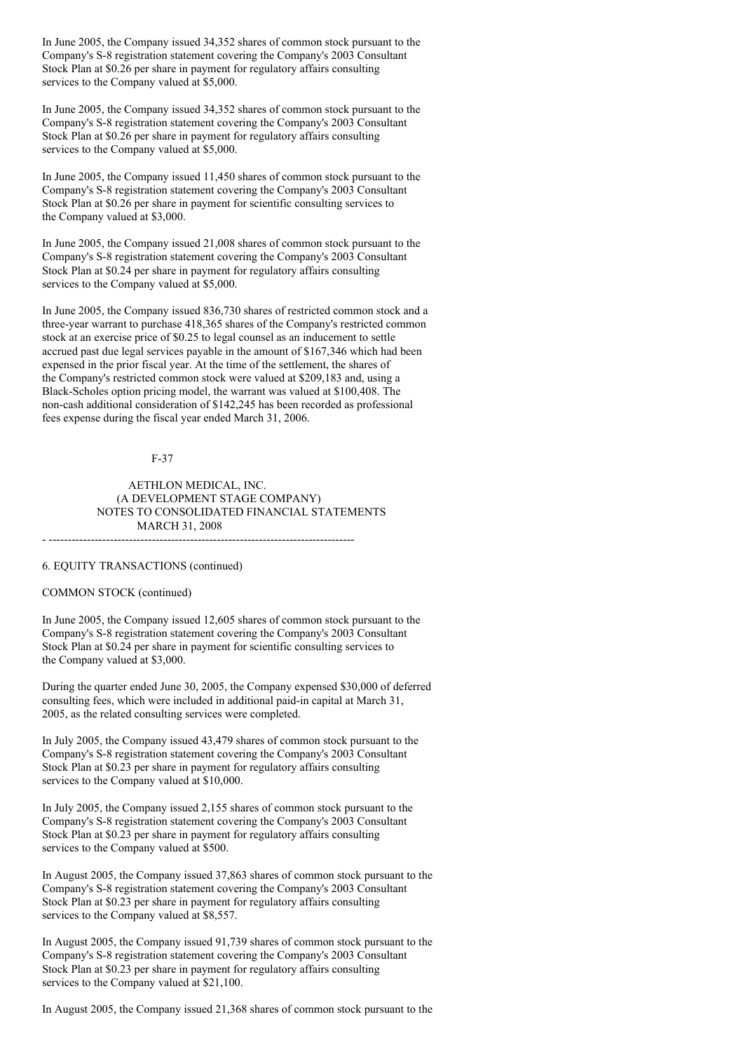In June 2005, the Company issued 34,352 shares of common stock pursuant to the Company's S-8 registration statement covering the Company's 2003 Consultant Stock Plan at \$0.26 per share in payment for regulatory affairs consulting services to the Company valued at \$5,000.

In June 2005, the Company issued 34,352 shares of common stock pursuant to the Company's S-8 registration statement covering the Company's 2003 Consultant Stock Plan at \$0.26 per share in payment for regulatory affairs consulting services to the Company valued at \$5,000.

In June 2005, the Company issued 11,450 shares of common stock pursuant to the Company's S-8 registration statement covering the Company's 2003 Consultant Stock Plan at \$0.26 per share in payment for scientific consulting services to the Company valued at \$3,000.

In June 2005, the Company issued 21,008 shares of common stock pursuant to the Company's S-8 registration statement covering the Company's 2003 Consultant Stock Plan at \$0.24 per share in payment for regulatory affairs consulting services to the Company valued at \$5,000.

In June 2005, the Company issued 836,730 shares of restricted common stock and a three-year warrant to purchase 418,365 shares of the Company's restricted common stock at an exercise price of \$0.25 to legal counsel as an inducement to settle accrued past due legal services payable in the amount of \$167,346 which had been expensed in the prior fiscal year. At the time of the settlement, the shares of the Company's restricted common stock were valued at \$209,183 and, using a Black-Scholes option pricing model, the warrant was valued at \$100,408. The non-cash additional consideration of \$142,245 has been recorded as professional fees expense during the fiscal year ended March 31, 2006.

#### F-37

AETHLON MEDICAL, INC. (A DEVELOPMENT STAGE COMPANY) NOTES TO CONSOLIDATED FINANCIAL STATEMENTS MARCH 31, 2008 - --------------------------------------------------------------------------------

6. EQUITY TRANSACTIONS (continued)

COMMON STOCK (continued)

In June 2005, the Company issued 12,605 shares of common stock pursuant to the Company's S-8 registration statement covering the Company's 2003 Consultant Stock Plan at \$0.24 per share in payment for scientific consulting services to the Company valued at \$3,000.

During the quarter ended June 30, 2005, the Company expensed \$30,000 of deferred consulting fees, which were included in additional paid-in capital at March 31, 2005, as the related consulting services were completed.

In July 2005, the Company issued 43,479 shares of common stock pursuant to the Company's S-8 registration statement covering the Company's 2003 Consultant Stock Plan at \$0.23 per share in payment for regulatory affairs consulting services to the Company valued at \$10,000.

In July 2005, the Company issued 2,155 shares of common stock pursuant to the Company's S-8 registration statement covering the Company's 2003 Consultant Stock Plan at \$0.23 per share in payment for regulatory affairs consulting services to the Company valued at \$500.

In August 2005, the Company issued 37,863 shares of common stock pursuant to the Company's S-8 registration statement covering the Company's 2003 Consultant Stock Plan at \$0.23 per share in payment for regulatory affairs consulting services to the Company valued at \$8,557.

In August 2005, the Company issued 91,739 shares of common stock pursuant to the Company's S-8 registration statement covering the Company's 2003 Consultant Stock Plan at \$0.23 per share in payment for regulatory affairs consulting services to the Company valued at \$21,100.

In August 2005, the Company issued 21,368 shares of common stock pursuant to the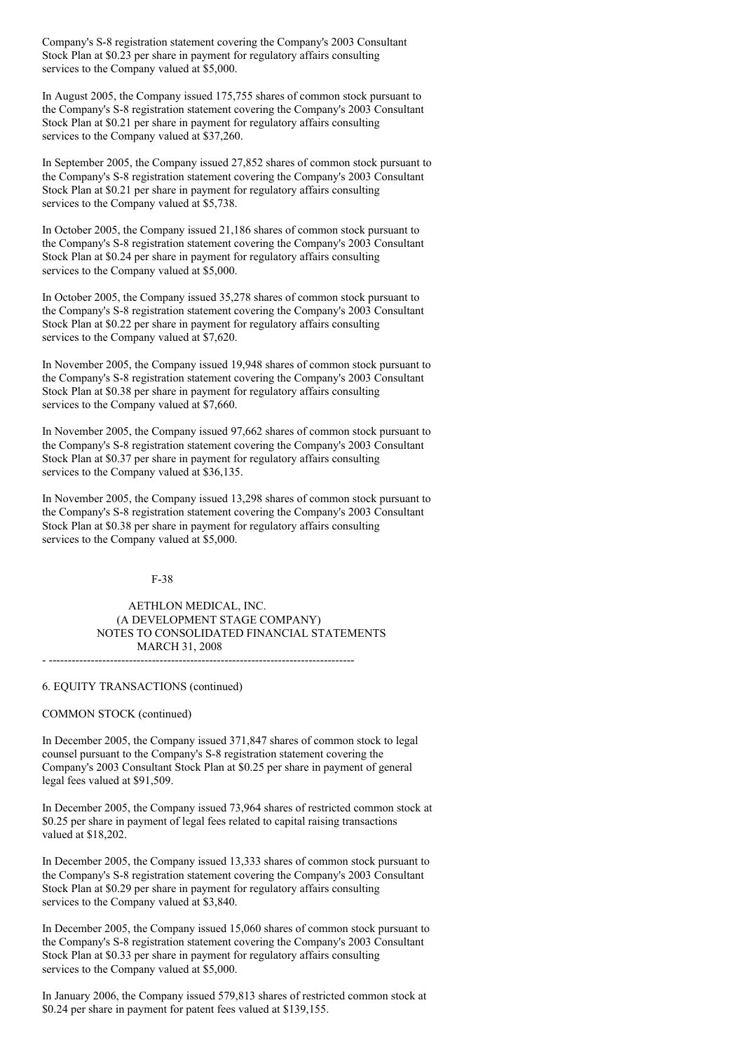Company's S-8 registration statement covering the Company's 2003 Consultant Stock Plan at \$0.23 per share in payment for regulatory affairs consulting services to the Company valued at \$5,000.

In August 2005, the Company issued 175,755 shares of common stock pursuant to the Company's S-8 registration statement covering the Company's 2003 Consultant Stock Plan at \$0.21 per share in payment for regulatory affairs consulting services to the Company valued at \$37,260.

In September 2005, the Company issued 27,852 shares of common stock pursuant to the Company's S-8 registration statement covering the Company's 2003 Consultant Stock Plan at \$0.21 per share in payment for regulatory affairs consulting services to the Company valued at \$5,738.

In October 2005, the Company issued 21,186 shares of common stock pursuant to the Company's S-8 registration statement covering the Company's 2003 Consultant Stock Plan at \$0.24 per share in payment for regulatory affairs consulting services to the Company valued at \$5,000.

In October 2005, the Company issued 35,278 shares of common stock pursuant to the Company's S-8 registration statement covering the Company's 2003 Consultant Stock Plan at \$0.22 per share in payment for regulatory affairs consulting services to the Company valued at \$7,620.

In November 2005, the Company issued 19,948 shares of common stock pursuant to the Company's S-8 registration statement covering the Company's 2003 Consultant Stock Plan at \$0.38 per share in payment for regulatory affairs consulting services to the Company valued at \$7,660.

In November 2005, the Company issued 97,662 shares of common stock pursuant to the Company's S-8 registration statement covering the Company's 2003 Consultant Stock Plan at \$0.37 per share in payment for regulatory affairs consulting services to the Company valued at \$36,135.

In November 2005, the Company issued 13,298 shares of common stock pursuant to the Company's S-8 registration statement covering the Company's 2003 Consultant Stock Plan at \$0.38 per share in payment for regulatory affairs consulting services to the Company valued at \$5,000.

## F-38

AETHLON MEDICAL, INC. (A DEVELOPMENT STAGE COMPANY) NOTES TO CONSOLIDATED FINANCIAL STATEMENTS MARCH 31, 2008 - --------------------------------------------------------------------------------

#### 6. EQUITY TRANSACTIONS (continued)

## COMMON STOCK (continued)

In December 2005, the Company issued 371,847 shares of common stock to legal counsel pursuant to the Company's S-8 registration statement covering the Company's 2003 Consultant Stock Plan at \$0.25 per share in payment of general legal fees valued at \$91,509.

In December 2005, the Company issued 73,964 shares of restricted common stock at \$0.25 per share in payment of legal fees related to capital raising transactions valued at \$18,202.

In December 2005, the Company issued 13,333 shares of common stock pursuant to the Company's S-8 registration statement covering the Company's 2003 Consultant Stock Plan at \$0.29 per share in payment for regulatory affairs consulting services to the Company valued at \$3,840.

In December 2005, the Company issued 15,060 shares of common stock pursuant to the Company's S-8 registration statement covering the Company's 2003 Consultant Stock Plan at \$0.33 per share in payment for regulatory affairs consulting services to the Company valued at \$5,000.

In January 2006, the Company issued 579,813 shares of restricted common stock at \$0.24 per share in payment for patent fees valued at \$139,155.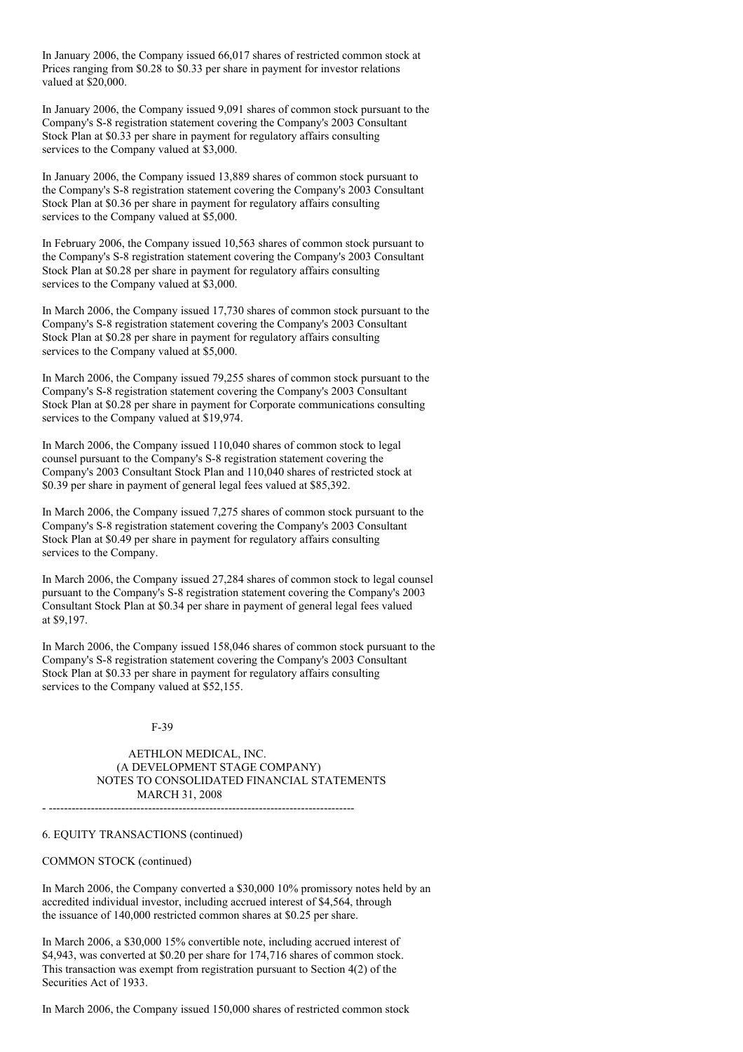In January 2006, the Company issued 66,017 shares of restricted common stock at Prices ranging from \$0.28 to \$0.33 per share in payment for investor relations valued at \$20,000.

In January 2006, the Company issued 9,091 shares of common stock pursuant to the Company's S-8 registration statement covering the Company's 2003 Consultant Stock Plan at \$0.33 per share in payment for regulatory affairs consulting services to the Company valued at \$3,000.

In January 2006, the Company issued 13,889 shares of common stock pursuant to the Company's S-8 registration statement covering the Company's 2003 Consultant Stock Plan at \$0.36 per share in payment for regulatory affairs consulting services to the Company valued at \$5,000.

In February 2006, the Company issued 10,563 shares of common stock pursuant to the Company's S-8 registration statement covering the Company's 2003 Consultant Stock Plan at \$0.28 per share in payment for regulatory affairs consulting services to the Company valued at \$3,000.

In March 2006, the Company issued 17,730 shares of common stock pursuant to the Company's S-8 registration statement covering the Company's 2003 Consultant Stock Plan at \$0.28 per share in payment for regulatory affairs consulting services to the Company valued at \$5,000.

In March 2006, the Company issued 79,255 shares of common stock pursuant to the Company's S-8 registration statement covering the Company's 2003 Consultant Stock Plan at \$0.28 per share in payment for Corporate communications consulting services to the Company valued at \$19,974.

In March 2006, the Company issued 110,040 shares of common stock to legal counsel pursuant to the Company's S-8 registration statement covering the Company's 2003 Consultant Stock Plan and 110,040 shares of restricted stock at \$0.39 per share in payment of general legal fees valued at \$85,392.

In March 2006, the Company issued 7,275 shares of common stock pursuant to the Company's S-8 registration statement covering the Company's 2003 Consultant Stock Plan at \$0.49 per share in payment for regulatory affairs consulting services to the Company.

In March 2006, the Company issued 27,284 shares of common stock to legal counsel pursuant to the Company's S-8 registration statement covering the Company's 2003 Consultant Stock Plan at \$0.34 per share in payment of general legal fees valued at \$9,197.

In March 2006, the Company issued 158,046 shares of common stock pursuant to the Company's S-8 registration statement covering the Company's 2003 Consultant Stock Plan at \$0.33 per share in payment for regulatory affairs consulting services to the Company valued at \$52,155.

F-39

AETHLON MEDICAL, INC. (A DEVELOPMENT STAGE COMPANY) NOTES TO CONSOLIDATED FINANCIAL STATEMENTS MARCH 31, 2008 - --------------------------------------------------------------------------------

## 6. EQUITY TRANSACTIONS (continued)

## COMMON STOCK (continued)

In March 2006, the Company converted a \$30,000 10% promissory notes held by an accredited individual investor, including accrued interest of \$4,564, through the issuance of 140,000 restricted common shares at \$0.25 per share.

In March 2006, a \$30,000 15% convertible note, including accrued interest of \$4,943, was converted at \$0.20 per share for 174,716 shares of common stock. This transaction was exempt from registration pursuant to Section 4(2) of the Securities Act of 1933.

In March 2006, the Company issued 150,000 shares of restricted common stock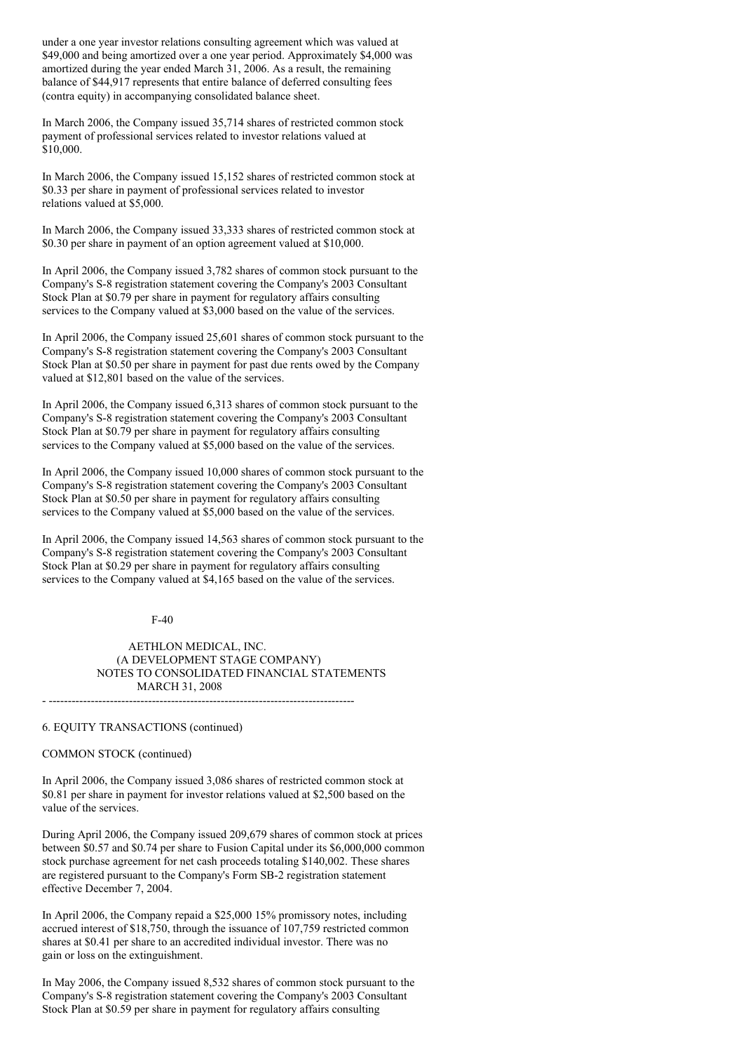under a one year investor relations consulting agreement which was valued at \$49,000 and being amortized over a one year period. Approximately \$4,000 was amortized during the year ended March 31, 2006. As a result, the remaining balance of \$44,917 represents that entire balance of deferred consulting fees (contra equity) in accompanying consolidated balance sheet.

In March 2006, the Company issued 35,714 shares of restricted common stock payment of professional services related to investor relations valued at \$10,000.

In March 2006, the Company issued 15,152 shares of restricted common stock at \$0.33 per share in payment of professional services related to investor relations valued at \$5,000.

In March 2006, the Company issued 33,333 shares of restricted common stock at \$0.30 per share in payment of an option agreement valued at \$10,000.

In April 2006, the Company issued 3,782 shares of common stock pursuant to the Company's S-8 registration statement covering the Company's 2003 Consultant Stock Plan at \$0.79 per share in payment for regulatory affairs consulting services to the Company valued at \$3,000 based on the value of the services.

In April 2006, the Company issued 25,601 shares of common stock pursuant to the Company's S-8 registration statement covering the Company's 2003 Consultant Stock Plan at \$0.50 per share in payment for past due rents owed by the Company valued at \$12,801 based on the value of the services.

In April 2006, the Company issued 6,313 shares of common stock pursuant to the Company's S-8 registration statement covering the Company's 2003 Consultant Stock Plan at \$0.79 per share in payment for regulatory affairs consulting services to the Company valued at \$5,000 based on the value of the services.

In April 2006, the Company issued 10,000 shares of common stock pursuant to the Company's S-8 registration statement covering the Company's 2003 Consultant Stock Plan at \$0.50 per share in payment for regulatory affairs consulting services to the Company valued at \$5,000 based on the value of the services.

In April 2006, the Company issued 14,563 shares of common stock pursuant to the Company's S-8 registration statement covering the Company's 2003 Consultant Stock Plan at \$0.29 per share in payment for regulatory affairs consulting services to the Company valued at \$4,165 based on the value of the services.

F-40

AETHLON MEDICAL, INC. (A DEVELOPMENT STAGE COMPANY) NOTES TO CONSOLIDATED FINANCIAL STATEMENTS MARCH 31, 2008

6. EQUITY TRANSACTIONS (continued)

## COMMON STOCK (continued)

In April 2006, the Company issued 3,086 shares of restricted common stock at \$0.81 per share in payment for investor relations valued at \$2,500 based on the value of the services.

- --------------------------------------------------------------------------------

During April 2006, the Company issued 209,679 shares of common stock at prices between \$0.57 and \$0.74 per share to Fusion Capital under its \$6,000,000 common stock purchase agreement for net cash proceeds totaling \$140,002. These shares are registered pursuant to the Company's Form SB-2 registration statement effective December 7, 2004.

In April 2006, the Company repaid a \$25,000 15% promissory notes, including accrued interest of \$18,750, through the issuance of 107,759 restricted common shares at \$0.41 per share to an accredited individual investor. There was no gain or loss on the extinguishment.

In May 2006, the Company issued 8,532 shares of common stock pursuant to the Company's S-8 registration statement covering the Company's 2003 Consultant Stock Plan at \$0.59 per share in payment for regulatory affairs consulting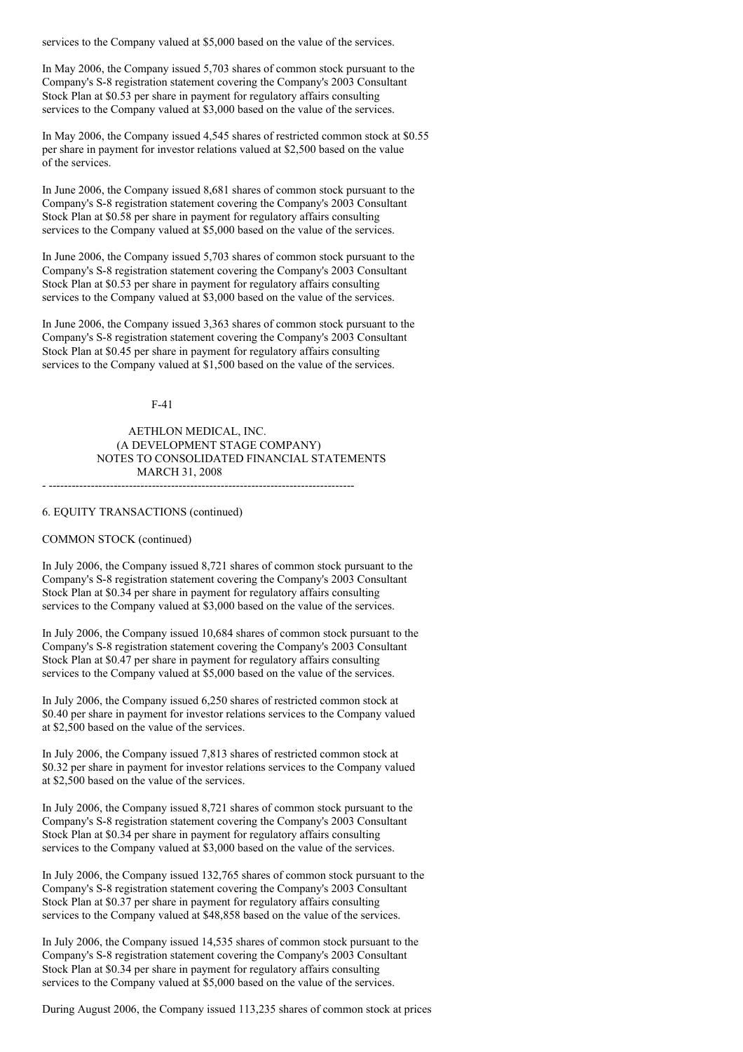services to the Company valued at \$5,000 based on the value of the services.

In May 2006, the Company issued 5,703 shares of common stock pursuant to the Company's S-8 registration statement covering the Company's 2003 Consultant Stock Plan at \$0.53 per share in payment for regulatory affairs consulting services to the Company valued at \$3,000 based on the value of the services.

In May 2006, the Company issued 4,545 shares of restricted common stock at \$0.55 per share in payment for investor relations valued at \$2,500 based on the value of the services.

In June 2006, the Company issued 8,681 shares of common stock pursuant to the Company's S-8 registration statement covering the Company's 2003 Consultant Stock Plan at \$0.58 per share in payment for regulatory affairs consulting services to the Company valued at \$5,000 based on the value of the services.

In June 2006, the Company issued 5,703 shares of common stock pursuant to the Company's S-8 registration statement covering the Company's 2003 Consultant Stock Plan at \$0.53 per share in payment for regulatory affairs consulting services to the Company valued at \$3,000 based on the value of the services.

In June 2006, the Company issued 3,363 shares of common stock pursuant to the Company's S-8 registration statement covering the Company's 2003 Consultant Stock Plan at \$0.45 per share in payment for regulatory affairs consulting services to the Company valued at \$1,500 based on the value of the services.

F-41

## AETHLON MEDICAL, INC. (A DEVELOPMENT STAGE COMPANY) NOTES TO CONSOLIDATED FINANCIAL STATEMENTS MARCH 31, 2008

- --------------------------------------------------------------------------------

## 6. EQUITY TRANSACTIONS (continued)

#### COMMON STOCK (continued)

In July 2006, the Company issued 8,721 shares of common stock pursuant to the Company's S-8 registration statement covering the Company's 2003 Consultant Stock Plan at \$0.34 per share in payment for regulatory affairs consulting services to the Company valued at \$3,000 based on the value of the services.

In July 2006, the Company issued 10,684 shares of common stock pursuant to the Company's S-8 registration statement covering the Company's 2003 Consultant Stock Plan at \$0.47 per share in payment for regulatory affairs consulting services to the Company valued at \$5,000 based on the value of the services.

In July 2006, the Company issued 6,250 shares of restricted common stock at \$0.40 per share in payment for investor relations services to the Company valued at \$2,500 based on the value of the services.

In July 2006, the Company issued 7,813 shares of restricted common stock at \$0.32 per share in payment for investor relations services to the Company valued at \$2,500 based on the value of the services.

In July 2006, the Company issued 8,721 shares of common stock pursuant to the Company's S-8 registration statement covering the Company's 2003 Consultant Stock Plan at \$0.34 per share in payment for regulatory affairs consulting services to the Company valued at \$3,000 based on the value of the services.

In July 2006, the Company issued 132,765 shares of common stock pursuant to the Company's S-8 registration statement covering the Company's 2003 Consultant Stock Plan at \$0.37 per share in payment for regulatory affairs consulting services to the Company valued at \$48,858 based on the value of the services.

In July 2006, the Company issued 14,535 shares of common stock pursuant to the Company's S-8 registration statement covering the Company's 2003 Consultant Stock Plan at \$0.34 per share in payment for regulatory affairs consulting services to the Company valued at \$5,000 based on the value of the services.

During August 2006, the Company issued 113,235 shares of common stock at prices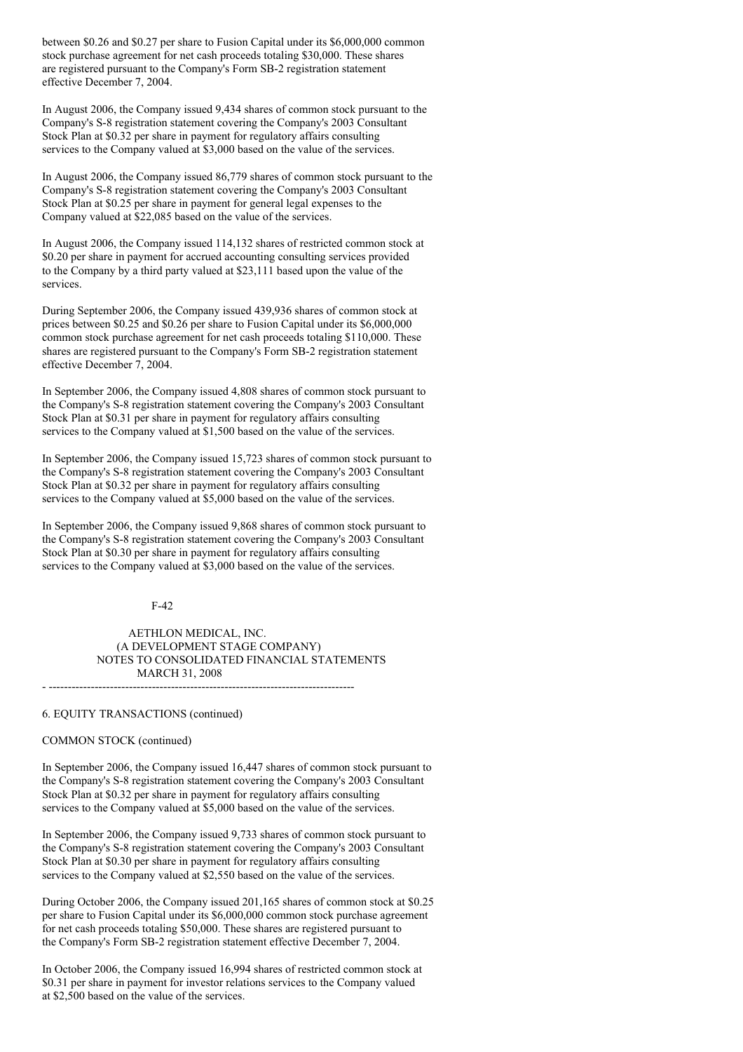between \$0.26 and \$0.27 per share to Fusion Capital under its \$6,000,000 common stock purchase agreement for net cash proceeds totaling \$30,000. These shares are registered pursuant to the Company's Form SB-2 registration statement effective December 7, 2004.

In August 2006, the Company issued 9,434 shares of common stock pursuant to the Company's S-8 registration statement covering the Company's 2003 Consultant Stock Plan at \$0.32 per share in payment for regulatory affairs consulting services to the Company valued at \$3,000 based on the value of the services.

In August 2006, the Company issued 86,779 shares of common stock pursuant to the Company's S-8 registration statement covering the Company's 2003 Consultant Stock Plan at \$0.25 per share in payment for general legal expenses to the Company valued at \$22,085 based on the value of the services.

In August 2006, the Company issued 114,132 shares of restricted common stock at \$0.20 per share in payment for accrued accounting consulting services provided to the Company by a third party valued at \$23,111 based upon the value of the services.

During September 2006, the Company issued 439,936 shares of common stock at prices between \$0.25 and \$0.26 per share to Fusion Capital under its \$6,000,000 common stock purchase agreement for net cash proceeds totaling \$110,000. These shares are registered pursuant to the Company's Form SB-2 registration statement effective December 7, 2004.

In September 2006, the Company issued 4,808 shares of common stock pursuant to the Company's S-8 registration statement covering the Company's 2003 Consultant Stock Plan at \$0.31 per share in payment for regulatory affairs consulting services to the Company valued at \$1,500 based on the value of the services.

In September 2006, the Company issued 15,723 shares of common stock pursuant to the Company's S-8 registration statement covering the Company's 2003 Consultant Stock Plan at \$0.32 per share in payment for regulatory affairs consulting services to the Company valued at \$5,000 based on the value of the services.

In September 2006, the Company issued 9,868 shares of common stock pursuant to the Company's S-8 registration statement covering the Company's 2003 Consultant Stock Plan at \$0.30 per share in payment for regulatory affairs consulting services to the Company valued at \$3,000 based on the value of the services.

## F-42

AETHLON MEDICAL, INC. (A DEVELOPMENT STAGE COMPANY) NOTES TO CONSOLIDATED FINANCIAL STATEMENTS MARCH 31, 2008 - --------------------------------------------------------------------------------

6. EQUITY TRANSACTIONS (continued)

## COMMON STOCK (continued)

In September 2006, the Company issued 16,447 shares of common stock pursuant to the Company's S-8 registration statement covering the Company's 2003 Consultant Stock Plan at \$0.32 per share in payment for regulatory affairs consulting services to the Company valued at \$5,000 based on the value of the services.

In September 2006, the Company issued 9,733 shares of common stock pursuant to the Company's S-8 registration statement covering the Company's 2003 Consultant Stock Plan at \$0.30 per share in payment for regulatory affairs consulting services to the Company valued at \$2,550 based on the value of the services.

During October 2006, the Company issued 201,165 shares of common stock at \$0.25 per share to Fusion Capital under its \$6,000,000 common stock purchase agreement for net cash proceeds totaling \$50,000. These shares are registered pursuant to the Company's Form SB-2 registration statement effective December 7, 2004.

In October 2006, the Company issued 16,994 shares of restricted common stock at \$0.31 per share in payment for investor relations services to the Company valued at \$2,500 based on the value of the services.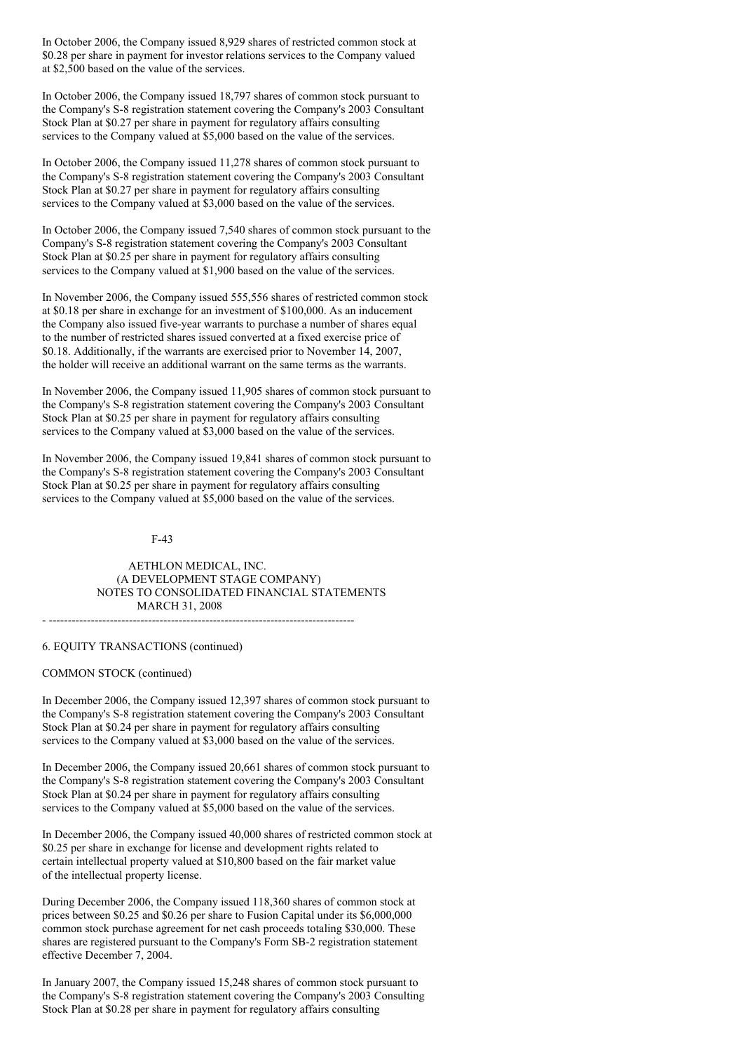In October 2006, the Company issued 8,929 shares of restricted common stock at \$0.28 per share in payment for investor relations services to the Company valued at \$2,500 based on the value of the services.

In October 2006, the Company issued 18,797 shares of common stock pursuant to the Company's S-8 registration statement covering the Company's 2003 Consultant Stock Plan at \$0.27 per share in payment for regulatory affairs consulting services to the Company valued at \$5,000 based on the value of the services.

In October 2006, the Company issued 11,278 shares of common stock pursuant to the Company's S-8 registration statement covering the Company's 2003 Consultant Stock Plan at \$0.27 per share in payment for regulatory affairs consulting services to the Company valued at \$3,000 based on the value of the services.

In October 2006, the Company issued 7,540 shares of common stock pursuant to the Company's S-8 registration statement covering the Company's 2003 Consultant Stock Plan at \$0.25 per share in payment for regulatory affairs consulting services to the Company valued at \$1,900 based on the value of the services.

In November 2006, the Company issued 555,556 shares of restricted common stock at \$0.18 per share in exchange for an investment of \$100,000. As an inducement the Company also issued five-year warrants to purchase a number of shares equal to the number of restricted shares issued converted at a fixed exercise price of \$0.18. Additionally, if the warrants are exercised prior to November 14, 2007, the holder will receive an additional warrant on the same terms as the warrants.

In November 2006, the Company issued 11,905 shares of common stock pursuant to the Company's S-8 registration statement covering the Company's 2003 Consultant Stock Plan at \$0.25 per share in payment for regulatory affairs consulting services to the Company valued at \$3,000 based on the value of the services.

In November 2006, the Company issued 19,841 shares of common stock pursuant to the Company's S-8 registration statement covering the Company's 2003 Consultant Stock Plan at \$0.25 per share in payment for regulatory affairs consulting services to the Company valued at \$5,000 based on the value of the services.

#### F-43

AETHLON MEDICAL, INC. (A DEVELOPMENT STAGE COMPANY) NOTES TO CONSOLIDATED FINANCIAL STATEMENTS MARCH 31, 2008

- --------------------------------------------------------------------------------

6. EQUITY TRANSACTIONS (continued)

COMMON STOCK (continued)

In December 2006, the Company issued 12,397 shares of common stock pursuant to the Company's S-8 registration statement covering the Company's 2003 Consultant Stock Plan at \$0.24 per share in payment for regulatory affairs consulting services to the Company valued at \$3,000 based on the value of the services.

In December 2006, the Company issued 20,661 shares of common stock pursuant to the Company's S-8 registration statement covering the Company's 2003 Consultant Stock Plan at \$0.24 per share in payment for regulatory affairs consulting services to the Company valued at \$5,000 based on the value of the services.

In December 2006, the Company issued 40,000 shares of restricted common stock at \$0.25 per share in exchange for license and development rights related to certain intellectual property valued at \$10,800 based on the fair market value of the intellectual property license.

During December 2006, the Company issued 118,360 shares of common stock at prices between \$0.25 and \$0.26 per share to Fusion Capital under its \$6,000,000 common stock purchase agreement for net cash proceeds totaling \$30,000. These shares are registered pursuant to the Company's Form SB-2 registration statement effective December 7, 2004.

In January 2007, the Company issued 15,248 shares of common stock pursuant to the Company's S-8 registration statement covering the Company's 2003 Consulting Stock Plan at \$0.28 per share in payment for regulatory affairs consulting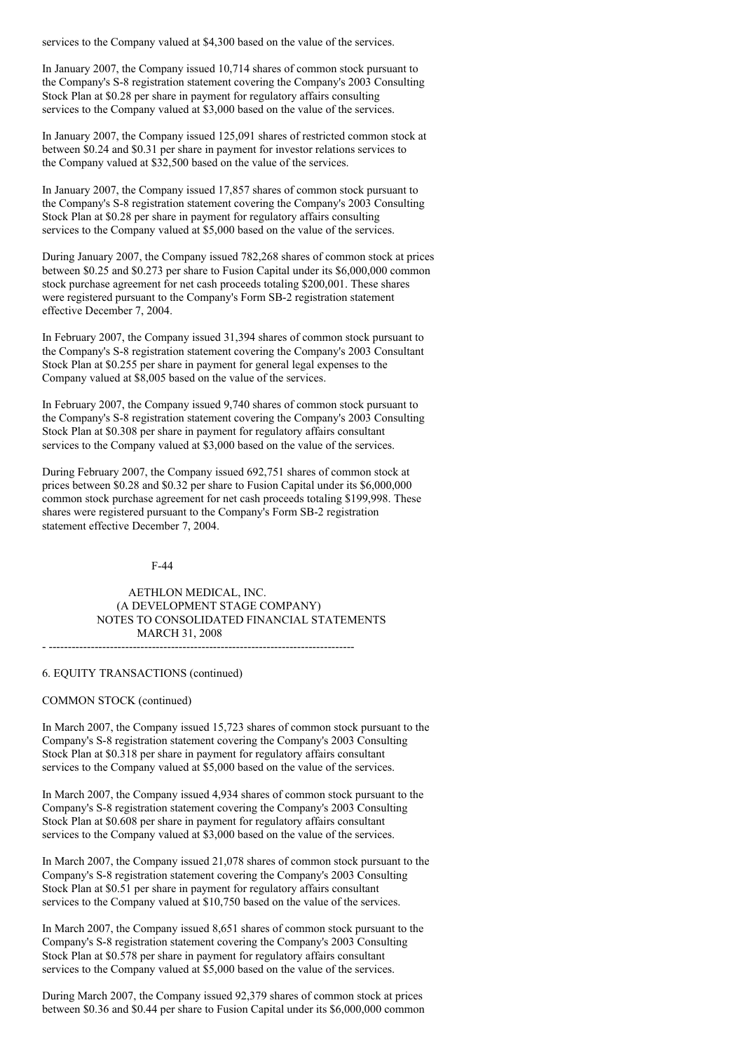services to the Company valued at \$4,300 based on the value of the services.

In January 2007, the Company issued 10,714 shares of common stock pursuant to the Company's S-8 registration statement covering the Company's 2003 Consulting Stock Plan at \$0.28 per share in payment for regulatory affairs consulting services to the Company valued at \$3,000 based on the value of the services.

In January 2007, the Company issued 125,091 shares of restricted common stock at between \$0.24 and \$0.31 per share in payment for investor relations services to the Company valued at \$32,500 based on the value of the services.

In January 2007, the Company issued 17,857 shares of common stock pursuant to the Company's S-8 registration statement covering the Company's 2003 Consulting Stock Plan at \$0.28 per share in payment for regulatory affairs consulting services to the Company valued at \$5,000 based on the value of the services.

During January 2007, the Company issued 782,268 shares of common stock at prices between \$0.25 and \$0.273 per share to Fusion Capital under its \$6,000,000 common stock purchase agreement for net cash proceeds totaling \$200,001. These shares were registered pursuant to the Company's Form SB-2 registration statement effective December 7, 2004.

In February 2007, the Company issued 31,394 shares of common stock pursuant to the Company's S-8 registration statement covering the Company's 2003 Consultant Stock Plan at \$0.255 per share in payment for general legal expenses to the Company valued at \$8,005 based on the value of the services.

In February 2007, the Company issued 9,740 shares of common stock pursuant to the Company's S-8 registration statement covering the Company's 2003 Consulting Stock Plan at \$0.308 per share in payment for regulatory affairs consultant services to the Company valued at \$3,000 based on the value of the services.

During February 2007, the Company issued 692,751 shares of common stock at prices between \$0.28 and \$0.32 per share to Fusion Capital under its \$6,000,000 common stock purchase agreement for net cash proceeds totaling \$199,998. These shares were registered pursuant to the Company's Form SB-2 registration statement effective December 7, 2004.

F-44

AETHLON MEDICAL, INC. (A DEVELOPMENT STAGE COMPANY) NOTES TO CONSOLIDATED FINANCIAL STATEMENTS MARCH 31, 2008

- --------------------------------------------------------------------------------

#### 6. EQUITY TRANSACTIONS (continued)

#### COMMON STOCK (continued)

In March 2007, the Company issued 15,723 shares of common stock pursuant to the Company's S-8 registration statement covering the Company's 2003 Consulting Stock Plan at \$0.318 per share in payment for regulatory affairs consultant services to the Company valued at \$5,000 based on the value of the services.

In March 2007, the Company issued 4,934 shares of common stock pursuant to the Company's S-8 registration statement covering the Company's 2003 Consulting Stock Plan at \$0.608 per share in payment for regulatory affairs consultant services to the Company valued at \$3,000 based on the value of the services.

In March 2007, the Company issued 21,078 shares of common stock pursuant to the Company's S-8 registration statement covering the Company's 2003 Consulting Stock Plan at \$0.51 per share in payment for regulatory affairs consultant services to the Company valued at \$10,750 based on the value of the services.

In March 2007, the Company issued 8,651 shares of common stock pursuant to the Company's S-8 registration statement covering the Company's 2003 Consulting Stock Plan at \$0.578 per share in payment for regulatory affairs consultant services to the Company valued at \$5,000 based on the value of the services.

During March 2007, the Company issued 92,379 shares of common stock at prices between \$0.36 and \$0.44 per share to Fusion Capital under its \$6,000,000 common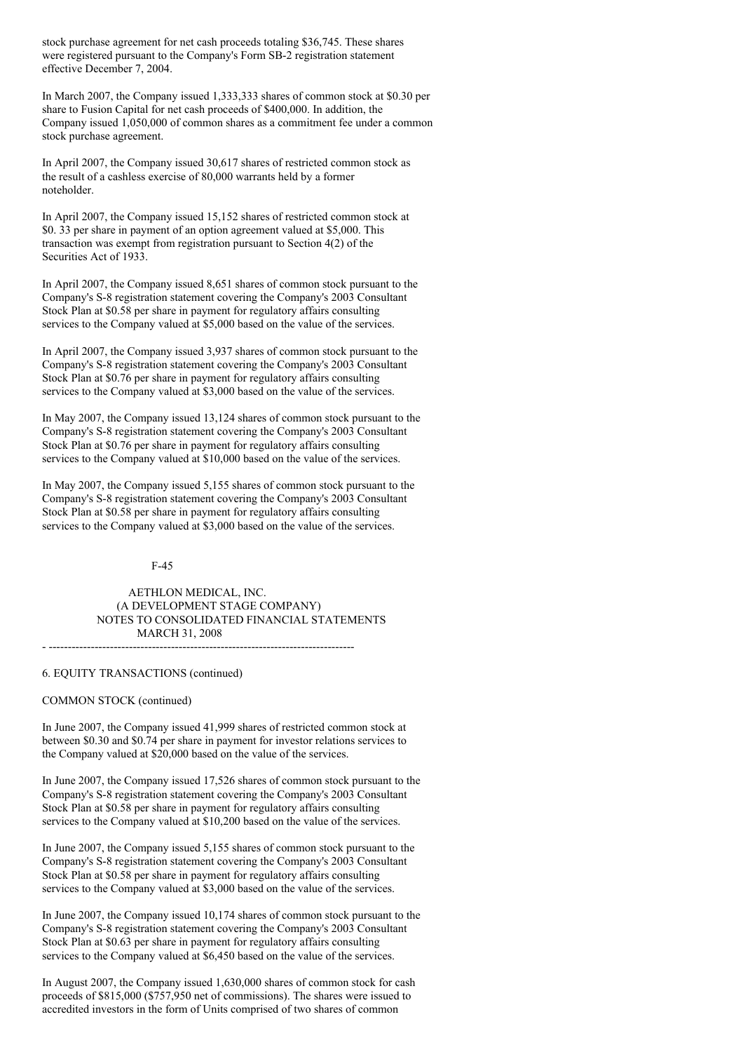stock purchase agreement for net cash proceeds totaling \$36,745. These shares were registered pursuant to the Company's Form SB-2 registration statement effective December 7, 2004.

In March 2007, the Company issued 1,333,333 shares of common stock at \$0.30 per share to Fusion Capital for net cash proceeds of \$400,000. In addition, the Company issued 1,050,000 of common shares as a commitment fee under a common stock purchase agreement.

In April 2007, the Company issued 30,617 shares of restricted common stock as the result of a cashless exercise of 80,000 warrants held by a former noteholder.

In April 2007, the Company issued 15,152 shares of restricted common stock at \$0. 33 per share in payment of an option agreement valued at \$5,000. This transaction was exempt from registration pursuant to Section 4(2) of the Securities Act of 1933.

In April 2007, the Company issued 8,651 shares of common stock pursuant to the Company's S-8 registration statement covering the Company's 2003 Consultant Stock Plan at \$0.58 per share in payment for regulatory affairs consulting services to the Company valued at \$5,000 based on the value of the services.

In April 2007, the Company issued 3,937 shares of common stock pursuant to the Company's S-8 registration statement covering the Company's 2003 Consultant Stock Plan at \$0.76 per share in payment for regulatory affairs consulting services to the Company valued at \$3,000 based on the value of the services.

In May 2007, the Company issued 13,124 shares of common stock pursuant to the Company's S-8 registration statement covering the Company's 2003 Consultant Stock Plan at \$0.76 per share in payment for regulatory affairs consulting services to the Company valued at \$10,000 based on the value of the services.

In May 2007, the Company issued 5,155 shares of common stock pursuant to the Company's S-8 registration statement covering the Company's 2003 Consultant Stock Plan at \$0.58 per share in payment for regulatory affairs consulting services to the Company valued at \$3,000 based on the value of the services.

F-45

AETHLON MEDICAL, INC. (A DEVELOPMENT STAGE COMPANY) NOTES TO CONSOLIDATED FINANCIAL STATEMENTS MARCH 31, 2008

- --------------------------------------------------------------------------------

## 6. EQUITY TRANSACTIONS (continued)

## COMMON STOCK (continued)

In June 2007, the Company issued 41,999 shares of restricted common stock at between \$0.30 and \$0.74 per share in payment for investor relations services to the Company valued at \$20,000 based on the value of the services.

In June 2007, the Company issued 17,526 shares of common stock pursuant to the Company's S-8 registration statement covering the Company's 2003 Consultant Stock Plan at \$0.58 per share in payment for regulatory affairs consulting services to the Company valued at \$10,200 based on the value of the services.

In June 2007, the Company issued 5,155 shares of common stock pursuant to the Company's S-8 registration statement covering the Company's 2003 Consultant Stock Plan at \$0.58 per share in payment for regulatory affairs consulting services to the Company valued at \$3,000 based on the value of the services.

In June 2007, the Company issued 10,174 shares of common stock pursuant to the Company's S-8 registration statement covering the Company's 2003 Consultant Stock Plan at \$0.63 per share in payment for regulatory affairs consulting services to the Company valued at \$6,450 based on the value of the services.

In August 2007, the Company issued 1,630,000 shares of common stock for cash proceeds of \$815,000 (\$757,950 net of commissions). The shares were issued to accredited investors in the form of Units comprised of two shares of common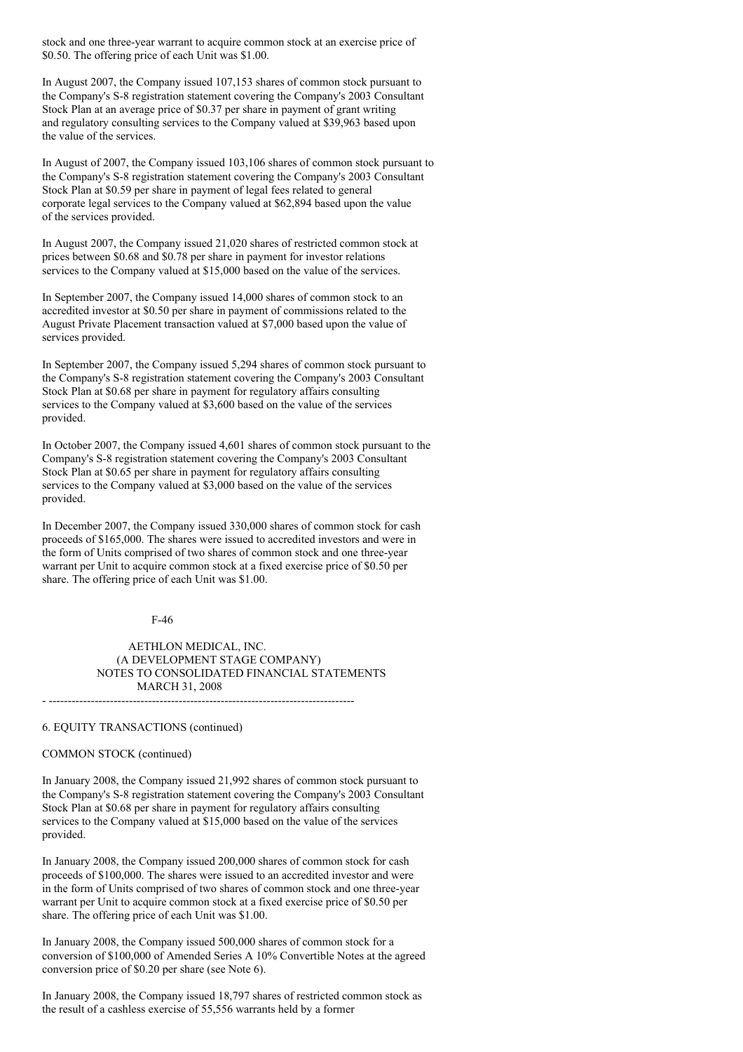stock and one three-year warrant to acquire common stock at an exercise price of \$0.50. The offering price of each Unit was \$1.00.

In August 2007, the Company issued 107,153 shares of common stock pursuant to the Company's S-8 registration statement covering the Company's 2003 Consultant Stock Plan at an average price of \$0.37 per share in payment of grant writing and regulatory consulting services to the Company valued at \$39,963 based upon the value of the services.

In August of 2007, the Company issued 103,106 shares of common stock pursuant to the Company's S-8 registration statement covering the Company's 2003 Consultant Stock Plan at \$0.59 per share in payment of legal fees related to general corporate legal services to the Company valued at \$62,894 based upon the value of the services provided.

In August 2007, the Company issued 21,020 shares of restricted common stock at prices between \$0.68 and \$0.78 per share in payment for investor relations services to the Company valued at \$15,000 based on the value of the services.

In September 2007, the Company issued 14,000 shares of common stock to an accredited investor at \$0.50 per share in payment of commissions related to the August Private Placement transaction valued at \$7,000 based upon the value of services provided.

In September 2007, the Company issued 5,294 shares of common stock pursuant to the Company's S-8 registration statement covering the Company's 2003 Consultant Stock Plan at \$0.68 per share in payment for regulatory affairs consulting services to the Company valued at \$3,600 based on the value of the services provided.

In October 2007, the Company issued 4,601 shares of common stock pursuant to the Company's S-8 registration statement covering the Company's 2003 Consultant Stock Plan at \$0.65 per share in payment for regulatory affairs consulting services to the Company valued at \$3,000 based on the value of the services provided.

In December 2007, the Company issued 330,000 shares of common stock for cash proceeds of \$165,000. The shares were issued to accredited investors and were in the form of Units comprised of two shares of common stock and one three-year warrant per Unit to acquire common stock at a fixed exercise price of \$0.50 per share. The offering price of each Unit was \$1.00.

#### F-46

AETHLON MEDICAL, INC. (A DEVELOPMENT STAGE COMPANY) NOTES TO CONSOLIDATED FINANCIAL STATEMENTS MARCH 31, 2008

- --------------------------------------------------------------------------------

## 6. EQUITY TRANSACTIONS (continued)

#### COMMON STOCK (continued)

In January 2008, the Company issued 21,992 shares of common stock pursuant to the Company's S-8 registration statement covering the Company's 2003 Consultant Stock Plan at \$0.68 per share in payment for regulatory affairs consulting services to the Company valued at \$15,000 based on the value of the services provided.

In January 2008, the Company issued 200,000 shares of common stock for cash proceeds of \$100,000. The shares were issued to an accredited investor and were in the form of Units comprised of two shares of common stock and one three-year warrant per Unit to acquire common stock at a fixed exercise price of \$0.50 per share. The offering price of each Unit was \$1.00.

In January 2008, the Company issued 500,000 shares of common stock for a conversion of \$100,000 of Amended Series A 10% Convertible Notes at the agreed conversion price of \$0.20 per share (see Note 6).

In January 2008, the Company issued 18,797 shares of restricted common stock as the result of a cashless exercise of 55,556 warrants held by a former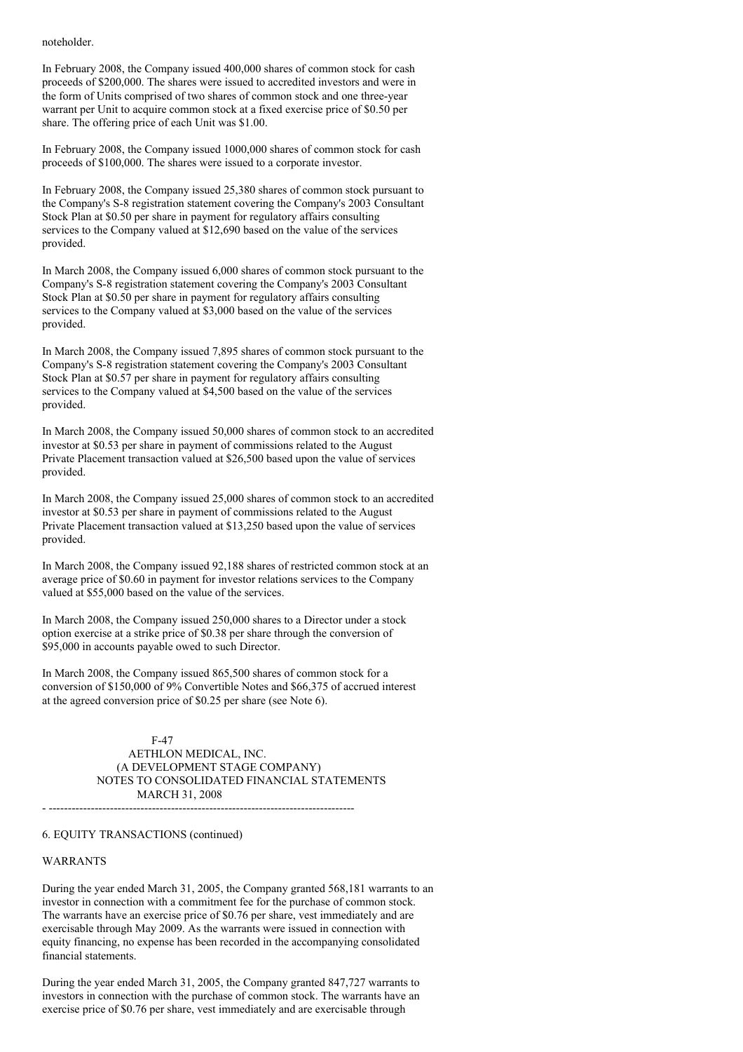noteholder.

In February 2008, the Company issued 400,000 shares of common stock for cash proceeds of \$200,000. The shares were issued to accredited investors and were in the form of Units comprised of two shares of common stock and one three-year warrant per Unit to acquire common stock at a fixed exercise price of \$0.50 per share. The offering price of each Unit was \$1.00.

In February 2008, the Company issued 1000,000 shares of common stock for cash proceeds of \$100,000. The shares were issued to a corporate investor.

In February 2008, the Company issued 25,380 shares of common stock pursuant to the Company's S-8 registration statement covering the Company's 2003 Consultant Stock Plan at \$0.50 per share in payment for regulatory affairs consulting services to the Company valued at \$12,690 based on the value of the services provided.

In March 2008, the Company issued 6,000 shares of common stock pursuant to the Company's S-8 registration statement covering the Company's 2003 Consultant Stock Plan at \$0.50 per share in payment for regulatory affairs consulting services to the Company valued at \$3,000 based on the value of the services provided.

In March 2008, the Company issued 7,895 shares of common stock pursuant to the Company's S-8 registration statement covering the Company's 2003 Consultant Stock Plan at \$0.57 per share in payment for regulatory affairs consulting services to the Company valued at \$4,500 based on the value of the services provided.

In March 2008, the Company issued 50,000 shares of common stock to an accredited investor at \$0.53 per share in payment of commissions related to the August Private Placement transaction valued at \$26,500 based upon the value of services provided.

In March 2008, the Company issued 25,000 shares of common stock to an accredited investor at \$0.53 per share in payment of commissions related to the August Private Placement transaction valued at \$13,250 based upon the value of services provided.

In March 2008, the Company issued 92,188 shares of restricted common stock at an average price of \$0.60 in payment for investor relations services to the Company valued at \$55,000 based on the value of the services.

In March 2008, the Company issued 250,000 shares to a Director under a stock option exercise at a strike price of \$0.38 per share through the conversion of \$95,000 in accounts payable owed to such Director.

In March 2008, the Company issued 865,500 shares of common stock for a conversion of \$150,000 of 9% Convertible Notes and \$66,375 of accrued interest at the agreed conversion price of \$0.25 per share (see Note 6).

F-47 AETHLON MEDICAL, INC. (A DEVELOPMENT STAGE COMPANY) NOTES TO CONSOLIDATED FINANCIAL STATEMENTS MARCH 31, 2008 - --------------------------------------------------------------------------------

## 6. EQUITY TRANSACTIONS (continued)

#### WARRANTS

During the year ended March 31, 2005, the Company granted 568,181 warrants to an investor in connection with a commitment fee for the purchase of common stock. The warrants have an exercise price of \$0.76 per share, vest immediately and are exercisable through May 2009. As the warrants were issued in connection with equity financing, no expense has been recorded in the accompanying consolidated financial statements.

During the year ended March 31, 2005, the Company granted 847,727 warrants to investors in connection with the purchase of common stock. The warrants have an exercise price of \$0.76 per share, vest immediately and are exercisable through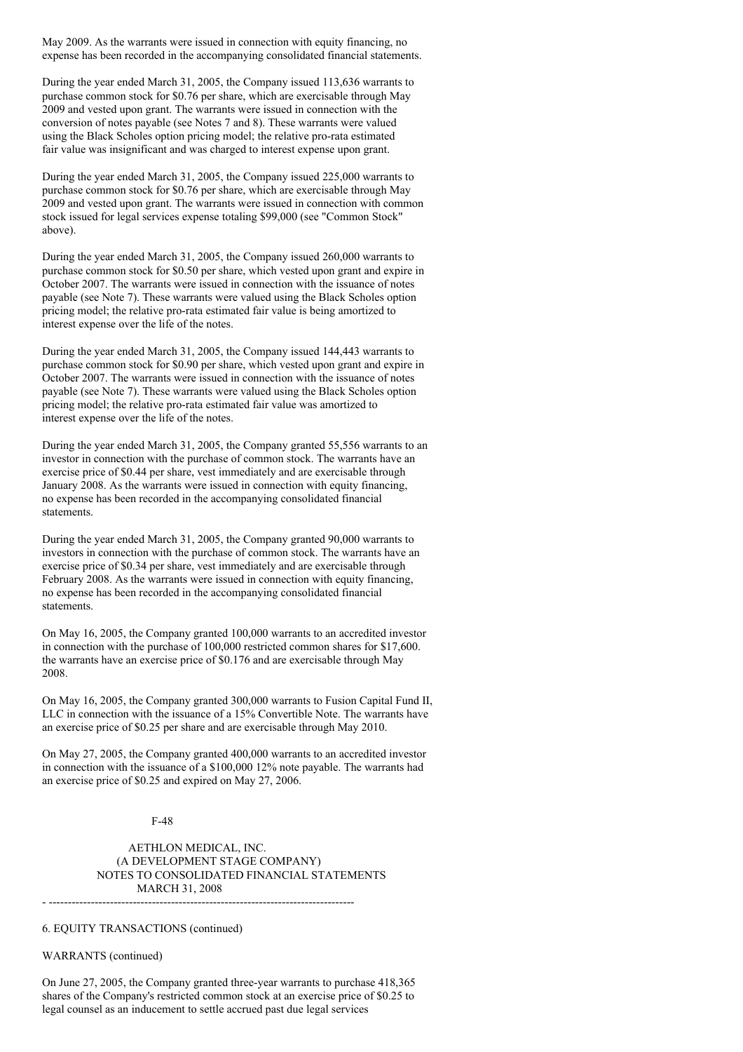May 2009. As the warrants were issued in connection with equity financing, no expense has been recorded in the accompanying consolidated financial statements.

During the year ended March 31, 2005, the Company issued 113,636 warrants to purchase common stock for \$0.76 per share, which are exercisable through May 2009 and vested upon grant. The warrants were issued in connection with the conversion of notes payable (see Notes 7 and 8). These warrants were valued using the Black Scholes option pricing model; the relative pro-rata estimated fair value was insignificant and was charged to interest expense upon grant.

During the year ended March 31, 2005, the Company issued 225,000 warrants to purchase common stock for \$0.76 per share, which are exercisable through May 2009 and vested upon grant. The warrants were issued in connection with common stock issued for legal services expense totaling \$99,000 (see "Common Stock" above).

During the year ended March 31, 2005, the Company issued 260,000 warrants to purchase common stock for \$0.50 per share, which vested upon grant and expire in October 2007. The warrants were issued in connection with the issuance of notes payable (see Note 7). These warrants were valued using the Black Scholes option pricing model; the relative pro-rata estimated fair value is being amortized to interest expense over the life of the notes.

During the year ended March 31, 2005, the Company issued 144,443 warrants to purchase common stock for \$0.90 per share, which vested upon grant and expire in October 2007. The warrants were issued in connection with the issuance of notes payable (see Note 7). These warrants were valued using the Black Scholes option pricing model; the relative pro-rata estimated fair value was amortized to interest expense over the life of the notes.

During the year ended March 31, 2005, the Company granted 55,556 warrants to an investor in connection with the purchase of common stock. The warrants have an exercise price of \$0.44 per share, vest immediately and are exercisable through January 2008. As the warrants were issued in connection with equity financing, no expense has been recorded in the accompanying consolidated financial statements.

During the year ended March 31, 2005, the Company granted 90,000 warrants to investors in connection with the purchase of common stock. The warrants have an exercise price of \$0.34 per share, vest immediately and are exercisable through February 2008. As the warrants were issued in connection with equity financing, no expense has been recorded in the accompanying consolidated financial statements.

On May 16, 2005, the Company granted 100,000 warrants to an accredited investor in connection with the purchase of 100,000 restricted common shares for \$17,600. the warrants have an exercise price of \$0.176 and are exercisable through May 2008.

On May 16, 2005, the Company granted 300,000 warrants to Fusion Capital Fund II, LLC in connection with the issuance of a 15% Convertible Note. The warrants have an exercise price of \$0.25 per share and are exercisable through May 2010.

On May 27, 2005, the Company granted 400,000 warrants to an accredited investor in connection with the issuance of a \$100,000 12% note payable. The warrants had an exercise price of \$0.25 and expired on May 27, 2006.

## F-48

AETHLON MEDICAL, INC. (A DEVELOPMENT STAGE COMPANY) NOTES TO CONSOLIDATED FINANCIAL STATEMENTS MARCH 31, 2008

- --------------------------------------------------------------------------------

6. EQUITY TRANSACTIONS (continued)

WARRANTS (continued)

On June 27, 2005, the Company granted three-year warrants to purchase 418,365 shares of the Company's restricted common stock at an exercise price of \$0.25 to legal counsel as an inducement to settle accrued past due legal services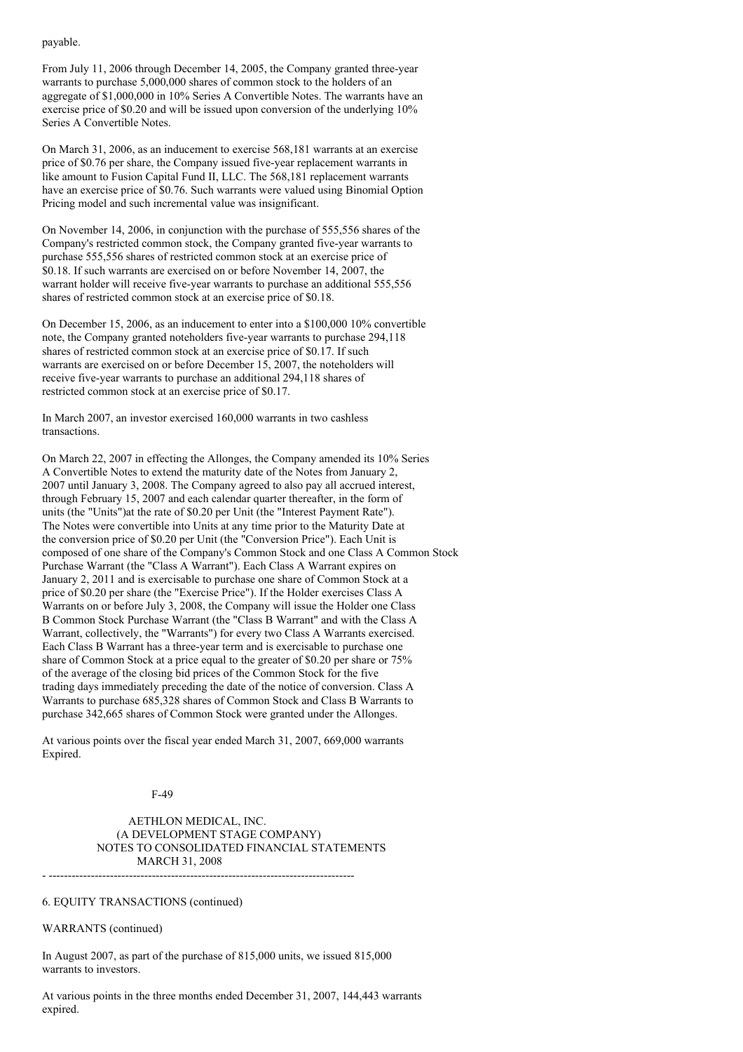payable.

From July 11, 2006 through December 14, 2005, the Company granted three-year warrants to purchase 5,000,000 shares of common stock to the holders of an aggregate of \$1,000,000 in 10% Series A Convertible Notes. The warrants have an exercise price of \$0.20 and will be issued upon conversion of the underlying 10% Series A Convertible Notes.

On March 31, 2006, as an inducement to exercise 568,181 warrants at an exercise price of \$0.76 per share, the Company issued five-year replacement warrants in like amount to Fusion Capital Fund II, LLC. The 568,181 replacement warrants have an exercise price of \$0.76. Such warrants were valued using Binomial Option Pricing model and such incremental value was insignificant.

On November 14, 2006, in conjunction with the purchase of 555,556 shares of the Company's restricted common stock, the Company granted five-year warrants to purchase 555,556 shares of restricted common stock at an exercise price of \$0.18. If such warrants are exercised on or before November 14, 2007, the warrant holder will receive five-year warrants to purchase an additional 555,556 shares of restricted common stock at an exercise price of \$0.18.

On December 15, 2006, as an inducement to enter into a \$100,000 10% convertible note, the Company granted noteholders five-year warrants to purchase 294,118 shares of restricted common stock at an exercise price of \$0.17. If such warrants are exercised on or before December 15, 2007, the noteholders will receive five-year warrants to purchase an additional 294,118 shares of restricted common stock at an exercise price of \$0.17.

In March 2007, an investor exercised 160,000 warrants in two cashless transactions.

On March 22, 2007 in effecting the Allonges, the Company amended its 10% Series A Convertible Notes to extend the maturity date of the Notes from January 2, 2007 until January 3, 2008. The Company agreed to also pay all accrued interest, through February 15, 2007 and each calendar quarter thereafter, in the form of units (the "Units")at the rate of \$0.20 per Unit (the "Interest Payment Rate"). The Notes were convertible into Units at any time prior to the Maturity Date at the conversion price of \$0.20 per Unit (the "Conversion Price"). Each Unit is composed of one share of the Company's Common Stock and one Class A Common Stock Purchase Warrant (the "Class A Warrant"). Each Class A Warrant expires on January 2, 2011 and is exercisable to purchase one share of Common Stock at a price of \$0.20 per share (the "Exercise Price"). If the Holder exercises Class A Warrants on or before July 3, 2008, the Company will issue the Holder one Class B Common Stock Purchase Warrant (the "Class B Warrant" and with the Class A Warrant, collectively, the "Warrants") for every two Class A Warrants exercised. Each Class B Warrant has a three-year term and is exercisable to purchase one share of Common Stock at a price equal to the greater of \$0.20 per share or 75% of the average of the closing bid prices of the Common Stock for the five trading days immediately preceding the date of the notice of conversion. Class A Warrants to purchase 685,328 shares of Common Stock and Class B Warrants to purchase 342,665 shares of Common Stock were granted under the Allonges.

At various points over the fiscal year ended March 31, 2007, 669,000 warrants Expired.

F-49

AETHLON MEDICAL, INC. (A DEVELOPMENT STAGE COMPANY) NOTES TO CONSOLIDATED FINANCIAL STATEMENTS MARCH 31, 2008 - --------------------------------------------------------------------------------

6. EQUITY TRANSACTIONS (continued)

WARRANTS (continued)

In August 2007, as part of the purchase of 815,000 units, we issued 815,000 warrants to investors.

At various points in the three months ended December 31, 2007, 144,443 warrants expired.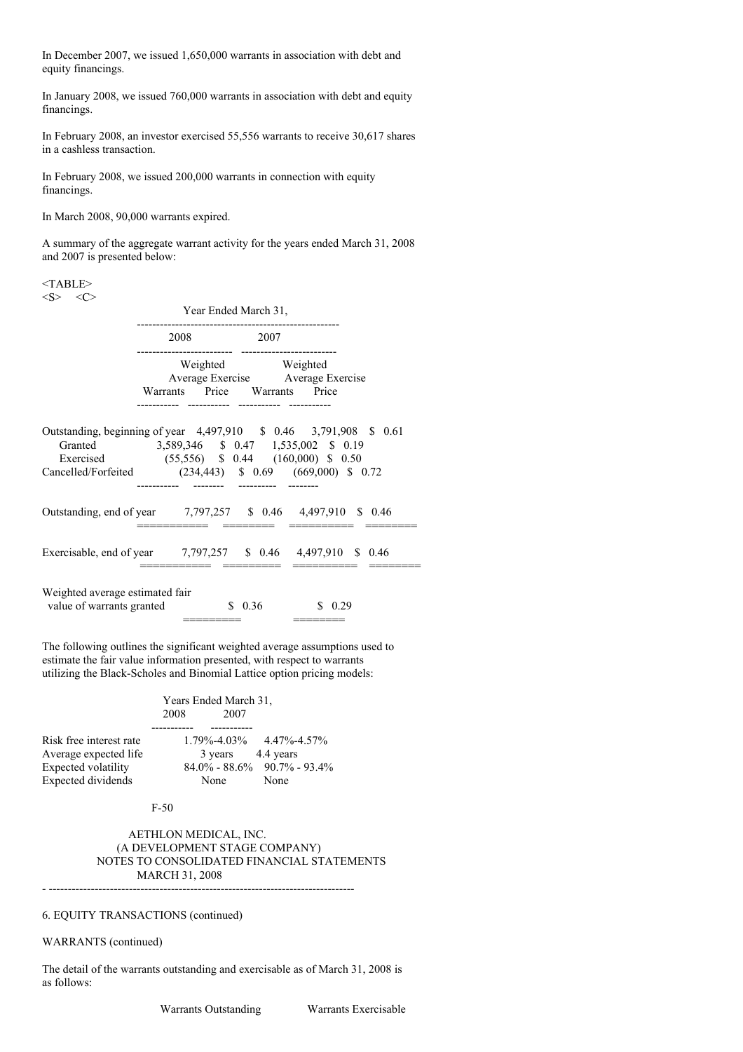In December 2007, we issued 1,650,000 warrants in association with debt and equity financings.

In January 2008, we issued 760,000 warrants in association with debt and equity financings.

In February 2008, an investor exercised 55,556 warrants to receive 30,617 shares in a cashless transaction.

In February 2008, we issued 200,000 warrants in connection with equity financings.

In March 2008, 90,000 warrants expired.

A summary of the aggregate warrant activity for the years ended March 31, 2008 and 2007 is presented below:

## <TABLE>

 $<\!\!S\!\!>$   $<\!\!C\!\!>$ 

|                                                                                                                               | Year Ended March 31,                                                                        |                   |                                   |  |
|-------------------------------------------------------------------------------------------------------------------------------|---------------------------------------------------------------------------------------------|-------------------|-----------------------------------|--|
|                                                                                                                               | 2008 2007                                                                                   |                   |                                   |  |
|                                                                                                                               | --------------<br>Warrants Price Warrants Price                                             | Weighted Weighted | Average Exercise Average Exercise |  |
| Outstanding, beginning of year 4,497,910 \$ 0.46 3,791,908 \$ 0.61<br>Cancelled/Forfeited (234,443) \$ 0.69 (669,000) \$ 0.72 | Granted 3,589,346 \$ 0.47 1,535,002 \$ 0.19<br>Exercised (55,556) \$ 0.44 (160,000) \$ 0.50 |                   |                                   |  |
| Outstanding, end of year 7,797,257 \$ 0.46 4,497,910 \$ 0.46                                                                  |                                                                                             |                   |                                   |  |
| Exercisable, end of year 7,797,257 \$ 0.46 4,497,910 \$ 0.46                                                                  |                                                                                             |                   |                                   |  |
| Weighted average estimated fair<br>value of warrants granted                                                                  | =====                                                                                       | \$0.36            | \$0.29<br>__________              |  |

The following outlines the significant weighted average assumptions used to estimate the fair value information presented, with respect to warrants utilizing the Black-Scholes and Binomial Lattice option pricing models:

> Years Ended March 31, 2008 2007 ----------- -----------

Expected dividends None None

|                         | $\sim$<br>$\sim$  |                                     |
|-------------------------|-------------------|-------------------------------------|
|                         |                   |                                     |
| Risk free interest rate |                   | $1.79\% - 4.03\% - 4.47\% - 4.57\%$ |
| Average expected life   | 3 years 4.4 years |                                     |
| Expected volatility     |                   | $84.0\% - 88.6\% - 90.7\% - 93.4\%$ |
|                         |                   |                                     |

F-50

AETHLON MEDICAL, INC. (A DEVELOPMENT STAGE COMPANY) NOTES TO CONSOLIDATED FINANCIAL STATEMENTS MARCH 31, 2008 - --------------------------------------------------------------------------------

# 6. EQUITY TRANSACTIONS (continued)

WARRANTS (continued)

The detail of the warrants outstanding and exercisable as of March 31, 2008 is as follows: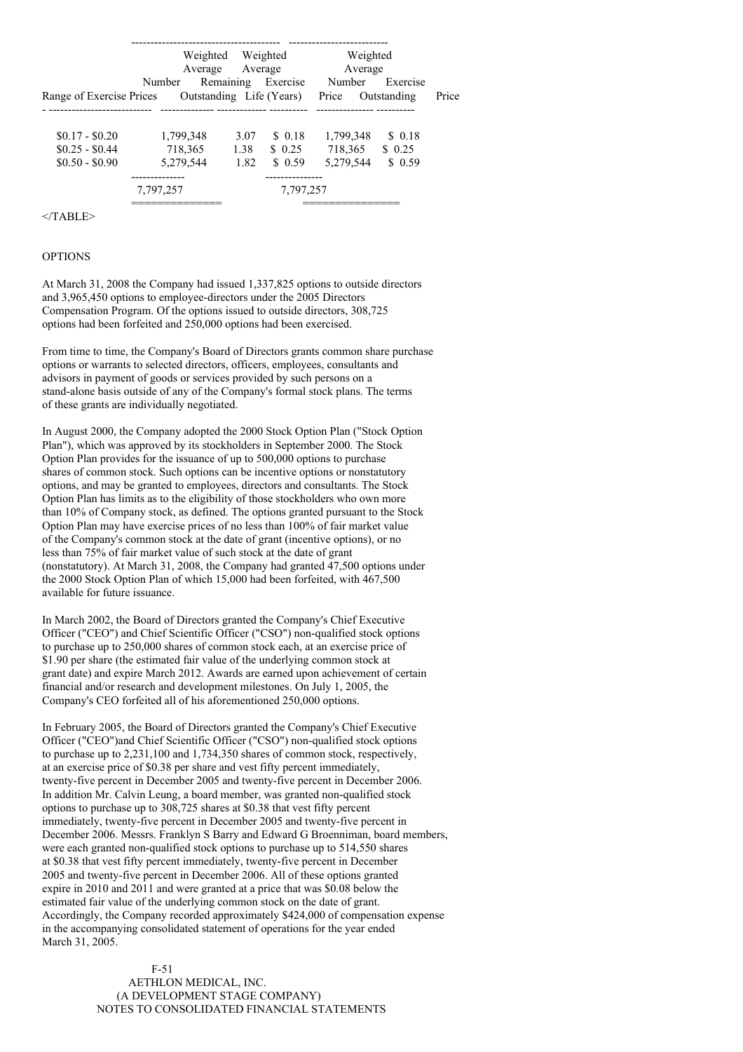|                          | Weighted                 |           | Weighted  | Weighted  |             |       |
|--------------------------|--------------------------|-----------|-----------|-----------|-------------|-------|
|                          | Average                  | Average   |           | Average   |             |       |
|                          | Number                   | Remaining | Exercise  | Number    | Exercise    |       |
| Range of Exercise Prices | Outstanding Life (Years) |           |           | Price     | Outstanding | Price |
|                          |                          |           |           |           |             |       |
| $$0.17 - $0.20$          | 1,799,348                | 3.07      | \$ 0.18   | 1,799,348 | \$ 0.18     |       |
| $$0.25 - $0.44$          | 718,365                  | 1.38      | \$0.25    | 718,365   | \$0.25      |       |
| $$0.50 - $0.90$          | 5,279,544                | 1.82      | \$0.59    | 5.279.544 | \$0.59      |       |
|                          |                          |           |           |           |             |       |
|                          | 7,797,257                |           | 7,797,257 |           |             |       |
|                          |                          |           |           |           |             |       |

 $<$ /TABLE>

## **OPTIONS**

At March 31, 2008 the Company had issued 1,337,825 options to outside directors and 3,965,450 options to employee-directors under the 2005 Directors Compensation Program. Of the options issued to outside directors, 308,725 options had been forfeited and 250,000 options had been exercised.

From time to time, the Company's Board of Directors grants common share purchase options or warrants to selected directors, officers, employees, consultants and advisors in payment of goods or services provided by such persons on a stand-alone basis outside of any of the Company's formal stock plans. The terms of these grants are individually negotiated.

In August 2000, the Company adopted the 2000 Stock Option Plan ("Stock Option Plan"), which was approved by its stockholders in September 2000. The Stock Option Plan provides for the issuance of up to 500,000 options to purchase shares of common stock. Such options can be incentive options or nonstatutory options, and may be granted to employees, directors and consultants. The Stock Option Plan has limits as to the eligibility of those stockholders who own more than 10% of Company stock, as defined. The options granted pursuant to the Stock Option Plan may have exercise prices of no less than 100% of fair market value of the Company's common stock at the date of grant (incentive options), or no less than 75% of fair market value of such stock at the date of grant (nonstatutory). At March 31, 2008, the Company had granted 47,500 options under the 2000 Stock Option Plan of which 15,000 had been forfeited, with 467,500 available for future issuance.

In March 2002, the Board of Directors granted the Company's Chief Executive Officer ("CEO") and Chief Scientific Officer ("CSO") non-qualified stock options to purchase up to 250,000 shares of common stock each, at an exercise price of \$1.90 per share (the estimated fair value of the underlying common stock at grant date) and expire March 2012. Awards are earned upon achievement of certain financial and/or research and development milestones. On July 1, 2005, the Company's CEO forfeited all of his aforementioned 250,000 options.

In February 2005, the Board of Directors granted the Company's Chief Executive Officer ("CEO")and Chief Scientific Officer ("CSO") non-qualified stock options to purchase up to 2,231,100 and 1,734,350 shares of common stock, respectively, at an exercise price of \$0.38 per share and vest fifty percent immediately, twenty-five percent in December 2005 and twenty-five percent in December 2006. In addition Mr. Calvin Leung, a board member, was granted non-qualified stock options to purchase up to 308,725 shares at \$0.38 that vest fifty percent immediately, twenty-five percent in December 2005 and twenty-five percent in December 2006. Messrs. Franklyn S Barry and Edward G Broenniman, board members, were each granted non-qualified stock options to purchase up to 514,550 shares at \$0.38 that vest fifty percent immediately, twenty-five percent in December 2005 and twenty-five percent in December 2006. All of these options granted expire in 2010 and 2011 and were granted at a price that was \$0.08 below the estimated fair value of the underlying common stock on the date of grant. Accordingly, the Company recorded approximately \$424,000 of compensation expense in the accompanying consolidated statement of operations for the year ended March 31, 2005.

> F-51 AETHLON MEDICAL, INC. (A DEVELOPMENT STAGE COMPANY) NOTES TO CONSOLIDATED FINANCIAL STATEMENTS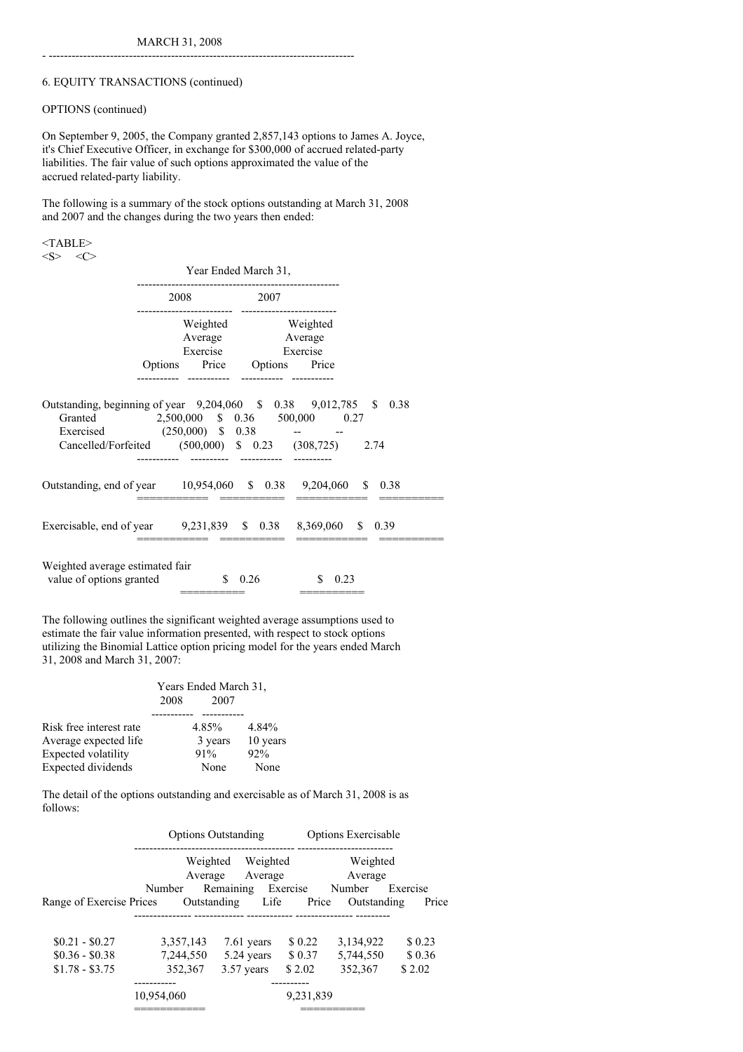- --------------------------------------------------------------------------------

## 6. EQUITY TRANSACTIONS (continued)

OPTIONS (continued)

On September 9, 2005, the Company granted 2,857,143 options to James A. Joyce, it's Chief Executive Officer, in exchange for \$300,000 of accrued related-party liabilities. The fair value of such options approximated the value of the accrued related-party liability.

The following is a summary of the stock options outstanding at March 31, 2008 and 2007 and the changes during the two years then ended:

<TABLE>  $\langle S \rangle$   $\langle C \rangle$ 

Year Ended March 31,

| 2008 | 2007                                                                                                                                                                                                     |  |
|------|----------------------------------------------------------------------------------------------------------------------------------------------------------------------------------------------------------|--|
|      | Weighted Weighted                                                                                                                                                                                        |  |
|      | Average Average<br>Exercise Exercise                                                                                                                                                                     |  |
|      | Options Price Options Price                                                                                                                                                                              |  |
|      | Outstanding, beginning of year 9,204,060 \$ 0.38 9,012,785 \$ 0.38<br>Granted 2,500,000 \$ 0.36 500,000 0.27<br>Exercised (250,000) \$ 0.38 -- -<br>Cancelled/Forfeited (500,000) \$ 0.23 (308,725) 2.74 |  |
|      | Outstanding, end of year 10,954,060 \$ 0.38 9,204,060 \$ 0.38                                                                                                                                            |  |
|      | Exercisable, end of year 9,231,839 \$ 0.38 8,369,060 \$ 0.39                                                                                                                                             |  |

The following outlines the significant weighted average assumptions used to estimate the fair value information presented, with respect to stock options utilizing the Binomial Lattice option pricing model for the years ended March 31, 2008 and March 31, 2007:

|                         | Years Ended March 31,<br>2008<br>2007 |          |
|-------------------------|---------------------------------------|----------|
|                         |                                       |          |
| Risk free interest rate | 4.85%                                 | 4.84%    |
| Average expected life   | 3 years                               | 10 years |
| Expected volatility     | 91%                                   | 92%      |
| Expected dividends      | None                                  | None     |

The detail of the options outstanding and exercisable as of March 31, 2008 is as follows:

|                          |            | <b>Options Outstanding</b>      |           | Options Exercisable |          |
|--------------------------|------------|---------------------------------|-----------|---------------------|----------|
|                          | Average    | Weighted<br>Weighted<br>Average |           | Weighted<br>Average |          |
|                          | Number     | Remaining Exercise              |           | Number              | Exercise |
| Range of Exercise Prices |            | Life<br>Outstanding             | Price     | Outstanding         | Price    |
|                          |            |                                 |           |                     |          |
| $$0.21 - $0.27$          | 3.357.143  | $7.61$ years                    | \$0.22    | 3.134.922           | \$ 0.23  |
| $$0.36 - $0.38$          | 7.244.550  | 5.24 years                      | \$ 0.37   | 5,744,550           | \$0.36   |
| $$1.78 - $3.75$          | 352,367    | $3.57$ years                    | \$2.02    | 352,367             | \$2.02   |
|                          |            |                                 |           |                     |          |
|                          | 10.954.060 |                                 | 9.231.839 |                     |          |
|                          |            |                                 |           |                     |          |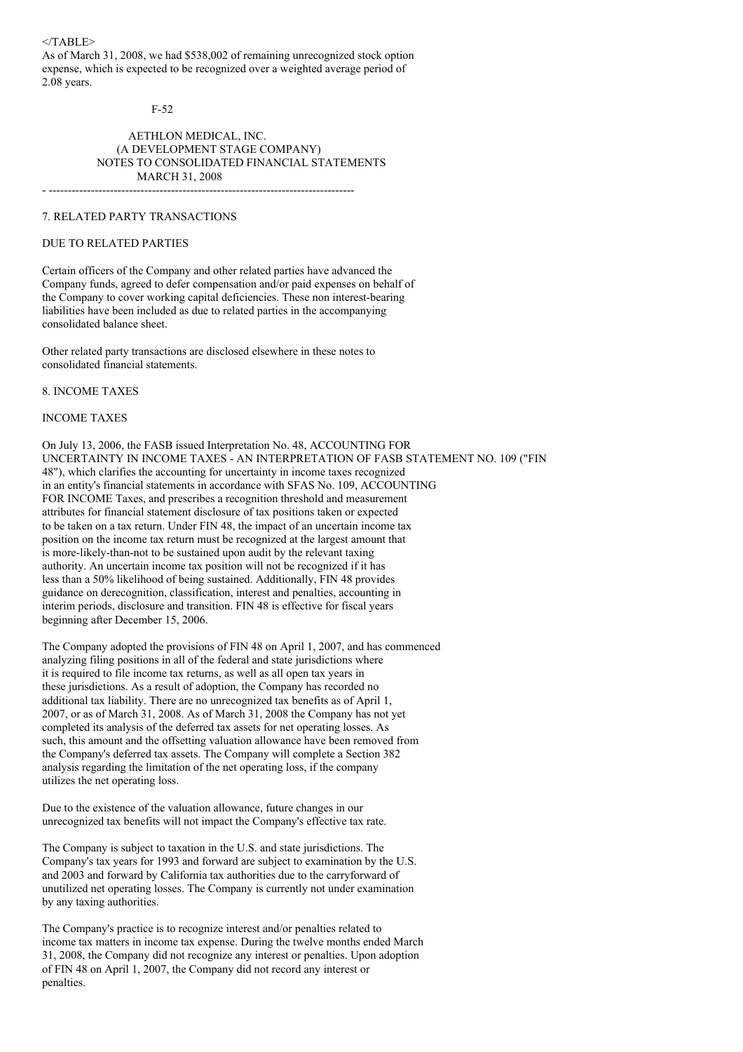$<$ /TABLE> As of March 31, 2008, we had \$538,002 of remaining unrecognized stock option expense, which is expected to be recognized over a weighted average period of 2.08 years.

F-52

## AETHLON MEDICAL, INC. (A DEVELOPMENT STAGE COMPANY) NOTES TO CONSOLIDATED FINANCIAL STATEMENTS MARCH 31, 2008

- --------------------------------------------------------------------------------

## 7. RELATED PARTY TRANSACTIONS

## DUE TO RELATED PARTIES

Certain officers of the Company and other related parties have advanced the Company funds, agreed to defer compensation and/or paid expenses on behalf of the Company to cover working capital deficiencies. These non interest-bearing liabilities have been included as due to related parties in the accompanying consolidated balance sheet.

Other related party transactions are disclosed elsewhere in these notes to consolidated financial statements.

## 8. INCOME TAXES

## INCOME TAXES

On July 13, 2006, the FASB issued Interpretation No. 48, ACCOUNTING FOR UNCERTAINTY IN INCOME TAXES - AN INTERPRETATION OF FASB STATEMENT NO. 109 ("FIN 48"), which clarifies the accounting for uncertainty in income taxes recognized in an entity's financial statements in accordance with SFAS No. 109, ACCOUNTING FOR INCOME Taxes, and prescribes a recognition threshold and measurement attributes for financial statement disclosure of tax positions taken or expected to be taken on a tax return. Under FIN 48, the impact of an uncertain income tax position on the income tax return must be recognized at the largest amount that is more-likely-than-not to be sustained upon audit by the relevant taxing authority. An uncertain income tax position will not be recognized if it has less than a 50% likelihood of being sustained. Additionally, FIN 48 provides guidance on derecognition, classification, interest and penalties, accounting in interim periods, disclosure and transition. FIN 48 is effective for fiscal years beginning after December 15, 2006.

The Company adopted the provisions of FIN 48 on April 1, 2007, and has commenced analyzing filing positions in all of the federal and state jurisdictions where it is required to file income tax returns, as well as all open tax years in these jurisdictions. As a result of adoption, the Company has recorded no additional tax liability. There are no unrecognized tax benefits as of April 1, 2007, or as of March 31, 2008. As of March 31, 2008 the Company has not yet completed its analysis of the deferred tax assets for net operating losses. As such, this amount and the offsetting valuation allowance have been removed from the Company's deferred tax assets. The Company will complete a Section 382 analysis regarding the limitation of the net operating loss, if the company utilizes the net operating loss.

Due to the existence of the valuation allowance, future changes in our unrecognized tax benefits will not impact the Company's effective tax rate.

The Company is subject to taxation in the U.S. and state jurisdictions. The Company's tax years for 1993 and forward are subject to examination by the U.S. and 2003 and forward by California tax authorities due to the carryforward of unutilized net operating losses. The Company is currently not under examination by any taxing authorities.

The Company's practice is to recognize interest and/or penalties related to income tax matters in income tax expense. During the twelve months ended March 31, 2008, the Company did not recognize any interest or penalties. Upon adoption of FIN 48 on April 1, 2007, the Company did not record any interest or penalties.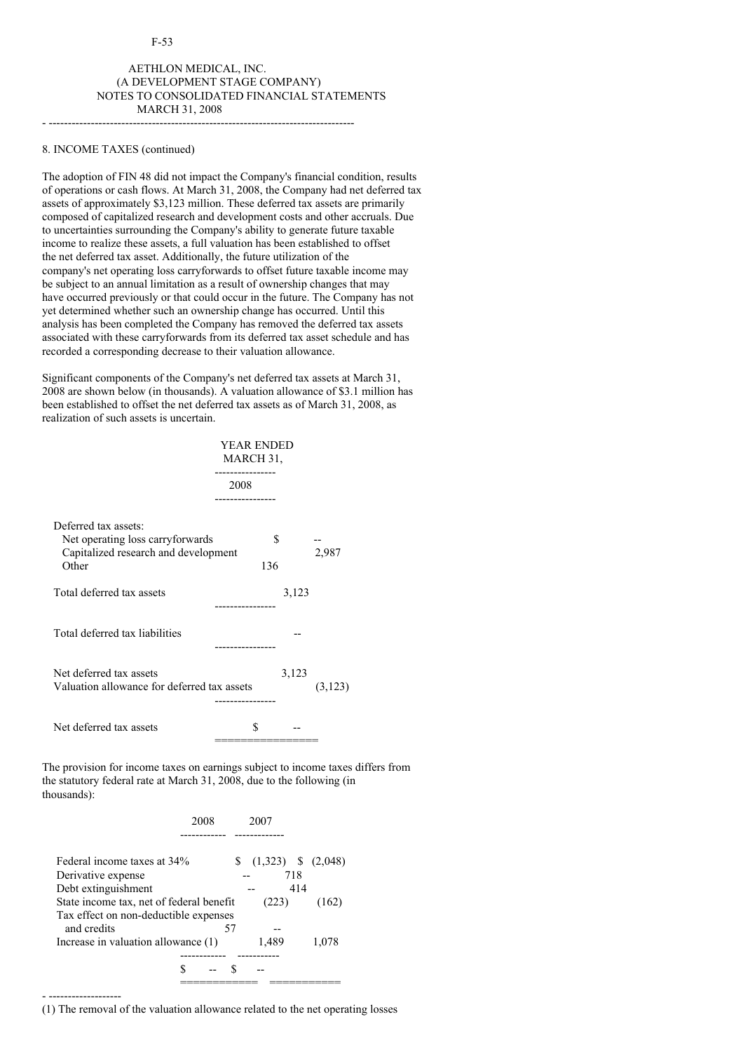## AETHLON MEDICAL, INC. (A DEVELOPMENT STAGE COMPANY) NOTES TO CONSOLIDATED FINANCIAL STATEMENTS MARCH 31, 2008

- --------------------------------------------------------------------------------

#### 8. INCOME TAXES (continued)

The adoption of FIN 48 did not impact the Company's financial condition, results of operations or cash flows. At March 31, 2008, the Company had net deferred tax assets of approximately \$3,123 million. These deferred tax assets are primarily composed of capitalized research and development costs and other accruals. Due to uncertainties surrounding the Company's ability to generate future taxable income to realize these assets, a full valuation has been established to offset the net deferred tax asset. Additionally, the future utilization of the company's net operating loss carryforwards to offset future taxable income may be subject to an annual limitation as a result of ownership changes that may have occurred previously or that could occur in the future. The Company has not yet determined whether such an ownership change has occurred. Until this analysis has been completed the Company has removed the deferred tax assets associated with these carryforwards from its deferred tax asset schedule and has recorded a corresponding decrease to their valuation allowance.

Significant components of the Company's net deferred tax assets at March 31, 2008 are shown below (in thousands). A valuation allowance of \$3.1 million has been established to offset the net deferred tax assets as of March 31, 2008, as realization of such assets is uncertain.

|                                                                                                           | <b>YEAR ENDED</b><br>MARCH 31, |       |         |  |  |
|-----------------------------------------------------------------------------------------------------------|--------------------------------|-------|---------|--|--|
|                                                                                                           | 2008<br>-------------          |       |         |  |  |
| Deferred tax assets:<br>Net operating loss carryforwards<br>Capitalized research and development<br>Other | 136                            | S     | 2,987   |  |  |
| Total deferred tax assets                                                                                 |                                | 3,123 |         |  |  |
| Total deferred tax liabilities                                                                            |                                |       |         |  |  |
| Net deferred tax assets<br>Valuation allowance for deferred tax assets                                    |                                | 3,123 | (3,123) |  |  |
| Net deferred tax assets                                                                                   | \$                             |       |         |  |  |

The provision for income taxes on earnings subject to income taxes differs from the statutory federal rate at March 31, 2008, due to the following (in thousands):

================

|                                                   | 2008 |    | 2007                          |       |
|---------------------------------------------------|------|----|-------------------------------|-------|
|                                                   |      |    |                               |       |
| Federal income taxes at 34%<br>Derivative expense |      |    | $(1,323)$ \, $(2,048)$<br>718 |       |
| Debt extinguishment                               |      |    | 414                           |       |
| State income tax, net of federal benefit          |      |    | (223)                         | (162) |
| Tax effect on non-deductible expenses             |      |    |                               |       |
| and credits                                       |      | 57 |                               |       |
| Increase in valuation allowance (1)               |      |    | 1,489                         | 1.078 |
|                                                   |      |    |                               |       |
|                                                   |      |    |                               |       |
|                                                   |      |    |                               |       |

- -------------------

(1) The removal of the valuation allowance related to the net operating losses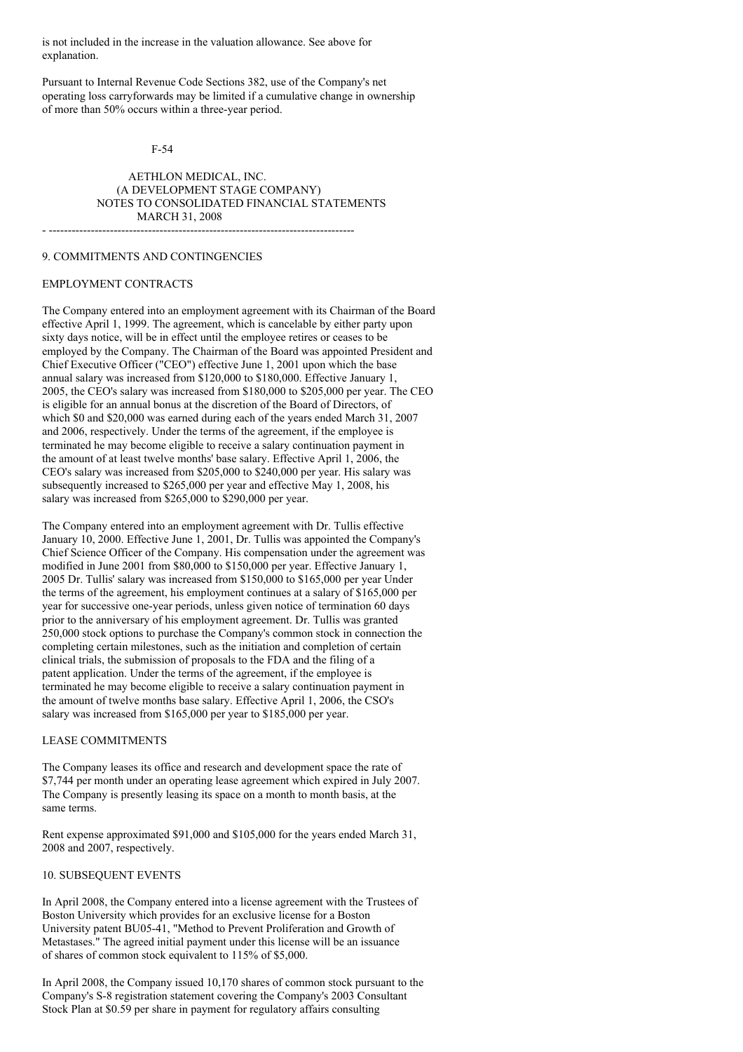is not included in the increase in the valuation allowance. See above for explanation.

Pursuant to Internal Revenue Code Sections 382, use of the Company's net operating loss carryforwards may be limited if a cumulative change in ownership of more than 50% occurs within a three-year period.

#### F-54

AETHLON MEDICAL, INC. (A DEVELOPMENT STAGE COMPANY) NOTES TO CONSOLIDATED FINANCIAL STATEMENTS MARCH 31, 2008

 $-$ 

## 9. COMMITMENTS AND CONTINGENCIES

## EMPLOYMENT CONTRACTS

The Company entered into an employment agreement with its Chairman of the Board effective April 1, 1999. The agreement, which is cancelable by either party upon sixty days notice, will be in effect until the employee retires or ceases to be employed by the Company. The Chairman of the Board was appointed President and Chief Executive Officer ("CEO") effective June 1, 2001 upon which the base annual salary was increased from \$120,000 to \$180,000. Effective January 1, 2005, the CEO's salary was increased from \$180,000 to \$205,000 per year. The CEO is eligible for an annual bonus at the discretion of the Board of Directors, of which \$0 and \$20,000 was earned during each of the years ended March 31, 2007 and 2006, respectively. Under the terms of the agreement, if the employee is terminated he may become eligible to receive a salary continuation payment in the amount of at least twelve months' base salary. Effective April 1, 2006, the CEO's salary was increased from \$205,000 to \$240,000 per year. His salary was subsequently increased to \$265,000 per year and effective May 1, 2008, his salary was increased from \$265,000 to \$290,000 per year.

The Company entered into an employment agreement with Dr. Tullis effective January 10, 2000. Effective June 1, 2001, Dr. Tullis was appointed the Company's Chief Science Officer of the Company. His compensation under the agreement was modified in June 2001 from \$80,000 to \$150,000 per year. Effective January 1, 2005 Dr. Tullis' salary was increased from \$150,000 to \$165,000 per year Under the terms of the agreement, his employment continues at a salary of \$165,000 per year for successive one-year periods, unless given notice of termination 60 days prior to the anniversary of his employment agreement. Dr. Tullis was granted 250,000 stock options to purchase the Company's common stock in connection the completing certain milestones, such as the initiation and completion of certain clinical trials, the submission of proposals to the FDA and the filing of a patent application. Under the terms of the agreement, if the employee is terminated he may become eligible to receive a salary continuation payment in the amount of twelve months base salary. Effective April 1, 2006, the CSO's salary was increased from \$165,000 per year to \$185,000 per year.

## LEASE COMMITMENTS

The Company leases its office and research and development space the rate of \$7,744 per month under an operating lease agreement which expired in July 2007. The Company is presently leasing its space on a month to month basis, at the same terms.

Rent expense approximated \$91,000 and \$105,000 for the years ended March 31, 2008 and 2007, respectively.

## 10. SUBSEQUENT EVENTS

In April 2008, the Company entered into a license agreement with the Trustees of Boston University which provides for an exclusive license for a Boston University patent BU05-41, "Method to Prevent Proliferation and Growth of Metastases." The agreed initial payment under this license will be an issuance of shares of common stock equivalent to 115% of \$5,000.

In April 2008, the Company issued 10,170 shares of common stock pursuant to the Company's S-8 registration statement covering the Company's 2003 Consultant Stock Plan at \$0.59 per share in payment for regulatory affairs consulting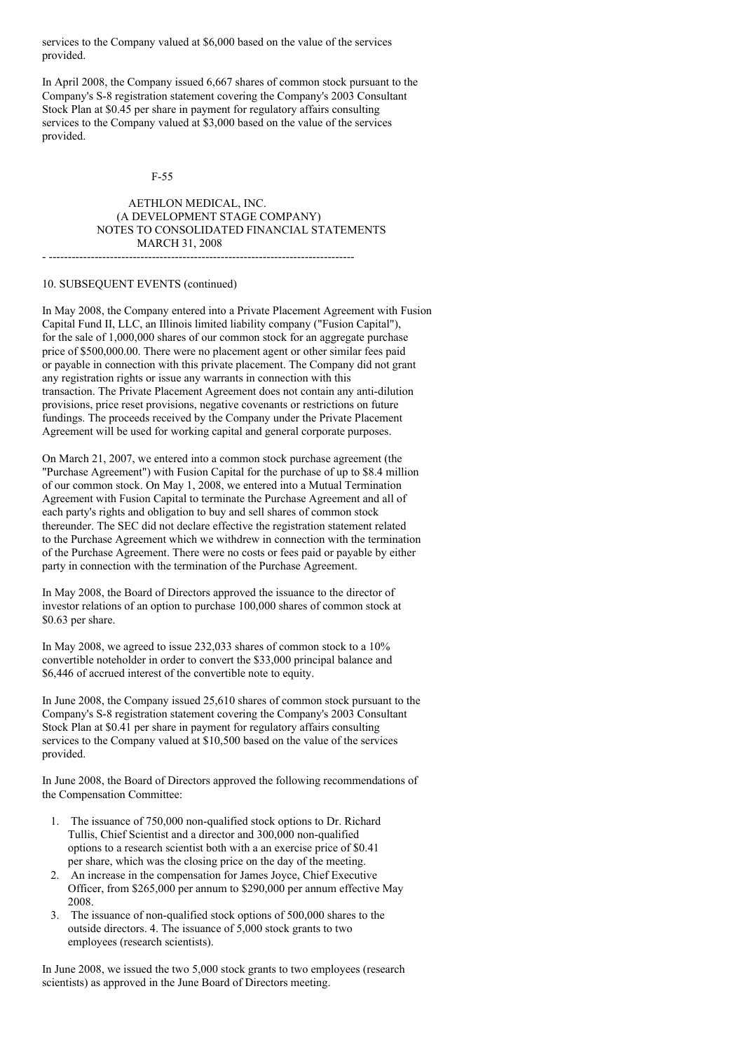services to the Company valued at \$6,000 based on the value of the services provided.

In April 2008, the Company issued 6,667 shares of common stock pursuant to the Company's S-8 registration statement covering the Company's 2003 Consultant Stock Plan at \$0.45 per share in payment for regulatory affairs consulting services to the Company valued at \$3,000 based on the value of the services provided.

#### F-55

AETHLON MEDICAL, INC. (A DEVELOPMENT STAGE COMPANY) NOTES TO CONSOLIDATED FINANCIAL STATEMENTS MARCH 31, 2008 - --------------------------------------------------------------------------------

### 10. SUBSEQUENT EVENTS (continued)

In May 2008, the Company entered into a Private Placement Agreement with Fusion Capital Fund II, LLC, an Illinois limited liability company ("Fusion Capital"), for the sale of 1,000,000 shares of our common stock for an aggregate purchase price of \$500,000.00. There were no placement agent or other similar fees paid or payable in connection with this private placement. The Company did not grant any registration rights or issue any warrants in connection with this transaction. The Private Placement Agreement does not contain any anti-dilution provisions, price reset provisions, negative covenants or restrictions on future fundings. The proceeds received by the Company under the Private Placement Agreement will be used for working capital and general corporate purposes.

On March 21, 2007, we entered into a common stock purchase agreement (the "Purchase Agreement") with Fusion Capital for the purchase of up to \$8.4 million of our common stock. On May 1, 2008, we entered into a Mutual Termination Agreement with Fusion Capital to terminate the Purchase Agreement and all of each party's rights and obligation to buy and sell shares of common stock thereunder. The SEC did not declare effective the registration statement related to the Purchase Agreement which we withdrew in connection with the termination of the Purchase Agreement. There were no costs or fees paid or payable by either party in connection with the termination of the Purchase Agreement.

In May 2008, the Board of Directors approved the issuance to the director of investor relations of an option to purchase 100,000 shares of common stock at \$0.63 per share.

In May 2008, we agreed to issue 232,033 shares of common stock to a 10% convertible noteholder in order to convert the \$33,000 principal balance and \$6,446 of accrued interest of the convertible note to equity.

In June 2008, the Company issued 25,610 shares of common stock pursuant to the Company's S-8 registration statement covering the Company's 2003 Consultant Stock Plan at \$0.41 per share in payment for regulatory affairs consulting services to the Company valued at \$10,500 based on the value of the services provided.

In June 2008, the Board of Directors approved the following recommendations of the Compensation Committee:

- 1. The issuance of 750,000 non-qualified stock options to Dr. Richard Tullis, Chief Scientist and a director and 300,000 non-qualified options to a research scientist both with a an exercise price of \$0.41 per share, which was the closing price on the day of the meeting.
- 2. An increase in the compensation for James Joyce, Chief Executive Officer, from \$265,000 per annum to \$290,000 per annum effective May 2008.
- 3. The issuance of non-qualified stock options of 500,000 shares to the outside directors. 4. The issuance of 5,000 stock grants to two employees (research scientists).

In June 2008, we issued the two 5,000 stock grants to two employees (research scientists) as approved in the June Board of Directors meeting.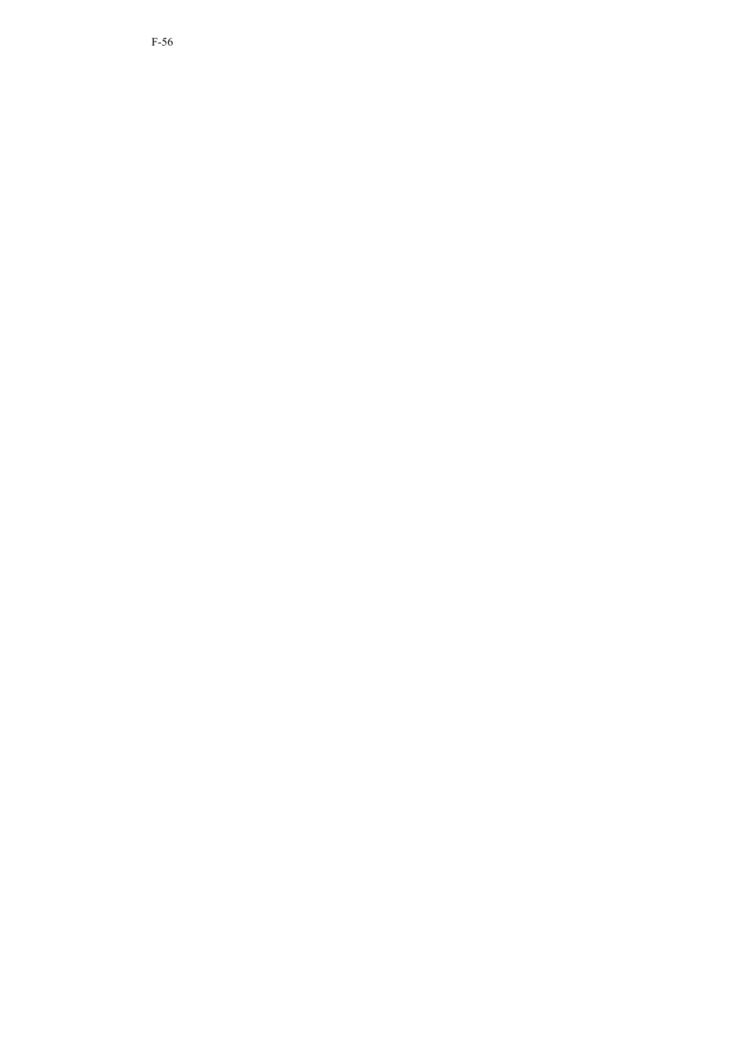F-56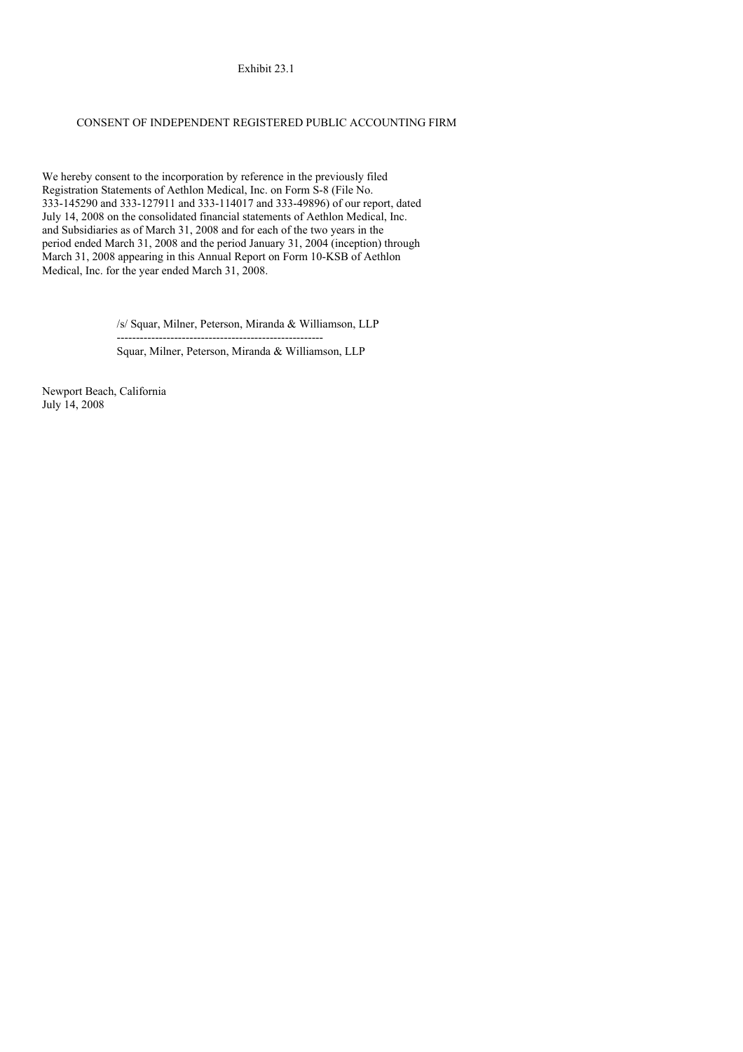Exhibit 23.1

## CONSENT OF INDEPENDENT REGISTERED PUBLIC ACCOUNTING FIRM

We hereby consent to the incorporation by reference in the previously filed Registration Statements of Aethlon Medical, Inc. on Form S-8 (File No. 333-145290 and 333-127911 and 333-114017 and 333-49896) of our report, dated July 14, 2008 on the consolidated financial statements of Aethlon Medical, Inc. and Subsidiaries as of March 31, 2008 and for each of the two years in the period ended March 31, 2008 and the period January 31, 2004 (inception) through March 31, 2008 appearing in this Annual Report on Form 10-KSB of Aethlon Medical, Inc. for the year ended March 31, 2008.

/s/ Squar, Milner, Peterson, Miranda & Williamson, LLP

Squar, Milner, Peterson, Miranda & Williamson, LLP

------------------------------------------------------

Newport Beach, California July 14, 2008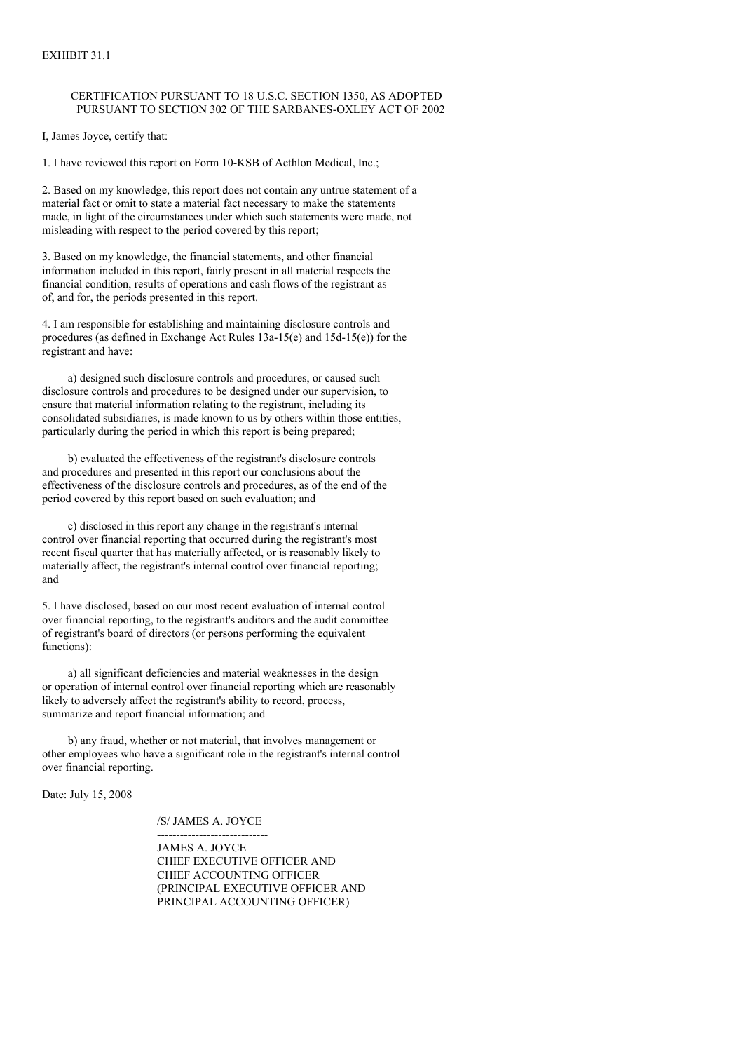# CERTIFICATION PURSUANT TO 18 U.S.C. SECTION 1350, AS ADOPTED PURSUANT TO SECTION 302 OF THE SARBANES-OXLEY ACT OF 2002

I, James Joyce, certify that:

1. I have reviewed this report on Form 10-KSB of Aethlon Medical, Inc.;

2. Based on my knowledge, this report does not contain any untrue statement of a material fact or omit to state a material fact necessary to make the statements made, in light of the circumstances under which such statements were made, not misleading with respect to the period covered by this report;

3. Based on my knowledge, the financial statements, and other financial information included in this report, fairly present in all material respects the financial condition, results of operations and cash flows of the registrant as of, and for, the periods presented in this report.

4. I am responsible for establishing and maintaining disclosure controls and procedures (as defined in Exchange Act Rules 13a-15(e) and 15d-15(e)) for the registrant and have:

a) designed such disclosure controls and procedures, or caused such disclosure controls and procedures to be designed under our supervision, to ensure that material information relating to the registrant, including its consolidated subsidiaries, is made known to us by others within those entities, particularly during the period in which this report is being prepared;

b) evaluated the effectiveness of the registrant's disclosure controls and procedures and presented in this report our conclusions about the effectiveness of the disclosure controls and procedures, as of the end of the period covered by this report based on such evaluation; and

c) disclosed in this report any change in the registrant's internal control over financial reporting that occurred during the registrant's most recent fiscal quarter that has materially affected, or is reasonably likely to materially affect, the registrant's internal control over financial reporting; and

5. I have disclosed, based on our most recent evaluation of internal control over financial reporting, to the registrant's auditors and the audit committee of registrant's board of directors (or persons performing the equivalent functions):

a) all significant deficiencies and material weaknesses in the design or operation of internal control over financial reporting which are reasonably likely to adversely affect the registrant's ability to record, process, summarize and report financial information; and

b) any fraud, whether or not material, that involves management or other employees who have a significant role in the registrant's internal control over financial reporting.

Date: July 15, 2008

/S/ JAMES A. JOYCE

----------------------------- JAMES A. JOYCE CHIEF EXECUTIVE OFFICER AND CHIEF ACCOUNTING OFFICER (PRINCIPAL EXECUTIVE OFFICER AND PRINCIPAL ACCOUNTING OFFICER)